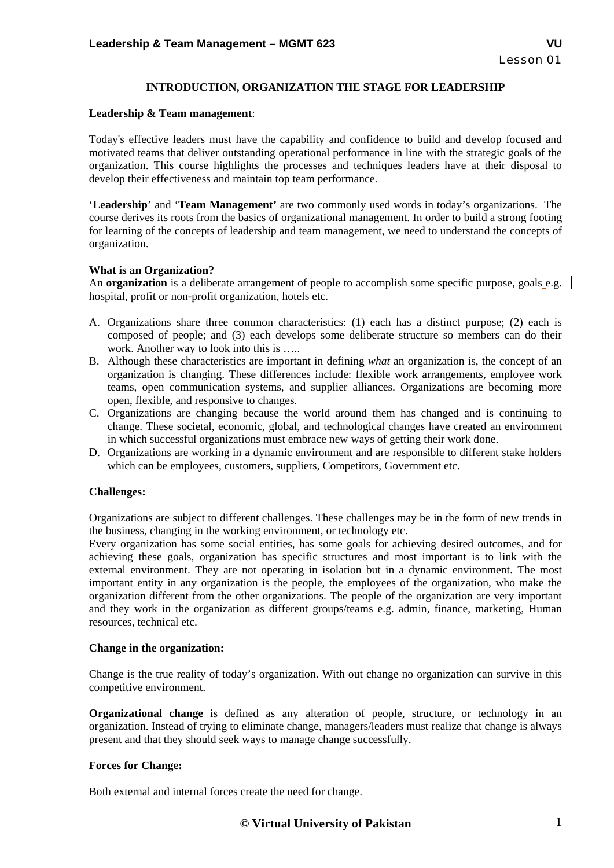# **INTRODUCTION, ORGANIZATION THE STAGE FOR LEADERSHIP**

#### **Leadership & Team management**:

Today's effective leaders must have the capability and confidence to build and develop focused and motivated teams that deliver outstanding operational performance in line with the strategic goals of the organization. This course highlights the processes and techniques leaders have at their disposal to develop their effectiveness and maintain top team performance.

'**Leadership**' and '**Team Management'** are two commonly used words in today's organizations. The course derives its roots from the basics of organizational management. In order to build a strong footing for learning of the concepts of leadership and team management, we need to understand the concepts of organization.

# **What is an Organization?**

An **organization** is a deliberate arrangement of people to accomplish some specific purpose, goals e.g. hospital, profit or non-profit organization, hotels etc.

- A. Organizations share three common characteristics: (1) each has a distinct purpose; (2) each is composed of people; and (3) each develops some deliberate structure so members can do their work. Another way to look into this is .....
- B. Although these characteristics are important in defining *what* an organization is, the concept of an organization is changing. These differences include: flexible work arrangements, employee work teams, open communication systems, and supplier alliances. Organizations are becoming more open, flexible, and responsive to changes.
- C. Organizations are changing because the world around them has changed and is continuing to change. These societal, economic, global, and technological changes have created an environment in which successful organizations must embrace new ways of getting their work done.
- D. Organizations are working in a dynamic environment and are responsible to different stake holders which can be employees, customers, suppliers, Competitors, Government etc.

#### **Challenges:**

Organizations are subject to different challenges. These challenges may be in the form of new trends in the business, changing in the working environment, or technology etc.

Every organization has some social entities, has some goals for achieving desired outcomes, and for achieving these goals, organization has specific structures and most important is to link with the external environment. They are not operating in isolation but in a dynamic environment. The most important entity in any organization is the people, the employees of the organization, who make the organization different from the other organizations. The people of the organization are very important and they work in the organization as different groups/teams e.g. admin, finance, marketing, Human resources, technical etc.

#### **Change in the organization:**

Change is the true reality of today's organization. With out change no organization can survive in this competitive environment.

**Organizational change** is defined as any alteration of people, structure, or technology in an organization. Instead of trying to eliminate change, managers/leaders must realize that change is always present and that they should seek ways to manage change successfully.

# **Forces for Change:**

Both external and internal forces create the need for change.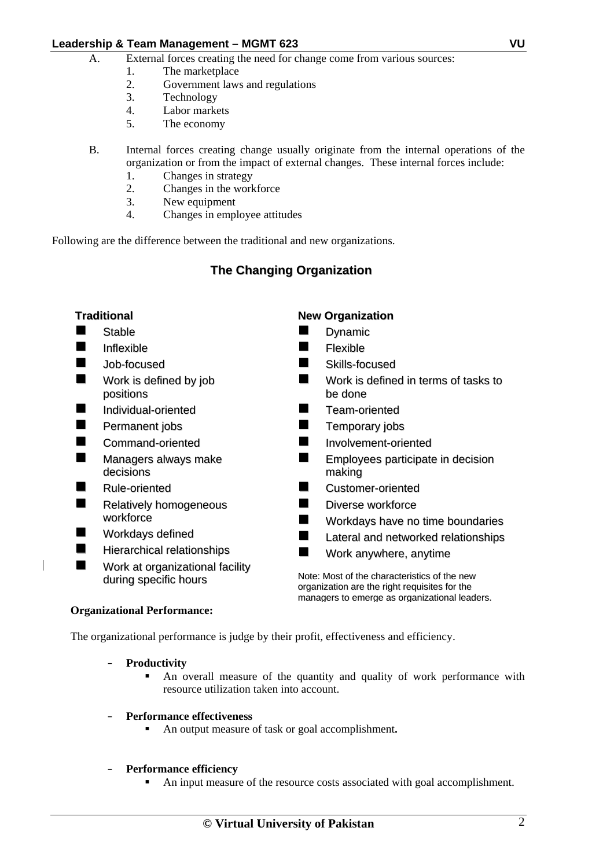- A. External forces creating the need for change come from various sources:
	- 1. The marketplace
	- 2. Government laws and regulations
	- 3. Technology
	- 4. Labor markets
	- 5. The economy
- B. Internal forces creating change usually originate from the internal operations of the organization or from the impact of external changes. These internal forces include:
	- 1. Changes in strategy
	- 2. Changes in the workforce
	- 3. New equipment
	- 4. Changes in employee attitudes

Following are the difference between the traditional and new organizations.

# **The Changing Organization**

#### **Traditional** Stable **Inflexible New Job-focused Nork is defined by job** positions **Individual-oriented Permanent jobs** Command-oriented **Managers always make** decisions Rule-oriented Relatively homogeneous workforce **Norkdays defined Hierarchical relationships Nork at organizational facility** during specific hours **New Organization** Dynamic Flexible Skills-focused Work is defined in terms of tasks to be done **Team-oriented**  Temporary jobs **Involvement-oriented EXEMPLOYEES participate in decision** making **Customer-oriented Diverse workforce Norkdays have no time boundaries Lateral and networked relationships Nork anywhere, anytime** Note: Most of the characteristics of the new organization are the right requisites for the managers to emerge as organizational leaders.

#### **Organizational Performance:**

The organizational performance is judge by their profit, effectiveness and efficiency.

- **Productivity** 
	- An overall measure of the quantity and quality of work performance with resource utilization taken into account.

#### – **Performance effectiveness**

An output measure of task or goal accomplishment**.** 

#### – **Performance efficiency**

An input measure of the resource costs associated with goal accomplishment.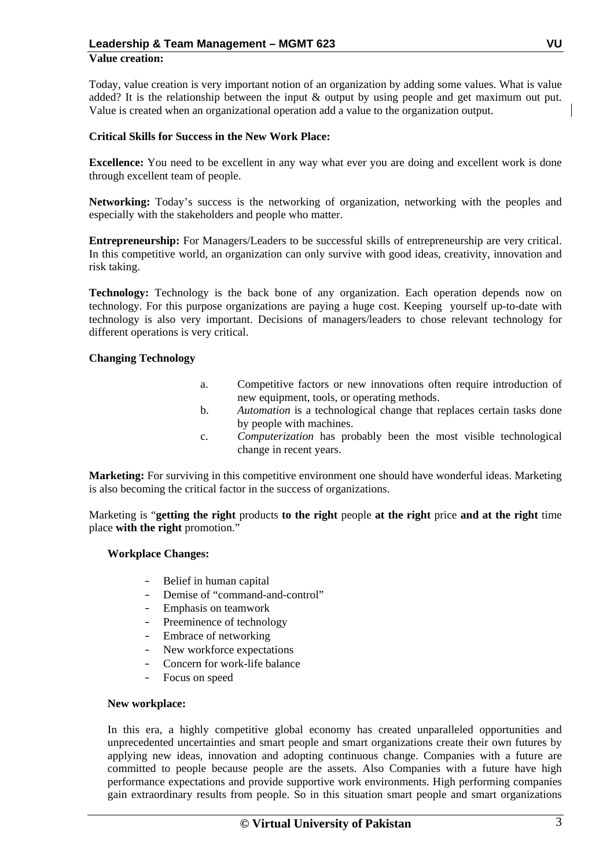# **Value creation:**

Today, value creation is very important notion of an organization by adding some values. What is value added? It is the relationship between the input & output by using people and get maximum out put. Value is created when an organizational operation add a value to the organization output.

#### **Critical Skills for Success in the New Work Place:**

**Excellence:** You need to be excellent in any way what ever you are doing and excellent work is done through excellent team of people.

**Networking:** Today's success is the networking of organization, networking with the peoples and especially with the stakeholders and people who matter.

**Entrepreneurship:** For Managers/Leaders to be successful skills of entrepreneurship are very critical. In this competitive world, an organization can only survive with good ideas, creativity, innovation and risk taking.

Technology: Technology is the back bone of any organization. Each operation depends now on technology. For this purpose organizations are paying a huge cost. Keeping yourself up-to-date with technology is also very important. Decisions of managers/leaders to chose relevant technology for different operations is very critical.

#### **Changing Technology**

- a. Competitive factors or new innovations often require introduction of new equipment, tools, or operating methods.
- b. *Automation* is a technological change that replaces certain tasks done by people with machines.
- c. *Computerization* has probably been the most visible technological change in recent years.

**Marketing:** For surviving in this competitive environment one should have wonderful ideas. Marketing is also becoming the critical factor in the success of organizations.

Marketing is "**getting the right** products **to the right** people **at the right** price **and at the right** time place **with the right** promotion."

#### **Workplace Changes:**

- Belief in human capital
- Demise of "command-and-control"
- Emphasis on teamwork
- Preeminence of technology
- Embrace of networking
- New workforce expectations
- Concern for work-life balance
- Focus on speed

#### **New workplace:**

In this era, a highly competitive global economy has created unparalleled opportunities and unprecedented uncertainties and smart people and smart organizations create their own futures by applying new ideas, innovation and adopting continuous change. Companies with a future are committed to people because people are the assets. Also Companies with a future have high performance expectations and provide supportive work environments. High performing companies gain extraordinary results from people. So in this situation smart people and smart organizations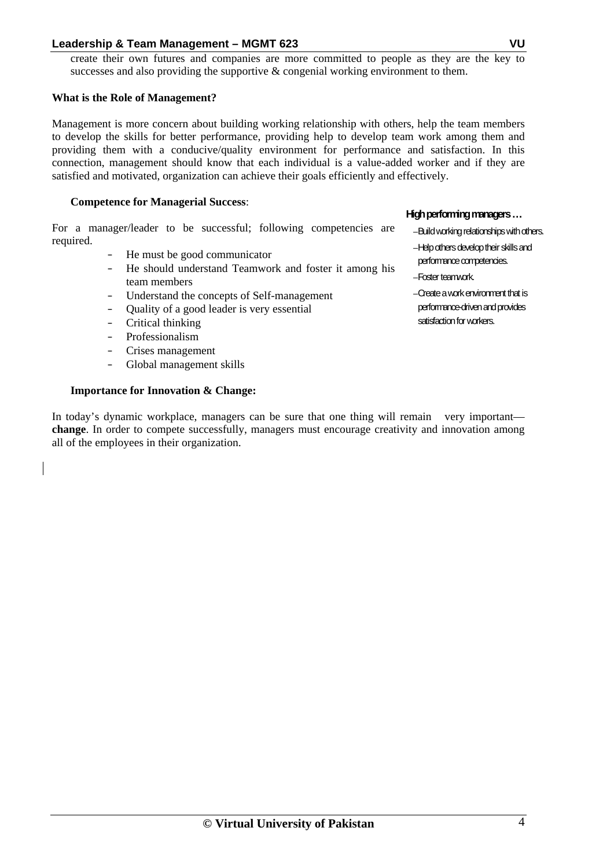create their own futures and companies are more committed to people as they are the key to successes and also providing the supportive  $\&$  congenial working environment to them.

#### **What is the Role of Management?**

Management is more concern about building working relationship with others, help the team members to develop the skills for better performance, providing help to develop team work among them and providing them with a conducive/quality environment for performance and satisfaction. In this connection, management should know that each individual is a value-added worker and if they are satisfied and motivated, organization can achieve their goals efficiently and effectively.

#### **Competence for Managerial Success**:

For a manager/leader to be successful; following competencies are required.

- He must be good communicator
- He should understand Teamwork and foster it among his team members
- Understand the concepts of Self-management
- Quality of a good leader is very essential
- Critical thinking
- Professionalism
- Crises management
- Global management skills

### **Importance for Innovation & Change:**

In today's dynamic workplace, managers can be sure that one thing will remain very important **change**. In order to compete successfully, managers must encourage creativity and innovation among all of the employees in their organization.

#### **High performing managers …**

- –Build working relationships with others.
- –Help others develop their skills and performance competencies.
- –Foster teamwork.
- –Create a work environment that is performance-driven and provides satisfaction for workers.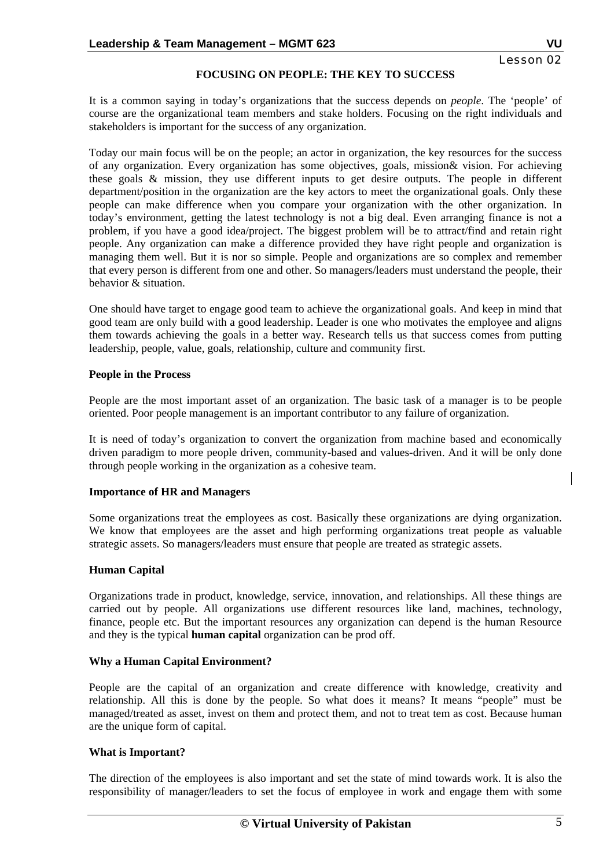# Lesson 02

# **FOCUSING ON PEOPLE: THE KEY TO SUCCESS**

It is a common saying in today's organizations that the success depends on *people*. The 'people' of course are the organizational team members and stake holders. Focusing on the right individuals and stakeholders is important for the success of any organization.

Today our main focus will be on the people; an actor in organization, the key resources for the success of any organization. Every organization has some objectives, goals, mission& vision. For achieving these goals & mission, they use different inputs to get desire outputs. The people in different department/position in the organization are the key actors to meet the organizational goals. Only these people can make difference when you compare your organization with the other organization. In today's environment, getting the latest technology is not a big deal. Even arranging finance is not a problem, if you have a good idea/project. The biggest problem will be to attract/find and retain right people. Any organization can make a difference provided they have right people and organization is managing them well. But it is nor so simple. People and organizations are so complex and remember that every person is different from one and other. So managers/leaders must understand the people, their behavior & situation.

One should have target to engage good team to achieve the organizational goals. And keep in mind that good team are only build with a good leadership. Leader is one who motivates the employee and aligns them towards achieving the goals in a better way. Research tells us that success comes from putting leadership, people, value, goals, relationship, culture and community first.

### **People in the Process**

People are the most important asset of an organization. The basic task of a manager is to be people oriented. Poor people management is an important contributor to any failure of organization.

It is need of today's organization to convert the organization from machine based and economically driven paradigm to more people driven, community-based and values-driven. And it will be only done through people working in the organization as a cohesive team.

# **Importance of HR and Managers**

Some organizations treat the employees as cost. Basically these organizations are dying organization. We know that employees are the asset and high performing organizations treat people as valuable strategic assets. So managers/leaders must ensure that people are treated as strategic assets.

# **Human Capital**

Organizations trade in product, knowledge, service, innovation, and relationships. All these things are carried out by people. All organizations use different resources like land, machines, technology, finance, people etc. But the important resources any organization can depend is the human Resource and they is the typical **human capital** organization can be prod off.

# **Why a Human Capital Environment?**

People are the capital of an organization and create difference with knowledge, creativity and relationship. All this is done by the people. So what does it means? It means "people" must be managed/treated as asset, invest on them and protect them, and not to treat tem as cost. Because human are the unique form of capital.

# **What is Important?**

The direction of the employees is also important and set the state of mind towards work. It is also the responsibility of manager/leaders to set the focus of employee in work and engage them with some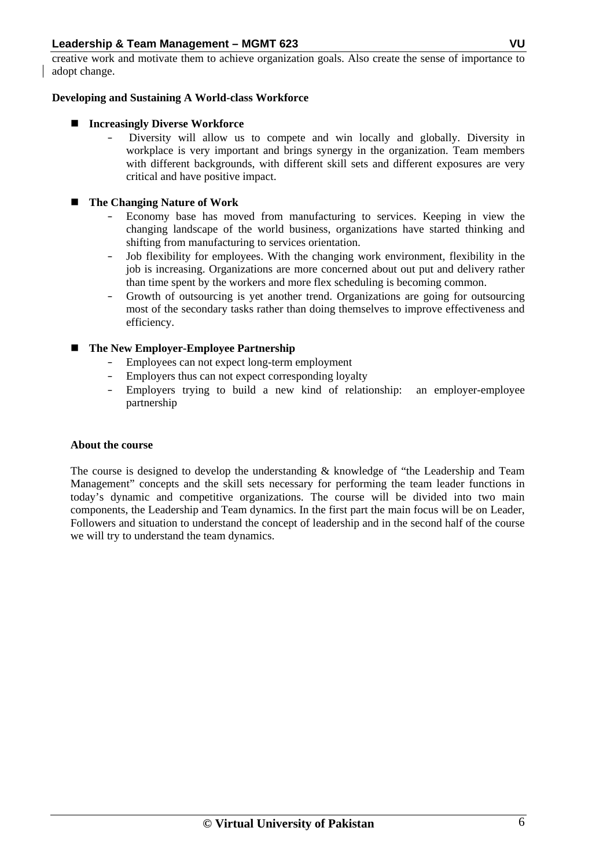creative work and motivate them to achieve organization goals. Also create the sense of importance to adopt change.

#### **Developing and Sustaining A World-class Workforce**

# ■ Increasingly Diverse Workforce

– Diversity will allow us to compete and win locally and globally. Diversity in workplace is very important and brings synergy in the organization. Team members with different backgrounds, with different skill sets and different exposures are very critical and have positive impact.

# **The Changing Nature of Work**

- Economy base has moved from manufacturing to services. Keeping in view the changing landscape of the world business, organizations have started thinking and shifting from manufacturing to services orientation.
- Job flexibility for employees. With the changing work environment, flexibility in the job is increasing. Organizations are more concerned about out put and delivery rather than time spent by the workers and more flex scheduling is becoming common.
- Growth of outsourcing is yet another trend. Organizations are going for outsourcing most of the secondary tasks rather than doing themselves to improve effectiveness and efficiency.

# **The New Employer-Employee Partnership**

- Employees can not expect long-term employment
- Employers thus can not expect corresponding loyalty
- Employers trying to build a new kind of relationship: an employer-employee partnership

#### **About the course**

 The course is designed to develop the understanding & knowledge of "the Leadership and Team Management" concepts and the skill sets necessary for performing the team leader functions in today's dynamic and competitive organizations. The course will be divided into two main components, the Leadership and Team dynamics. In the first part the main focus will be on Leader, Followers and situation to understand the concept of leadership and in the second half of the course we will try to understand the team dynamics.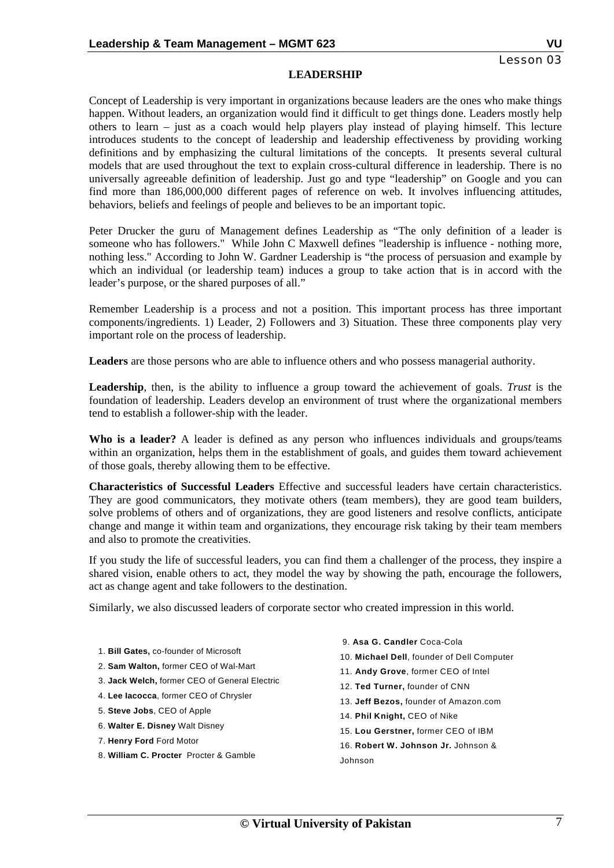#### **LEADERSHIP**

Concept of Leadership is very important in organizations because leaders are the ones who make things happen. Without leaders, an organization would find it difficult to get things done. Leaders mostly help others to learn – just as a coach would help players play instead of playing himself. This lecture introduces students to the concept of leadership and leadership effectiveness by providing working definitions and by emphasizing the cultural limitations of the concepts. It presents several cultural models that are used throughout the text to explain cross-cultural difference in leadership. There is no universally agreeable definition of leadership. Just go and type "leadership" on Google and you can find more than 186,000,000 different pages of reference on web. It involves influencing attitudes, behaviors, beliefs and feelings of people and believes to be an important topic.

Peter Drucker the guru of Management defines Leadership as "The only definition of a leader is someone who has followers." While John C Maxwell defines "leadership is influence - nothing more, nothing less." According to John W. Gardner Leadership is "the process of persuasion and example by which an individual (or leadership team) induces a group to take action that is in accord with the leader's purpose, or the shared purposes of all."

Remember Leadership is a process and not a position. This important process has three important components/ingredients. 1) Leader, 2) Followers and 3) Situation. These three components play very important role on the process of leadership.

**Leaders** are those persons who are able to influence others and who possess managerial authority.

**Leadership**, then, is the ability to influence a group toward the achievement of goals. *Trust* is the foundation of leadership. Leaders develop an environment of trust where the organizational members tend to establish a follower-ship with the leader.

**Who is a leader?** A leader is defined as any person who influences individuals and groups/teams within an organization, helps them in the establishment of goals, and guides them toward achievement of those goals, thereby allowing them to be effective.

**Characteristics of Successful Leaders** Effective and successful leaders have certain characteristics. They are good communicators, they motivate others (team members), they are good team builders, solve problems of others and of organizations, they are good listeners and resolve conflicts, anticipate change and mange it within team and organizations, they encourage risk taking by their team members and also to promote the creativities.

If you study the life of successful leaders, you can find them a challenger of the process, they inspire a shared vision, enable others to act, they model the way by showing the path, encourage the followers, act as change agent and take followers to the destination.

Similarly, we also discussed leaders of corporate sector who created impression in this world.

- 1. **Bill Gates,** co-founder of Microsoft
- 2. **Sam Walton,** former CEO of Wal-Mart
- 3. **Jack Welch,** former CEO of General Electric
- 4. **Lee Iacocca**, former CEO of Chrysler
- 5. **Steve Jobs**, CEO of Apple
- 6. **Walter E. Disney** Walt Disney
- 7. **Henry Ford** Ford Motor
- 8. **William C. Procter** Procter & Gamble
- 9. **Asa G. Candler** Coca-Cola
- 10. **Michael Dell**, founder of Dell Computer
- 11. **Andy Grove**, former CEO of Intel
- 12. **Ted Turner,** founder of CNN
- 13. **Jeff Bezos,** founder of Amazon.com
- 14. **Phil Knight,** CEO of Nike
- 15. **Lou Gerstner,** former CEO of IBM
- 16. **Robert W. Johnson Jr.** Johnson & Johnson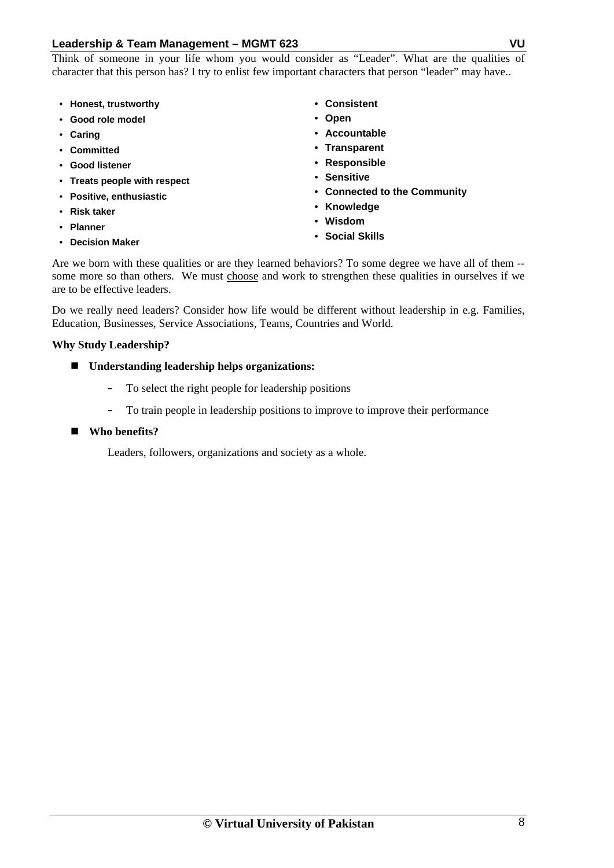Think of someone in your life whom you would consider as "Leader". What are the qualities of character that this person has? I try to enlist few important characters that person "leader" may have..

- **Honest, trustworthy**
- **Good role model**
- **Caring**
- **Committed**
- **Good listener**
- **Treats people with respect**
- **Positive, enthusiastic**
- **Risk taker**
- **Planner**
- **Decision Maker**

• **Consistent**

- **Open**
- **Accountable**
- **Transparent**
- **Responsible**
- **Sensitive**
- **Connected to the Community**
- **Knowledge**
- **Wisdom**
- **Social Skills**

Are we born with these qualities or are they learned behaviors? To some degree we have all of them - some more so than others. We must choose and work to strengthen these qualities in ourselves if we are to be effective leaders.

Do we really need leaders? Consider how life would be different without leadership in e.g. Families, Education, Businesses, Service Associations, Teams, Countries and World.

# **Why Study Leadership?**

- **Understanding leadership helps organizations:** 
	- To select the right people for leadership positions
	- To train people in leadership positions to improve to improve their performance

# **Who benefits?**

Leaders, followers, organizations and society as a whole.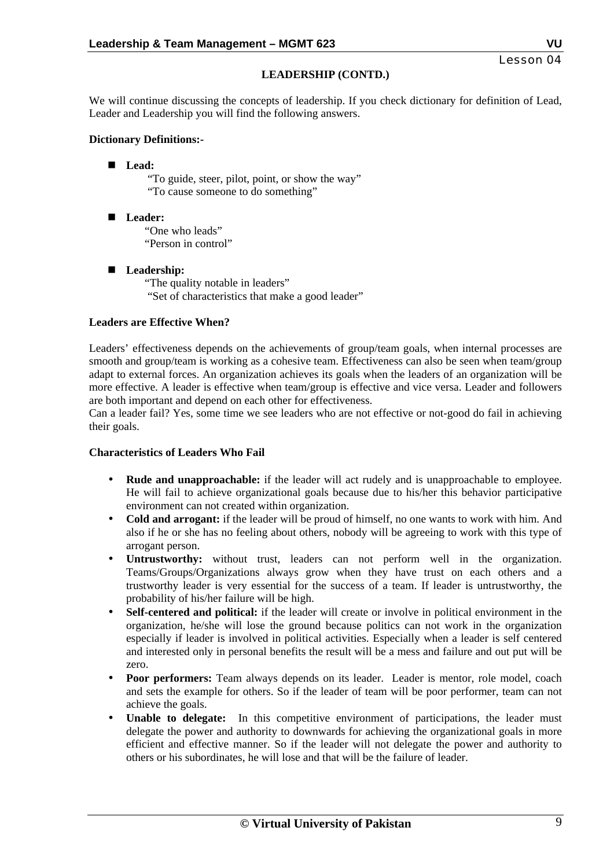# **LEADERSHIP (CONTD.)**

We will continue discussing the concepts of leadership. If you check dictionary for definition of Lead, Leader and Leadership you will find the following answers.

### **Dictionary Definitions:-**

**Lead:** 

 "To guide, steer, pilot, point, or show the way" "To cause someone to do something"

■ Leader: "One who leads" "Person in control"

# **Leadership:**

"The quality notable in leaders" "Set of characteristics that make a good leader"

### **Leaders are Effective When?**

Leaders' effectiveness depends on the achievements of group/team goals, when internal processes are smooth and group/team is working as a cohesive team. Effectiveness can also be seen when team/group adapt to external forces. An organization achieves its goals when the leaders of an organization will be more effective. A leader is effective when team/group is effective and vice versa. Leader and followers are both important and depend on each other for effectiveness.

Can a leader fail? Yes, some time we see leaders who are not effective or not-good do fail in achieving their goals.

#### **Characteristics of Leaders Who Fail**

- **Rude and unapproachable:** if the leader will act rudely and is unapproachable to employee. He will fail to achieve organizational goals because due to his/her this behavior participative environment can not created within organization.
- **Cold and arrogant:** if the leader will be proud of himself, no one wants to work with him. And also if he or she has no feeling about others, nobody will be agreeing to work with this type of arrogant person.
- **Untrustworthy:** without trust, leaders can not perform well in the organization. Teams/Groups/Organizations always grow when they have trust on each others and a trustworthy leader is very essential for the success of a team. If leader is untrustworthy, the probability of his/her failure will be high.
- **Self-centered and political:** if the leader will create or involve in political environment in the organization, he/she will lose the ground because politics can not work in the organization especially if leader is involved in political activities. Especially when a leader is self centered and interested only in personal benefits the result will be a mess and failure and out put will be zero.
- **Poor performers:** Team always depends on its leader. Leader is mentor, role model, coach and sets the example for others. So if the leader of team will be poor performer, team can not achieve the goals.
- **Unable to delegate:** In this competitive environment of participations, the leader must delegate the power and authority to downwards for achieving the organizational goals in more efficient and effective manner. So if the leader will not delegate the power and authority to others or his subordinates, he will lose and that will be the failure of leader.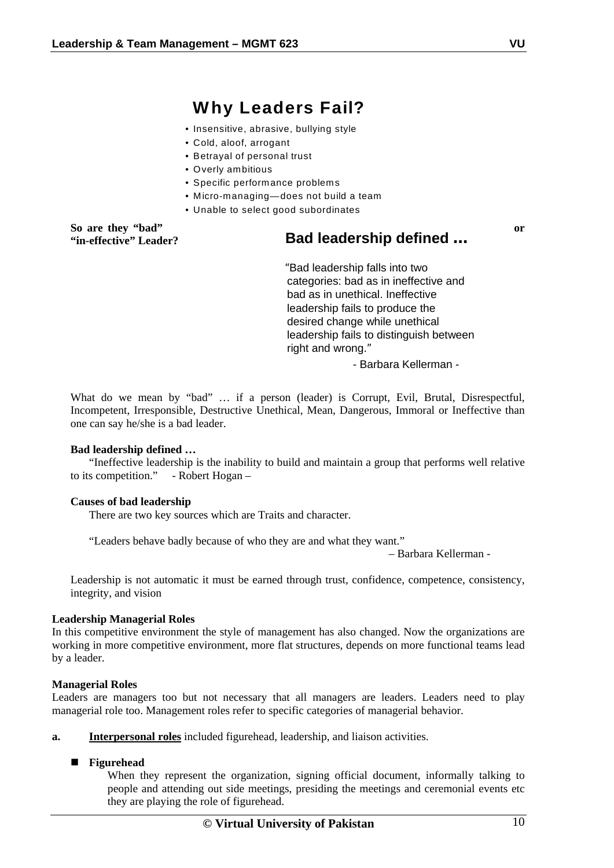# **Why Leaders Fail?**

- Insensitive, abrasive, bullying style
- Cold, aloof, arrogant
- Betrayal of personal trust
- Overly ambitious
- Specific performance problems
- Micro-managing—does not build a team
- Unable to select good subordinates

**So are they "bad"** or **"in-effective" Leader?** 

# **Bad leadership defined …**

"Bad leadership falls into two categories: bad as in ineffective and bad as in unethical. Ineffective leadership fails to produce the desired change while unethical leadership fails to distinguish between right and wrong."

- Barbara Kellerman -

 What do we mean by "bad" … if a person (leader) is Corrupt, Evil, Brutal, Disrespectful, Incompetent, Irresponsible, Destructive Unethical, Mean, Dangerous, Immoral or Ineffective than one can say he/she is a bad leader.

#### **Bad leadership defined …**

"Ineffective leadership is the inability to build and maintain a group that performs well relative to its competition." - Robert Hogan –

#### **Causes of bad leadership**

There are two key sources which are Traits and character.

"Leaders behave badly because of who they are and what they want."

– Barbara Kellerman -

Leadership is not automatic it must be earned through trust, confidence, competence, consistency, integrity, and vision

#### **Leadership Managerial Roles**

In this competitive environment the style of management has also changed. Now the organizations are working in more competitive environment, more flat structures, depends on more functional teams lead by a leader.

#### **Managerial Roles**

Leaders are managers too but not necessary that all managers are leaders. Leaders need to play managerial role too. Management roles refer to specific categories of managerial behavior.

**a. Interpersonal roles** included figurehead, leadership, and liaison activities.

#### **Figurehead**

When they represent the organization, signing official document, informally talking to people and attending out side meetings, presiding the meetings and ceremonial events etc they are playing the role of figurehead.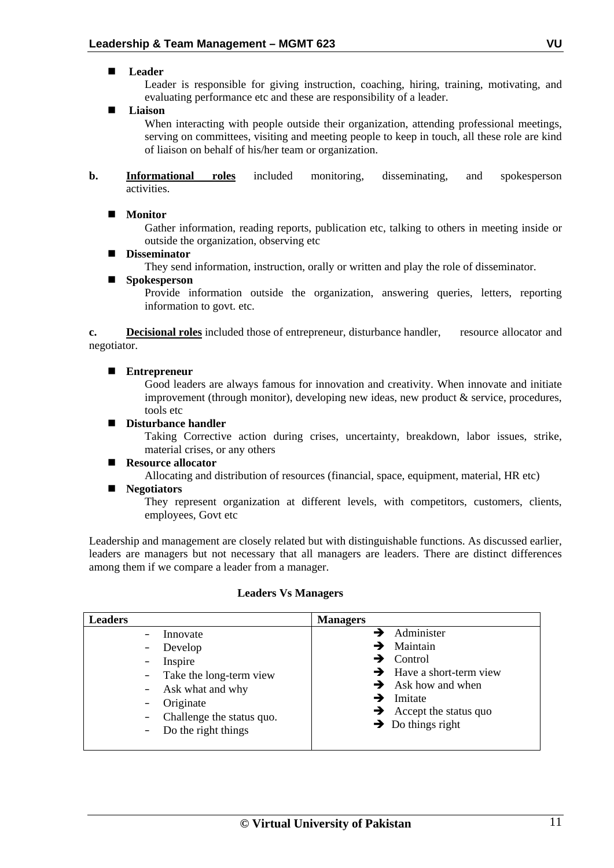# **Leader**

Leader is responsible for giving instruction, coaching, hiring, training, motivating, and evaluating performance etc and these are responsibility of a leader.

**Liaison** 

When interacting with people outside their organization, attending professional meetings, serving on committees, visiting and meeting people to keep in touch, all these role are kind of liaison on behalf of his/her team or organization.

**b. Informational roles** included monitoring, disseminating, and spokesperson activities.

# **Monitor**

Gather information, reading reports, publication etc, talking to others in meeting inside or outside the organization, observing etc

**Disseminator** 

They send information, instruction, orally or written and play the role of disseminator.

## ■ Spokesperson

Provide information outside the organization, answering queries, letters, reporting information to govt. etc.

**c. Decisional roles** included those of entrepreneur, disturbance handler, resource allocator and negotiator.

### **Entrepreneur**

Good leaders are always famous for innovation and creativity. When innovate and initiate improvement (through monitor), developing new ideas, new product & service, procedures, tools etc

### ■ **Disturbance handler**

Taking Corrective action during crises, uncertainty, breakdown, labor issues, strike, material crises, or any others

#### ■ **Resource allocator**

Allocating and distribution of resources (financial, space, equipment, material, HR etc)

#### **Negotiators**

They represent organization at different levels, with competitors, customers, clients, employees, Govt etc

Leadership and management are closely related but with distinguishable functions. As discussed earlier, leaders are managers but not necessary that all managers are leaders. There are distinct differences among them if we compare a leader from a manager.

#### **Leaders Vs Managers**

| <b>Leaders</b> |                                                                                                                               | <b>Managers</b>                                                                                                                                                                                                                                        |
|----------------|-------------------------------------------------------------------------------------------------------------------------------|--------------------------------------------------------------------------------------------------------------------------------------------------------------------------------------------------------------------------------------------------------|
|                | Innovate<br>- Develop<br>Inspire<br>- Take the long-term view<br>- Ask what and why<br>Originate<br>Challenge the status quo. | $\rightarrow$ Administer<br>$\rightarrow$ Maintain<br>$\rightarrow$ Control<br>$\rightarrow$ Have a short-term view<br>$\rightarrow$ Ask how and when<br>$\rightarrow$ Imitate<br>$\rightarrow$ Accept the status quo<br>$\rightarrow$ Do things right |
|                | $-$ Do the right things                                                                                                       |                                                                                                                                                                                                                                                        |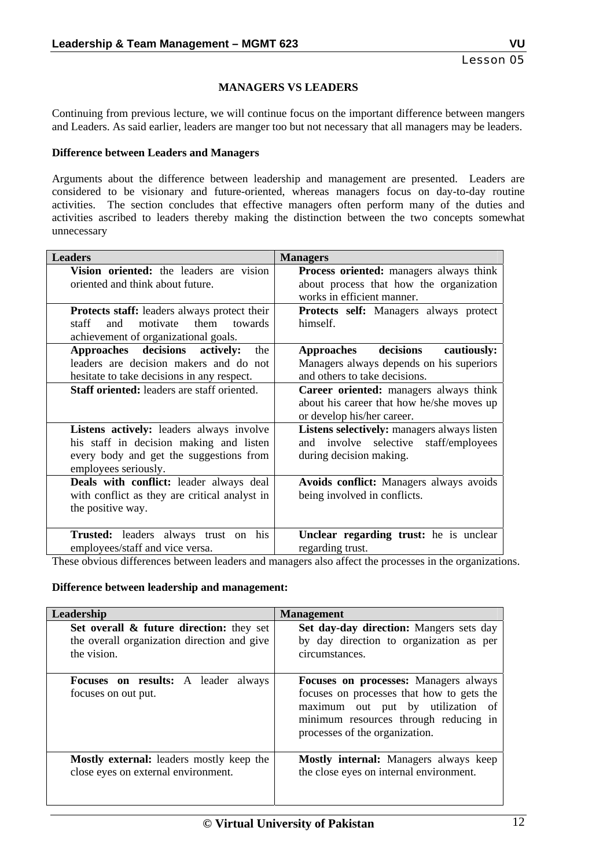#### **MANAGERS VS LEADERS**

Continuing from previous lecture, we will continue focus on the important difference between mangers and Leaders. As said earlier, leaders are manger too but not necessary that all managers may be leaders.

#### **Difference between Leaders and Managers**

Arguments about the difference between leadership and management are presented. Leaders are considered to be visionary and future-oriented, whereas managers focus on day-to-day routine activities. The section concludes that effective managers often perform many of the duties and activities ascribed to leaders thereby making the distinction between the two concepts somewhat unnecessary

| <b>Leaders</b>                                                                                                                                         | <b>Managers</b>                                                                                                         |
|--------------------------------------------------------------------------------------------------------------------------------------------------------|-------------------------------------------------------------------------------------------------------------------------|
| Vision oriented: the leaders are vision<br>oriented and think about future.                                                                            | <b>Process oriented:</b> managers always think<br>about process that how the organization<br>works in efficient manner. |
| <b>Protects staff:</b> leaders always protect their<br>them<br>motivate<br>towards<br>staff<br>and<br>achievement of organizational goals.             | <b>Protects self:</b> Managers always protect<br>himself.                                                               |
| Approaches decisions<br>actively:<br>the<br>leaders are decision makers and do not<br>hesitate to take decisions in any respect.                       | Approaches decisions<br>cautiously:<br>Managers always depends on his superiors<br>and others to take decisions.        |
| Staff oriented: leaders are staff oriented.                                                                                                            | Career oriented: managers always think<br>about his career that how he/she moves up<br>or develop his/her career.       |
| Listens actively: leaders always involve<br>his staff in decision making and listen<br>every body and get the suggestions from<br>employees seriously. | Listens selectively: managers always listen<br>and involve selective staff/employees<br>during decision making.         |
| Deals with conflict: leader always deal<br>with conflict as they are critical analyst in<br>the positive way.                                          | Avoids conflict: Managers always avoids<br>being involved in conflicts.                                                 |
| <b>Trusted:</b> leaders always trust on his<br>employees/staff and vice versa.                                                                         | Unclear regarding trust: he is unclear<br>regarding trust.                                                              |

These obvious differences between leaders and managers also affect the processes in the organizations.

#### **Difference between leadership and management:**

| Leadership                                                        | <b>Management</b>                                                                                                                                                                                         |
|-------------------------------------------------------------------|-----------------------------------------------------------------------------------------------------------------------------------------------------------------------------------------------------------|
| Set overall & future direction: they set                          | Set day-day direction: Mangers sets day                                                                                                                                                                   |
| the overall organization direction and give                       | by day direction to organization as per                                                                                                                                                                   |
| the vision.                                                       | circumstances.                                                                                                                                                                                            |
| <b>Focuses on results:</b> A leader always<br>focuses on out put. | <b>Focuses on processes:</b> Managers always<br>focuses on processes that how to gets the<br>maximum out put by utilization of<br>minimum resources through reducing in<br>processes of the organization. |
| Mostly external: leaders mostly keep the                          | <b>Mostly internal:</b> Managers always keep                                                                                                                                                              |
| close eyes on external environment.                               | the close eyes on internal environment.                                                                                                                                                                   |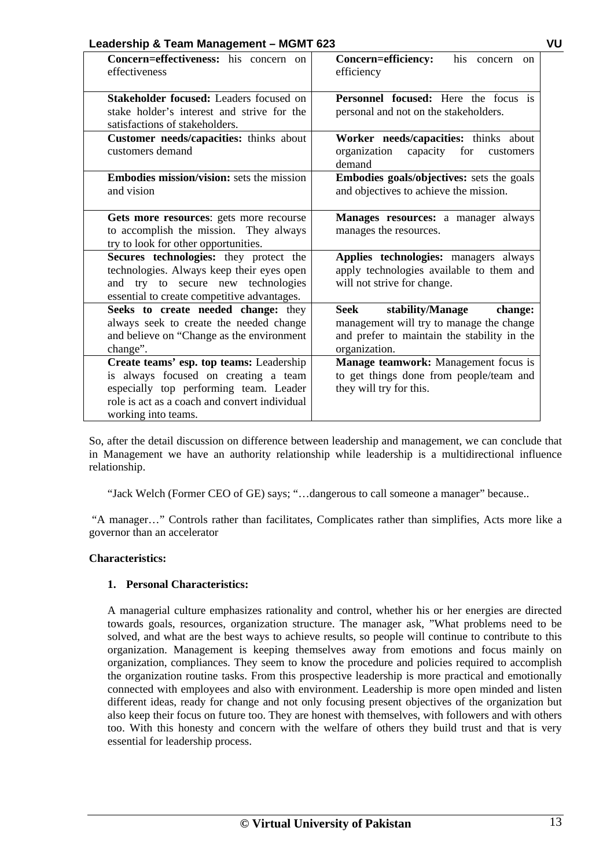| Leadership & Team Management – MGMT 623<br>VU                                                                                                                                                      |                                                                                                                                                 |  |
|----------------------------------------------------------------------------------------------------------------------------------------------------------------------------------------------------|-------------------------------------------------------------------------------------------------------------------------------------------------|--|
| Concern=effectiveness: his concern on<br>effectiveness                                                                                                                                             | Concern=efficiency:<br>his concern<br><sub>on</sub><br>efficiency                                                                               |  |
| Stakeholder focused: Leaders focused on<br>stake holder's interest and strive for the<br>satisfactions of stakeholders.                                                                            | <b>Personnel focused:</b> Here the focus is<br>personal and not on the stakeholders.                                                            |  |
| Customer needs/capacities: thinks about<br>customers demand                                                                                                                                        | Worker needs/capacities: thinks about<br>capacity<br>organization<br>for<br>customers<br>demand                                                 |  |
| <b>Embodies mission/vision:</b> sets the mission<br>and vision                                                                                                                                     | Embodies goals/objectives: sets the goals<br>and objectives to achieve the mission.                                                             |  |
| Gets more resources: gets more recourse<br>to accomplish the mission. They always<br>try to look for other opportunities.                                                                          | Manages resources: a manager always<br>manages the resources.                                                                                   |  |
| Secures technologies: they protect the<br>technologies. Always keep their eyes open<br>and try to secure new technologies<br>essential to create competitive advantages.                           | Applies technologies: managers always<br>apply technologies available to them and<br>will not strive for change.                                |  |
| Seeks to create needed change: they<br>always seek to create the needed change<br>and believe on "Change as the environment<br>change".                                                            | Seek<br>stability/Manage<br>change:<br>management will try to manage the change<br>and prefer to maintain the stability in the<br>organization. |  |
| Create teams' esp. top teams: Leadership<br>is always focused on creating a team<br>especially top performing team. Leader<br>role is act as a coach and convert individual<br>working into teams. | Manage teamwork: Management focus is<br>to get things done from people/team and<br>they will try for this.                                      |  |

So, after the detail discussion on difference between leadership and management, we can conclude that in Management we have an authority relationship while leadership is a multidirectional influence relationship.

"Jack Welch (Former CEO of GE) says; "…dangerous to call someone a manager" because..

 "A manager…" Controls rather than facilitates, Complicates rather than simplifies, Acts more like a governor than an accelerator

# **Characteristics:**

# **1. Personal Characteristics:**

A managerial culture emphasizes rationality and control, whether his or her energies are directed towards goals, resources, organization structure. The manager ask, "What problems need to be solved, and what are the best ways to achieve results, so people will continue to contribute to this organization. Management is keeping themselves away from emotions and focus mainly on organization, compliances. They seem to know the procedure and policies required to accomplish the organization routine tasks. From this prospective leadership is more practical and emotionally connected with employees and also with environment. Leadership is more open minded and listen different ideas, ready for change and not only focusing present objectives of the organization but also keep their focus on future too. They are honest with themselves, with followers and with others too. With this honesty and concern with the welfare of others they build trust and that is very essential for leadership process.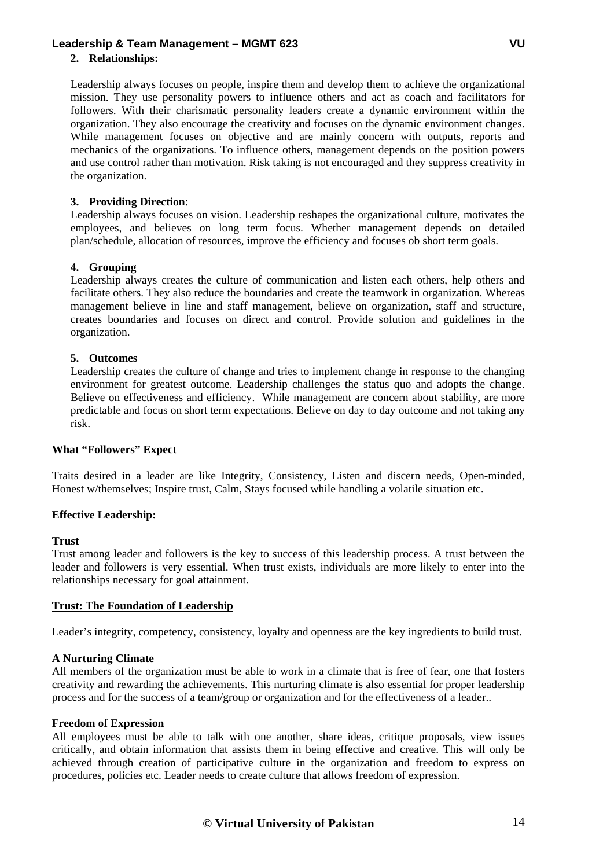### **2. Relationships:**

Leadership always focuses on people, inspire them and develop them to achieve the organizational mission. They use personality powers to influence others and act as coach and facilitators for followers. With their charismatic personality leaders create a dynamic environment within the organization. They also encourage the creativity and focuses on the dynamic environment changes. While management focuses on objective and are mainly concern with outputs, reports and mechanics of the organizations. To influence others, management depends on the position powers and use control rather than motivation. Risk taking is not encouraged and they suppress creativity in the organization.

# **3. Providing Direction**:

Leadership always focuses on vision. Leadership reshapes the organizational culture, motivates the employees, and believes on long term focus. Whether management depends on detailed plan/schedule, allocation of resources, improve the efficiency and focuses ob short term goals.

### **4. Grouping**

Leadership always creates the culture of communication and listen each others, help others and facilitate others. They also reduce the boundaries and create the teamwork in organization. Whereas management believe in line and staff management, believe on organization, staff and structure, creates boundaries and focuses on direct and control. Provide solution and guidelines in the organization.

### **5. Outcomes**

Leadership creates the culture of change and tries to implement change in response to the changing environment for greatest outcome. Leadership challenges the status quo and adopts the change. Believe on effectiveness and efficiency. While management are concern about stability, are more predictable and focus on short term expectations. Believe on day to day outcome and not taking any risk.

#### **What "Followers" Expect**

Traits desired in a leader are like Integrity, Consistency, Listen and discern needs, Open-minded, Honest w/themselves; Inspire trust, Calm, Stays focused while handling a volatile situation etc.

# **Effective Leadership:**

#### **Trust**

Trust among leader and followers is the key to success of this leadership process. A trust between the leader and followers is very essential. When trust exists, individuals are more likely to enter into the relationships necessary for goal attainment.

#### **Trust: The Foundation of Leadership**

Leader's integrity, competency, consistency, loyalty and openness are the key ingredients to build trust.

#### **A Nurturing Climate**

All members of the organization must be able to work in a climate that is free of fear, one that fosters creativity and rewarding the achievements. This nurturing climate is also essential for proper leadership process and for the success of a team/group or organization and for the effectiveness of a leader..

#### **Freedom of Expression**

All employees must be able to talk with one another, share ideas, critique proposals, view issues critically, and obtain information that assists them in being effective and creative. This will only be achieved through creation of participative culture in the organization and freedom to express on procedures, policies etc. Leader needs to create culture that allows freedom of expression.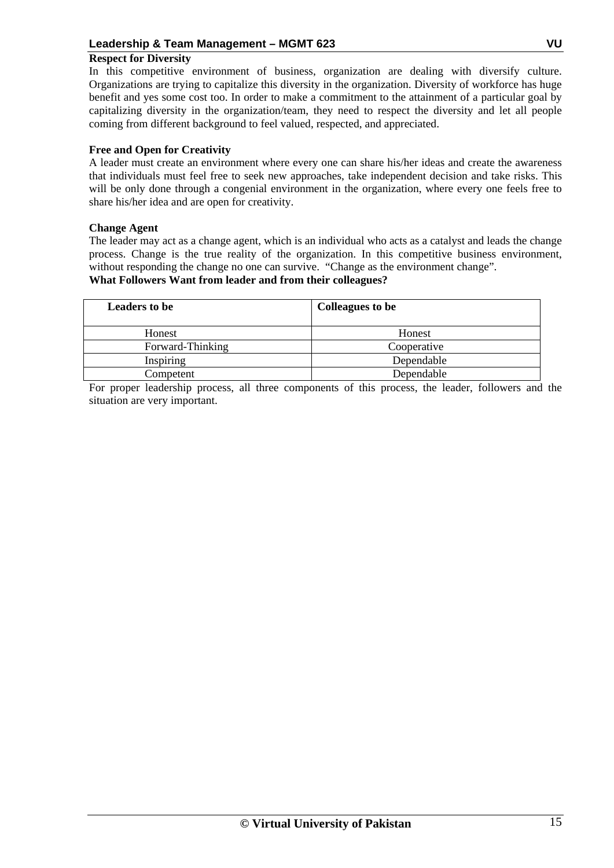# **Respect for Diversity**

In this competitive environment of business, organization are dealing with diversify culture. Organizations are trying to capitalize this diversity in the organization. Diversity of workforce has huge benefit and yes some cost too. In order to make a commitment to the attainment of a particular goal by capitalizing diversity in the organization/team, they need to respect the diversity and let all people coming from different background to feel valued, respected, and appreciated.

# **Free and Open for Creativity**

A leader must create an environment where every one can share his/her ideas and create the awareness that individuals must feel free to seek new approaches, take independent decision and take risks. This will be only done through a congenial environment in the organization, where every one feels free to share his/her idea and are open for creativity.

# **Change Agent**

The leader may act as a change agent, which is an individual who acts as a catalyst and leads the change process. Change is the true reality of the organization. In this competitive business environment, without responding the change no one can survive. "Change as the environment change".

# **What Followers Want from leader and from their colleagues?**

| <b>Leaders to be</b> | <b>Colleagues to be</b> |
|----------------------|-------------------------|
| Honest               | Honest                  |
| Forward-Thinking     | Cooperative             |
| Inspiring            | Dependable              |
| Competent            | Dependable              |

For proper leadership process, all three components of this process, the leader, followers and the situation are very important.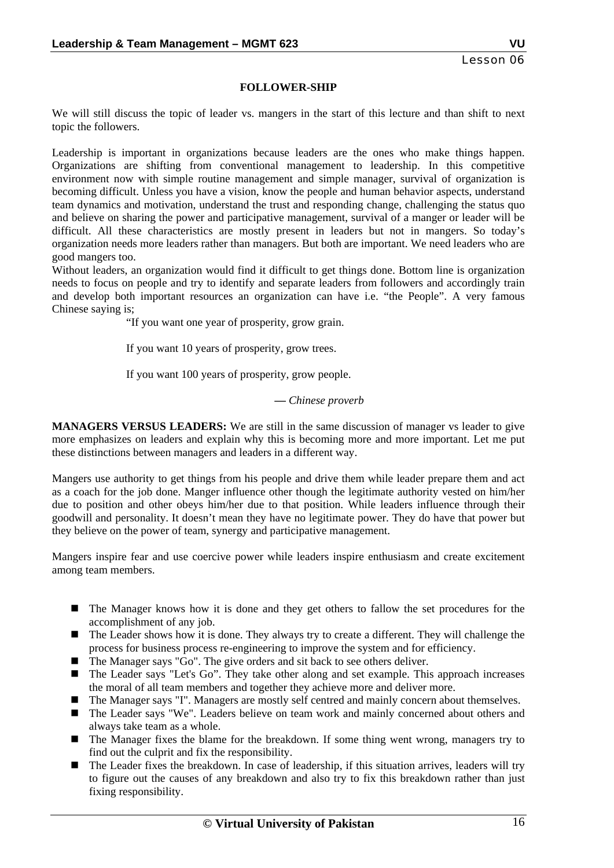#### **FOLLOWER-SHIP**

We will still discuss the topic of leader vs. mangers in the start of this lecture and than shift to next topic the followers.

Leadership is important in organizations because leaders are the ones who make things happen. Organizations are shifting from conventional management to leadership. In this competitive environment now with simple routine management and simple manager, survival of organization is becoming difficult. Unless you have a vision, know the people and human behavior aspects, understand team dynamics and motivation, understand the trust and responding change, challenging the status quo and believe on sharing the power and participative management, survival of a manger or leader will be difficult. All these characteristics are mostly present in leaders but not in mangers. So today's organization needs more leaders rather than managers. But both are important. We need leaders who are good mangers too.

Without leaders, an organization would find it difficult to get things done. Bottom line is organization needs to focus on people and try to identify and separate leaders from followers and accordingly train and develop both important resources an organization can have i.e. "the People". A very famous Chinese saying is;

"If you want one year of prosperity, grow grain.

If you want 10 years of prosperity, grow trees.

If you want 100 years of prosperity, grow people.

#### *— Chinese proverb*

**MANAGERS VERSUS LEADERS:** We are still in the same discussion of manager vs leader to give more emphasizes on leaders and explain why this is becoming more and more important. Let me put these distinctions between managers and leaders in a different way.

Mangers use authority to get things from his people and drive them while leader prepare them and act as a coach for the job done. Manger influence other though the legitimate authority vested on him/her due to position and other obeys him/her due to that position. While leaders influence through their goodwill and personality. It doesn't mean they have no legitimate power. They do have that power but they believe on the power of team, synergy and participative management.

Mangers inspire fear and use coercive power while leaders inspire enthusiasm and create excitement among team members.

- The Manager knows how it is done and they get others to fallow the set procedures for the accomplishment of any job.
- The Leader shows how it is done. They always try to create a different. They will challenge the process for business process re-engineering to improve the system and for efficiency.
- The Manager says "Go". The give orders and sit back to see others deliver.
- The Leader says "Let's Go". They take other along and set example. This approach increases the moral of all team members and together they achieve more and deliver more.
- The Manager says "I". Managers are mostly self centred and mainly concern about themselves.
- The Leader says "We". Leaders believe on team work and mainly concerned about others and always take team as a whole.
- The Manager fixes the blame for the breakdown. If some thing went wrong, managers try to find out the culprit and fix the responsibility.
- The Leader fixes the breakdown. In case of leadership, if this situation arrives, leaders will try to figure out the causes of any breakdown and also try to fix this breakdown rather than just fixing responsibility.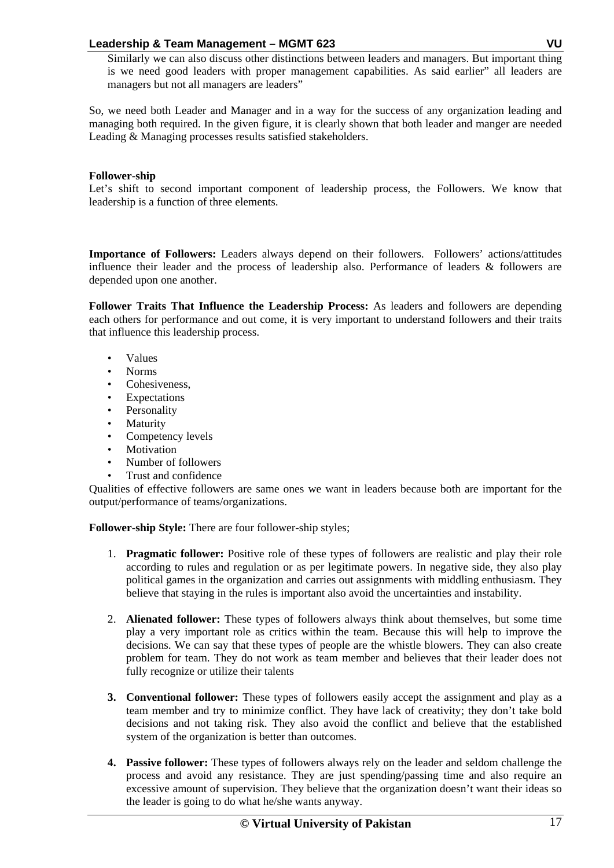Similarly we can also discuss other distinctions between leaders and managers. But important thing is we need good leaders with proper management capabilities. As said earlier" all leaders are managers but not all managers are leaders"

So, we need both Leader and Manager and in a way for the success of any organization leading and managing both required. In the given figure, it is clearly shown that both leader and manger are needed Leading & Managing processes results satisfied stakeholders.

# **Follower-ship**

Let's shift to second important component of leadership process, the Followers. We know that leadership is a function of three elements.

**Importance of Followers:** Leaders always depend on their followers. Followers' actions/attitudes influence their leader and the process of leadership also. Performance of leaders & followers are depended upon one another.

**Follower Traits That Influence the Leadership Process:** As leaders and followers are depending each others for performance and out come, it is very important to understand followers and their traits that influence this leadership process.

- Values
- Norms
- Cohesiveness,
- Expectations
- **Personality**
- Maturity
- Competency levels
- Motivation
- Number of followers
- Trust and confidence

Qualities of effective followers are same ones we want in leaders because both are important for the output/performance of teams/organizations.

**Follower-ship Style:** There are four follower-ship styles;

- 1. **Pragmatic follower:** Positive role of these types of followers are realistic and play their role according to rules and regulation or as per legitimate powers. In negative side, they also play political games in the organization and carries out assignments with middling enthusiasm. They believe that staying in the rules is important also avoid the uncertainties and instability.
- 2. **Alienated follower:** These types of followers always think about themselves, but some time play a very important role as critics within the team. Because this will help to improve the decisions. We can say that these types of people are the whistle blowers. They can also create problem for team. They do not work as team member and believes that their leader does not fully recognize or utilize their talents
- **3. Conventional follower:** These types of followers easily accept the assignment and play as a team member and try to minimize conflict. They have lack of creativity; they don't take bold decisions and not taking risk. They also avoid the conflict and believe that the established system of the organization is better than outcomes.
- **4. Passive follower:** These types of followers always rely on the leader and seldom challenge the process and avoid any resistance. They are just spending/passing time and also require an excessive amount of supervision. They believe that the organization doesn't want their ideas so the leader is going to do what he/she wants anyway.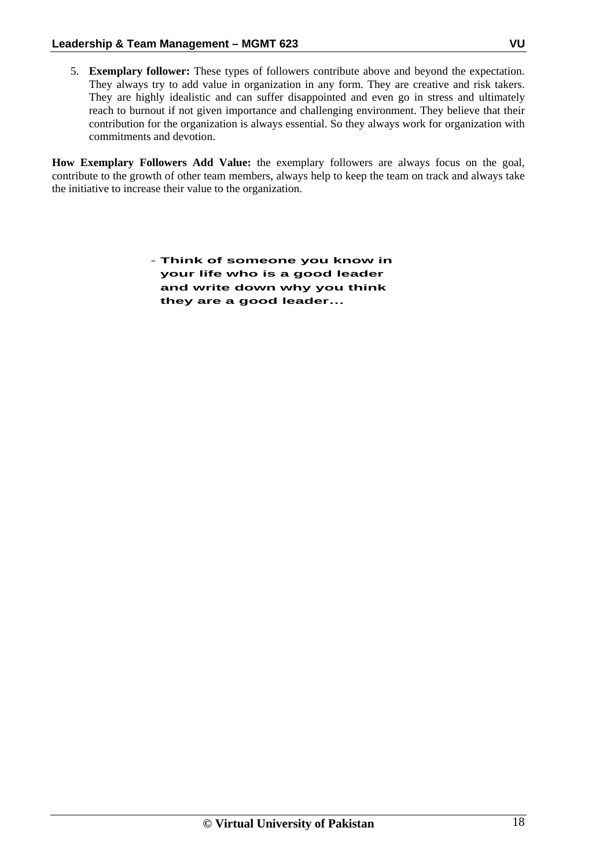5. **Exemplary follower:** These types of followers contribute above and beyond the expectation. They always try to add value in organization in any form. They are creative and risk takers. They are highly idealistic and can suffer disappointed and even go in stress and ultimately reach to burnout if not given importance and challenging environment. They believe that their contribution for the organization is always essential. So they always work for organization with commitments and devotion.

**How Exemplary Followers Add Value:** the exemplary followers are always focus on the goal, contribute to the growth of other team members, always help to keep the team on track and always take the initiative to increase their value to the organization.

> - **Think of someone you know in your life who is a good leader and write down why you think they are a good leader…**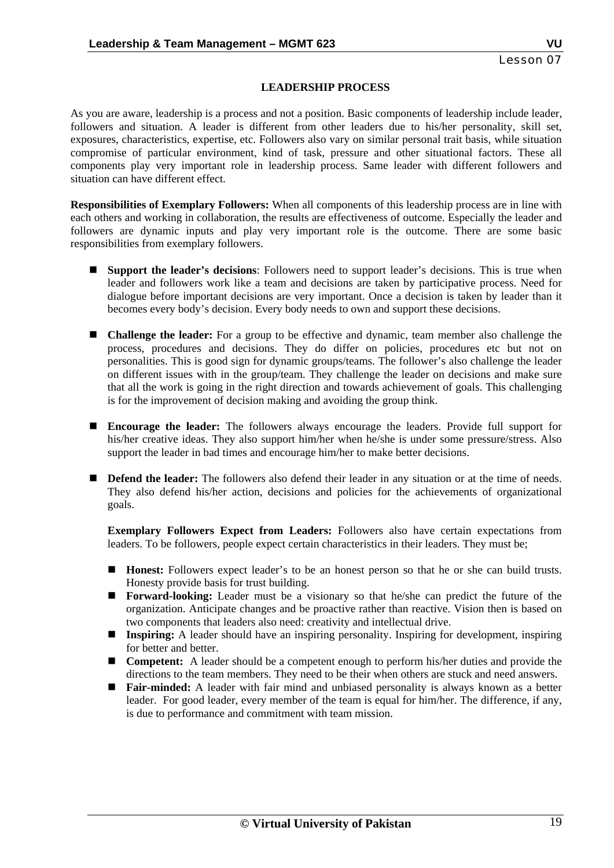#### **LEADERSHIP PROCESS**

As you are aware, leadership is a process and not a position. Basic components of leadership include leader, followers and situation. A leader is different from other leaders due to his/her personality, skill set, exposures, characteristics, expertise, etc. Followers also vary on similar personal trait basis, while situation compromise of particular environment, kind of task, pressure and other situational factors. These all components play very important role in leadership process. Same leader with different followers and situation can have different effect.

**Responsibilities of Exemplary Followers:** When all components of this leadership process are in line with each others and working in collaboration, the results are effectiveness of outcome. Especially the leader and followers are dynamic inputs and play very important role is the outcome. There are some basic responsibilities from exemplary followers.

- **Support the leader's decisions**: Followers need to support leader's decisions. This is true when leader and followers work like a team and decisions are taken by participative process. Need for dialogue before important decisions are very important. Once a decision is taken by leader than it becomes every body's decision. Every body needs to own and support these decisions.
- **Challenge the leader:** For a group to be effective and dynamic, team member also challenge the process, procedures and decisions. They do differ on policies, procedures etc but not on personalities. This is good sign for dynamic groups/teams. The follower's also challenge the leader on different issues with in the group/team. They challenge the leader on decisions and make sure that all the work is going in the right direction and towards achievement of goals. This challenging is for the improvement of decision making and avoiding the group think.
- **Encourage the leader:** The followers always encourage the leaders. Provide full support for his/her creative ideas. They also support him/her when he/she is under some pressure/stress. Also support the leader in bad times and encourage him/her to make better decisions.
- **Defend the leader:** The followers also defend their leader in any situation or at the time of needs. They also defend his/her action, decisions and policies for the achievements of organizational goals.

**Exemplary Followers Expect from Leaders:** Followers also have certain expectations from leaders. To be followers, people expect certain characteristics in their leaders. They must be;

- **Honest:** Followers expect leader's to be an honest person so that he or she can build trusts. Honesty provide basis for trust building.
- **Forward-looking:** Leader must be a visionary so that he/she can predict the future of the organization. Anticipate changes and be proactive rather than reactive. Vision then is based on two components that leaders also need: creativity and intellectual drive.
- **Inspiring:** A leader should have an inspiring personality. Inspiring for development, inspiring for better and better.
- **Competent:** A leader should be a competent enough to perform his/her duties and provide the directions to the team members. They need to be their when others are stuck and need answers.
- **Fair-minded:** A leader with fair mind and unbiased personality is always known as a better leader. For good leader, every member of the team is equal for him/her. The difference, if any, is due to performance and commitment with team mission.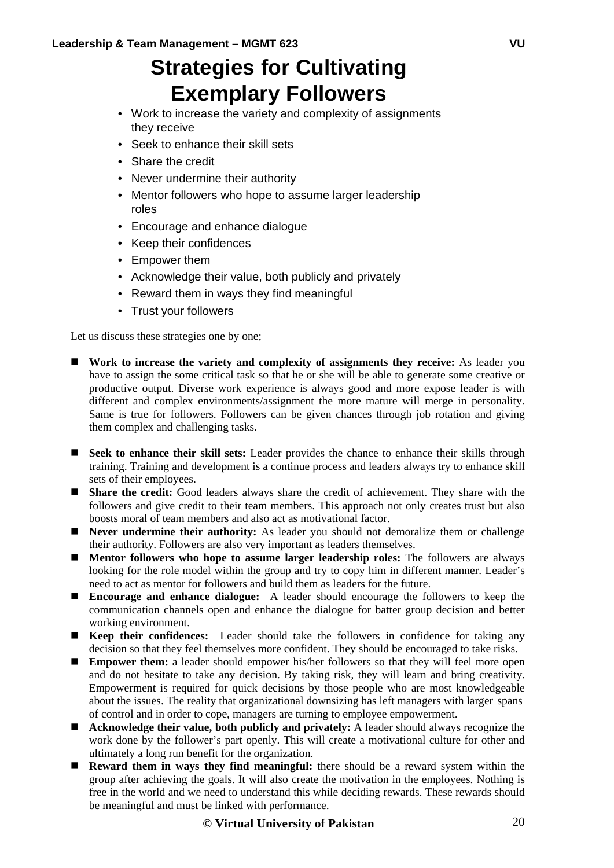# **Strategies for Cultivating Exemplary Followers**

- Work to increase the variety and complexity of assignments they receive
- Seek to enhance their skill sets
- Share the credit
- Never undermine their authority
- Mentor followers who hope to assume larger leadership roles
- Encourage and enhance dialogue
- Keep their confidences
- Empower them
- Acknowledge their value, both publicly and privately
- Reward them in ways they find meaningful
- Trust your followers

Let us discuss these strategies one by one;

- **Work to increase the variety and complexity of assignments they receive:** As leader you have to assign the some critical task so that he or she will be able to generate some creative or productive output. Diverse work experience is always good and more expose leader is with different and complex environments/assignment the more mature will merge in personality. Same is true for followers. Followers can be given chances through job rotation and giving them complex and challenging tasks.
- **Seek to enhance their skill sets:** Leader provides the chance to enhance their skills through training. Training and development is a continue process and leaders always try to enhance skill sets of their employees.
- **Share the credit:** Good leaders always share the credit of achievement. They share with the followers and give credit to their team members. This approach not only creates trust but also boosts moral of team members and also act as motivational factor.
- **Never undermine their authority:** As leader you should not demoralize them or challenge their authority. Followers are also very important as leaders themselves.
- **Mentor followers who hope to assume larger leadership roles:** The followers are always looking for the role model within the group and try to copy him in different manner. Leader's need to act as mentor for followers and build them as leaders for the future.
- **Encourage and enhance dialogue:** A leader should encourage the followers to keep the communication channels open and enhance the dialogue for batter group decision and better working environment.
- **Keep their confidences:** Leader should take the followers in confidence for taking any decision so that they feel themselves more confident. They should be encouraged to take risks.
- **Empower them:** a leader should empower his/her followers so that they will feel more open and do not hesitate to take any decision. By taking risk, they will learn and bring creativity. Empowerment is required for quick decisions by those people who are most knowledgeable about the issues. The reality that organizational downsizing has left managers with larger spans of control and in order to cope, managers are turning to employee empowerment.
- **Acknowledge their value, both publicly and privately:** A leader should always recognize the work done by the follower's part openly. This will create a motivational culture for other and ultimately a long run benefit for the organization.
- **Reward them in ways they find meaningful:** there should be a reward system within the group after achieving the goals. It will also create the motivation in the employees. Nothing is free in the world and we need to understand this while deciding rewards. These rewards should be meaningful and must be linked with performance.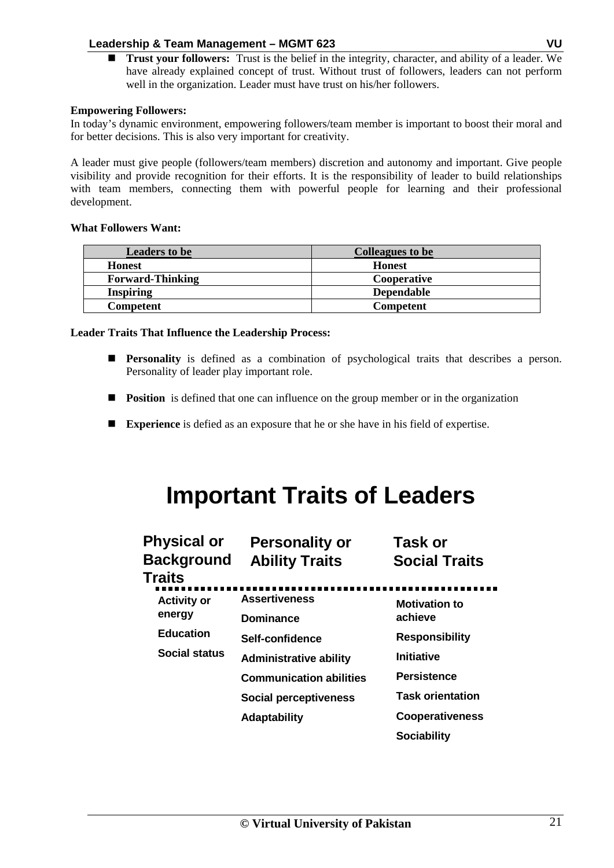**Trust your followers:** Trust is the belief in the integrity, character, and ability of a leader. We have already explained concept of trust. Without trust of followers, leaders can not perform well in the organization. Leader must have trust on his/her followers.

### **Empowering Followers:**

 In today's dynamic environment, empowering followers/team member is important to boost their moral and for better decisions. This is also very important for creativity.

A leader must give people (followers/team members) discretion and autonomy and important. Give people visibility and provide recognition for their efforts. It is the responsibility of leader to build relationships with team members, connecting them with powerful people for learning and their professional development.

### **What Followers Want:**

| <b>Leaders to be</b>    | <b>Colleagues to be</b> |
|-------------------------|-------------------------|
| <b>Honest</b>           | <b>Honest</b>           |
| <b>Forward-Thinking</b> | Cooperative             |
| <b>Inspiring</b>        | <b>Dependable</b>       |
| Competent               | <b>Competent</b>        |

### **Leader Traits That Influence the Leadership Process:**

- **Personality** is defined as a combination of psychological traits that describes a person. Personality of leader play important role.
- **Position** is defined that one can influence on the group member or in the organization
- **Experience** is defied as an exposure that he or she have in his field of expertise.

# **Important Traits of Leaders**

| <b>Physical or</b><br><b>Background</b><br>Traits | <b>Personality or</b><br><b>Ability Traits</b> | Task or<br><b>Social Traits</b>  |
|---------------------------------------------------|------------------------------------------------|----------------------------------|
| <b>Activity or</b><br>energy                      | <b>Assertiveness</b>                           | <b>Motivation to</b>             |
| <b>Education</b>                                  | <b>Dominance</b><br>Self-confidence            | achieve<br><b>Responsibility</b> |
| Social status                                     | <b>Administrative ability</b>                  | <b>Initiative</b>                |
|                                                   | <b>Communication abilities</b>                 | <b>Persistence</b>               |
|                                                   | <b>Social perceptiveness</b>                   | <b>Task orientation</b>          |
|                                                   | <b>Adaptability</b>                            | <b>Cooperativeness</b>           |
|                                                   |                                                | <b>Sociability</b>               |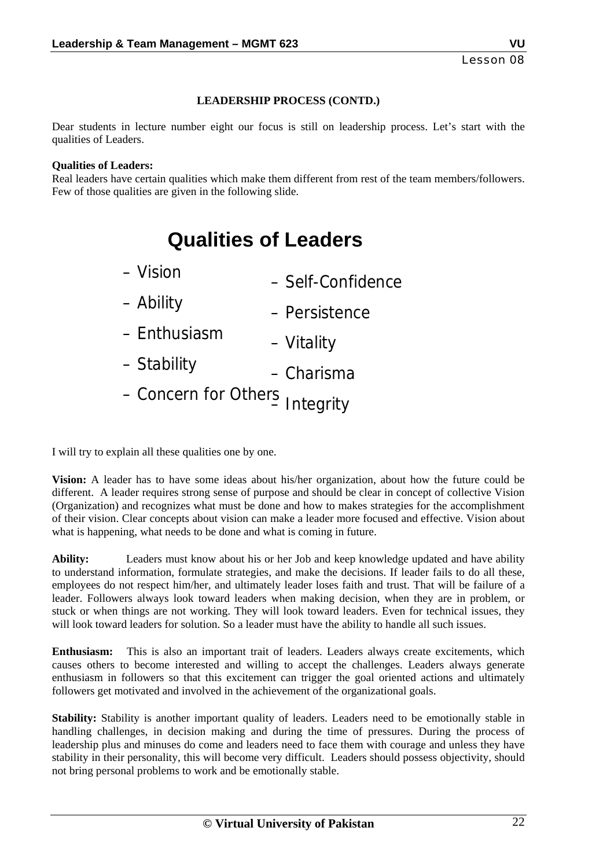# **LEADERSHIP PROCESS (CONTD.)**

Dear students in lecture number eight our focus is still on leadership process. Let's start with the qualities of Leaders.

#### **Qualities of Leaders:**

 Real leaders have certain qualities which make them different from rest of the team members/followers. Few of those qualities are given in the following slide.

# **Qualities of Leaders**

| - Vision                       | - Self-Confidence |
|--------------------------------|-------------------|
| – Ability                      | - Persistence     |
| - Enthusiasm                   | - Vitality        |
| - Stability                    | - Charisma        |
| - Concern for Others Integrity |                   |

I will try to explain all these qualities one by one.

**Vision:** A leader has to have some ideas about his/her organization, about how the future could be different. A leader requires strong sense of purpose and should be clear in concept of collective Vision (Organization) and recognizes what must be done and how to makes strategies for the accomplishment of their vision. Clear concepts about vision can make a leader more focused and effective. Vision about what is happening, what needs to be done and what is coming in future.

**Ability:** Leaders must know about his or her Job and keep knowledge updated and have ability to understand information, formulate strategies, and make the decisions. If leader fails to do all these, employees do not respect him/her, and ultimately leader loses faith and trust. That will be failure of a leader. Followers always look toward leaders when making decision, when they are in problem, or stuck or when things are not working. They will look toward leaders. Even for technical issues, they will look toward leaders for solution. So a leader must have the ability to handle all such issues.

**Enthusiasm:** This is also an important trait of leaders. Leaders always create excitements, which causes others to become interested and willing to accept the challenges. Leaders always generate enthusiasm in followers so that this excitement can trigger the goal oriented actions and ultimately followers get motivated and involved in the achievement of the organizational goals.

**Stability:** Stability is another important quality of leaders. Leaders need to be emotionally stable in handling challenges, in decision making and during the time of pressures. During the process of leadership plus and minuses do come and leaders need to face them with courage and unless they have stability in their personality, this will become very difficult. Leaders should possess objectivity, should not bring personal problems to work and be emotionally stable.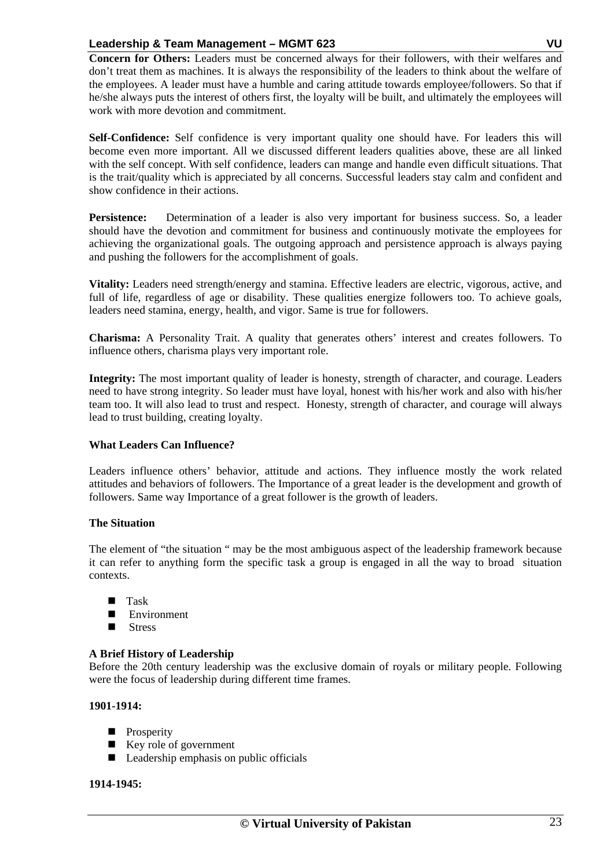**Concern for Others:** Leaders must be concerned always for their followers, with their welfares and don't treat them as machines. It is always the responsibility of the leaders to think about the welfare of the employees. A leader must have a humble and caring attitude towards employee/followers. So that if he/she always puts the interest of others first, the loyalty will be built, and ultimately the employees will work with more devotion and commitment.

**Self-Confidence:** Self confidence is very important quality one should have. For leaders this will become even more important. All we discussed different leaders qualities above, these are all linked with the self concept. With self confidence, leaders can mange and handle even difficult situations. That is the trait/quality which is appreciated by all concerns. Successful leaders stay calm and confident and show confidence in their actions.

Persistence: Determination of a leader is also very important for business success. So, a leader should have the devotion and commitment for business and continuously motivate the employees for achieving the organizational goals. The outgoing approach and persistence approach is always paying and pushing the followers for the accomplishment of goals.

**Vitality:** Leaders need strength/energy and stamina. Effective leaders are electric, vigorous, active, and full of life, regardless of age or disability. These qualities energize followers too. To achieve goals, leaders need stamina, energy, health, and vigor. Same is true for followers.

**Charisma:** A Personality Trait. A quality that generates others' interest and creates followers. To influence others, charisma plays very important role.

**Integrity:** The most important quality of leader is honesty, strength of character, and courage. Leaders need to have strong integrity. So leader must have loyal, honest with his/her work and also with his/her team too. It will also lead to trust and respect. Honesty, strength of character, and courage will always lead to trust building, creating loyalty.

# **What Leaders Can Influence?**

 Leaders influence others' behavior, attitude and actions. They influence mostly the work related attitudes and behaviors of followers. The Importance of a great leader is the development and growth of followers. Same way Importance of a great follower is the growth of leaders.

# **The Situation**

 The element of "the situation " may be the most ambiguous aspect of the leadership framework because it can refer to anything form the specific task a group is engaged in all the way to broad situation contexts.

- **Task**
- **Environment**
- **Stress**

# **A Brief History of Leadership**

 Before the 20th century leadership was the exclusive domain of royals or military people. Following were the focus of leadership during different time frames.

# **1901-1914:**

- **Prosperity**
- Key role of government
- **Leadership emphasis on public officials**

# **1914-1945:**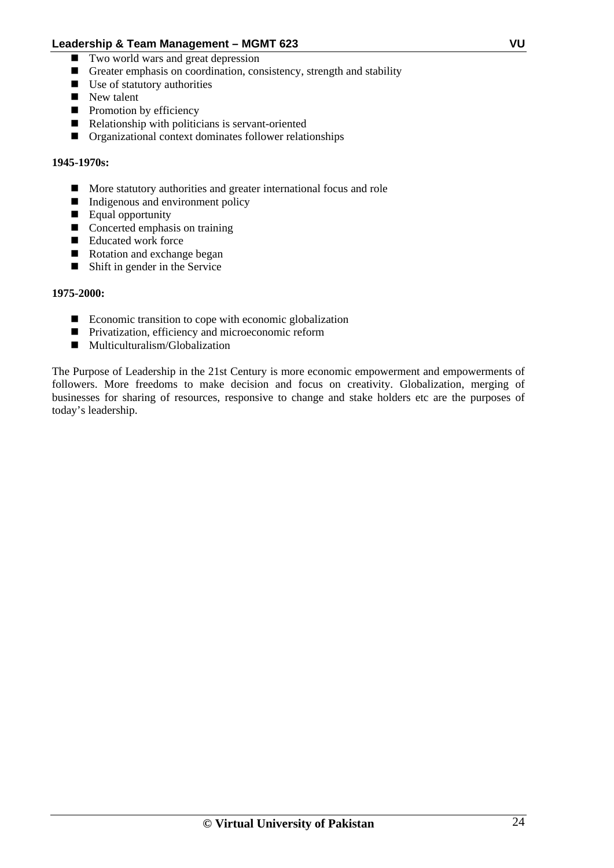- Two world wars and great depression
- Greater emphasis on coordination, consistency, strength and stability
- Use of statutory authorities
- New talent
- $\blacksquare$  Promotion by efficiency
- Relationship with politicians is servant-oriented
- **Organizational context dominates follower relationships**

#### **1945-1970s:**

- **More statutory authorities and greater international focus and role**
- Indigenous and environment policy
- Equal opportunity
- Concerted emphasis on training
- Educated work force
- Rotation and exchange began
- Shift in gender in the Service

#### **1975-2000:**

- $\blacksquare$  Economic transition to cope with economic globalization
- **Privatization, efficiency and microeconomic reform**
- Multiculturalism/Globalization

The Purpose of Leadership in the 21st Century is more economic empowerment and empowerments of followers. More freedoms to make decision and focus on creativity. Globalization, merging of businesses for sharing of resources, responsive to change and stake holders etc are the purposes of today's leadership.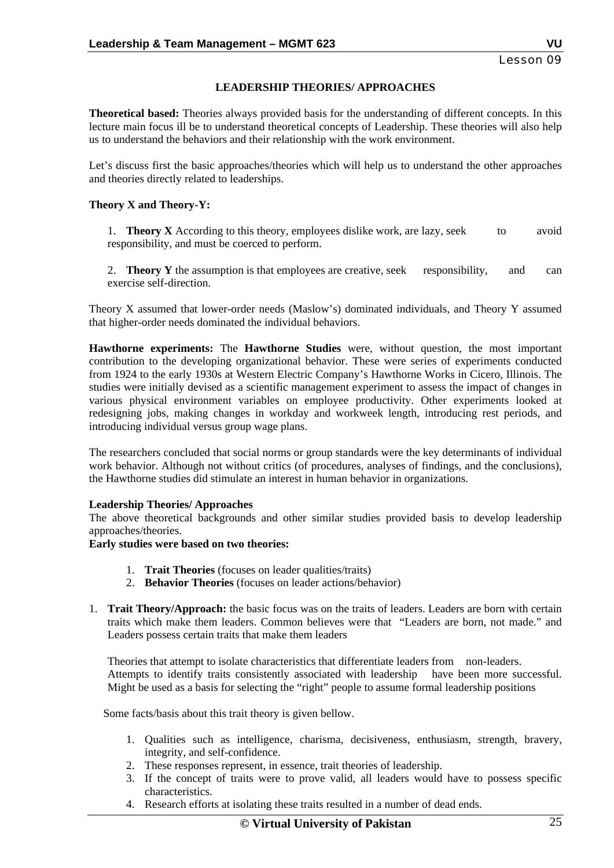Lesson 09

### **LEADERSHIP THEORIES/ APPROACHES**

 **Theoretical based:** Theories always provided basis for the understanding of different concepts. In this lecture main focus ill be to understand theoretical concepts of Leadership. These theories will also help us to understand the behaviors and their relationship with the work environment.

 Let's discuss first the basic approaches/theories which will help us to understand the other approaches and theories directly related to leaderships.

#### **Theory X and Theory-Y:**

 1. **Theory X** According to this theory, employees dislike work, are lazy, seek to avoid responsibility, and must be coerced to perform.

 2. **Theory Y** the assumption is that employees are creative, seek responsibility, and can exercise self-direction.

 Theory X assumed that lower-order needs (Maslow's) dominated individuals, and Theory Y assumed that higher-order needs dominated the individual behaviors.

 **Hawthorne experiments:** The **Hawthorne Studies** were, without question, the most important contribution to the developing organizational behavior. These were series of experiments conducted from 1924 to the early 1930s at Western Electric Company's Hawthorne Works in Cicero, Illinois. The studies were initially devised as a scientific management experiment to assess the impact of changes in various physical environment variables on employee productivity. Other experiments looked at redesigning jobs, making changes in workday and workweek length, introducing rest periods, and introducing individual versus group wage plans.

The researchers concluded that social norms or group standards were the key determinants of individual work behavior. Although not without critics (of procedures, analyses of findings, and the conclusions), the Hawthorne studies did stimulate an interest in human behavior in organizations.

#### **Leadership Theories/ Approaches**

The above theoretical backgrounds and other similar studies provided basis to develop leadership approaches/theories.

**Early studies were based on two theories:** 

- 1. **Trait Theories** (focuses on leader qualities/traits)
- 2. **Behavior Theories** (focuses on leader actions/behavior)
- 1. **Trait Theory/Approach:** the basic focus was on the traits of leaders. Leaders are born with certain traits which make them leaders. Common believes were that "Leaders are born, not made." and Leaders possess certain traits that make them leaders

Theories that attempt to isolate characteristics that differentiate leaders from non-leaders. Attempts to identify traits consistently associated with leadership have been more successful. Might be used as a basis for selecting the "right" people to assume formal leadership positions

Some facts/basis about this trait theory is given bellow.

- 1. Qualities such as intelligence, charisma, decisiveness, enthusiasm, strength, bravery, integrity, and self-confidence.
- 2. These responses represent, in essence, trait theories of leadership.
- 3. If the concept of traits were to prove valid, all leaders would have to possess specific characteristics.
- 4. Research efforts at isolating these traits resulted in a number of dead ends.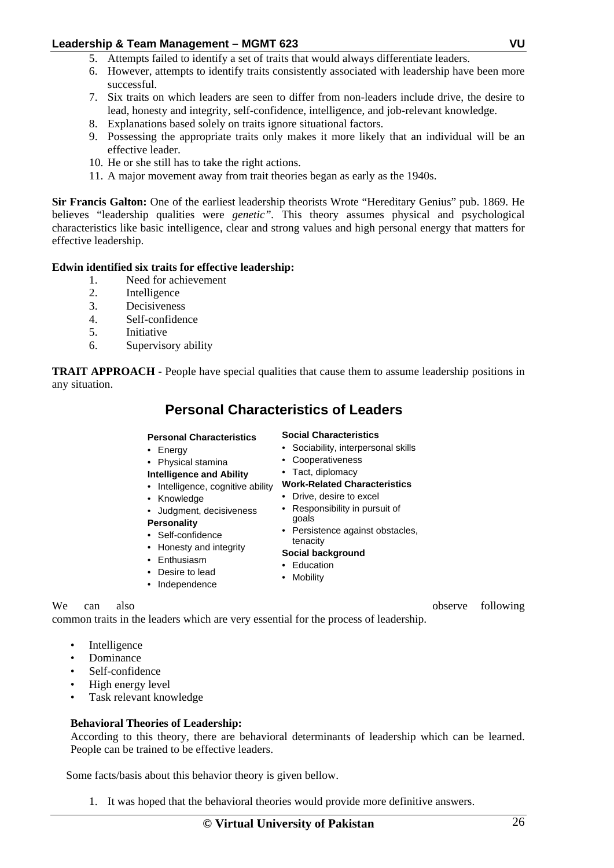- 5. Attempts failed to identify a set of traits that would always differentiate leaders.
- 6. However, attempts to identify traits consistently associated with leadership have been more successful.
- 7. Six traits on which leaders are seen to differ from non-leaders include drive, the desire to lead, honesty and integrity, self-confidence, intelligence, and job-relevant knowledge.
- 8. Explanations based solely on traits ignore situational factors.
- 9. Possessing the appropriate traits only makes it more likely that an individual will be an effective leader.
- 10. He or she still has to take the right actions.
- 11. A major movement away from trait theories began as early as the 1940s.

**Sir Francis Galton:** One of the earliest leadership theorists Wrote "Hereditary Genius" pub. 1869. He believes "leadership qualities were *genetic".* This theory assumes physical and psychological characteristics like basic intelligence, clear and strong values and high personal energy that matters for effective leadership.

### **Edwin identified six traits for effective leadership:**

- 1. Need for achievement
- 2. Intelligence
- 3. Decisiveness
- 4. Self-confidence
- 5. Initiative
- 6. Supervisory ability

**TRAIT APPROACH** - People have special qualities that cause them to assume leadership positions in any situation.

# **Personal Characteristics of Leaders**

#### **Personal Characteristics**

- Energy
- Physical stamina
- **Intelligence and Ability**
- Intelligence, cognitive ability
- Knowledge
- Judgment, decisiveness
- **Personality**
- Self-confidence
	- Honesty and integrity
	- Enthusiasm
	- Desire to lead
- Independence
- 

We can also **blee** also **blee** can also **b**  $\alpha$  also **b**  $\alpha$  observe following

common traits in the leaders which are very essential for the process of leadership.

- **Intelligence**
- Dominance
- Self-confidence
- High energy level
- Task relevant knowledge

#### **Behavioral Theories of Leadership:**

According to this theory, there are behavioral determinants of leadership which can be learned. People can be trained to be effective leaders.

Some facts/basis about this behavior theory is given bellow.

1. It was hoped that the behavioral theories would provide more definitive answers.

- **Social Characteristics**
- Sociability, interpersonal skills
- Cooperativeness
- Tact, diplomacy

# **Work-Related Characteristics**

- Drive, desire to excel
- Responsibility in pursuit of goals
- Persistence against obstacles,
- tenacity **Social background**

# • Education

• Mobility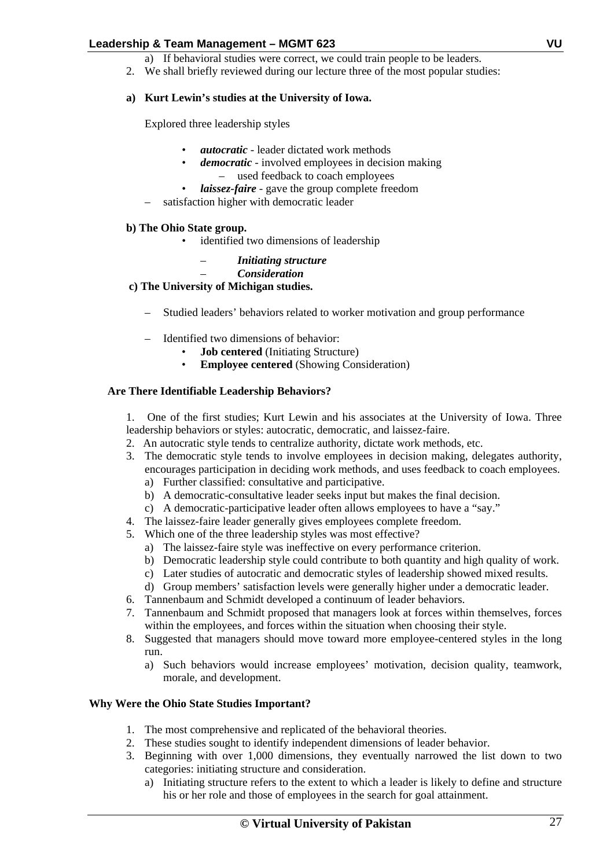- a) If behavioral studies were correct, we could train people to be leaders.
- 2. We shall briefly reviewed during our lecture three of the most popular studies:

## **a) Kurt Lewin's studies at the University of Iowa.**

Explored three leadership styles

- *autocratic* leader dictated work methods
- *democratic* involved employees in decision making – used feedback to coach employees
- *laissez-faire* gave the group complete freedom
- satisfaction higher with democratic leader

### **b) The Ohio State group.**

- identified two dimensions of leadership
	- *Initiating structure*
		- *Consideration*

### **c) The University of Michigan studies.**

- Studied leaders' behaviors related to worker motivation and group performance
- Identified two dimensions of behavior:
	- **Job centered** (Initiating Structure)
	- **Employee centered** (Showing Consideration)

### **Are There Identifiable Leadership Behaviors?**

1. One of the first studies; Kurt Lewin and his associates at the University of Iowa. Three leadership behaviors or styles: autocratic, democratic, and laissez-faire.

- 2. An autocratic style tends to centralize authority, dictate work methods, etc.
- 3. The democratic style tends to involve employees in decision making, delegates authority, encourages participation in deciding work methods, and uses feedback to coach employees. a) Further classified: consultative and participative.
	- b) A democratic-consultative leader seeks input but makes the final decision.
	- c) A democratic-participative leader often allows employees to have a "say."
- 4. The laissez-faire leader generally gives employees complete freedom.
- 5. Which one of the three leadership styles was most effective?
	- a) The laissez-faire style was ineffective on every performance criterion.
	- b) Democratic leadership style could contribute to both quantity and high quality of work.
	- c) Later studies of autocratic and democratic styles of leadership showed mixed results.
	- d) Group members' satisfaction levels were generally higher under a democratic leader.
- 6. Tannenbaum and Schmidt developed a continuum of leader behaviors.
- 7. Tannenbaum and Schmidt proposed that managers look at forces within themselves, forces within the employees, and forces within the situation when choosing their style.
- 8. Suggested that managers should move toward more employee-centered styles in the long run.
	- a) Such behaviors would increase employees' motivation, decision quality, teamwork, morale, and development.

#### **Why Were the Ohio State Studies Important?**

- 1. The most comprehensive and replicated of the behavioral theories.
- 2. These studies sought to identify independent dimensions of leader behavior.
- 3. Beginning with over 1,000 dimensions, they eventually narrowed the list down to two categories: initiating structure and consideration.
	- a) Initiating structure refers to the extent to which a leader is likely to define and structure his or her role and those of employees in the search for goal attainment.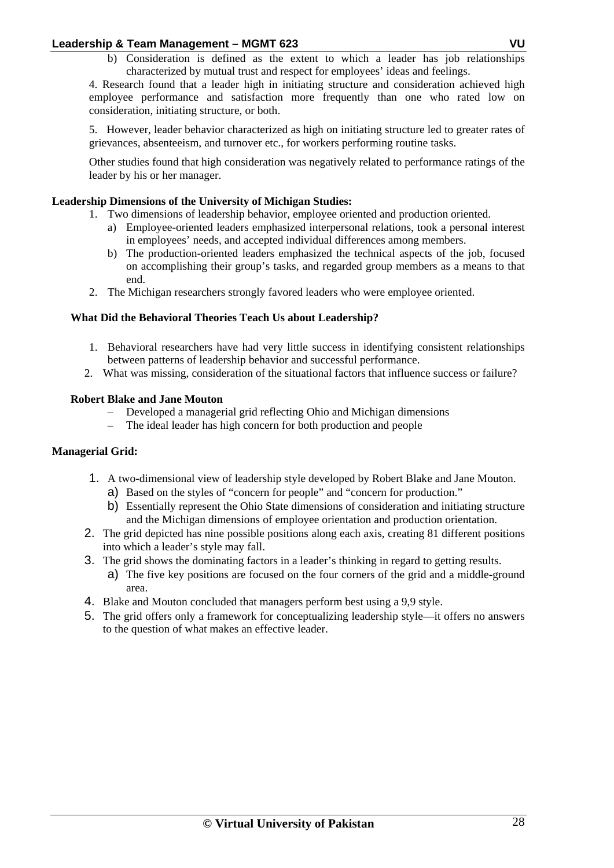b) Consideration is defined as the extent to which a leader has job relationships characterized by mutual trust and respect for employees' ideas and feelings.

4. Research found that a leader high in initiating structure and consideration achieved high employee performance and satisfaction more frequently than one who rated low on consideration, initiating structure, or both.

5. However, leader behavior characterized as high on initiating structure led to greater rates of grievances, absenteeism, and turnover etc., for workers performing routine tasks.

Other studies found that high consideration was negatively related to performance ratings of the leader by his or her manager.

# **Leadership Dimensions of the University of Michigan Studies:**

- 1. Two dimensions of leadership behavior, employee oriented and production oriented.
	- a) Employee-oriented leaders emphasized interpersonal relations, took a personal interest in employees' needs, and accepted individual differences among members.
	- b) The production-oriented leaders emphasized the technical aspects of the job, focused on accomplishing their group's tasks, and regarded group members as a means to that end.
- 2. The Michigan researchers strongly favored leaders who were employee oriented.

### **What Did the Behavioral Theories Teach Us about Leadership?**

- 1. Behavioral researchers have had very little success in identifying consistent relationships between patterns of leadership behavior and successful performance.
- 2. What was missing, consideration of the situational factors that influence success or failure?

### **Robert Blake and Jane Mouton**

- Developed a managerial grid reflecting Ohio and Michigan dimensions
- The ideal leader has high concern for both production and people

# **Managerial Grid:**

- 1. A two-dimensional view of leadership style developed by Robert Blake and Jane Mouton.
	- a) Based on the styles of "concern for people" and "concern for production."
	- b) Essentially represent the Ohio State dimensions of consideration and initiating structure and the Michigan dimensions of employee orientation and production orientation.
- 2. The grid depicted has nine possible positions along each axis, creating 81 different positions into which a leader's style may fall.
- 3. The grid shows the dominating factors in a leader's thinking in regard to getting results.
	- a) The five key positions are focused on the four corners of the grid and a middle-ground area.
- 4. Blake and Mouton concluded that managers perform best using a 9,9 style.
- 5. The grid offers only a framework for conceptualizing leadership style—it offers no answers to the question of what makes an effective leader.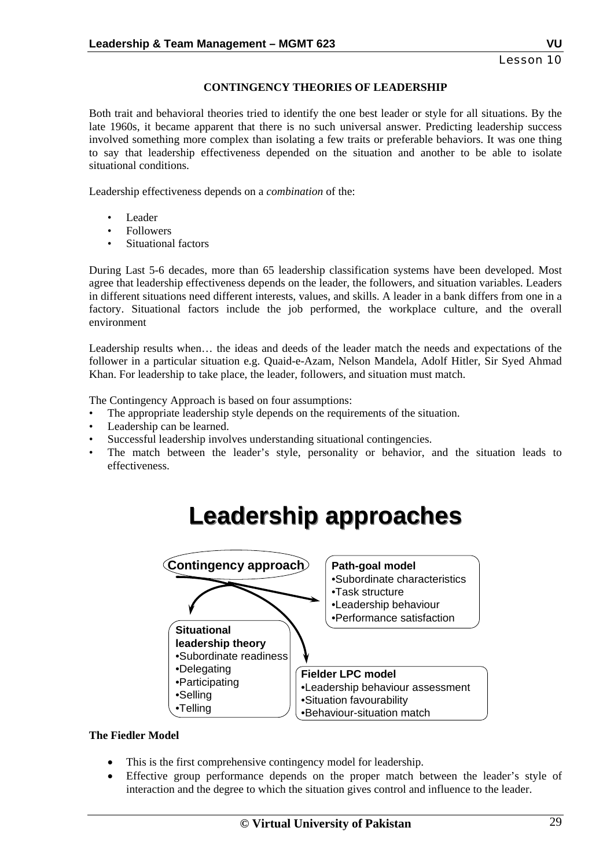### **CONTINGENCY THEORIES OF LEADERSHIP**

Both trait and behavioral theories tried to identify the one best leader or style for all situations. By the late 1960s, it became apparent that there is no such universal answer. Predicting leadership success involved something more complex than isolating a few traits or preferable behaviors. It was one thing to say that leadership effectiveness depended on the situation and another to be able to isolate situational conditions.

Leadership effectiveness depends on a *combination* of the:

- Leader
- **Followers**
- Situational factors

During Last 5-6 decades, more than 65 leadership classification systems have been developed. Most agree that leadership effectiveness depends on the leader, the followers, and situation variables. Leaders in different situations need different interests, values, and skills. A leader in a bank differs from one in a factory. Situational factors include the job performed, the workplace culture, and the overall environment

Leadership results when… the ideas and deeds of the leader match the needs and expectations of the follower in a particular situation e.g. Quaid-e-Azam, Nelson Mandela, Adolf Hitler, Sir Syed Ahmad Khan. For leadership to take place, the leader, followers, and situation must match.

The Contingency Approach is based on four assumptions:

- The appropriate leadership style depends on the requirements of the situation.
- Leadership can be learned.
- Successful leadership involves understanding situational contingencies.
- The match between the leader's style, personality or behavior, and the situation leads to effectiveness.

**Leadership approaches Leadership approaches**



# **The Fiedler Model**

- This is the first comprehensive contingency model for leadership.
- Effective group performance depends on the proper match between the leader's style of interaction and the degree to which the situation gives control and influence to the leader.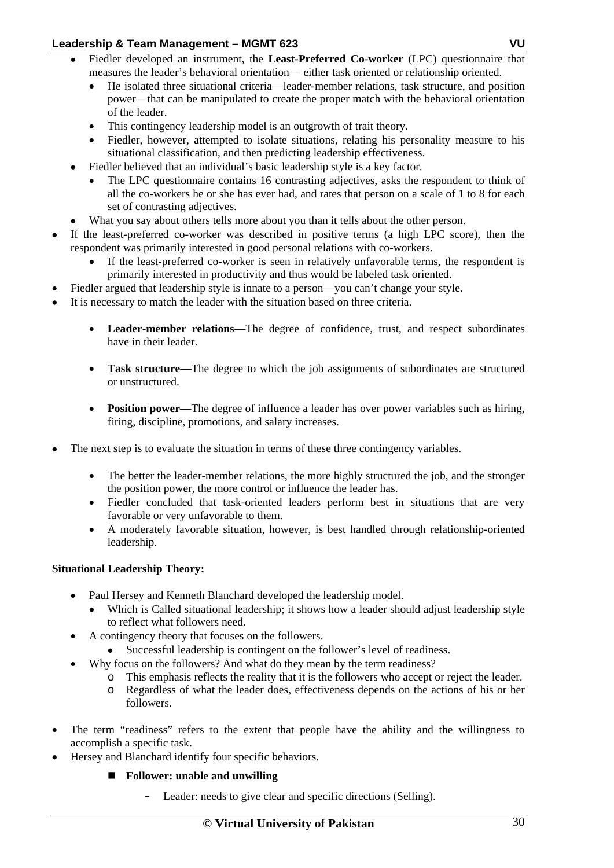- Fiedler developed an instrument, the **Least-Preferred Co-worker** (LPC) questionnaire that measures the leader's behavioral orientation— either task oriented or relationship oriented.
	- He isolated three situational criteria—leader-member relations, task structure, and position power—that can be manipulated to create the proper match with the behavioral orientation of the leader.
	- This contingency leadership model is an outgrowth of trait theory.
	- Fiedler, however, attempted to isolate situations, relating his personality measure to his situational classification, and then predicting leadership effectiveness.
- Fiedler believed that an individual's basic leadership style is a key factor.
	- The LPC questionnaire contains 16 contrasting adjectives, asks the respondent to think of all the co-workers he or she has ever had, and rates that person on a scale of 1 to 8 for each set of contrasting adjectives.
- What you say about others tells more about you than it tells about the other person.
- If the least-preferred co-worker was described in positive terms (a high LPC score), then the respondent was primarily interested in good personal relations with co-workers.
	- If the least-preferred co-worker is seen in relatively unfavorable terms, the respondent is primarily interested in productivity and thus would be labeled task oriented.
- Fiedler argued that leadership style is innate to a person—you can't change your style.
- It is necessary to match the leader with the situation based on three criteria.
	- **Leader-member relations**—The degree of confidence, trust, and respect subordinates have in their leader.
	- **Task structure**—The degree to which the job assignments of subordinates are structured or unstructured.
	- **Position power**—The degree of influence a leader has over power variables such as hiring, firing, discipline, promotions, and salary increases.
- The next step is to evaluate the situation in terms of these three contingency variables.
	- The better the leader-member relations, the more highly structured the job, and the stronger the position power, the more control or influence the leader has.
	- Fiedler concluded that task-oriented leaders perform best in situations that are very favorable or very unfavorable to them.
	- A moderately favorable situation, however, is best handled through relationship-oriented leadership.

# **Situational Leadership Theory:**

- Paul Hersey and Kenneth Blanchard developed the leadership model.
	- Which is Called situational leadership; it shows how a leader should adjust leadership style to reflect what followers need.
- A contingency theory that focuses on the followers.
	- Successful leadership is contingent on the follower's level of readiness.
	- Why focus on the followers? And what do they mean by the term readiness?
		- o This emphasis reflects the reality that it is the followers who accept or reject the leader.
		- o Regardless of what the leader does, effectiveness depends on the actions of his or her followers.
- The term "readiness" refers to the extent that people have the ability and the willingness to accomplish a specific task.
- Hersey and Blanchard identify four specific behaviors.
	- **Follower: unable and unwilling** 
		- Leader: needs to give clear and specific directions (Selling).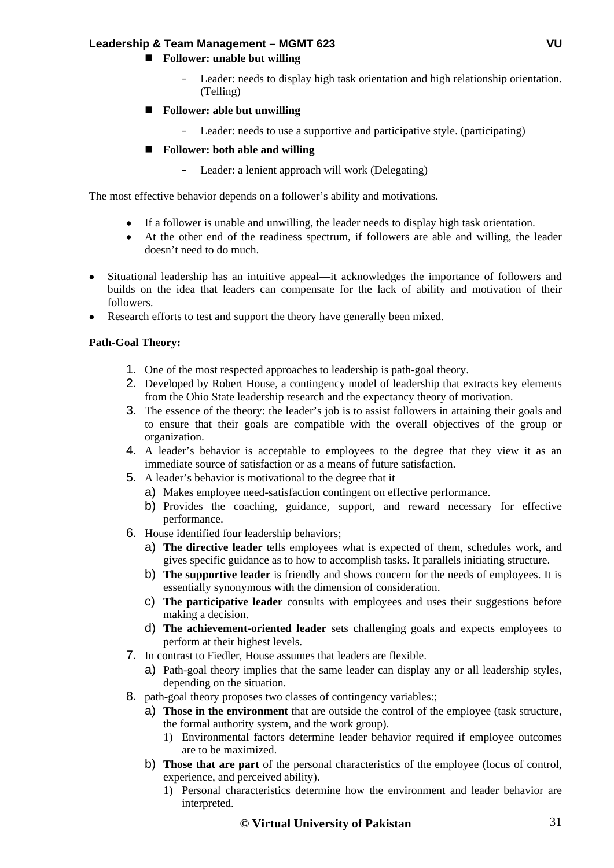# **Follower: unable but willing**

- Leader: needs to display high task orientation and high relationship orientation. (Telling)
- **Follower: able but unwilling** 
	- Leader: needs to use a supportive and participative style. (participating)
- **Follower: both able and willing** 
	- Leader: a lenient approach will work (Delegating)

The most effective behavior depends on a follower's ability and motivations.

- If a follower is unable and unwilling, the leader needs to display high task orientation.
- At the other end of the readiness spectrum, if followers are able and willing, the leader doesn't need to do much.
- Situational leadership has an intuitive appeal—it acknowledges the importance of followers and builds on the idea that leaders can compensate for the lack of ability and motivation of their followers.
- Research efforts to test and support the theory have generally been mixed.

### **Path-Goal Theory:**

- 1. One of the most respected approaches to leadership is path-goal theory.
- 2. Developed by Robert House, a contingency model of leadership that extracts key elements from the Ohio State leadership research and the expectancy theory of motivation.
- 3. The essence of the theory: the leader's job is to assist followers in attaining their goals and to ensure that their goals are compatible with the overall objectives of the group or organization.
- 4. A leader's behavior is acceptable to employees to the degree that they view it as an immediate source of satisfaction or as a means of future satisfaction.
- 5. A leader's behavior is motivational to the degree that it
	- a) Makes employee need-satisfaction contingent on effective performance.
	- b) Provides the coaching, guidance, support, and reward necessary for effective performance.
- 6. House identified four leadership behaviors;
	- a) **The directive leader** tells employees what is expected of them, schedules work, and gives specific guidance as to how to accomplish tasks. It parallels initiating structure.
	- b) **The supportive leader** is friendly and shows concern for the needs of employees. It is essentially synonymous with the dimension of consideration.
	- c) **The participative leader** consults with employees and uses their suggestions before making a decision.
	- d) **The achievement-oriented leader** sets challenging goals and expects employees to perform at their highest levels.
- 7. In contrast to Fiedler, House assumes that leaders are flexible.
	- a) Path-goal theory implies that the same leader can display any or all leadership styles, depending on the situation.
- 8. path-goal theory proposes two classes of contingency variables:;
	- a) **Those in the environment** that are outside the control of the employee (task structure, the formal authority system, and the work group).
		- 1) Environmental factors determine leader behavior required if employee outcomes are to be maximized.
	- b) **Those that are part** of the personal characteristics of the employee (locus of control, experience, and perceived ability).
		- 1) Personal characteristics determine how the environment and leader behavior are interpreted.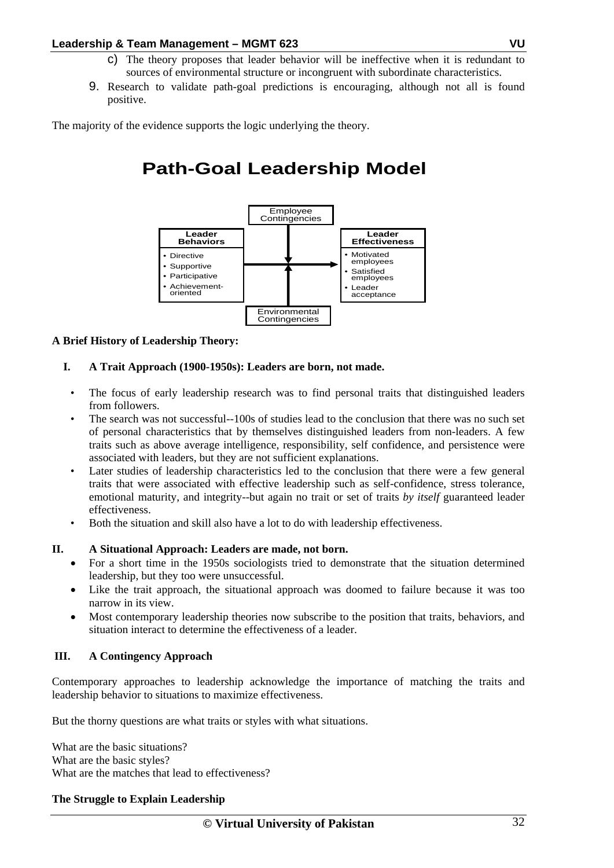- c) The theory proposes that leader behavior will be ineffective when it is redundant to sources of environmental structure or incongruent with subordinate characteristics.
- 9. Research to validate path-goal predictions is encouraging, although not all is found positive.

The majority of the evidence supports the logic underlying the theory.

# **Path-Goal Leadership Model**



# **A Brief History of Leadership Theory:**

# **I. A Trait Approach (1900-1950s): Leaders are born, not made.**

- The focus of early leadership research was to find personal traits that distinguished leaders from followers.
- The search was not successful--100s of studies lead to the conclusion that there was no such set of personal characteristics that by themselves distinguished leaders from non-leaders. A few traits such as above average intelligence, responsibility, self confidence, and persistence were associated with leaders, but they are not sufficient explanations.
- Later studies of leadership characteristics led to the conclusion that there were a few general traits that were associated with effective leadership such as self-confidence, stress tolerance, emotional maturity, and integrity--but again no trait or set of traits *by itself* guaranteed leader effectiveness.
- Both the situation and skill also have a lot to do with leadership effectiveness.

# **II. A Situational Approach: Leaders are made, not born.**

- For a short time in the 1950s sociologists tried to demonstrate that the situation determined leadership, but they too were unsuccessful.
- Like the trait approach, the situational approach was doomed to failure because it was too narrow in its view.
- Most contemporary leadership theories now subscribe to the position that traits, behaviors, and situation interact to determine the effectiveness of a leader.

#### **III. A Contingency Approach**

Contemporary approaches to leadership acknowledge the importance of matching the traits and leadership behavior to situations to maximize effectiveness.

But the thorny questions are what traits or styles with what situations.

What are the basic situations? What are the basic styles? What are the matches that lead to effectiveness?

#### **The Struggle to Explain Leadership**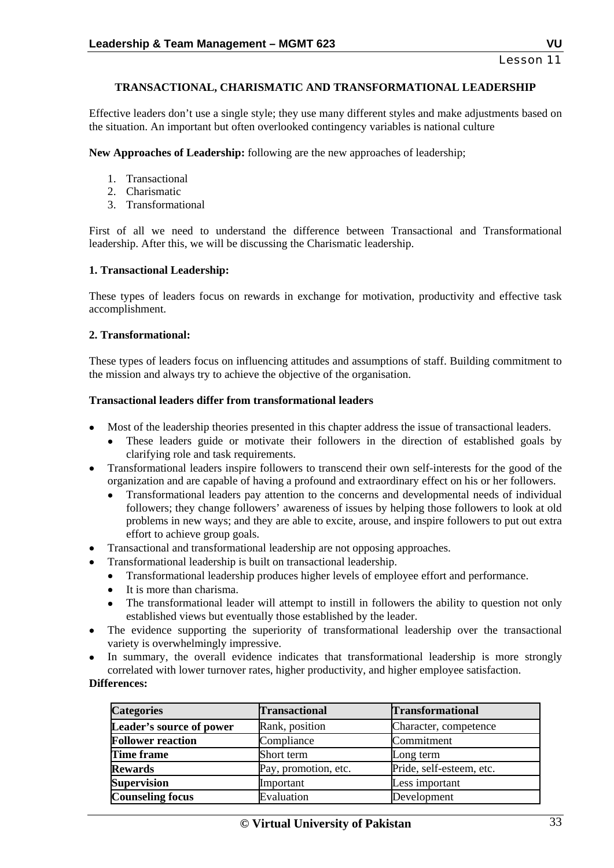# **TRANSACTIONAL, CHARISMATIC AND TRANSFORMATIONAL LEADERSHIP**

Effective leaders don't use a single style; they use many different styles and make adjustments based on the situation. An important but often overlooked contingency variables is national culture

**New Approaches of Leadership:** following are the new approaches of leadership;

- 1. Transactional
- 2. Charismatic
- 3. Transformational

First of all we need to understand the difference between Transactional and Transformational leadership. After this, we will be discussing the Charismatic leadership.

### **1. Transactional Leadership:**

These types of leaders focus on rewards in exchange for motivation, productivity and effective task accomplishment.

### **2. Transformational:**

These types of leaders focus on influencing attitudes and assumptions of staff. Building commitment to the mission and always try to achieve the objective of the organisation.

### **Transactional leaders differ from transformational leaders**

- Most of the leadership theories presented in this chapter address the issue of transactional leaders.
	- These leaders guide or motivate their followers in the direction of established goals by clarifying role and task requirements.
- Transformational leaders inspire followers to transcend their own self-interests for the good of the organization and are capable of having a profound and extraordinary effect on his or her followers.
	- Transformational leaders pay attention to the concerns and developmental needs of individual followers; they change followers' awareness of issues by helping those followers to look at old problems in new ways; and they are able to excite, arouse, and inspire followers to put out extra effort to achieve group goals.
- Transactional and transformational leadership are not opposing approaches.
- Transformational leadership is built on transactional leadership.
	- Transformational leadership produces higher levels of employee effort and performance.
	- It is more than charisma.
	- The transformational leader will attempt to instill in followers the ability to question not only established views but eventually those established by the leader.
- The evidence supporting the superiority of transformational leadership over the transactional variety is overwhelmingly impressive.
- In summary, the overall evidence indicates that transformational leadership is more strongly correlated with lower turnover rates, higher productivity, and higher employee satisfaction.

#### **Differences:**

| <b>Categories</b>        | <b>Transactional</b> | <b>Transformational</b>  |
|--------------------------|----------------------|--------------------------|
| Leader's source of power | Rank, position       | Character, competence    |
| <b>Follower reaction</b> | Compliance           | Commitment               |
| <b>Time frame</b>        | Short term           | Long term                |
| <b>Rewards</b>           | Pay, promotion, etc. | Pride, self-esteem, etc. |
| <b>Supervision</b>       | Important            | Less important           |
| <b>Counseling focus</b>  | Evaluation           | Development              |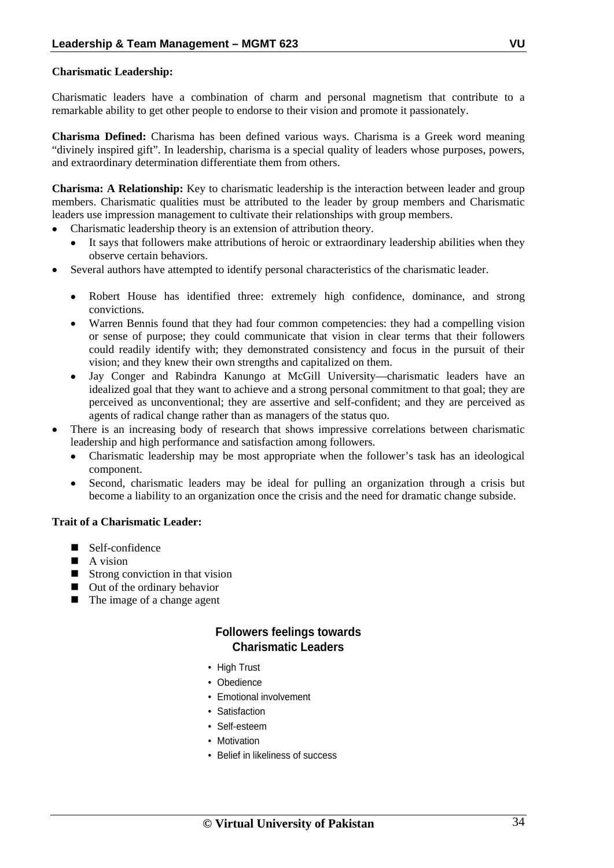## **Charismatic Leadership:**

Charismatic leaders have a combination of charm and personal magnetism that contribute to a remarkable ability to get other people to endorse to their vision and promote it passionately.

**Charisma Defined:** Charisma has been defined various ways. Charisma is a Greek word meaning "divinely inspired gift". In leadership, charisma is a special quality of leaders whose purposes, powers, and extraordinary determination differentiate them from others.

**Charisma: A Relationship:** Key to charismatic leadership is the interaction between leader and group members. Charismatic qualities must be attributed to the leader by group members and Charismatic leaders use impression management to cultivate their relationships with group members.

- Charismatic leadership theory is an extension of attribution theory.
	- It says that followers make attributions of heroic or extraordinary leadership abilities when they observe certain behaviors.
- Several authors have attempted to identify personal characteristics of the charismatic leader.
	- Robert House has identified three: extremely high confidence, dominance, and strong convictions.
	- Warren Bennis found that they had four common competencies: they had a compelling vision or sense of purpose; they could communicate that vision in clear terms that their followers could readily identify with; they demonstrated consistency and focus in the pursuit of their vision; and they knew their own strengths and capitalized on them.
	- Jay Conger and Rabindra Kanungo at McGill University—charismatic leaders have an idealized goal that they want to achieve and a strong personal commitment to that goal; they are perceived as unconventional; they are assertive and self-confident; and they are perceived as agents of radical change rather than as managers of the status quo.
- There is an increasing body of research that shows impressive correlations between charismatic leadership and high performance and satisfaction among followers.
	- Charismatic leadership may be most appropriate when the follower's task has an ideological component.
	- Second, charismatic leaders may be ideal for pulling an organization through a crisis but become a liability to an organization once the crisis and the need for dramatic change subside.

#### **Trait of a Charismatic Leader:**

- Self-confidence
- $\blacksquare$  A vision
- $\blacksquare$  Strong conviction in that vision
- Out of the ordinary behavior
- The image of a change agent

# **Followers feelings towards Charismatic Leaders**

- High Trust
- Obedience
- Emotional involvement
- Satisfaction
- Self-esteem
- Motivation
- Belief in likeliness of success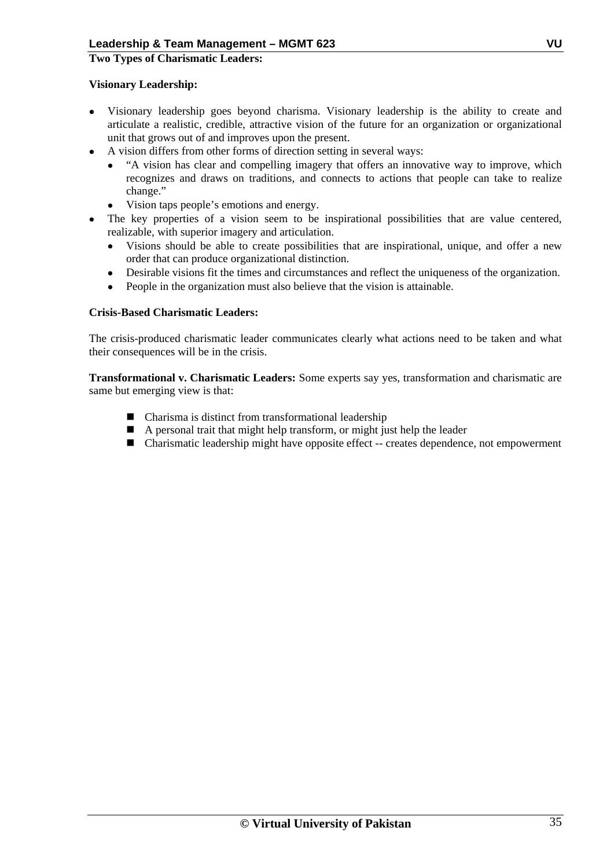#### **Two Types of Charismatic Leaders:**

#### **Visionary Leadership:**

- Visionary leadership goes beyond charisma. Visionary leadership is the ability to create and articulate a realistic, credible, attractive vision of the future for an organization or organizational unit that grows out of and improves upon the present.
- A vision differs from other forms of direction setting in several ways:
	- "A vision has clear and compelling imagery that offers an innovative way to improve, which recognizes and draws on traditions, and connects to actions that people can take to realize change."
	- Vision taps people's emotions and energy.
- The key properties of a vision seem to be inspirational possibilities that are value centered, realizable, with superior imagery and articulation.
	- Visions should be able to create possibilities that are inspirational, unique, and offer a new order that can produce organizational distinction.
	- Desirable visions fit the times and circumstances and reflect the uniqueness of the organization.
	- People in the organization must also believe that the vision is attainable.

### **Crisis-Based Charismatic Leaders:**

The crisis-produced charismatic leader communicates clearly what actions need to be taken and what their consequences will be in the crisis.

**Transformational v. Charismatic Leaders:** Some experts say yes, transformation and charismatic are same but emerging view is that:

- Charisma is distinct from transformational leadership
- A personal trait that might help transform, or might just help the leader
- Charismatic leadership might have opposite effect -- creates dependence, not empowerment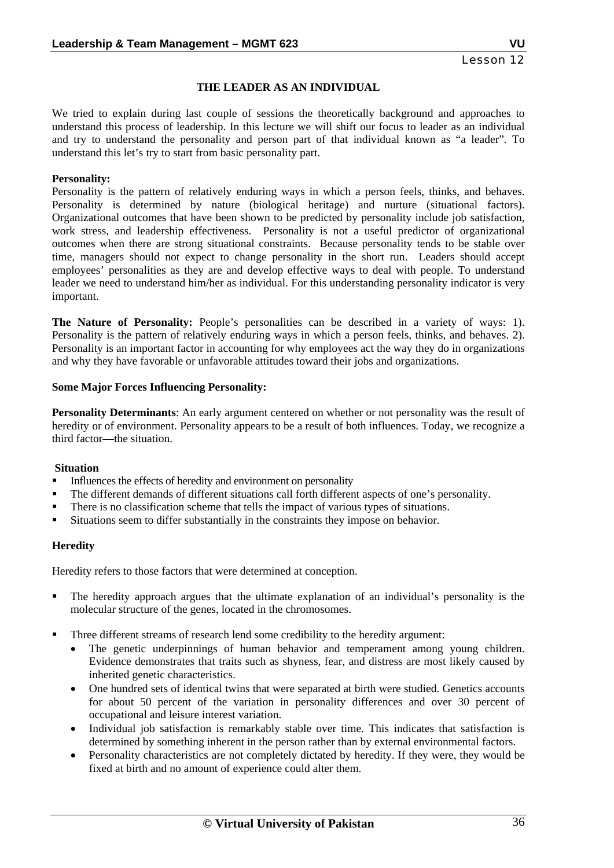### **THE LEADER AS AN INDIVIDUAL**

We tried to explain during last couple of sessions the theoretically background and approaches to understand this process of leadership. In this lecture we will shift our focus to leader as an individual and try to understand the personality and person part of that individual known as "a leader". To understand this let's try to start from basic personality part.

#### **Personality:**

Personality is the pattern of relatively enduring ways in which a person feels, thinks, and behaves. Personality is determined by nature (biological heritage) and nurture (situational factors). Organizational outcomes that have been shown to be predicted by personality include job satisfaction, work stress, and leadership effectiveness. Personality is not a useful predictor of organizational outcomes when there are strong situational constraints. Because personality tends to be stable over time, managers should not expect to change personality in the short run. Leaders should accept employees' personalities as they are and develop effective ways to deal with people. To understand leader we need to understand him/her as individual. For this understanding personality indicator is very important.

**The Nature of Personality:** People's personalities can be described in a variety of ways: 1). Personality is the pattern of relatively enduring ways in which a person feels, thinks, and behaves. 2). Personality is an important factor in accounting for why employees act the way they do in organizations and why they have favorable or unfavorable attitudes toward their jobs and organizations.

#### **Some Major Forces Influencing Personality:**

**Personality Determinants**: An early argument centered on whether or not personality was the result of heredity or of environment. Personality appears to be a result of both influences. Today, we recognize a third factor—the situation.

#### **Situation**

- Influences the effects of heredity and environment on personality
- The different demands of different situations call forth different aspects of one's personality.
- There is no classification scheme that tells the impact of various types of situations.
- Situations seem to differ substantially in the constraints they impose on behavior.

#### **Heredity**

Heredity refers to those factors that were determined at conception.

- The heredity approach argues that the ultimate explanation of an individual's personality is the molecular structure of the genes, located in the chromosomes.
- Three different streams of research lend some credibility to the heredity argument:
	- The genetic underpinnings of human behavior and temperament among young children. Evidence demonstrates that traits such as shyness, fear, and distress are most likely caused by inherited genetic characteristics.
	- One hundred sets of identical twins that were separated at birth were studied. Genetics accounts for about 50 percent of the variation in personality differences and over 30 percent of occupational and leisure interest variation.
	- Individual job satisfaction is remarkably stable over time. This indicates that satisfaction is determined by something inherent in the person rather than by external environmental factors.
	- Personality characteristics are not completely dictated by heredity. If they were, they would be fixed at birth and no amount of experience could alter them.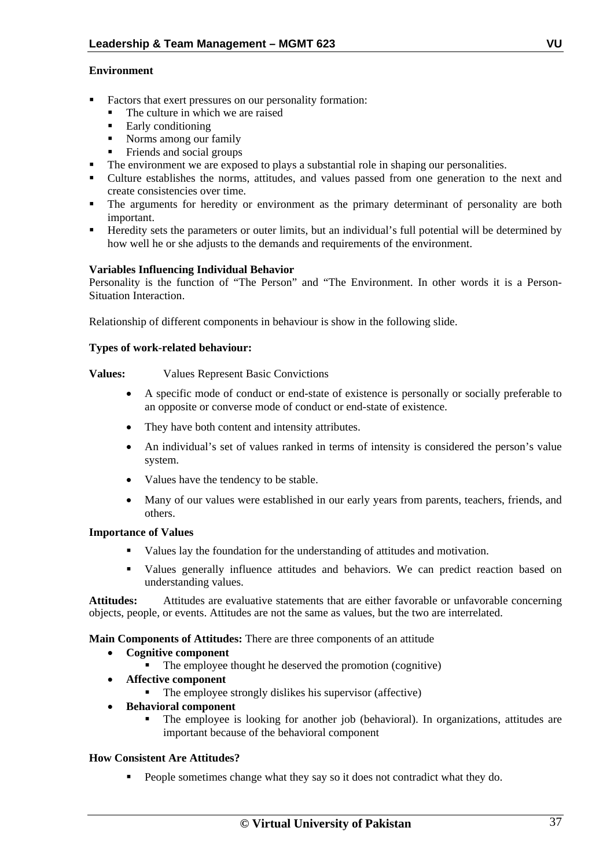#### **Environment**

- Factors that exert pressures on our personality formation:
	- The culture in which we are raised
	- Early conditioning
	- Norms among our family
	- Friends and social groups
- The environment we are exposed to plays a substantial role in shaping our personalities.
- Culture establishes the norms, attitudes, and values passed from one generation to the next and create consistencies over time.
- The arguments for heredity or environment as the primary determinant of personality are both important.
- Heredity sets the parameters or outer limits, but an individual's full potential will be determined by how well he or she adjusts to the demands and requirements of the environment.

#### **Variables Influencing Individual Behavior**

Personality is the function of "The Person" and "The Environment. In other words it is a Person-Situation Interaction.

Relationship of different components in behaviour is show in the following slide.

#### **Types of work-related behaviour:**

#### **Values:** Values Represent Basic Convictions

- A specific mode of conduct or end-state of existence is personally or socially preferable to an opposite or converse mode of conduct or end-state of existence.
- They have both content and intensity attributes.
- An individual's set of values ranked in terms of intensity is considered the person's value system.
- Values have the tendency to be stable.
- Many of our values were established in our early years from parents, teachers, friends, and others.

#### **Importance of Values**

- Values lay the foundation for the understanding of attitudes and motivation.
- Values generally influence attitudes and behaviors. We can predict reaction based on understanding values.

**Attitudes:** Attitudes are evaluative statements that are either favorable or unfavorable concerning objects, people, or events. Attitudes are not the same as values, but the two are interrelated.

**Main Components of Attitudes:** There are three components of an attitude

- **Cognitive component** 
	- The employee thought he deserved the promotion (cognitive)
- **Affective component** 
	- $\blacksquare$  The employee strongly dislikes his supervisor (affective)
- **Behavioral component** 
	- The employee is looking for another job (behavioral). In organizations, attitudes are important because of the behavioral component

#### **How Consistent Are Attitudes?**

People sometimes change what they say so it does not contradict what they do.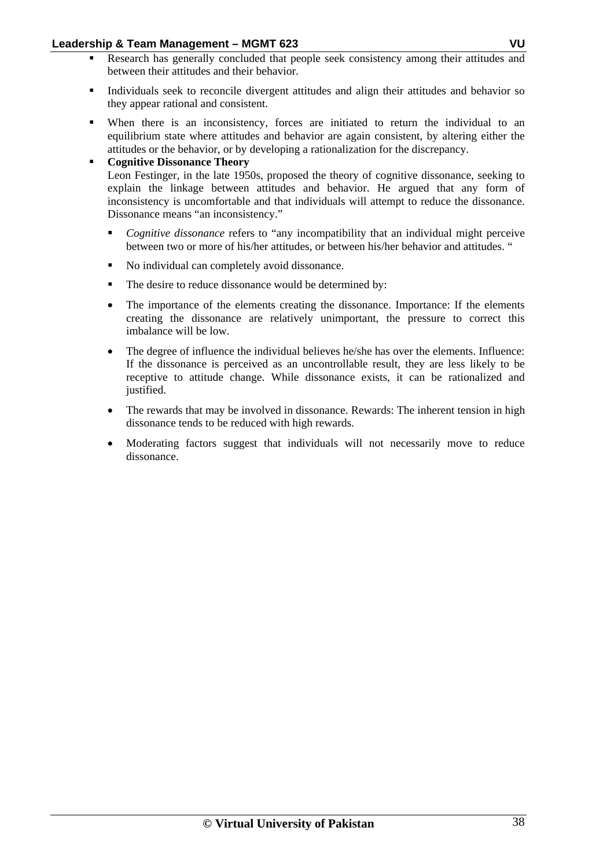- Research has generally concluded that people seek consistency among their attitudes and between their attitudes and their behavior.
- Individuals seek to reconcile divergent attitudes and align their attitudes and behavior so they appear rational and consistent.
- When there is an inconsistency, forces are initiated to return the individual to an equilibrium state where attitudes and behavior are again consistent, by altering either the attitudes or the behavior, or by developing a rationalization for the discrepancy.
	- **Cognitive Dissonance Theory**  Leon Festinger, in the late 1950s, proposed the theory of cognitive dissonance, seeking to explain the linkage between attitudes and behavior. He argued that any form of inconsistency is uncomfortable and that individuals will attempt to reduce the dissonance. Dissonance means "an inconsistency."
		- *Cognitive dissonance* refers to "any incompatibility that an individual might perceive between two or more of his/her attitudes, or between his/her behavior and attitudes. "
		- No individual can completely avoid dissonance.
		- The desire to reduce dissonance would be determined by:
		- The importance of the elements creating the dissonance. Importance: If the elements creating the dissonance are relatively unimportant, the pressure to correct this imbalance will be low.
		- The degree of influence the individual believes he/she has over the elements. Influence: If the dissonance is perceived as an uncontrollable result, they are less likely to be receptive to attitude change. While dissonance exists, it can be rationalized and justified.
		- The rewards that may be involved in dissonance. Rewards: The inherent tension in high dissonance tends to be reduced with high rewards.
		- Moderating factors suggest that individuals will not necessarily move to reduce dissonance.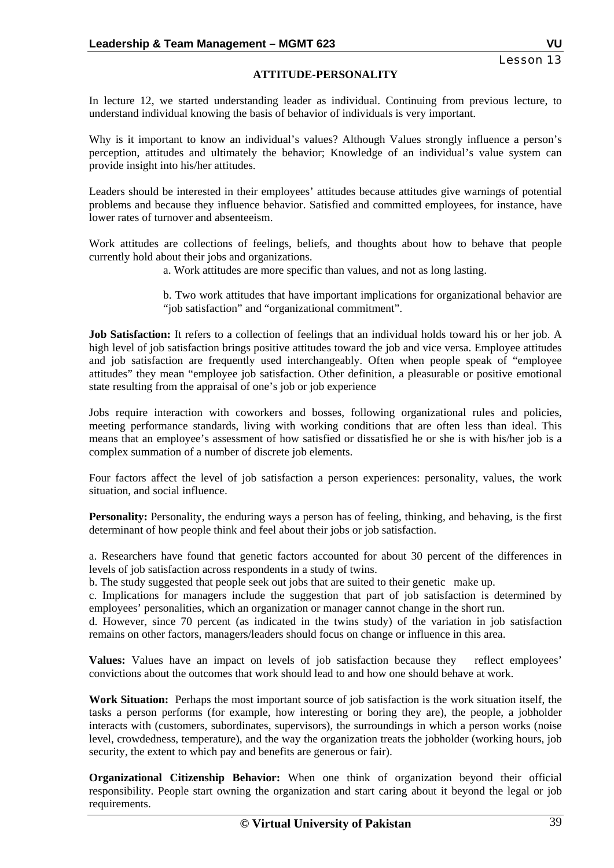#### **ATTITUDE-PERSONALITY**

In lecture 12, we started understanding leader as individual. Continuing from previous lecture, to understand individual knowing the basis of behavior of individuals is very important.

Why is it important to know an individual's values? Although Values strongly influence a person's perception, attitudes and ultimately the behavior; Knowledge of an individual's value system can provide insight into his/her attitudes.

Leaders should be interested in their employees' attitudes because attitudes give warnings of potential problems and because they influence behavior. Satisfied and committed employees, for instance, have lower rates of turnover and absenteeism.

Work attitudes are collections of feelings, beliefs, and thoughts about how to behave that people currently hold about their jobs and organizations.

a. Work attitudes are more specific than values, and not as long lasting.

b. Two work attitudes that have important implications for organizational behavior are "job satisfaction" and "organizational commitment".

**Job Satisfaction:** It refers to a collection of feelings that an individual holds toward his or her job. A high level of job satisfaction brings positive attitudes toward the job and vice versa. Employee attitudes and job satisfaction are frequently used interchangeably. Often when people speak of "employee attitudes" they mean "employee job satisfaction. Other definition, a pleasurable or positive emotional state resulting from the appraisal of one's job or job experience

Jobs require interaction with coworkers and bosses, following organizational rules and policies, meeting performance standards, living with working conditions that are often less than ideal. This means that an employee's assessment of how satisfied or dissatisfied he or she is with his/her job is a complex summation of a number of discrete job elements.

Four factors affect the level of job satisfaction a person experiences: personality, values, the work situation, and social influence.

**Personality:** Personality, the enduring ways a person has of feeling, thinking, and behaving, is the first determinant of how people think and feel about their jobs or job satisfaction.

a. Researchers have found that genetic factors accounted for about 30 percent of the differences in levels of job satisfaction across respondents in a study of twins.

b. The study suggested that people seek out jobs that are suited to their genetic make up.

c. Implications for managers include the suggestion that part of job satisfaction is determined by employees' personalities, which an organization or manager cannot change in the short run.

d. However, since 70 percent (as indicated in the twins study) of the variation in job satisfaction remains on other factors, managers/leaders should focus on change or influence in this area.

**Values:** Values have an impact on levels of job satisfaction because they reflect employees' convictions about the outcomes that work should lead to and how one should behave at work.

**Work Situation:** Perhaps the most important source of job satisfaction is the work situation itself, the tasks a person performs (for example, how interesting or boring they are), the people, a jobholder interacts with (customers, subordinates, supervisors), the surroundings in which a person works (noise level, crowdedness, temperature), and the way the organization treats the jobholder (working hours, job security, the extent to which pay and benefits are generous or fair).

**Organizational Citizenship Behavior:** When one think of organization beyond their official responsibility. People start owning the organization and start caring about it beyond the legal or job requirements.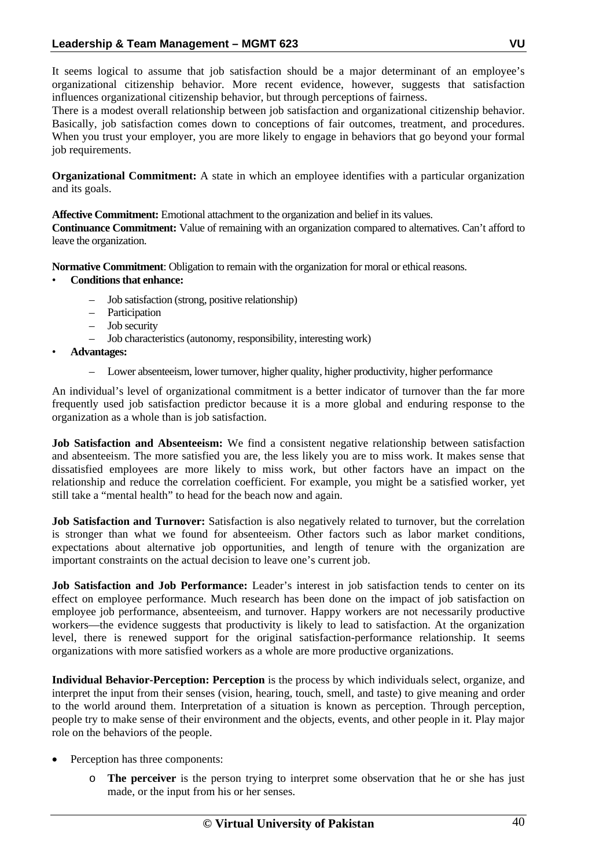It seems logical to assume that job satisfaction should be a major determinant of an employee's organizational citizenship behavior. More recent evidence, however, suggests that satisfaction influences organizational citizenship behavior, but through perceptions of fairness.

There is a modest overall relationship between job satisfaction and organizational citizenship behavior. Basically, job satisfaction comes down to conceptions of fair outcomes, treatment, and procedures. When you trust your employer, you are more likely to engage in behaviors that go beyond your formal job requirements.

**Organizational Commitment:** A state in which an employee identifies with a particular organization and its goals.

**Affective Commitment:** Emotional attachment to the organization and belief in its values.

**Continuance Commitment:** Value of remaining with an organization compared to alternatives. Can't afford to leave the organization.

**Normative Commitment**: Obligation to remain with the organization for moral or ethical reasons.

## • **Conditions that enhance:**

- Job satisfaction (strong, positive relationship)
- Participation
- Job security
- Job characteristics (autonomy, responsibility, interesting work)
- **Advantages:** 
	- Lower absenteeism, lower turnover, higher quality, higher productivity, higher performance

An individual's level of organizational commitment is a better indicator of turnover than the far more frequently used job satisfaction predictor because it is a more global and enduring response to the organization as a whole than is job satisfaction.

Job Satisfaction and Absenteeism: We find a consistent negative relationship between satisfaction and absenteeism. The more satisfied you are, the less likely you are to miss work. It makes sense that dissatisfied employees are more likely to miss work, but other factors have an impact on the relationship and reduce the correlation coefficient. For example, you might be a satisfied worker, yet still take a "mental health" to head for the beach now and again.

**Job Satisfaction and Turnover:** Satisfaction is also negatively related to turnover, but the correlation is stronger than what we found for absenteeism. Other factors such as labor market conditions, expectations about alternative job opportunities, and length of tenure with the organization are important constraints on the actual decision to leave one's current job.

**Job Satisfaction and Job Performance:** Leader's interest in job satisfaction tends to center on its effect on employee performance. Much research has been done on the impact of job satisfaction on employee job performance, absenteeism, and turnover. Happy workers are not necessarily productive workers—the evidence suggests that productivity is likely to lead to satisfaction. At the organization level, there is renewed support for the original satisfaction-performance relationship. It seems organizations with more satisfied workers as a whole are more productive organizations.

**Individual Behavior-Perception: Perception** is the process by which individuals select, organize, and interpret the input from their senses (vision, hearing, touch, smell, and taste) to give meaning and order to the world around them. Interpretation of a situation is known as perception. Through perception, people try to make sense of their environment and the objects, events, and other people in it. Play major role on the behaviors of the people.

- Perception has three components:
	- o **The perceiver** is the person trying to interpret some observation that he or she has just made, or the input from his or her senses.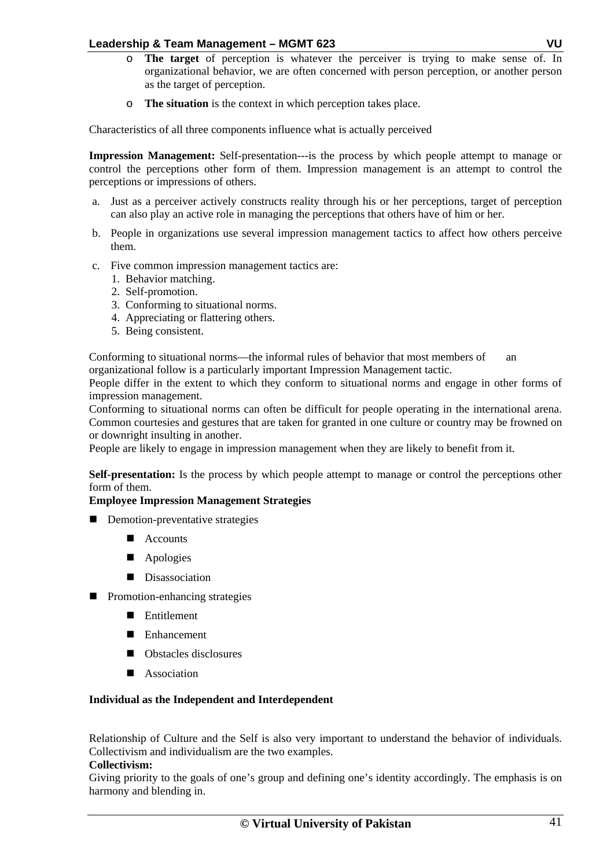- o **The target** of perception is whatever the perceiver is trying to make sense of. In organizational behavior, we are often concerned with person perception, or another person as the target of perception.
- o **The situation** is the context in which perception takes place.

Characteristics of all three components influence what is actually perceived

**Impression Management:** Self-presentation---is the process by which people attempt to manage or control the perceptions other form of them. Impression management is an attempt to control the perceptions or impressions of others.

- a. Just as a perceiver actively constructs reality through his or her perceptions, target of perception can also play an active role in managing the perceptions that others have of him or her.
- b. People in organizations use several impression management tactics to affect how others perceive them.
- c. Five common impression management tactics are:
	- 1. Behavior matching.
	- 2. Self-promotion.
	- 3. Conforming to situational norms.
	- 4. Appreciating or flattering others.
	- 5. Being consistent.

Conforming to situational norms—the informal rules of behavior that most members of an organizational follow is a particularly important Impression Management tactic.

People differ in the extent to which they conform to situational norms and engage in other forms of impression management.

Conforming to situational norms can often be difficult for people operating in the international arena. Common courtesies and gestures that are taken for granted in one culture or country may be frowned on or downright insulting in another.

People are likely to engage in impression management when they are likely to benefit from it.

**Self-presentation:** Is the process by which people attempt to manage or control the perceptions other form of them.

## **Employee Impression Management Strategies**

- Demotion-preventative strategies
	- Accounts
	- Apologies
	- **Disassociation**
- **Promotion-enhancing strategies** 
	- **Entitlement**
	- Enhancement
	- Obstacles disclosures
	- **Association**

#### **Individual as the Independent and Interdependent**

Relationship of Culture and the Self is also very important to understand the behavior of individuals. Collectivism and individualism are the two examples.

#### **Collectivism:**

Giving priority to the goals of one's group and defining one's identity accordingly. The emphasis is on harmony and blending in.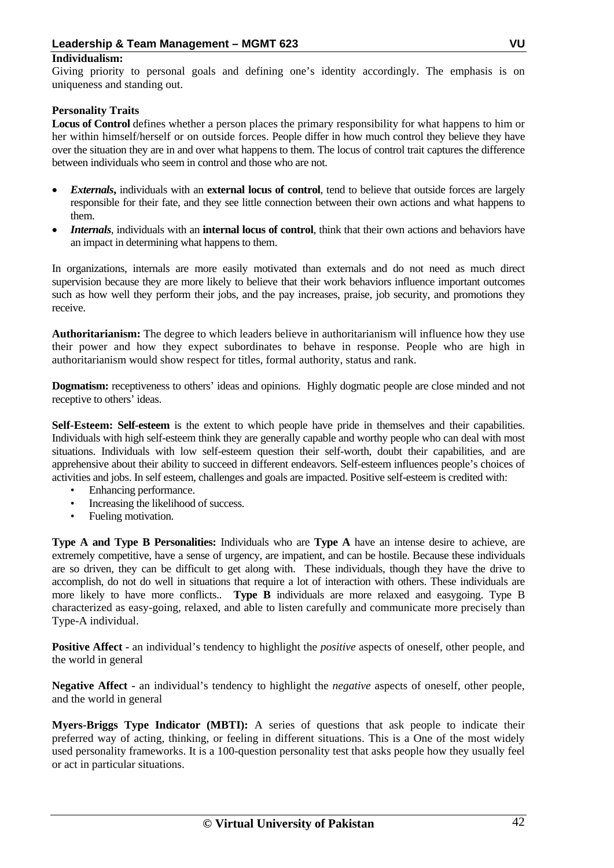#### **Individualism:**

Giving priority to personal goals and defining one's identity accordingly. The emphasis is on uniqueness and standing out.

## **Personality Traits**

**Locus of Control** defines whether a person places the primary responsibility for what happens to him or her within himself/herself or on outside forces. People differ in how much control they believe they have over the situation they are in and over what happens to them. The locus of control trait captures the difference between individuals who seem in control and those who are not.

- *Externals***,** individuals with an **external locus of control**, tend to believe that outside forces are largely responsible for their fate, and they see little connection between their own actions and what happens to them.
- *Internals*, individuals with an **internal locus of control**, think that their own actions and behaviors have an impact in determining what happens to them.

In organizations, internals are more easily motivated than externals and do not need as much direct supervision because they are more likely to believe that their work behaviors influence important outcomes such as how well they perform their jobs, and the pay increases, praise, job security, and promotions they receive.

**Authoritarianism:** The degree to which leaders believe in authoritarianism will influence how they use their power and how they expect subordinates to behave in response. People who are high in authoritarianism would show respect for titles, formal authority, status and rank.

**Dogmatism:** receptiveness to others' ideas and opinions. Highly dogmatic people are close minded and not receptive to others' ideas.

**Self-Esteem: Self-esteem** is the extent to which people have pride in themselves and their capabilities. Individuals with high self-esteem think they are generally capable and worthy people who can deal with most situations. Individuals with low self-esteem question their self-worth, doubt their capabilities, and are apprehensive about their ability to succeed in different endeavors. Self-esteem influences people's choices of activities and jobs. In self esteem, challenges and goals are impacted. Positive self-esteem is credited with:

- Enhancing performance.
- Increasing the likelihood of success.
- Fueling motivation.

**Type A and Type B Personalities:** Individuals who are **Type A** have an intense desire to achieve, are extremely competitive, have a sense of urgency, are impatient, and can be hostile. Because these individuals are so driven, they can be difficult to get along with. These individuals, though they have the drive to accomplish, do not do well in situations that require a lot of interaction with others. These individuals are more likely to have more conflicts.. **Type B** individuals are more relaxed and easygoing. Type B characterized as easy-going, relaxed, and able to listen carefully and communicate more precisely than Type-A individual.

**Positive Affect -** an individual's tendency to highlight the *positive* aspects of oneself, other people, and the world in general

**Negative Affect -** an individual's tendency to highlight the *negative* aspects of oneself, other people, and the world in general

**Myers-Briggs Type Indicator (MBTI):** A series of questions that ask people to indicate their preferred way of acting, thinking, or feeling in different situations. This is a One of the most widely used personality frameworks. It is a 100-question personality test that asks people how they usually feel or act in particular situations.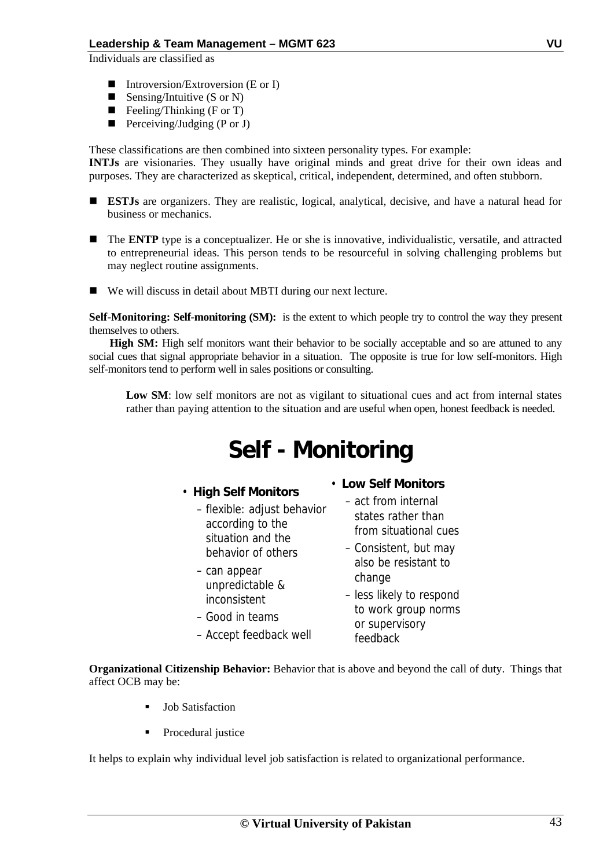Individuals are classified as

- Introversion/Extroversion (E or I)
- Sensing/Intuitive  $(S \text{ or } N)$
- Feeling/Thinking (F or T)
- Perceiving/Judging (P or J)

These classifications are then combined into sixteen personality types. For example: **INTJs** are visionaries. They usually have original minds and great drive for their own ideas and purposes. They are characterized as skeptical, critical, independent, determined, and often stubborn.

- **ESTJs** are organizers. They are realistic, logical, analytical, decisive, and have a natural head for business or mechanics.
- The **ENTP** type is a conceptualizer. He or she is innovative, individualistic, versatile, and attracted to entrepreneurial ideas. This person tends to be resourceful in solving challenging problems but may neglect routine assignments.
- We will discuss in detail about MBTI during our next lecture.

**Self-Monitoring: Self-monitoring (SM):** is the extent to which people try to control the way they present themselves to others.

High SM: High self monitors want their behavior to be socially acceptable and so are attuned to any social cues that signal appropriate behavior in a situation. The opposite is true for low self-monitors. High self-monitors tend to perform well in sales positions or consulting.

Low SM: low self monitors are not as vigilant to situational cues and act from internal states rather than paying attention to the situation and are useful when open, honest feedback is needed.

# **Self - Monitoring**

## • **High Self Monitors**

- flexible: adjust behavior according to the situation and the behavior of others
- can appear unpredictable & inconsistent
- Good in teams
- Accept feedback well
- **Low Self Monitors**
	- act from internal states rather than from situational cues
	- Consistent, but may also be resistant to change – less likely to respond
	- to work group norms or supervisory feedback

**Organizational Citizenship Behavior:** Behavior that is above and beyond the call of duty. Things that affect OCB may be:

- Job Satisfaction
- Procedural justice

It helps to explain why individual level job satisfaction is related to organizational performance.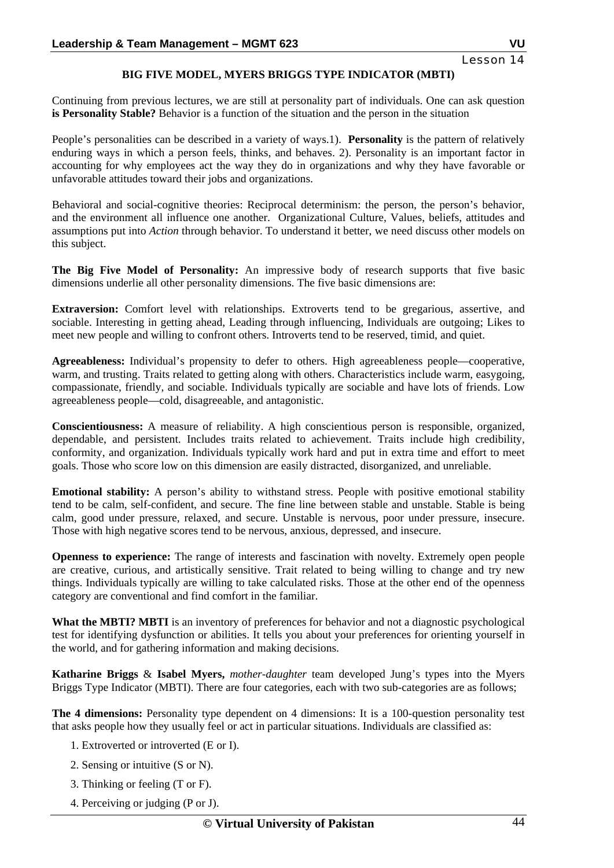## **BIG FIVE MODEL, MYERS BRIGGS TYPE INDICATOR (MBTI)**

Continuing from previous lectures, we are still at personality part of individuals. One can ask question **is Personality Stable?** Behavior is a function of the situation and the person in the situation

People's personalities can be described in a variety of ways.1). **Personality** is the pattern of relatively enduring ways in which a person feels, thinks, and behaves. 2). Personality is an important factor in accounting for why employees act the way they do in organizations and why they have favorable or unfavorable attitudes toward their jobs and organizations.

Behavioral and social-cognitive theories: Reciprocal determinism: the person, the person's behavior, and the environment all influence one another. Organizational Culture, Values, beliefs, attitudes and assumptions put into *Action* through behavior. To understand it better, we need discuss other models on this subject.

**The Big Five Model of Personality:** An impressive body of research supports that five basic dimensions underlie all other personality dimensions. The five basic dimensions are:

**Extraversion:** Comfort level with relationships. Extroverts tend to be gregarious, assertive, and sociable. Interesting in getting ahead, Leading through influencing, Individuals are outgoing; Likes to meet new people and willing to confront others. Introverts tend to be reserved, timid, and quiet.

**Agreeableness:** Individual's propensity to defer to others. High agreeableness people—cooperative, warm, and trusting. Traits related to getting along with others. Characteristics include warm, easygoing, compassionate, friendly, and sociable. Individuals typically are sociable and have lots of friends. Low agreeableness people—cold, disagreeable, and antagonistic.

**Conscientiousness:** A measure of reliability. A high conscientious person is responsible, organized, dependable, and persistent. Includes traits related to achievement. Traits include high credibility, conformity, and organization. Individuals typically work hard and put in extra time and effort to meet goals. Those who score low on this dimension are easily distracted, disorganized, and unreliable.

**Emotional stability:** A person's ability to withstand stress. People with positive emotional stability tend to be calm, self-confident, and secure. The fine line between stable and unstable. Stable is being calm, good under pressure, relaxed, and secure. Unstable is nervous, poor under pressure, insecure. Those with high negative scores tend to be nervous, anxious, depressed, and insecure.

**Openness to experience:** The range of interests and fascination with novelty. Extremely open people are creative, curious, and artistically sensitive. Trait related to being willing to change and try new things. Individuals typically are willing to take calculated risks. Those at the other end of the openness category are conventional and find comfort in the familiar.

**What the MBTI? MBTI** is an inventory of preferences for behavior and not a diagnostic psychological test for identifying dysfunction or abilities. It tells you about your preferences for orienting yourself in the world, and for gathering information and making decisions.

**Katharine Briggs** & **Isabel Myers,** *mother-daughter* team developed Jung's types into the Myers Briggs Type Indicator (MBTI). There are four categories, each with two sub-categories are as follows;

**The 4 dimensions:** Personality type dependent on 4 dimensions: It is a 100-question personality test that asks people how they usually feel or act in particular situations. Individuals are classified as:

- 1. Extroverted or introverted (E or I).
- 2. Sensing or intuitive (S or N).
- 3. Thinking or feeling (T or F).
- 4. Perceiving or judging (P or J).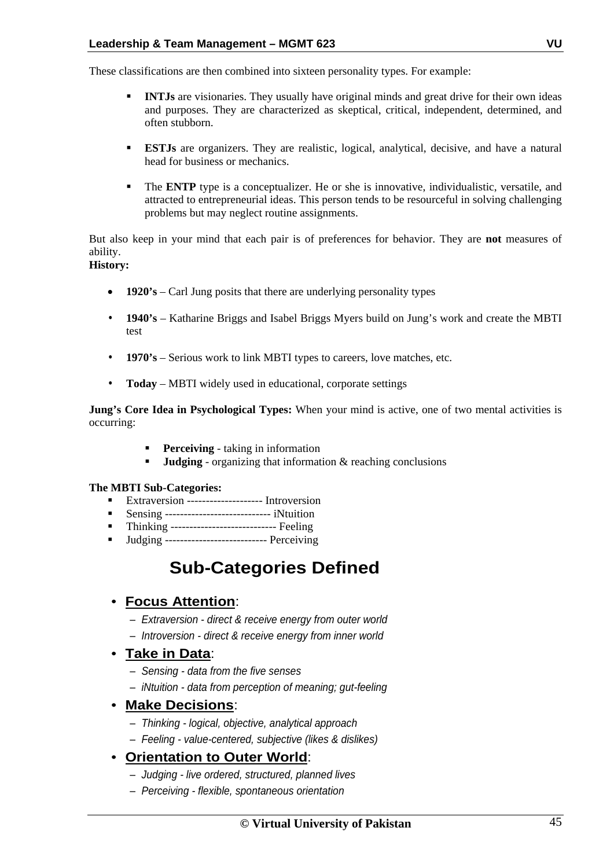These classifications are then combined into sixteen personality types. For example:

- **INTJs** are visionaries. They usually have original minds and great drive for their own ideas and purposes. They are characterized as skeptical, critical, independent, determined, and often stubborn.
- **ESTJs** are organizers. They are realistic, logical, analytical, decisive, and have a natural head for business or mechanics.
- The **ENTP** type is a conceptualizer. He or she is innovative, individualistic, versatile, and attracted to entrepreneurial ideas. This person tends to be resourceful in solving challenging problems but may neglect routine assignments.

But also keep in your mind that each pair is of preferences for behavior. They are **not** measures of ability.

## **History:**

- **1920's** Carl Jung posits that there are underlying personality types
- **1940's** Katharine Briggs and Isabel Briggs Myers build on Jung's work and create the MBTI test
- **1970's** Serious work to link MBTI types to careers, love matches, etc.
- **Today** MBTI widely used in educational, corporate settings

**Jung's Core Idea in Psychological Types:** When your mind is active, one of two mental activities is occurring:

- **Perceiving** taking in information
- **Judging** organizing that information & reaching conclusions

## **The MBTI Sub-Categories:**

- Extraversion -------------------- Introversion
- **Sensing ----------------------------------** iNtuition
- **Thinking ----------------------------------- Feeling**
- **Judging ------------------------------** Perceiving

## **Sub-Categories Defined**

## • **Focus Attention**:

- *Extraversion direct & receive energy from outer world*
- *Introversion direct & receive energy from inner world*

## • **Take in Data**:

- *Sensing data from the five senses*
- *iNtuition data from perception of meaning; gut-feeling*

## • **Make Decisions**:

- *Thinking logical, objective, analytical approach*
- *Feeling value-centered, subjective (likes & dislikes)*

## • **Orientation to Outer World**:

- *Judging live ordered, structured, planned lives*
- *Perceiving flexible, spontaneous orientation*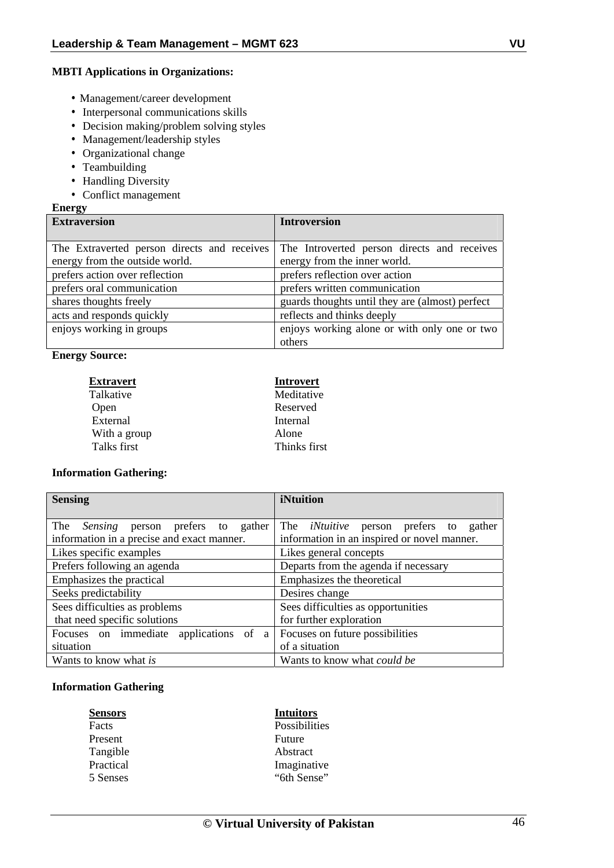#### **MBTI Applications in Organizations:**

- Management/career development
- Interpersonal communications skills
- Decision making/problem solving styles
- Management/leadership styles
- Organizational change
- Teambuilding
- Handling Diversity
- Conflict management

#### **Energy**

| ິ<br><b>Extraversion</b>                    | <b>Introversion</b>                             |
|---------------------------------------------|-------------------------------------------------|
|                                             |                                                 |
| The Extraverted person directs and receives | The Introverted person directs and receives     |
| energy from the outside world.              | energy from the inner world.                    |
| prefers action over reflection              | prefers reflection over action                  |
| prefers oral communication                  | prefers written communication                   |
| shares thoughts freely                      | guards thoughts until they are (almost) perfect |
| acts and responds quickly                   | reflects and thinks deeply                      |
| enjoys working in groups                    | enjoys working alone or with only one or two    |
|                                             | others                                          |

#### **Energy Source:**

| <b>Extravert</b> | <b>Introvert</b> |
|------------------|------------------|
| Talkative        | Meditative       |
| Open             | Reserved         |
| External         | Internal         |
| With a group     | Alone            |
| Talks first      | Thinks first     |

#### **Information Gathering:**

| <b>Sensing</b>                                 | iNtuition                                        |
|------------------------------------------------|--------------------------------------------------|
|                                                |                                                  |
| The<br><i>Sensing</i> person prefers to gather | The <i>iNtuitive</i> person prefers to<br>gather |
| information in a precise and exact manner.     | information in an inspired or novel manner.      |
| Likes specific examples                        | Likes general concepts                           |
| Prefers following an agenda                    | Departs from the agenda if necessary             |
| Emphasizes the practical                       | Emphasizes the theoretical                       |
| Seeks predictability                           | Desires change                                   |
| Sees difficulties as problems                  | Sees difficulties as opportunities               |
| that need specific solutions                   | for further exploration                          |
| Focuses on immediate applications of a         | Focuses on future possibilities                  |
| situation                                      | of a situation                                   |
| Wants to know what is                          | Wants to know what <i>could be</i>               |

#### **Information Gathering**

| <b>Sensors</b> |  |
|----------------|--|
| Facts          |  |
| Present        |  |
| Tangible       |  |
| Practical      |  |
| 5 Senses       |  |

## **Sensors Intuitors**

Possibilities Future Abstract Imaginative "6th Sense"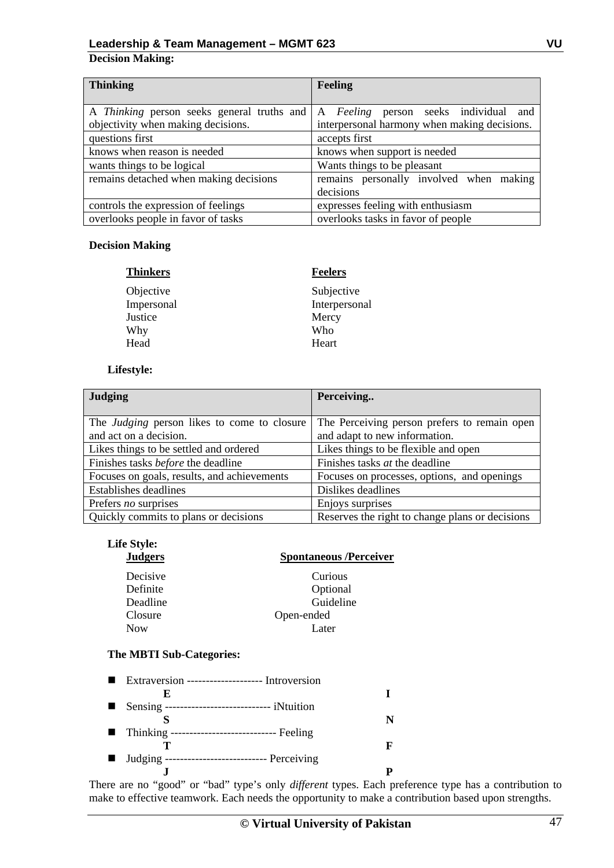## **Decision Making:**

| <b>Thinking</b>                        | <b>Feeling</b>                                                                   |
|----------------------------------------|----------------------------------------------------------------------------------|
|                                        |                                                                                  |
|                                        | A Thinking person seeks general truths and A Feeling person seeks individual and |
| objectivity when making decisions.     | interpersonal harmony when making decisions.                                     |
| questions first                        | accepts first                                                                    |
| knows when reason is needed            | knows when support is needed                                                     |
| wants things to be logical             | Wants things to be pleasant                                                      |
| remains detached when making decisions | remains personally involved when making                                          |
|                                        | decisions                                                                        |
| controls the expression of feelings    | expresses feeling with enthusiasm                                                |
| overlooks people in favor of tasks     | overlooks tasks in favor of people                                               |

#### **Decision Making**

| <b>Thinkers</b> | <b>Feelers</b> |
|-----------------|----------------|
| Objective       | Subjective     |
| Impersonal      | Interpersonal  |
| Justice         | Mercy          |
| Why             | Who            |
| Head            | Heart          |

## **Lifestyle:**

| <b>Judging</b>                                     | Perceiving                                      |
|----------------------------------------------------|-------------------------------------------------|
|                                                    |                                                 |
| The <i>Judging</i> person likes to come to closure | The Perceiving person prefers to remain open    |
| and act on a decision.                             | and adapt to new information.                   |
| Likes things to be settled and ordered             | Likes things to be flexible and open            |
| Finishes tasks before the deadline                 | Finishes tasks <i>at</i> the deadline           |
| Focuses on goals, results, and achievements        | Focuses on processes, options, and openings     |
| Establishes deadlines                              | Dislikes deadlines                              |
| Prefers no surprises                               | Enjoys surprises                                |
| Quickly commits to plans or decisions              | Reserves the right to change plans or decisions |

**Spontaneous /Perceiver** 

# **Life Style:**

| Decisive   | Curious    |
|------------|------------|
| Definite   | Optional   |
| Deadline   | Guideline  |
| Closure    | Open-ended |
| <b>Now</b> | Later      |

## **The MBTI Sub-Categories:**

|     | Extraversion -------------------- Introversion     |  |
|-----|----------------------------------------------------|--|
|     | К.                                                 |  |
| . . | Sensing ---------------------------- iNtuition     |  |
|     |                                                    |  |
|     | ■ Thinking ------------------------------- Feeling |  |
|     |                                                    |  |
|     | ■ Judging ----------------------------- Perceiving |  |
|     |                                                    |  |

There are no "good" or "bad" type's only *different* types. Each preference type has a contribution to make to effective teamwork. Each needs the opportunity to make a contribution based upon strengths.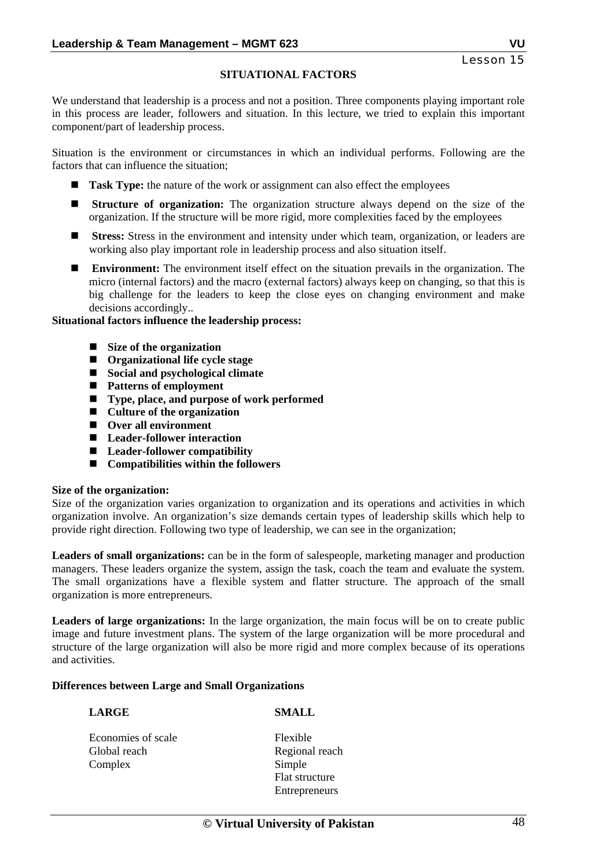## **SITUATIONAL FACTORS**

We understand that leadership is a process and not a position. Three components playing important role in this process are leader, followers and situation. In this lecture, we tried to explain this important component/part of leadership process.

Situation is the environment or circumstances in which an individual performs. Following are the factors that can influence the situation;

- **Task Type:** the nature of the work or assignment can also effect the employees
- **Structure of organization:** The organization structure always depend on the size of the organization. If the structure will be more rigid, more complexities faced by the employees
- **EXECUTE:** Stress: Stress in the environment and intensity under which team, organization, or leaders are working also play important role in leadership process and also situation itself.
- **E** Environment: The environment itself effect on the situation prevails in the organization. The micro (internal factors) and the macro (external factors) always keep on changing, so that this is big challenge for the leaders to keep the close eyes on changing environment and make decisions accordingly..

#### **Situational factors influence the leadership process:**

- Size of the organization
- **Organizational life cycle stage**
- Social and psychological climate
- Patterns of employment
- Type, place, and purpose of work performed
- Culture of the organization
- Over all environment
- Leader-follower interaction
- Leader-follower compatibility
- **Compatibilities within the followers**

#### **Size of the organization:**

Size of the organization varies organization to organization and its operations and activities in which organization involve. An organization's size demands certain types of leadership skills which help to provide right direction. Following two type of leadership, we can see in the organization;

**Leaders of small organizations:** can be in the form of salespeople, marketing manager and production managers. These leaders organize the system, assign the task, coach the team and evaluate the system. The small organizations have a flexible system and flatter structure. The approach of the small organization is more entrepreneurs.

**Leaders of large organizations:** In the large organization, the main focus will be on to create public image and future investment plans. The system of the large organization will be more procedural and structure of the large organization will also be more rigid and more complex because of its operations and activities.

#### **Differences between Large and Small Organizations**

#### **LARGE SMALL**

- Economies of scale Flexible Global reach Regional reach Complex Simple
	- Flat structure **Entrepreneurs**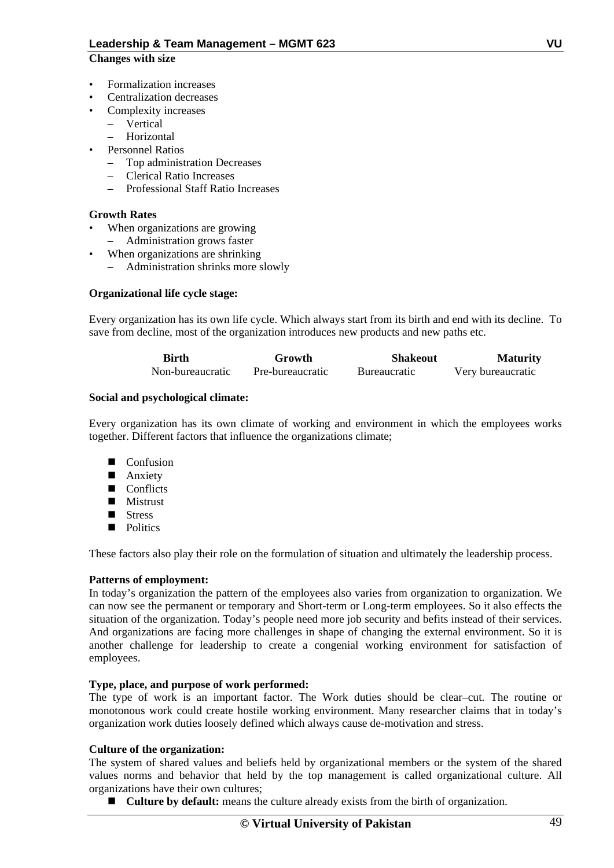#### **Changes with size**

- Formalization increases
- Centralization decreases
- Complexity increases
	- Vertical
	- Horizontal
- Personnel Ratios
	- Top administration Decreases
	- Clerical Ratio Increases
	- Professional Staff Ratio Increases

#### **Growth Rates**

- When organizations are growing
	- Administration grows faster
- When organizations are shrinking
	- Administration shrinks more slowly

#### **Organizational life cycle stage:**

Every organization has its own life cycle. Which always start from its birth and end with its decline. To save from decline, most of the organization introduces new products and new paths etc.

| <b>Birth</b>     | Growth           | <b>Shakeout</b>     | <b>Maturity</b>   |
|------------------|------------------|---------------------|-------------------|
| Non-bureaucratic | Pre-bureaucratic | <b>Bureaucratic</b> | Very bureaucratic |

#### **Social and psychological climate:**

Every organization has its own climate of working and environment in which the employees works together. Different factors that influence the organizations climate;

- Confusion
- **Anxiety**
- Conflicts
- **Mistrust**
- $\blacksquare$  Stress
- **Politics**

These factors also play their role on the formulation of situation and ultimately the leadership process.

## **Patterns of employment:**

In today's organization the pattern of the employees also varies from organization to organization. We can now see the permanent or temporary and Short-term or Long-term employees. So it also effects the situation of the organization. Today's people need more job security and befits instead of their services. And organizations are facing more challenges in shape of changing the external environment. So it is another challenge for leadership to create a congenial working environment for satisfaction of employees.

#### **Type, place, and purpose of work performed:**

The type of work is an important factor. The Work duties should be clear–cut. The routine or monotonous work could create hostile working environment. Many researcher claims that in today's organization work duties loosely defined which always cause de-motivation and stress.

#### **Culture of the organization:**

The system of shared values and beliefs held by organizational members or the system of the shared values norms and behavior that held by the top management is called organizational culture. All organizations have their own cultures;

■ **Culture by default:** means the culture already exists from the birth of organization.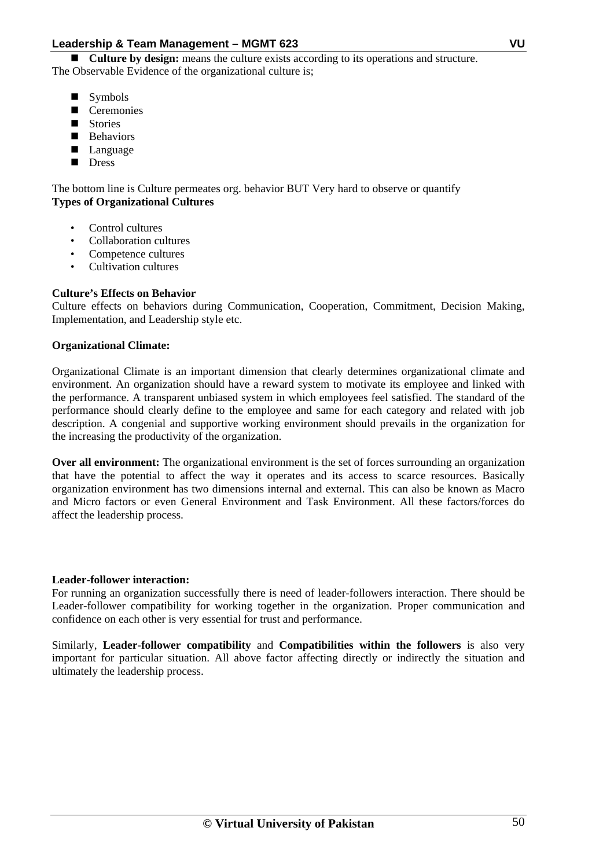**Culture by design:** means the culture exists according to its operations and structure. The Observable Evidence of the organizational culture is;

- Symbols
- Ceremonies
- Stories
- **B** Behaviors
- **Language**
- Dress

The bottom line is Culture permeates org. behavior BUT Very hard to observe or quantify **Types of Organizational Cultures** 

- Control cultures
- Collaboration cultures
- Competence cultures
- Cultivation cultures

## **Culture's Effects on Behavior**

Culture effects on behaviors during Communication, Cooperation, Commitment, Decision Making, Implementation, and Leadership style etc.

## **Organizational Climate:**

Organizational Climate is an important dimension that clearly determines organizational climate and environment. An organization should have a reward system to motivate its employee and linked with the performance. A transparent unbiased system in which employees feel satisfied. The standard of the performance should clearly define to the employee and same for each category and related with job description. A congenial and supportive working environment should prevails in the organization for the increasing the productivity of the organization.

**Over all environment:** The organizational environment is the set of forces surrounding an organization that have the potential to affect the way it operates and its access to scarce resources. Basically organization environment has two dimensions internal and external. This can also be known as Macro and Micro factors or even General Environment and Task Environment. All these factors/forces do affect the leadership process.

## **Leader-follower interaction:**

For running an organization successfully there is need of leader-followers interaction. There should be Leader-follower compatibility for working together in the organization. Proper communication and confidence on each other is very essential for trust and performance.

Similarly, **Leader-follower compatibility** and **Compatibilities within the followers** is also very important for particular situation. All above factor affecting directly or indirectly the situation and ultimately the leadership process.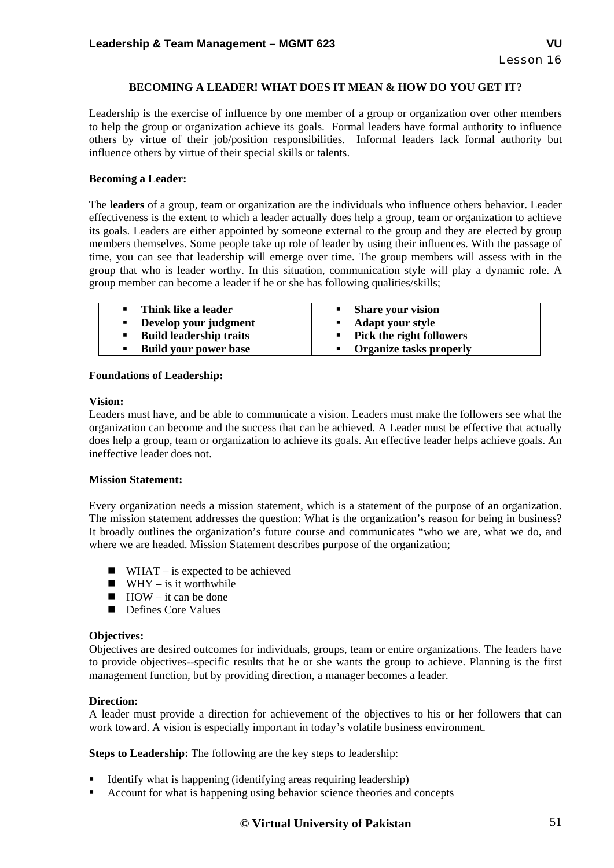## **BECOMING A LEADER! WHAT DOES IT MEAN & HOW DO YOU GET IT?**

Leadership is the exercise of influence by one member of a group or organization over other members to help the group or organization achieve its goals. Formal leaders have formal authority to influence others by virtue of their job/position responsibilities. Informal leaders lack formal authority but influence others by virtue of their special skills or talents.

#### **Becoming a Leader:**

The **leaders** of a group, team or organization are the individuals who influence others behavior. Leader effectiveness is the extent to which a leader actually does help a group, team or organization to achieve its goals. Leaders are either appointed by someone external to the group and they are elected by group members themselves. Some people take up role of leader by using their influences. With the passage of time, you can see that leadership will emerge over time. The group members will assess with in the group that who is leader worthy. In this situation, communication style will play a dynamic role. A group member can become a leader if he or she has following qualities/skills;

| • Think like a leader             | • Share your vision                        |
|-----------------------------------|--------------------------------------------|
| Develop your judgment             | <b>Adapt your style</b><br><b>Contract</b> |
| <b>Build leadership traits</b>    | • Pick the right followers                 |
| <b>Build your power base</b><br>٠ | • Organize tasks properly                  |

#### **Foundations of Leadership:**

#### **Vision:**

Leaders must have, and be able to communicate a vision. Leaders must make the followers see what the organization can become and the success that can be achieved. A Leader must be effective that actually does help a group, team or organization to achieve its goals. An effective leader helps achieve goals. An ineffective leader does not.

#### **Mission Statement:**

Every organization needs a mission statement, which is a statement of the purpose of an organization. The mission statement addresses the question: What is the organization's reason for being in business? It broadly outlines the organization's future course and communicates "who we are, what we do, and where we are headed. Mission Statement describes purpose of the organization;

- $\blacksquare$  WHAT is expected to be achieved
- $\blacksquare$  WHY is it worthwhile
- $HOW it$  can be done
- Defines Core Values

#### **Objectives:**

Objectives are desired outcomes for individuals, groups, team or entire organizations. The leaders have to provide objectives--specific results that he or she wants the group to achieve. Planning is the first management function, but by providing direction, a manager becomes a leader.

#### **Direction:**

A leader must provide a direction for achievement of the objectives to his or her followers that can work toward. A vision is especially important in today's volatile business environment.

**Steps to Leadership:** The following are the key steps to leadership:

- Identify what is happening (identifying areas requiring leadership)
- Account for what is happening using behavior science theories and concepts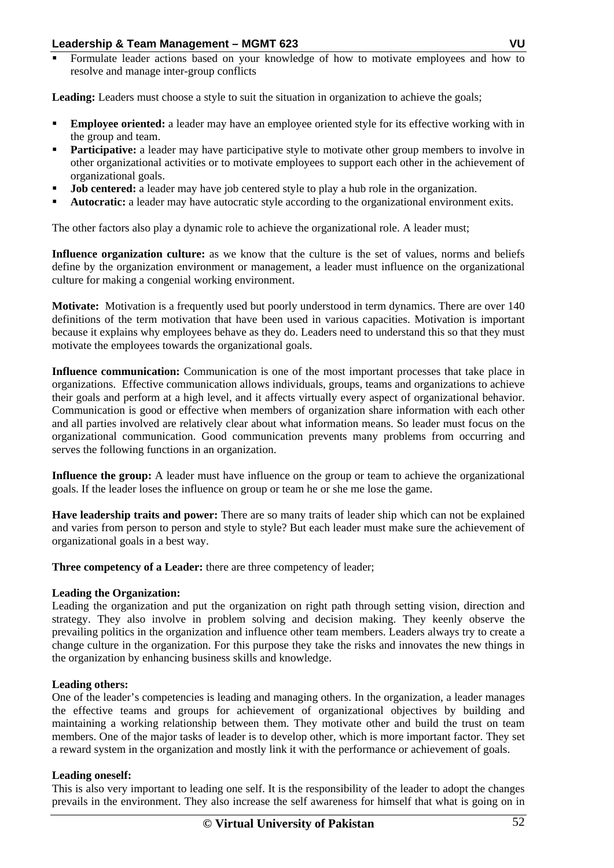Formulate leader actions based on your knowledge of how to motivate employees and how to resolve and manage inter-group conflicts

Leading: Leaders must choose a style to suit the situation in organization to achieve the goals;

- **Employee oriented:** a leader may have an employee oriented style for its effective working with in the group and team.
- **Participative:** a leader may have participative style to motivate other group members to involve in other organizational activities or to motivate employees to support each other in the achievement of organizational goals.
- **Job centered:** a leader may have job centered style to play a hub role in the organization.
- **Autocratic:** a leader may have autocratic style according to the organizational environment exits.

The other factors also play a dynamic role to achieve the organizational role. A leader must;

Influence organization culture: as we know that the culture is the set of values, norms and beliefs define by the organization environment or management, a leader must influence on the organizational culture for making a congenial working environment.

**Motivate:** Motivation is a frequently used but poorly understood in term dynamics. There are over 140 definitions of the term motivation that have been used in various capacities. Motivation is important because it explains why employees behave as they do. Leaders need to understand this so that they must motivate the employees towards the organizational goals.

**Influence communication:** Communication is one of the most important processes that take place in organizations. Effective communication allows individuals, groups, teams and organizations to achieve their goals and perform at a high level, and it affects virtually every aspect of organizational behavior. Communication is good or effective when members of organization share information with each other and all parties involved are relatively clear about what information means. So leader must focus on the organizational communication. Good communication prevents many problems from occurring and serves the following functions in an organization.

**Influence the group:** A leader must have influence on the group or team to achieve the organizational goals. If the leader loses the influence on group or team he or she me lose the game.

**Have leadership traits and power:** There are so many traits of leader ship which can not be explained and varies from person to person and style to style? But each leader must make sure the achievement of organizational goals in a best way.

**Three competency of a Leader:** there are three competency of leader;

## **Leading the Organization:**

Leading the organization and put the organization on right path through setting vision, direction and strategy. They also involve in problem solving and decision making. They keenly observe the prevailing politics in the organization and influence other team members. Leaders always try to create a change culture in the organization. For this purpose they take the risks and innovates the new things in the organization by enhancing business skills and knowledge.

#### **Leading others:**

One of the leader's competencies is leading and managing others. In the organization, a leader manages the effective teams and groups for achievement of organizational objectives by building and maintaining a working relationship between them. They motivate other and build the trust on team members. One of the major tasks of leader is to develop other, which is more important factor. They set a reward system in the organization and mostly link it with the performance or achievement of goals.

#### **Leading oneself:**

This is also very important to leading one self. It is the responsibility of the leader to adopt the changes prevails in the environment. They also increase the self awareness for himself that what is going on in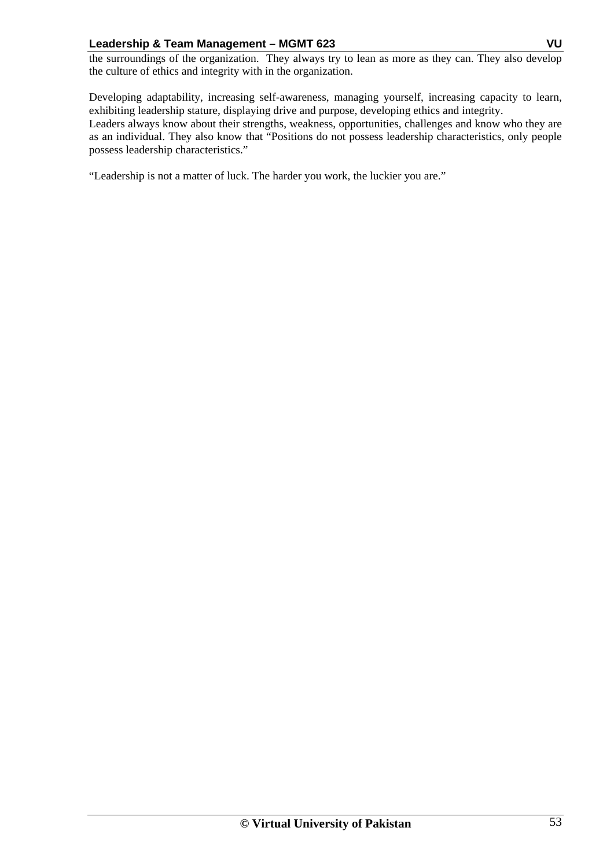the surroundings of the organization. They always try to lean as more as they can. They also develop the culture of ethics and integrity with in the organization.

Developing adaptability, increasing self-awareness, managing yourself, increasing capacity to learn, exhibiting leadership stature, displaying drive and purpose, developing ethics and integrity.

Leaders always know about their strengths, weakness, opportunities, challenges and know who they are as an individual. They also know that "Positions do not possess leadership characteristics, only people possess leadership characteristics."

"Leadership is not a matter of luck. The harder you work, the luckier you are."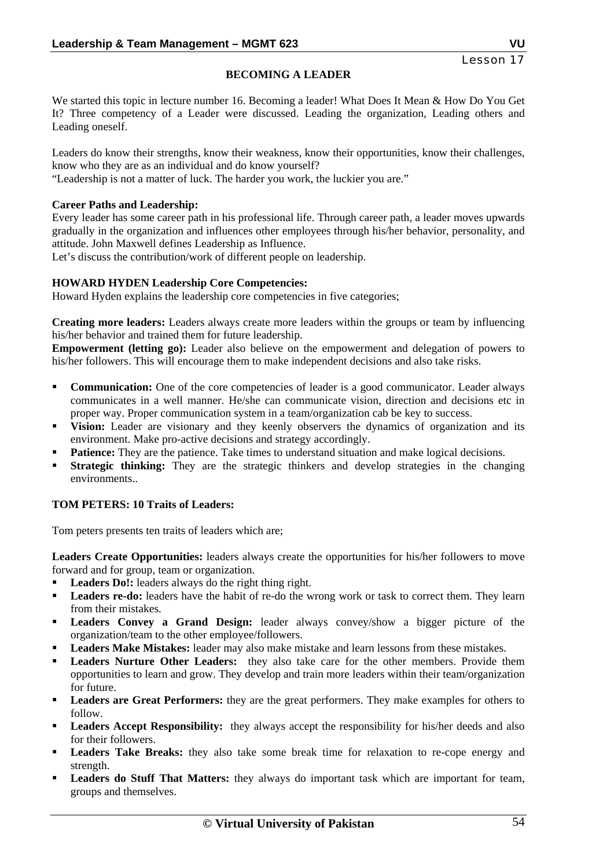## **BECOMING A LEADER**

We started this topic in lecture number 16. Becoming a leader! What Does It Mean & How Do You Get It? Three competency of a Leader were discussed. Leading the organization, Leading others and Leading oneself.

Leaders do know their strengths, know their weakness, know their opportunities, know their challenges, know who they are as an individual and do know yourself?

"Leadership is not a matter of luck. The harder you work, the luckier you are."

## **Career Paths and Leadership:**

Every leader has some career path in his professional life. Through career path, a leader moves upwards gradually in the organization and influences other employees through his/her behavior, personality, and attitude. John Maxwell defines Leadership as Influence.

Let's discuss the contribution/work of different people on leadership.

#### **HOWARD HYDEN Leadership Core Competencies:**

Howard Hyden explains the leadership core competencies in five categories;

**Creating more leaders:** Leaders always create more leaders within the groups or team by influencing his/her behavior and trained them for future leadership.

**Empowerment (letting go):** Leader also believe on the empowerment and delegation of powers to his/her followers. This will encourage them to make independent decisions and also take risks.

- **Communication:** One of the core competencies of leader is a good communicator. Leader always communicates in a well manner. He/she can communicate vision, direction and decisions etc in proper way. Proper communication system in a team/organization cab be key to success.
- **Vision:** Leader are visionary and they keenly observers the dynamics of organization and its environment. Make pro-active decisions and strategy accordingly.
- **Patience:** They are the patience. Take times to understand situation and make logical decisions.
- **Strategic thinking:** They are the strategic thinkers and develop strategies in the changing environments..

## **TOM PETERS: 10 Traits of Leaders:**

Tom peters presents ten traits of leaders which are;

**Leaders Create Opportunities:** leaders always create the opportunities for his/her followers to move forward and for group, team or organization.

- Leaders Do!: leaders always do the right thing right.
- Leaders re-do: leaders have the habit of re-do the wrong work or task to correct them. They learn from their mistakes.
- **Leaders Convey a Grand Design:** leader always convey/show a bigger picture of the organization/team to the other employee/followers.
- Leaders Make Mistakes: leader may also make mistake and learn lessons from these mistakes.
- **Leaders Nurture Other Leaders:** they also take care for the other members. Provide them opportunities to learn and grow. They develop and train more leaders within their team/organization for future.
- **Leaders are Great Performers:** they are the great performers. They make examples for others to follow.
- Leaders Accept Responsibility: they always accept the responsibility for his/her deeds and also for their followers.
- Leaders Take Breaks: they also take some break time for relaxation to re-cope energy and strength.
- **Leaders do Stuff That Matters:** they always do important task which are important for team, groups and themselves.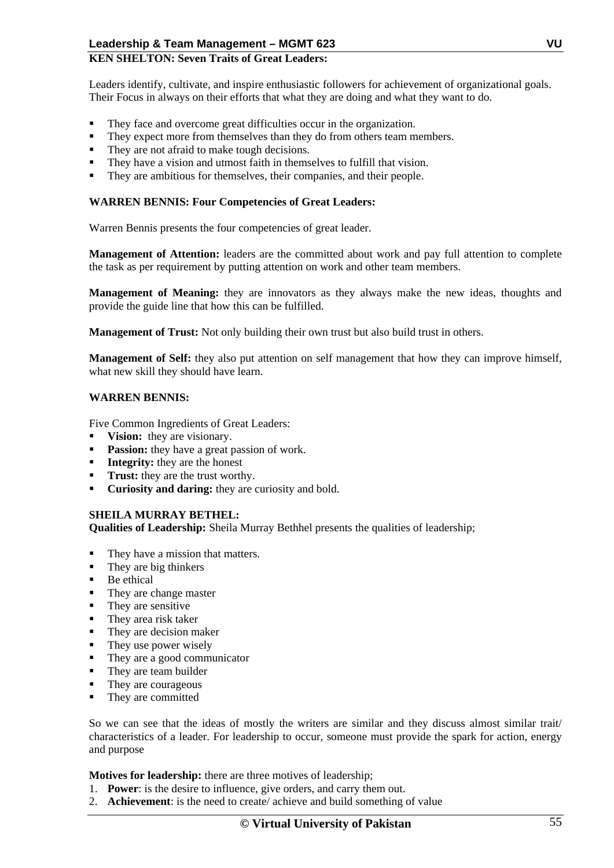## **KEN SHELTON: Seven Traits of Great Leaders:**

Leaders identify, cultivate, and inspire enthusiastic followers for achievement of organizational goals. Their Focus in always on their efforts that what they are doing and what they want to do.

- They face and overcome great difficulties occur in the organization.
- They expect more from themselves than they do from others team members.
- They are not afraid to make tough decisions.
- They have a vision and utmost faith in themselves to fulfill that vision.
- They are ambitious for themselves, their companies, and their people.

#### **WARREN BENNIS: Four Competencies of Great Leaders:**

Warren Bennis presents the four competencies of great leader.

**Management of Attention:** leaders are the committed about work and pay full attention to complete the task as per requirement by putting attention on work and other team members.

**Management of Meaning:** they are innovators as they always make the new ideas, thoughts and provide the guide line that how this can be fulfilled.

**Management of Trust:** Not only building their own trust but also build trust in others.

**Management of Self:** they also put attention on self management that how they can improve himself. what new skill they should have learn.

#### **WARREN BENNIS:**

Five Common Ingredients of Great Leaders:

- **Vision:** they are visionary.
- **Passion:** they have a great passion of work.
- **Integrity:** they are the honest
- **Trust:** they are the trust worthy.
- **Curiosity and daring:** they are curiosity and bold.

## **SHEILA MURRAY BETHEL:**

**Qualities of Leadership:** Sheila Murray Bethhel presents the qualities of leadership;

- They have a mission that matters.
- They are big thinkers
- Be ethical
- They are change master
- They are sensitive
- They area risk taker
- They are decision maker
- $\blacksquare$  They use power wisely
- They are a good communicator
- They are team builder
- They are courageous
- They are committed

So we can see that the ideas of mostly the writers are similar and they discuss almost similar trait/ characteristics of a leader. For leadership to occur, someone must provide the spark for action, energy and purpose

**Motives for leadership:** there are three motives of leadership;

- 1. **Power**: is the desire to influence, give orders, and carry them out.
- 2. **Achievement**: is the need to create/ achieve and build something of value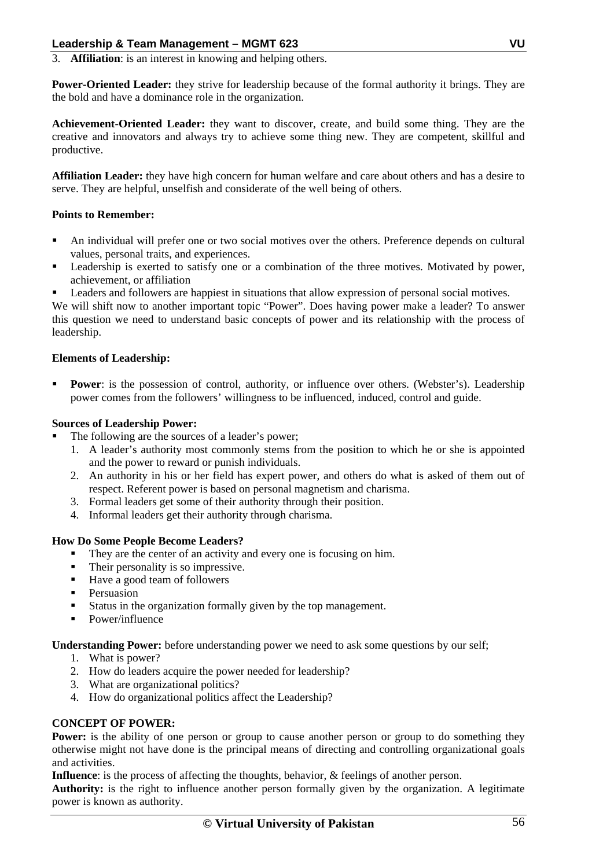3. **Affiliation**: is an interest in knowing and helping others.

**Power-Oriented Leader:** they strive for leadership because of the formal authority it brings. They are the bold and have a dominance role in the organization.

**Achievement-Oriented Leader:** they want to discover, create, and build some thing. They are the creative and innovators and always try to achieve some thing new. They are competent, skillful and productive.

**Affiliation Leader:** they have high concern for human welfare and care about others and has a desire to serve. They are helpful, unselfish and considerate of the well being of others.

## **Points to Remember:**

- An individual will prefer one or two social motives over the others. Preference depends on cultural values, personal traits, and experiences.
- Leadership is exerted to satisfy one or a combination of the three motives. Motivated by power, achievement, or affiliation
- Leaders and followers are happiest in situations that allow expression of personal social motives.

We will shift now to another important topic "Power". Does having power make a leader? To answer this question we need to understand basic concepts of power and its relationship with the process of leadership.

## **Elements of Leadership:**

**Power**: is the possession of control, authority, or influence over others. (Webster's). Leadership power comes from the followers' willingness to be influenced, induced, control and guide.

## **Sources of Leadership Power:**

- The following are the sources of a leader's power;
	- 1. A leader's authority most commonly stems from the position to which he or she is appointed and the power to reward or punish individuals.
	- 2. An authority in his or her field has expert power, and others do what is asked of them out of respect. Referent power is based on personal magnetism and charisma.
	- 3. Formal leaders get some of their authority through their position.
	- 4. Informal leaders get their authority through charisma.

## **How Do Some People Become Leaders?**

- They are the center of an activity and every one is focusing on him.
- Their personality is so impressive.
- Have a good team of followers
- **Persuasion**
- Status in the organization formally given by the top management.
- Power/influence

**Understanding Power:** before understanding power we need to ask some questions by our self;

- 1. What is power?
- 2. How do leaders acquire the power needed for leadership?
- 3. What are organizational politics?
- 4. How do organizational politics affect the Leadership?

## **CONCEPT OF POWER:**

**Power:** is the ability of one person or group to cause another person or group to do something they otherwise might not have done is the principal means of directing and controlling organizational goals and activities.

**Influence**: is the process of affecting the thoughts, behavior, & feelings of another person.

**Authority:** is the right to influence another person formally given by the organization. A legitimate power is known as authority.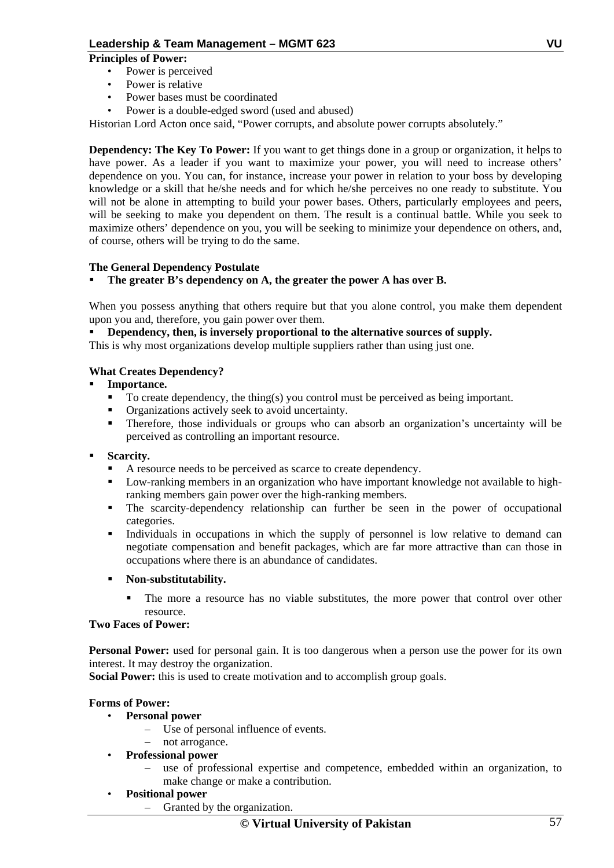## **Principles of Power:**

- Power is perceived
- Power is relative
- Power bases must be coordinated
- Power is a double-edged sword (used and abused)

Historian Lord Acton once said, "Power corrupts, and absolute power corrupts absolutely."

**Dependency: The Key To Power:** If you want to get things done in a group or organization, it helps to have power. As a leader if you want to maximize your power, you will need to increase others' dependence on you. You can, for instance, increase your power in relation to your boss by developing knowledge or a skill that he/she needs and for which he/she perceives no one ready to substitute. You will not be alone in attempting to build your power bases. Others, particularly employees and peers, will be seeking to make you dependent on them. The result is a continual battle. While you seek to maximize others' dependence on you, you will be seeking to minimize your dependence on others, and, of course, others will be trying to do the same.

## **The General Dependency Postulate**

## **The greater B's dependency on A, the greater the power A has over B.**

When you possess anything that others require but that you alone control, you make them dependent upon you and, therefore, you gain power over them.

#### **Dependency, then, is inversely proportional to the alternative sources of supply.**

This is why most organizations develop multiple suppliers rather than using just one.

## **What Creates Dependency?**

- **Importance.** 
	- $\blacksquare$  To create dependency, the thing(s) you control must be perceived as being important.
	- Organizations actively seek to avoid uncertainty.
	- Therefore, those individuals or groups who can absorb an organization's uncertainty will be perceived as controlling an important resource.

#### **Scarcity.**

- A resource needs to be perceived as scarce to create dependency.
- Low-ranking members in an organization who have important knowledge not available to highranking members gain power over the high-ranking members.
- The scarcity-dependency relationship can further be seen in the power of occupational categories.
- Individuals in occupations in which the supply of personnel is low relative to demand can negotiate compensation and benefit packages, which are far more attractive than can those in occupations where there is an abundance of candidates.

#### **Non-substitutability.**

 The more a resource has no viable substitutes, the more power that control over other resource.

#### **Two Faces of Power:**

**Personal Power:** used for personal gain. It is too dangerous when a person use the power for its own interest. It may destroy the organization.

**Social Power:** this is used to create motivation and to accomplish group goals.

## **Forms of Power:**

- **Personal power** 
	- Use of personal influence of events.
	- not arrogance.
- **Professional power** 
	- use of professional expertise and competence, embedded within an organization, to make change or make a contribution.
- **Positional power** 
	- Granted by the organization.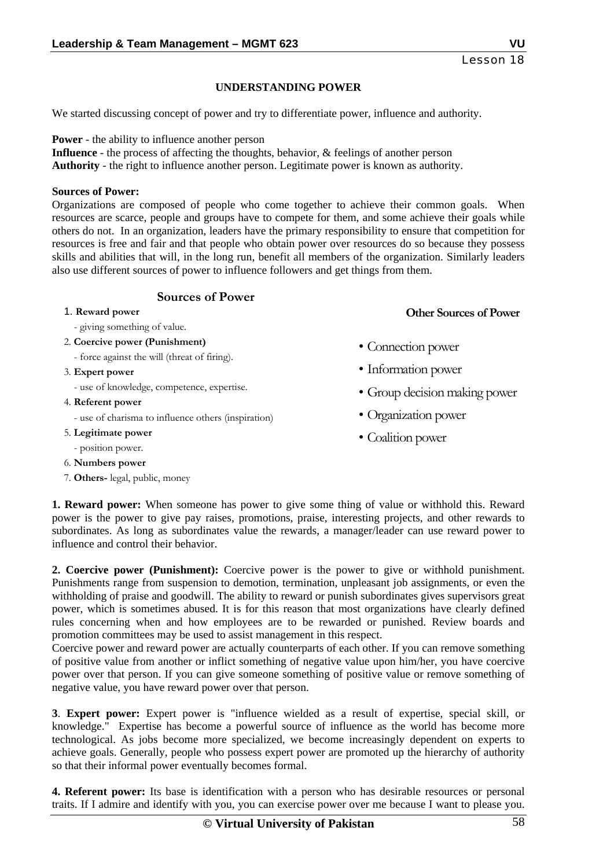## **UNDERSTANDING POWER**

We started discussing concept of power and try to differentiate power, influence and authority.

**Power** - the ability to influence another person **Influence** - the process of affecting the thoughts, behavior, & feelings of another person **Authority** - the right to influence another person. Legitimate power is known as authority.

#### **Sources of Power:**

Organizations are composed of people who come together to achieve their common goals. When resources are scarce, people and groups have to compete for them, and some achieve their goals while others do not. In an organization, leaders have the primary responsibility to ensure that competition for resources is free and fair and that people who obtain power over resources do so because they possess skills and abilities that will, in the long run, benefit all members of the organization. Similarly leaders also use different sources of power to influence followers and get things from them.

## **Sources of Power**

#### 1. **Reward power**

- giving something of value.
- 2. **Coercive power (Punishment)**
	- force against the will (threat of firing).
- 3. **Expert power**
	- use of knowledge, competence, expertise.
- 4. **Referent power**
	- use of charisma to influence others (inspiration)
- 5. **Legitimate power**
- position power.
- 6. **Numbers power**
- 7. **Others-** legal, public, money
- Connection power
- Information power
- Group decision making power

**Other Sources of Power**

- Organization power
- Coalition power

**1. Reward power:** When someone has power to give some thing of value or withhold this. Reward power is the power to give pay raises, promotions, praise, interesting projects, and other rewards to subordinates. As long as subordinates value the rewards, a manager/leader can use reward power to influence and control their behavior.

**2. Coercive power (Punishment):** Coercive power is the power to give or withhold punishment. Punishments range from suspension to demotion, termination, unpleasant job assignments, or even the withholding of praise and goodwill. The ability to reward or punish subordinates gives supervisors great power, which is sometimes abused. It is for this reason that most organizations have clearly defined rules concerning when and how employees are to be rewarded or punished. Review boards and promotion committees may be used to assist management in this respect.

Coercive power and reward power are actually counterparts of each other. If you can remove something of positive value from another or inflict something of negative value upon him/her, you have coercive power over that person. If you can give someone something of positive value or remove something of negative value, you have reward power over that person.

**3**. **Expert power:** Expert power is "influence wielded as a result of expertise, special skill, or knowledge." Expertise has become a powerful source of influence as the world has become more technological. As jobs become more specialized, we become increasingly dependent on experts to achieve goals. Generally, people who possess expert power are promoted up the hierarchy of authority so that their informal power eventually becomes formal.

**4. Referent power:** Its base is identification with a person who has desirable resources or personal traits. If I admire and identify with you, you can exercise power over me because I want to please you.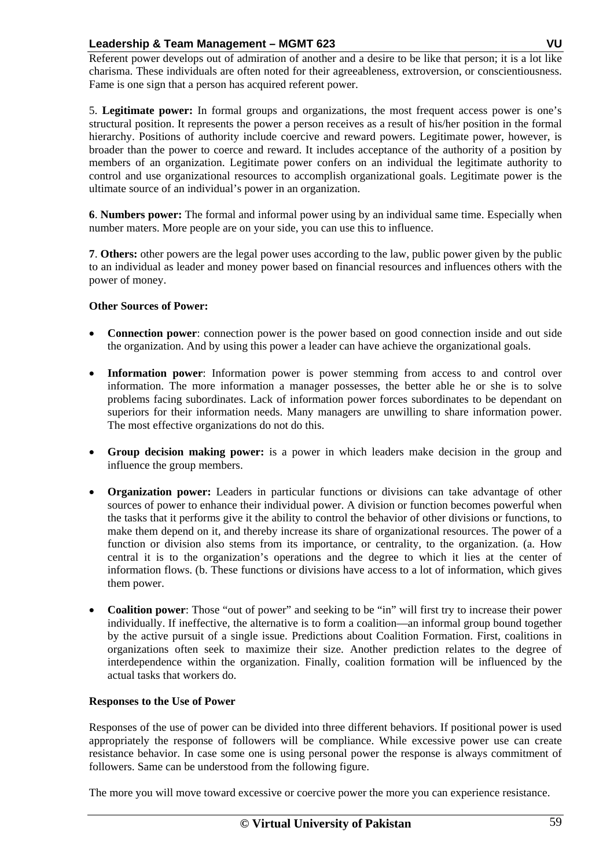Referent power develops out of admiration of another and a desire to be like that person; it is a lot like charisma. These individuals are often noted for their agreeableness, extroversion, or conscientiousness. Fame is one sign that a person has acquired referent power.

5. **Legitimate power:** In formal groups and organizations, the most frequent access power is one's structural position. It represents the power a person receives as a result of his/her position in the formal hierarchy. Positions of authority include coercive and reward powers. Legitimate power, however, is broader than the power to coerce and reward. It includes acceptance of the authority of a position by members of an organization. Legitimate power confers on an individual the legitimate authority to control and use organizational resources to accomplish organizational goals. Legitimate power is the ultimate source of an individual's power in an organization.

**6**. **Numbers power:** The formal and informal power using by an individual same time. Especially when number maters. More people are on your side, you can use this to influence.

**7**. **Others:** other powers are the legal power uses according to the law, public power given by the public to an individual as leader and money power based on financial resources and influences others with the power of money.

#### **Other Sources of Power:**

- **Connection power**: connection power is the power based on good connection inside and out side the organization. And by using this power a leader can have achieve the organizational goals.
- **Information power**: Information power is power stemming from access to and control over information. The more information a manager possesses, the better able he or she is to solve problems facing subordinates. Lack of information power forces subordinates to be dependant on superiors for their information needs. Many managers are unwilling to share information power. The most effective organizations do not do this.
- **Group decision making power:** is a power in which leaders make decision in the group and influence the group members.
- **Organization power:** Leaders in particular functions or divisions can take advantage of other sources of power to enhance their individual power. A division or function becomes powerful when the tasks that it performs give it the ability to control the behavior of other divisions or functions, to make them depend on it, and thereby increase its share of organizational resources. The power of a function or division also stems from its importance, or centrality, to the organization. (a. How central it is to the organization's operations and the degree to which it lies at the center of information flows. (b. These functions or divisions have access to a lot of information, which gives them power.
- **Coalition power**: Those "out of power" and seeking to be "in" will first try to increase their power individually. If ineffective, the alternative is to form a coalition—an informal group bound together by the active pursuit of a single issue. Predictions about Coalition Formation. First, coalitions in organizations often seek to maximize their size. Another prediction relates to the degree of interdependence within the organization. Finally, coalition formation will be influenced by the actual tasks that workers do.

#### **Responses to the Use of Power**

Responses of the use of power can be divided into three different behaviors. If positional power is used appropriately the response of followers will be compliance. While excessive power use can create resistance behavior. In case some one is using personal power the response is always commitment of followers. Same can be understood from the following figure.

The more you will move toward excessive or coercive power the more you can experience resistance.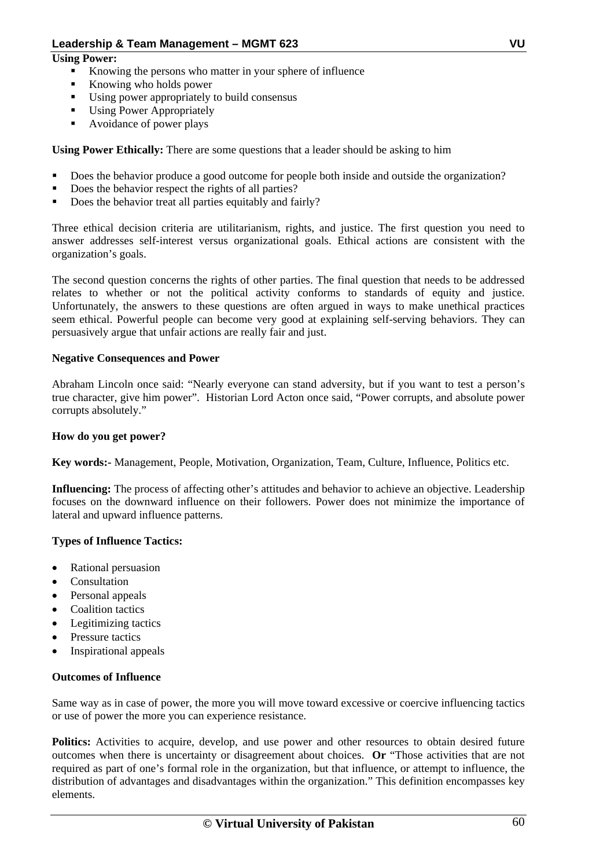## **Using Power:**

- Knowing the persons who matter in your sphere of influence
- Knowing who holds power
- Using power appropriately to build consensus
- Using Power Appropriately
- Avoidance of power plays

**Using Power Ethically:** There are some questions that a leader should be asking to him

- Does the behavior produce a good outcome for people both inside and outside the organization?
- Does the behavior respect the rights of all parties?
- Does the behavior treat all parties equitably and fairly?

Three ethical decision criteria are utilitarianism, rights, and justice. The first question you need to answer addresses self-interest versus organizational goals. Ethical actions are consistent with the organization's goals.

The second question concerns the rights of other parties. The final question that needs to be addressed relates to whether or not the political activity conforms to standards of equity and justice. Unfortunately, the answers to these questions are often argued in ways to make unethical practices seem ethical. Powerful people can become very good at explaining self-serving behaviors. They can persuasively argue that unfair actions are really fair and just.

#### **Negative Consequences and Power**

Abraham Lincoln once said: "Nearly everyone can stand adversity, but if you want to test a person's true character, give him power". Historian Lord Acton once said, "Power corrupts, and absolute power corrupts absolutely."

#### **How do you get power?**

**Key words:-** Management, People, Motivation, Organization, Team, Culture, Influence, Politics etc.

**Influencing:** The process of affecting other's attitudes and behavior to achieve an objective. Leadership focuses on the downward influence on their followers. Power does not minimize the importance of lateral and upward influence patterns.

## **Types of Influence Tactics:**

- Rational persuasion
- Consultation
- Personal appeals
- Coalition tactics
- Legitimizing tactics
- Pressure tactics
- Inspirational appeals

#### **Outcomes of Influence**

Same way as in case of power, the more you will move toward excessive or coercive influencing tactics or use of power the more you can experience resistance.

**Politics:** Activities to acquire, develop, and use power and other resources to obtain desired future outcomes when there is uncertainty or disagreement about choices. **Or** "Those activities that are not required as part of one's formal role in the organization, but that influence, or attempt to influence, the distribution of advantages and disadvantages within the organization." This definition encompasses key elements.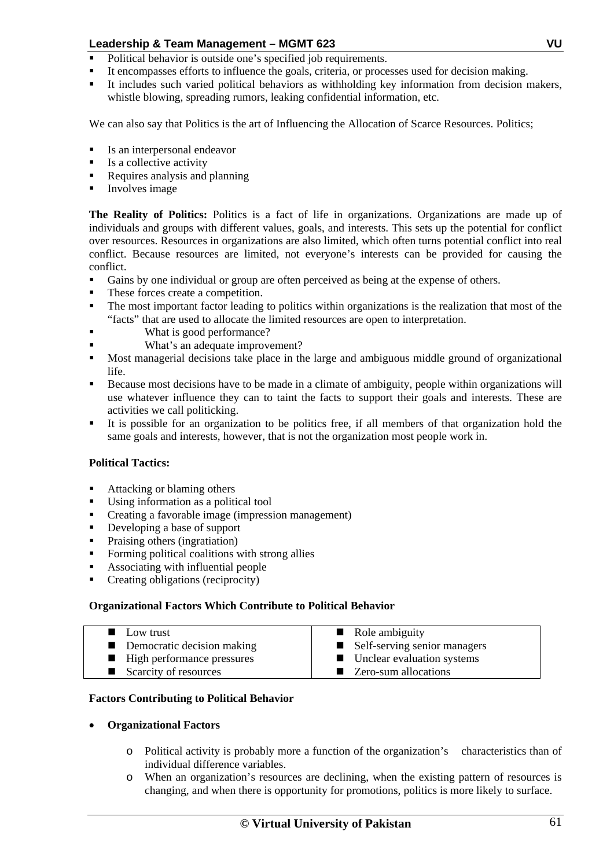- Political behavior is outside one's specified job requirements.
- It encompasses efforts to influence the goals, criteria, or processes used for decision making.
- It includes such varied political behaviors as withholding key information from decision makers, whistle blowing, spreading rumors, leaking confidential information, etc.

We can also say that Politics is the art of Influencing the Allocation of Scarce Resources. Politics;

- Is an interpersonal endeavor
- Is a collective activity
- Requires analysis and planning
- Involves image

**The Reality of Politics:** Politics is a fact of life in organizations. Organizations are made up of individuals and groups with different values, goals, and interests. This sets up the potential for conflict over resources. Resources in organizations are also limited, which often turns potential conflict into real conflict. Because resources are limited, not everyone's interests can be provided for causing the conflict.

- Gains by one individual or group are often perceived as being at the expense of others.
- These forces create a competition.
- The most important factor leading to politics within organizations is the realization that most of the "facts" that are used to allocate the limited resources are open to interpretation.
- What is good performance?
- What's an adequate improvement?
- Most managerial decisions take place in the large and ambiguous middle ground of organizational life.
- Because most decisions have to be made in a climate of ambiguity, people within organizations will use whatever influence they can to taint the facts to support their goals and interests. These are activities we call politicking.
- It is possible for an organization to be politics free, if all members of that organization hold the same goals and interests, however, that is not the organization most people work in.

## **Political Tactics:**

- Attacking or blaming others
- Using information as a political tool
- Creating a favorable image (impression management)
- Developing a base of support
- Praising others (ingratiation)
- Forming political coalitions with strong allies
- Associating with influential people
- Creating obligations (reciprocity)

## **Organizational Factors Which Contribute to Political Behavior**

| ■ Low trust                       | $\blacksquare$ Role ambiguity  |
|-----------------------------------|--------------------------------|
|                                   |                                |
| <b>Democratic decision making</b> | ■ Self-serving senior managers |
| ■ High performance pressures      | ■ Unclear evaluation systems   |
| Scarcity of resources             | ■ Zero-sum allocations         |

#### **Factors Contributing to Political Behavior**

- **Organizational Factors** 
	- o Political activity is probably more a function of the organization's characteristics than of individual difference variables.
	- o When an organization's resources are declining, when the existing pattern of resources is changing, and when there is opportunity for promotions, politics is more likely to surface.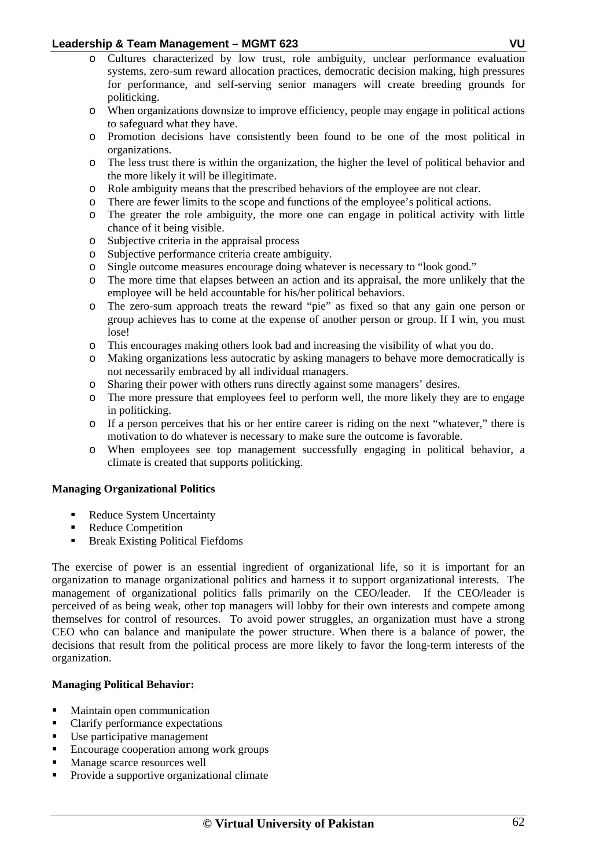- o Cultures characterized by low trust, role ambiguity, unclear performance evaluation systems, zero-sum reward allocation practices, democratic decision making, high pressures for performance, and self-serving senior managers will create breeding grounds for politicking.
- o When organizations downsize to improve efficiency, people may engage in political actions to safeguard what they have.
- o Promotion decisions have consistently been found to be one of the most political in organizations.
- o The less trust there is within the organization, the higher the level of political behavior and the more likely it will be illegitimate.
- o Role ambiguity means that the prescribed behaviors of the employee are not clear.
- o There are fewer limits to the scope and functions of the employee's political actions.
- o The greater the role ambiguity, the more one can engage in political activity with little chance of it being visible.
- o Subjective criteria in the appraisal process
- o Subjective performance criteria create ambiguity.
- o Single outcome measures encourage doing whatever is necessary to "look good."
- o The more time that elapses between an action and its appraisal, the more unlikely that the employee will be held accountable for his/her political behaviors.
- o The zero-sum approach treats the reward "pie" as fixed so that any gain one person or group achieves has to come at the expense of another person or group. If I win, you must lose!
- o This encourages making others look bad and increasing the visibility of what you do.
- o Making organizations less autocratic by asking managers to behave more democratically is not necessarily embraced by all individual managers.
- o Sharing their power with others runs directly against some managers' desires.
- o The more pressure that employees feel to perform well, the more likely they are to engage in politicking.
- o If a person perceives that his or her entire career is riding on the next "whatever," there is motivation to do whatever is necessary to make sure the outcome is favorable.
- o When employees see top management successfully engaging in political behavior, a climate is created that supports politicking.

## **Managing Organizational Politics**

- Reduce System Uncertainty
- Reduce Competition
- Break Existing Political Fiefdoms

The exercise of power is an essential ingredient of organizational life, so it is important for an organization to manage organizational politics and harness it to support organizational interests. The management of organizational politics falls primarily on the CEO/leader. If the CEO/leader is perceived of as being weak, other top managers will lobby for their own interests and compete among themselves for control of resources. To avoid power struggles, an organization must have a strong CEO who can balance and manipulate the power structure. When there is a balance of power, the decisions that result from the political process are more likely to favor the long-term interests of the organization.

## **Managing Political Behavior:**

- Maintain open communication
- Clarify performance expectations
- Use participative management
- Encourage cooperation among work groups
- Manage scarce resources well
- Provide a supportive organizational climate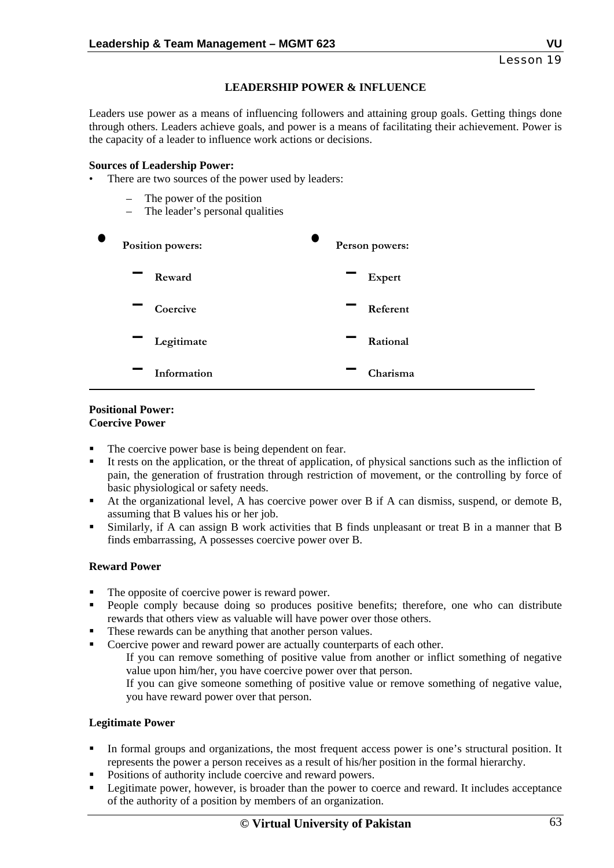## **LEADERSHIP POWER & INFLUENCE**

Leaders use power as a means of influencing followers and attaining group goals. Getting things done through others. Leaders achieve goals, and power is a means of facilitating their achievement. Power is the capacity of a leader to influence work actions or decisions.

#### **Sources of Leadership Power:**

- There are two sources of the power used by leaders:
	- The power of the position
	- The leader's personal qualities



#### **Positional Power: Coercive Power**

- The coercive power base is being dependent on fear.
- It rests on the application, or the threat of application, of physical sanctions such as the infliction of pain, the generation of frustration through restriction of movement, or the controlling by force of basic physiological or safety needs.
- At the organizational level, A has coercive power over B if A can dismiss, suspend, or demote B, assuming that B values his or her job.
- Similarly, if A can assign B work activities that B finds unpleasant or treat B in a manner that B finds embarrassing, A possesses coercive power over B.

## **Reward Power**

- The opposite of coercive power is reward power.
- People comply because doing so produces positive benefits; therefore, one who can distribute rewards that others view as valuable will have power over those others.
- These rewards can be anything that another person values.
- Coercive power and reward power are actually counterparts of each other.

If you can remove something of positive value from another or inflict something of negative value upon him/her, you have coercive power over that person.

If you can give someone something of positive value or remove something of negative value, you have reward power over that person.

## **Legitimate Power**

- In formal groups and organizations, the most frequent access power is one's structural position. It represents the power a person receives as a result of his/her position in the formal hierarchy.
- Positions of authority include coercive and reward powers.
- Legitimate power, however, is broader than the power to coerce and reward. It includes acceptance of the authority of a position by members of an organization.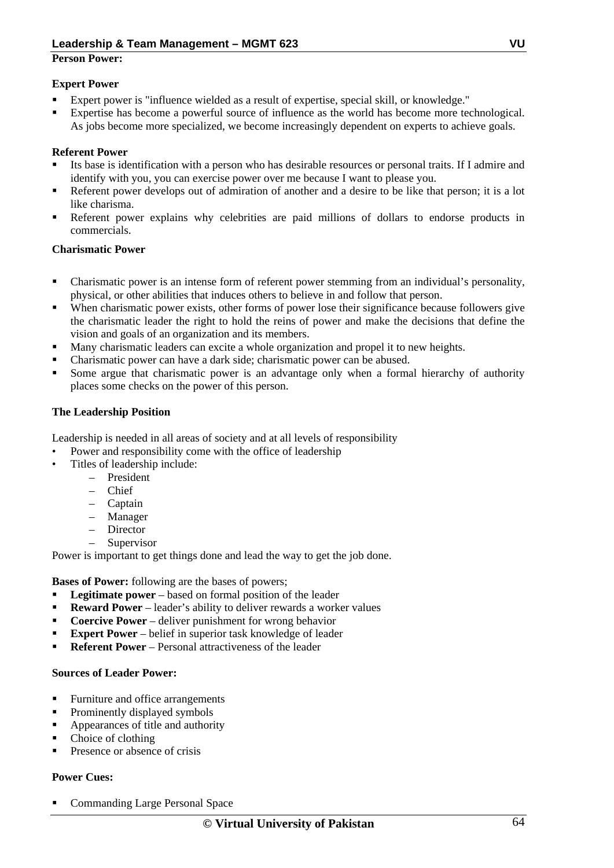## **Person Power:**

## **Expert Power**

- Expert power is "influence wielded as a result of expertise, special skill, or knowledge."
- Expertise has become a powerful source of influence as the world has become more technological. As jobs become more specialized, we become increasingly dependent on experts to achieve goals.

## **Referent Power**

- Its base is identification with a person who has desirable resources or personal traits. If I admire and identify with you, you can exercise power over me because I want to please you.
- Referent power develops out of admiration of another and a desire to be like that person; it is a lot like charisma.
- Referent power explains why celebrities are paid millions of dollars to endorse products in commercials.

## **Charismatic Power**

- Charismatic power is an intense form of referent power stemming from an individual's personality, physical, or other abilities that induces others to believe in and follow that person.
- When charismatic power exists, other forms of power lose their significance because followers give the charismatic leader the right to hold the reins of power and make the decisions that define the vision and goals of an organization and its members.
- Many charismatic leaders can excite a whole organization and propel it to new heights.
- Charismatic power can have a dark side; charismatic power can be abused.
- Some argue that charismatic power is an advantage only when a formal hierarchy of authority places some checks on the power of this person.

## **The Leadership Position**

Leadership is needed in all areas of society and at all levels of responsibility

- Power and responsibility come with the office of leadership
- Titles of leadership include:
	- President
	- Chief
	- Captain
	- Manager
	- Director
	- **Supervisor**

Power is important to get things done and lead the way to get the job done.

**Bases of Power:** following are the bases of powers;

- **Legitimate power** based on formal position of the leader
- **Reward Power** leader's ability to deliver rewards a worker values
- **Coercive Power** deliver punishment for wrong behavior
- **Expert Power** belief in superior task knowledge of leader
- **Referent Power** Personal attractiveness of the leader

## **Sources of Leader Power:**

- Furniture and office arrangements
- Prominently displayed symbols
- **Appearances of title and authority**
- Choice of clothing
- Presence or absence of crisis

## **Power Cues:**

Commanding Large Personal Space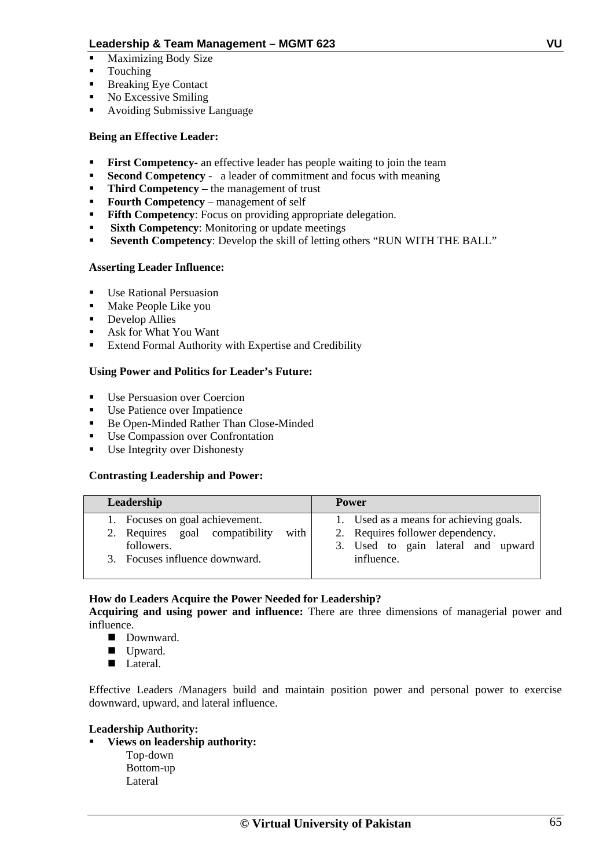- Maximizing Body Size
- **Touching**
- Breaking Eye Contact
- No Excessive Smiling
- Avoiding Submissive Language

## **Being an Effective Leader:**

- **First Competency-** an effective leader has people waiting to join the team
- **Second Competency** a leader of commitment and focus with meaning
- **Third Competency** the management of trust
- **Fourth Competency** management of self
- **Fifth Competency**: Focus on providing appropriate delegation.
- **Sixth Competency:** Monitoring or update meetings
- **Seventh Competency**: Develop the skill of letting others "RUN WITH THE BALL"

#### **Asserting Leader Influence:**

- Use Rational Persuasion
- **Make People Like you**
- **•** Develop Allies
- Ask for What You Want
- **Extend Formal Authority with Expertise and Credibility**

#### **Using Power and Politics for Leader's Future:**

- $\blacksquare$  Use Persuasion over Coercion
- Use Patience over Impatience
- Be Open-Minded Rather Than Close-Minded
- Use Compassion over Confrontation
- Use Integrity over Dishonesty

#### **Contrasting Leadership and Power:**

| Leadership                                                                                                                | <b>Power</b>                                                                                                                    |
|---------------------------------------------------------------------------------------------------------------------------|---------------------------------------------------------------------------------------------------------------------------------|
| 1. Focuses on goal achievement.<br>2. Requires goal compatibility<br>with<br>followers.<br>3. Focuses influence downward. | 1. Used as a means for achieving goals.<br>2. Requires follower dependency.<br>3. Used to gain lateral and upward<br>influence. |

## **How do Leaders Acquire the Power Needed for Leadership?**

**Acquiring and using power and influence:** There are three dimensions of managerial power and influence.

- Downward.
- Upward.
- Lateral.

Effective Leaders /Managers build and maintain position power and personal power to exercise downward, upward, and lateral influence.

#### **Leadership Authority:**

- **Views on leadership authority:** 
	- Top-down Bottom-up Lateral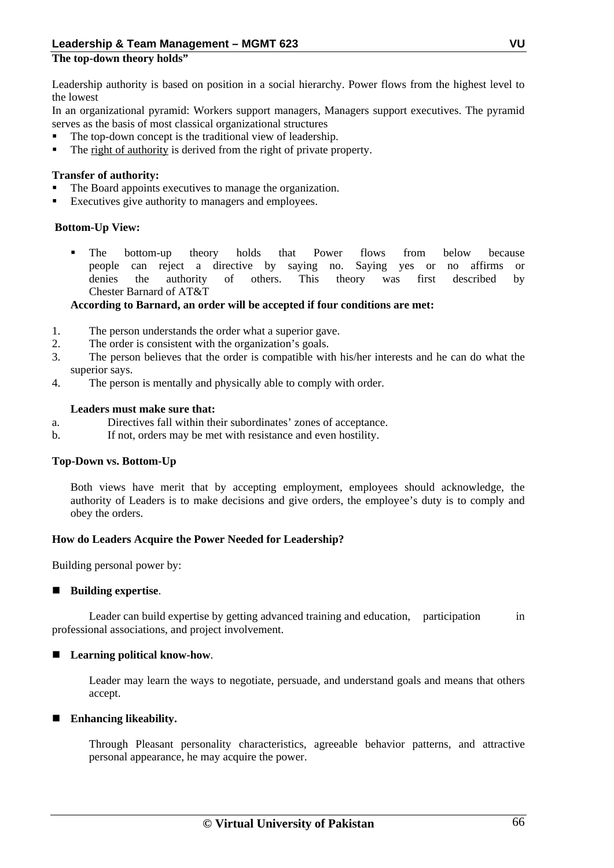## **The top-down theory holds"**

Leadership authority is based on position in a social hierarchy. Power flows from the highest level to the lowest

In an organizational pyramid: Workers support managers, Managers support executives. The pyramid serves as the basis of most classical organizational structures

- The top-down concept is the traditional view of leadership.
- The right of authority is derived from the right of private property.

## **Transfer of authority:**

- The Board appoints executives to manage the organization.
- Executives give authority to managers and employees.

## **Bottom-Up View:**

 The bottom-up theory holds that Power flows from below because people can reject a directive by saying no. Saying yes or no affirms or denies the authority of others. This theory was first described by Chester Barnard of AT&T

#### **According to Barnard, an order will be accepted if four conditions are met:**

- 1. The person understands the order what a superior gave.
- 2. The order is consistent with the organization's goals.
- 3. The person believes that the order is compatible with his/her interests and he can do what the superior says.
- 4. The person is mentally and physically able to comply with order.

#### **Leaders must make sure that:**

- a. Directives fall within their subordinates' zones of acceptance.
- b. If not, orders may be met with resistance and even hostility.

## **Top-Down vs. Bottom-Up**

Both views have merit that by accepting employment, employees should acknowledge, the authority of Leaders is to make decisions and give orders, the employee's duty is to comply and obey the orders.

## **How do Leaders Acquire the Power Needed for Leadership?**

Building personal power by:

## ■ Building expertise.

Leader can build expertise by getting advanced training and education, participation in professional associations, and project involvement.

#### ■ Learning political know-how.

Leader may learn the ways to negotiate, persuade, and understand goals and means that others accept.

#### **Enhancing likeability.**

Through Pleasant personality characteristics, agreeable behavior patterns, and attractive personal appearance, he may acquire the power.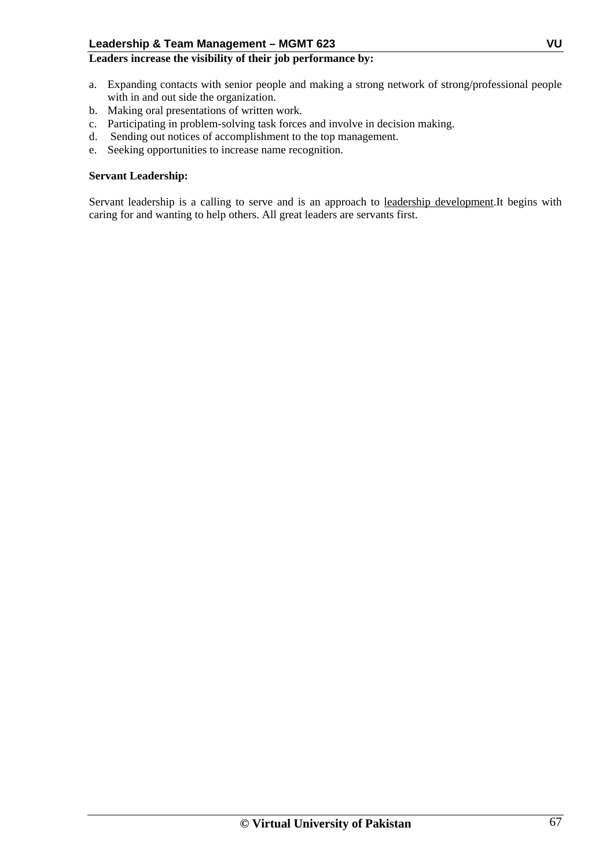## **Leaders increase the visibility of their job performance by:**

- a. Expanding contacts with senior people and making a strong network of strong/professional people with in and out side the organization.
- b. Making oral presentations of written work.
- c. Participating in problem-solving task forces and involve in decision making.
- d. Sending out notices of accomplishment to the top management.
- e. Seeking opportunities to increase name recognition.

#### **Servant Leadership:**

Servant leadership is a calling to serve and is an approach to leadership development.It begins with caring for and wanting to help others. All great leaders are servants first.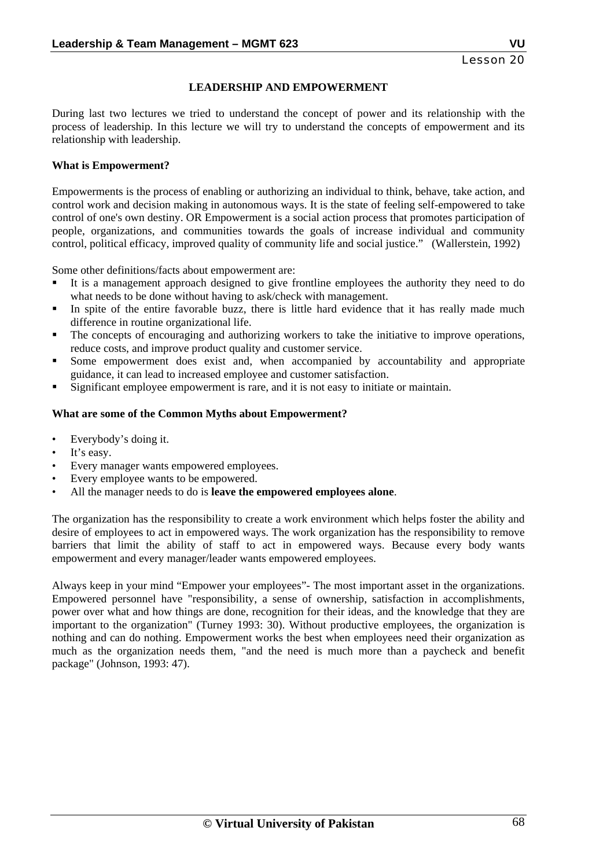#### **LEADERSHIP AND EMPOWERMENT**

During last two lectures we tried to understand the concept of power and its relationship with the process of leadership. In this lecture we will try to understand the concepts of empowerment and its relationship with leadership.

#### **What is Empowerment?**

Empowerments is the process of enabling or authorizing an individual to think, behave, take action, and control work and decision making in autonomous ways. It is the state of feeling self-empowered to take control of one's own destiny. OR Empowerment is a social action process that promotes participation of people, organizations, and communities towards the goals of increase individual and community control, political efficacy, improved quality of community life and social justice." (Wallerstein, 1992)

Some other definitions/facts about empowerment are:

- It is a management approach designed to give frontline employees the authority they need to do what needs to be done without having to ask/check with management.
- In spite of the entire favorable buzz, there is little hard evidence that it has really made much difference in routine organizational life.
- The concepts of encouraging and authorizing workers to take the initiative to improve operations, reduce costs, and improve product quality and customer service.
- Some empowerment does exist and, when accompanied by accountability and appropriate guidance, it can lead to increased employee and customer satisfaction.
- Significant employee empowerment is rare, and it is not easy to initiate or maintain.

#### **What are some of the Common Myths about Empowerment?**

- Everybody's doing it.
- It's easy.
- Every manager wants empowered employees.
- Every employee wants to be empowered.
- All the manager needs to do is **leave the empowered employees alone**.

The organization has the responsibility to create a work environment which helps foster the ability and desire of employees to act in empowered ways. The work organization has the responsibility to remove barriers that limit the ability of staff to act in empowered ways. Because every body wants empowerment and every manager/leader wants empowered employees.

Always keep in your mind "Empower your employees"- The most important asset in the organizations. Empowered personnel have "responsibility, a sense of ownership, satisfaction in accomplishments, power over what and how things are done, recognition for their ideas, and the knowledge that they are important to the organization" (Turney 1993: 30). Without productive employees, the organization is nothing and can do nothing. Empowerment works the best when employees need their organization as much as the organization needs them, "and the need is much more than a paycheck and benefit package" (Johnson, 1993: 47).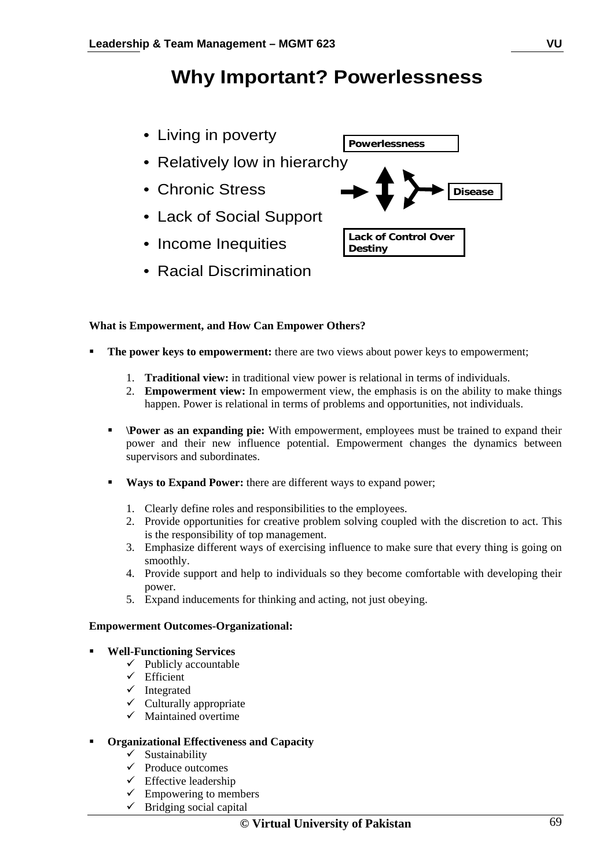## **Why Important? Powerlessness**

- Living in poverty
- Relatively low in hierarchy
- Chronic Stress
- Lack of Social Support
- Income Inequities
- Racial Discrimination



#### **What is Empowerment, and How Can Empower Others?**

- **The power keys to empowerment:** there are two views about power keys to empowerment;
	- 1. **Traditional view:** in traditional view power is relational in terms of individuals.
	- 2. **Empowerment view:** In empowerment view, the emphasis is on the ability to make things happen. Power is relational in terms of problems and opportunities, not individuals.
	- **Power as an expanding pie:** With empowerment, employees must be trained to expand their power and their new influence potential. Empowerment changes the dynamics between supervisors and subordinates.
	- **Ways to Expand Power:** there are different ways to expand power;
		- 1. Clearly define roles and responsibilities to the employees.
		- 2. Provide opportunities for creative problem solving coupled with the discretion to act. This is the responsibility of top management.
		- 3. Emphasize different ways of exercising influence to make sure that every thing is going on smoothly.
		- 4. Provide support and help to individuals so they become comfortable with developing their power.
		- 5. Expand inducements for thinking and acting, not just obeying.

#### **Empowerment Outcomes-Organizational:**

#### **Well-Functioning Services**

- $\checkmark$  Publicly accountable
- $\checkmark$  Efficient
- $\checkmark$  Integrated
- $\checkmark$  Culturally appropriate
- $\checkmark$  Maintained overtime

#### **Organizational Effectiveness and Capacity**

- $\checkmark$  Sustainability
- $\checkmark$  Produce outcomes
- $\checkmark$  Effective leadership
- $\checkmark$  Empowering to members
- $\checkmark$  Bridging social capital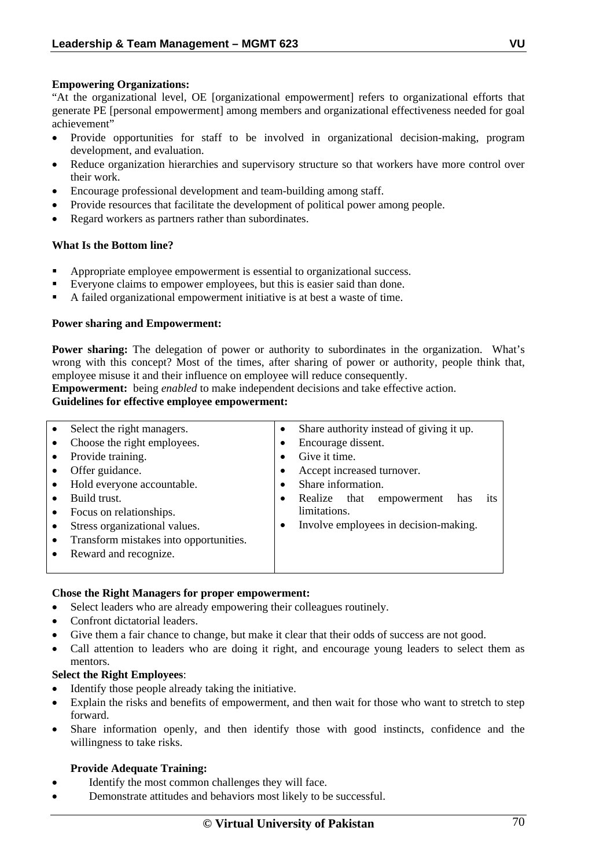#### **Empowering Organizations:**

"At the organizational level, OE [organizational empowerment] refers to organizational efforts that generate PE [personal empowerment] among members and organizational effectiveness needed for goal achievement"

- Provide opportunities for staff to be involved in organizational decision-making, program development, and evaluation.
- Reduce organization hierarchies and supervisory structure so that workers have more control over their work.
- Encourage professional development and team-building among staff.
- Provide resources that facilitate the development of political power among people.
- Regard workers as partners rather than subordinates.

#### **What Is the Bottom line?**

- Appropriate employee empowerment is essential to organizational success.
- Everyone claims to empower employees, but this is easier said than done.
- A failed organizational empowerment initiative is at best a waste of time.

#### **Power sharing and Empowerment:**

**Power sharing:** The delegation of power or authority to subordinates in the organization. What's wrong with this concept? Most of the times, after sharing of power or authority, people think that, employee misuse it and their influence on employee will reduce consequently.

**Empowerment:** being *enabled* to make independent decisions and take effective action.

## **Guidelines for effective employee empowerment:**

| $\bullet$ | Select the right managers.             | $\bullet$ | Share authority instead of giving it up.  |
|-----------|----------------------------------------|-----------|-------------------------------------------|
|           | Choose the right employees.            |           | Encourage dissent.                        |
|           | Provide training.                      | $\bullet$ | Give it time.                             |
|           | Offer guidance.                        |           | Accept increased turnover.                |
| $\bullet$ | Hold everyone accountable.             |           | Share information.                        |
|           | Build trust.                           | ٠         | Realize that<br>empowerment<br>has<br>its |
|           | Focus on relationships.                |           | limitations.                              |
|           | Stress organizational values.          | ٠         | Involve employees in decision-making.     |
| $\bullet$ | Transform mistakes into opportunities. |           |                                           |
|           | Reward and recognize.                  |           |                                           |
|           |                                        |           |                                           |
|           |                                        |           |                                           |

#### **Chose the Right Managers for proper empowerment:**

- Select leaders who are already empowering their colleagues routinely.
- Confront dictatorial leaders.
- Give them a fair chance to change, but make it clear that their odds of success are not good.
- Call attention to leaders who are doing it right, and encourage young leaders to select them as mentors.

#### **Select the Right Employees**:

- Identify those people already taking the initiative.
- Explain the risks and benefits of empowerment, and then wait for those who want to stretch to step forward.
- Share information openly, and then identify those with good instincts, confidence and the willingness to take risks.

#### **Provide Adequate Training:**

- Identify the most common challenges they will face.
- Demonstrate attitudes and behaviors most likely to be successful.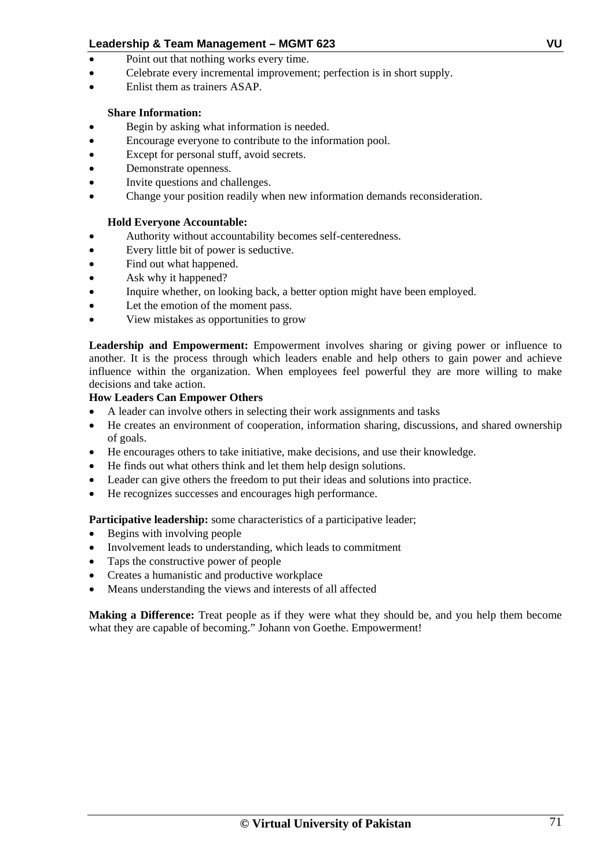- Point out that nothing works every time.
- Celebrate every incremental improvement; perfection is in short supply.
- Fulist them as trainers ASAP

## **Share Information:**

- Begin by asking what information is needed.
- Encourage everyone to contribute to the information pool.
- Except for personal stuff, avoid secrets.
- Demonstrate openness.
- Invite questions and challenges.
- Change your position readily when new information demands reconsideration.

## **Hold Everyone Accountable:**

- Authority without accountability becomes self-centeredness.
- Every little bit of power is seductive.
- Find out what happened.
- Ask why it happened?
- Inquire whether, on looking back, a better option might have been employed.
- Let the emotion of the moment pass.
- View mistakes as opportunities to grow

**Leadership and Empowerment:** Empowerment involves sharing or giving power or influence to another. It is the process through which leaders enable and help others to gain power and achieve influence within the organization. When employees feel powerful they are more willing to make decisions and take action.

## **How Leaders Can Empower Others**

- A leader can involve others in selecting their work assignments and tasks
- He creates an environment of cooperation, information sharing, discussions, and shared ownership of goals.
- He encourages others to take initiative, make decisions, and use their knowledge.
- He finds out what others think and let them help design solutions.
- Leader can give others the freedom to put their ideas and solutions into practice.
- He recognizes successes and encourages high performance.

## Participative leadership: some characteristics of a participative leader;

- Begins with involving people
- Involvement leads to understanding, which leads to commitment
- Taps the constructive power of people
- Creates a humanistic and productive workplace
- Means understanding the views and interests of all affected

**Making a Difference:** Treat people as if they were what they should be, and you help them become what they are capable of becoming." Johann von Goethe. Empowerment!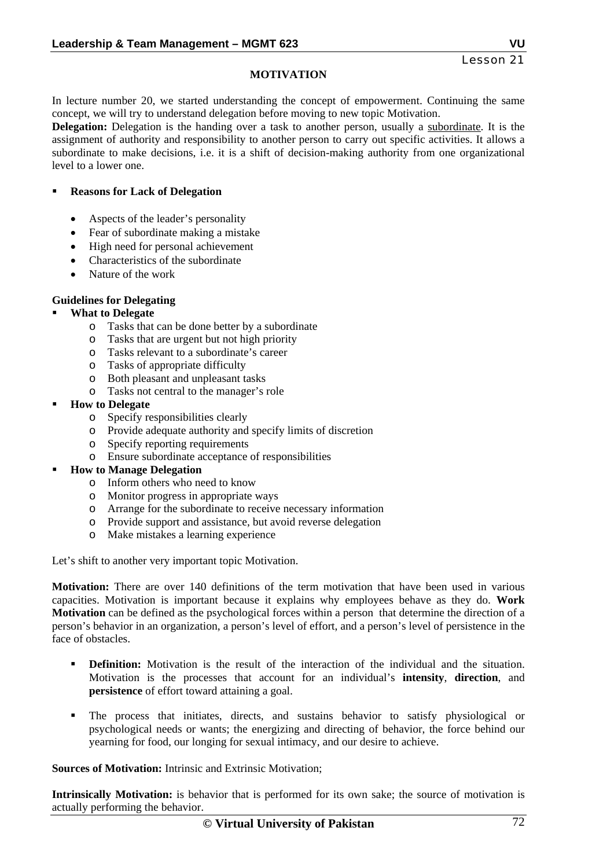## **MOTIVATION**

In lecture number 20, we started understanding the concept of empowerment. Continuing the same concept, we will try to understand delegation before moving to new topic Motivation.

**Delegation:** Delegation is the handing over a task to another person, usually a subordinate. It is the assignment of authority and responsibility to another person to carry out specific activities. It allows a subordinate to make decisions, i.e. it is a shift of decision-making authority from one organizational level to a lower one.

#### **Reasons for Lack of Delegation**

- Aspects of the leader's personality
- Fear of subordinate making a mistake
- High need for personal achievement
- Characteristics of the subordinate
- Nature of the work

#### **Guidelines for Delegating**

#### **What to Delegate**

- o Tasks that can be done better by a subordinate
- o Tasks that are urgent but not high priority
- o Tasks relevant to a subordinate's career
- o Tasks of appropriate difficulty
- o Both pleasant and unpleasant tasks
- o Tasks not central to the manager's role
- **How to Delegate** 
	- o Specify responsibilities clearly
	- o Provide adequate authority and specify limits of discretion
	- o Specify reporting requirements
	- o Ensure subordinate acceptance of responsibilities

## **How to Manage Delegation**

- o Inform others who need to know
- o Monitor progress in appropriate ways
- o Arrange for the subordinate to receive necessary information
- o Provide support and assistance, but avoid reverse delegation
- o Make mistakes a learning experience

Let's shift to another very important topic Motivation.

**Motivation:** There are over 140 definitions of the term motivation that have been used in various capacities. Motivation is important because it explains why employees behave as they do. **Work Motivation** can be defined as the psychological forces within a person that determine the direction of a person's behavior in an organization, a person's level of effort, and a person's level of persistence in the face of obstacles.

- **Definition:** Motivation is the result of the interaction of the individual and the situation. Motivation is the processes that account for an individual's **intensity**, **direction**, and **persistence** of effort toward attaining a goal.
- The process that initiates, directs, and sustains behavior to satisfy physiological or psychological needs or wants; the energizing and directing of behavior, the force behind our yearning for food, our longing for sexual intimacy, and our desire to achieve.

**Sources of Motivation:** Intrinsic and Extrinsic Motivation;

**Intrinsically Motivation:** is behavior that is performed for its own sake; the source of motivation is actually performing the behavior.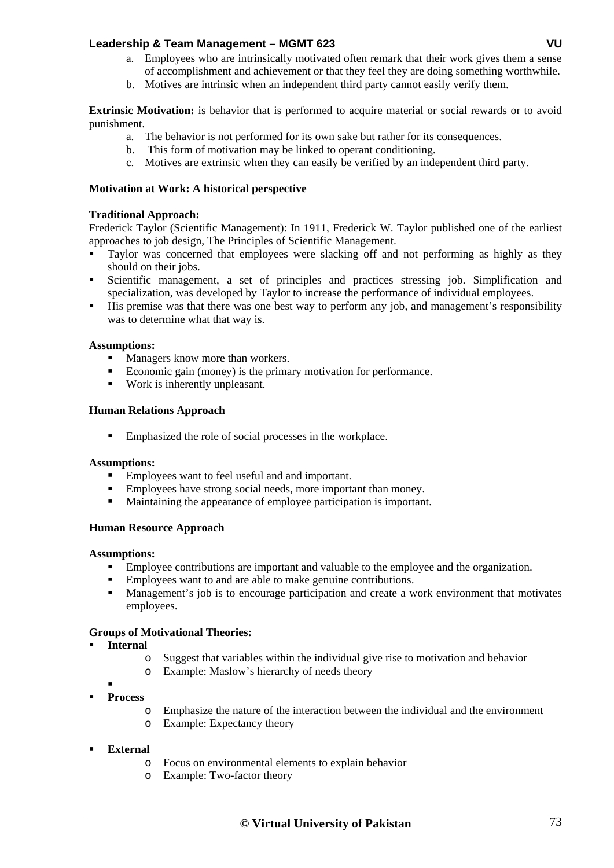- a. Employees who are intrinsically motivated often remark that their work gives them a sense of accomplishment and achievement or that they feel they are doing something worthwhile.
- b. Motives are intrinsic when an independent third party cannot easily verify them.

**Extrinsic Motivation:** is behavior that is performed to acquire material or social rewards or to avoid punishment.

- a. The behavior is not performed for its own sake but rather for its consequences.
- b. This form of motivation may be linked to operant conditioning.
- c. Motives are extrinsic when they can easily be verified by an independent third party.

#### **Motivation at Work: A historical perspective**

#### **Traditional Approach:**

Frederick Taylor (Scientific Management): In 1911, Frederick W. Taylor published one of the earliest approaches to job design, The Principles of Scientific Management.

- Taylor was concerned that employees were slacking off and not performing as highly as they should on their jobs.
- Scientific management, a set of principles and practices stressing job. Simplification and specialization, was developed by Taylor to increase the performance of individual employees.
- His premise was that there was one best way to perform any job, and management's responsibility was to determine what that way is.

#### **Assumptions:**

- Managers know more than workers.
- Economic gain (money) is the primary motivation for performance.
- Work is inherently unpleasant.

#### **Human Relations Approach**

Emphasized the role of social processes in the workplace.

#### **Assumptions:**

- **Employees want to feel useful and and important.**
- Employees have strong social needs, more important than money.
- Maintaining the appearance of employee participation is important.

#### **Human Resource Approach**

#### **Assumptions:**

- Employee contributions are important and valuable to the employee and the organization.
- Employees want to and are able to make genuine contributions.
- Management's job is to encourage participation and create a work environment that motivates employees.

#### **Groups of Motivational Theories:**

- **Internal** 
	- o Suggest that variables within the individual give rise to motivation and behavior
	- o Example: Maslow's hierarchy of needs theory
- $\blacksquare$  **Process** 
	- o Emphasize the nature of the interaction between the individual and the environment
	- o Example: Expectancy theory

#### **External**

- o Focus on environmental elements to explain behavior
- o Example: Two-factor theory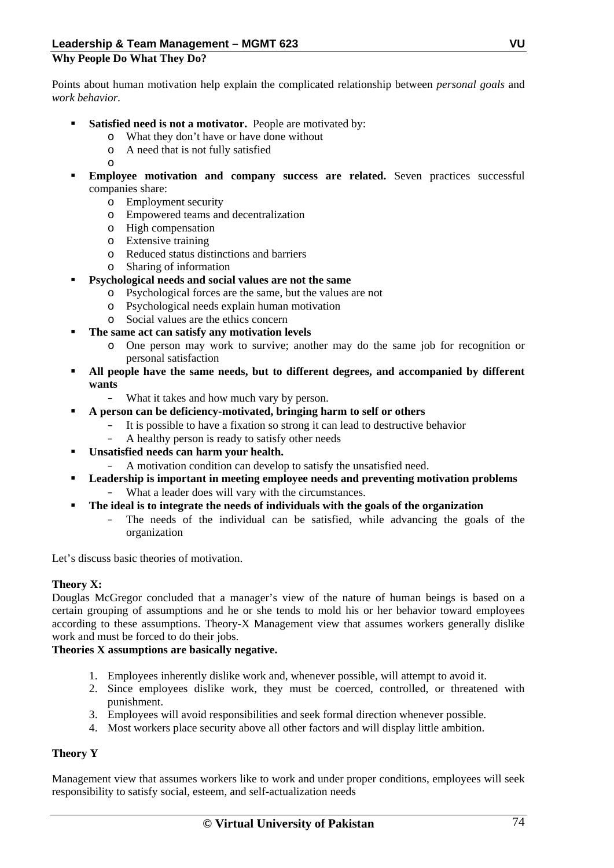#### **Why People Do What They Do?**

Points about human motivation help explain the complicated relationship between *personal goals* and *work behavior.* 

- **Satisfied need is not a motivator.** People are motivated by:
	- o What they don't have or have done without
	- o A need that is not fully satisfied
	- o
- **Employee motivation and company success are related.** Seven practices successful companies share:
	- o Employment security
	- o Empowered teams and decentralization
	- o High compensation
	- o Extensive training
	- o Reduced status distinctions and barriers
	- o Sharing of information

#### **Psychological needs and social values are not the same**

- o Psychological forces are the same, but the values are not
- o Psychological needs explain human motivation
- o Social values are the ethics concern
- **The same act can satisfy any motivation levels** 
	- o One person may work to survive; another may do the same job for recognition or personal satisfaction
- **All people have the same needs, but to different degrees, and accompanied by different wants**
	- What it takes and how much vary by person.
	- **A person can be deficiency-motivated, bringing harm to self or others**
		- It is possible to have a fixation so strong it can lead to destructive behavior
		- A healthy person is ready to satisfy other needs
- **Unsatisfied needs can harm your health.** 
	- A motivation condition can develop to satisfy the unsatisfied need.
- **Leadership is important in meeting employee needs and preventing motivation problems**  – What a leader does will vary with the circumstances.
- **The ideal is to integrate the needs of individuals with the goals of the organization**
	- The needs of the individual can be satisfied, while advancing the goals of the organization

Let's discuss basic theories of motivation.

#### **Theory X:**

Douglas McGregor concluded that a manager's view of the nature of human beings is based on a certain grouping of assumptions and he or she tends to mold his or her behavior toward employees according to these assumptions. Theory-X Management view that assumes workers generally dislike work and must be forced to do their jobs.

#### **Theories X assumptions are basically negative.**

- 1. Employees inherently dislike work and, whenever possible, will attempt to avoid it.
- 2. Since employees dislike work, they must be coerced, controlled, or threatened with punishment.
- 3. Employees will avoid responsibilities and seek formal direction whenever possible.
- 4. Most workers place security above all other factors and will display little ambition.

#### **Theory Y**

Management view that assumes workers like to work and under proper conditions, employees will seek responsibility to satisfy social, esteem, and self-actualization needs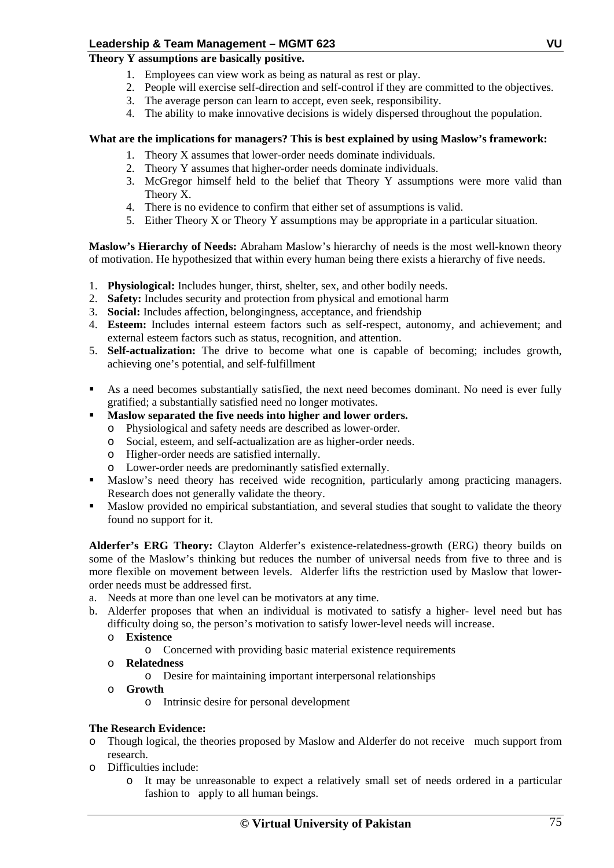#### **Theory Y assumptions are basically positive.**

- 1. Employees can view work as being as natural as rest or play.
- 2. People will exercise self-direction and self-control if they are committed to the objectives.
- 3. The average person can learn to accept, even seek, responsibility.
- 4. The ability to make innovative decisions is widely dispersed throughout the population.

#### **What are the implications for managers? This is best explained by using Maslow's framework:**

- 1. Theory X assumes that lower-order needs dominate individuals.
- 2. Theory Y assumes that higher-order needs dominate individuals.
- 3. McGregor himself held to the belief that Theory Y assumptions were more valid than Theory X.
- 4. There is no evidence to confirm that either set of assumptions is valid.
- 5. Either Theory X or Theory Y assumptions may be appropriate in a particular situation.

**Maslow's Hierarchy of Needs:** Abraham Maslow's hierarchy of needs is the most well-known theory of motivation. He hypothesized that within every human being there exists a hierarchy of five needs.

- 1. **Physiological:** Includes hunger, thirst, shelter, sex, and other bodily needs.
- 2. **Safety:** Includes security and protection from physical and emotional harm
- 3. **Social:** Includes affection, belongingness, acceptance, and friendship
- 4. **Esteem:** Includes internal esteem factors such as self-respect, autonomy, and achievement; and external esteem factors such as status, recognition, and attention.
- 5. **Self-actualization:** The drive to become what one is capable of becoming; includes growth, achieving one's potential, and self-fulfillment
- As a need becomes substantially satisfied, the next need becomes dominant. No need is ever fully gratified; a substantially satisfied need no longer motivates.
- **Maslow separated the five needs into higher and lower orders.** 
	- o Physiological and safety needs are described as lower-order.
	- o Social, esteem, and self-actualization are as higher-order needs.
	- o Higher-order needs are satisfied internally.
	- o Lower-order needs are predominantly satisfied externally.
- Maslow's need theory has received wide recognition, particularly among practicing managers. Research does not generally validate the theory.
- Maslow provided no empirical substantiation, and several studies that sought to validate the theory found no support for it.

**Alderfer's ERG Theory:** Clayton Alderfer's existence-relatedness-growth (ERG) theory builds on some of the Maslow's thinking but reduces the number of universal needs from five to three and is more flexible on movement between levels. Alderfer lifts the restriction used by Maslow that lowerorder needs must be addressed first.

- a. Needs at more than one level can be motivators at any time.
- b. Alderfer proposes that when an individual is motivated to satisfy a higher- level need but has difficulty doing so, the person's motivation to satisfy lower-level needs will increase.
	- o **Existence** 
		- o Concerned with providing basic material existence requirements
	- o **Relatedness** 
		- o Desire for maintaining important interpersonal relationships
	- o **Growth** 
		- o Intrinsic desire for personal development

#### **The Research Evidence:**

- o Though logical, the theories proposed by Maslow and Alderfer do not receive much support from research.
- o Difficulties include:
	- o It may be unreasonable to expect a relatively small set of needs ordered in a particular fashion to apply to all human beings.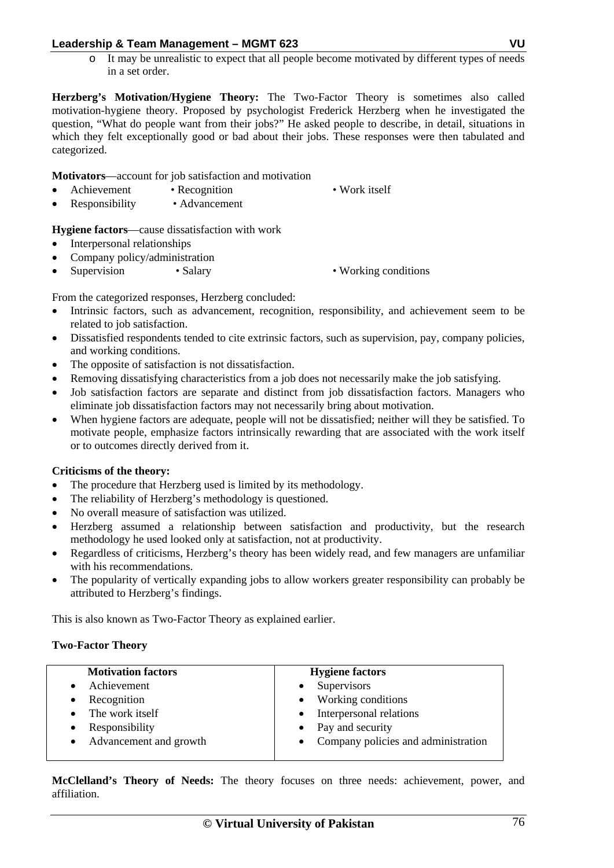o It may be unrealistic to expect that all people become motivated by different types of needs in a set order.

**Herzberg's Motivation/Hygiene Theory:** The Two-Factor Theory is sometimes also called motivation-hygiene theory. Proposed by psychologist Frederick Herzberg when he investigated the question, "What do people want from their jobs?" He asked people to describe, in detail, situations in which they felt exceptionally good or bad about their jobs. These responses were then tabulated and categorized.

**Motivators**—account for job satisfaction and motivation

- Achievement Recognition Work itself
- 
- Responsibility Advancement

**Hygiene factors**—cause dissatisfaction with work

- Interpersonal relationships
- Company policy/administration
- Supervision Salary Working conditions

From the categorized responses, Herzberg concluded:

- Intrinsic factors, such as advancement, recognition, responsibility, and achievement seem to be related to job satisfaction.
- Dissatisfied respondents tended to cite extrinsic factors, such as supervision, pay, company policies, and working conditions.
- The opposite of satisfaction is not dissatisfaction.
- Removing dissatisfying characteristics from a job does not necessarily make the job satisfying.
- Job satisfaction factors are separate and distinct from job dissatisfaction factors. Managers who eliminate job dissatisfaction factors may not necessarily bring about motivation.
- When hygiene factors are adequate, people will not be dissatisfied; neither will they be satisfied. To motivate people, emphasize factors intrinsically rewarding that are associated with the work itself or to outcomes directly derived from it.

#### **Criticisms of the theory:**

- The procedure that Herzberg used is limited by its methodology.
- The reliability of Herzberg's methodology is questioned.
- No overall measure of satisfaction was utilized.
- Herzberg assumed a relationship between satisfaction and productivity, but the research methodology he used looked only at satisfaction, not at productivity.
- Regardless of criticisms, Herzberg's theory has been widely read, and few managers are unfamiliar with his recommendations.
- The popularity of vertically expanding jobs to allow workers greater responsibility can probably be attributed to Herzberg's findings.

This is also known as Two-Factor Theory as explained earlier.

#### **Two-Factor Theory**

| <b>Motivation factors</b> | <b>Hygiene factors</b>                |
|---------------------------|---------------------------------------|
| Achievement               | Supervisors<br>$\bullet$              |
| Recognition               | Working conditions<br>$\bullet$       |
| The work itself           | Interpersonal relations<br>$\bullet$  |
| Responsibility            | • Pay and security                    |
| Advancement and growth    | • Company policies and administration |
|                           |                                       |

**McClelland's Theory of Needs:** The theory focuses on three needs: achievement, power, and affiliation.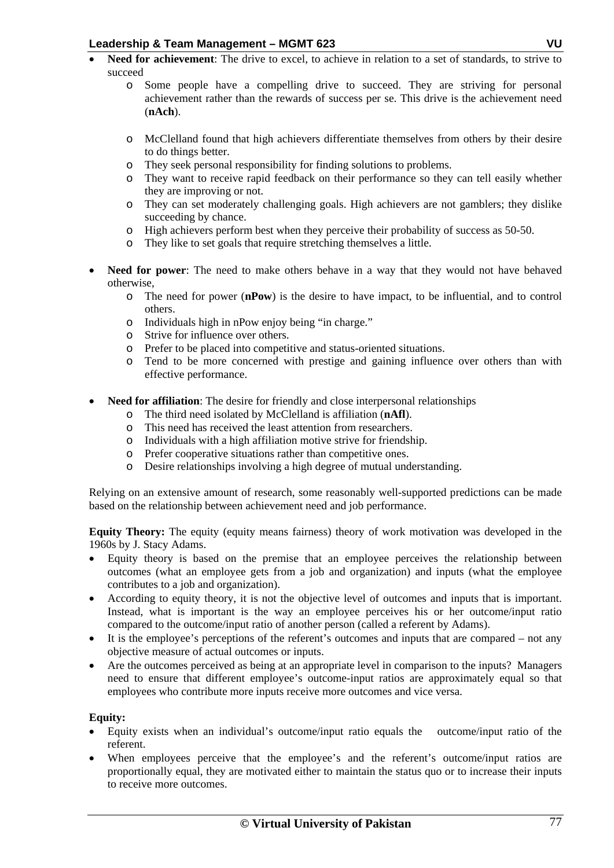- **Need for achievement**: The drive to excel, to achieve in relation to a set of standards, to strive to succeed
	- o Some people have a compelling drive to succeed. They are striving for personal achievement rather than the rewards of success per se. This drive is the achievement need (**nAch**).
	- o McClelland found that high achievers differentiate themselves from others by their desire to do things better.
	- o They seek personal responsibility for finding solutions to problems.
	- o They want to receive rapid feedback on their performance so they can tell easily whether they are improving or not.
	- o They can set moderately challenging goals. High achievers are not gamblers; they dislike succeeding by chance.
	- o High achievers perform best when they perceive their probability of success as 50-50.
	- o They like to set goals that require stretching themselves a little.
- Need for power: The need to make others behave in a way that they would not have behaved otherwise,
	- o The need for power (**nPow**) is the desire to have impact, to be influential, and to control others.
	- o Individuals high in nPow enjoy being "in charge."
	- o Strive for influence over others.
	- o Prefer to be placed into competitive and status-oriented situations.
	- o Tend to be more concerned with prestige and gaining influence over others than with effective performance.
- **Need for affiliation**: The desire for friendly and close interpersonal relationships
	- o The third need isolated by McClelland is affiliation (**nAfl**).
	- This need has received the least attention from researchers.
	- o Individuals with a high affiliation motive strive for friendship.
	- o Prefer cooperative situations rather than competitive ones.
	- o Desire relationships involving a high degree of mutual understanding.

Relying on an extensive amount of research, some reasonably well-supported predictions can be made based on the relationship between achievement need and job performance.

**Equity Theory:** The equity (equity means fairness) theory of work motivation was developed in the 1960s by J. Stacy Adams.

- Equity theory is based on the premise that an employee perceives the relationship between outcomes (what an employee gets from a job and organization) and inputs (what the employee contributes to a job and organization).
- According to equity theory, it is not the objective level of outcomes and inputs that is important. Instead, what is important is the way an employee perceives his or her outcome/input ratio compared to the outcome/input ratio of another person (called a referent by Adams).
- It is the employee's perceptions of the referent's outcomes and inputs that are compared not any objective measure of actual outcomes or inputs.
- Are the outcomes perceived as being at an appropriate level in comparison to the inputs? Managers need to ensure that different employee's outcome-input ratios are approximately equal so that employees who contribute more inputs receive more outcomes and vice versa.

#### **Equity:**

- Equity exists when an individual's outcome/input ratio equals the outcome/input ratio of the referent.
- When employees perceive that the employee's and the referent's outcome/input ratios are proportionally equal, they are motivated either to maintain the status quo or to increase their inputs to receive more outcomes.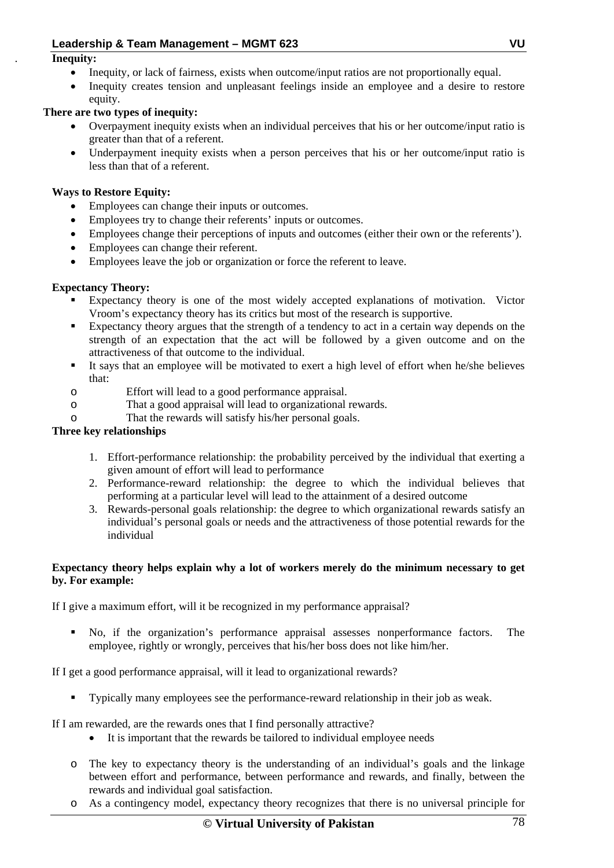#### . **Inequity:**

- Inequity, or lack of fairness, exists when outcome/input ratios are not proportionally equal.
- Inequity creates tension and unpleasant feelings inside an employee and a desire to restore equity.

#### **There are two types of inequity:**

- Overpayment inequity exists when an individual perceives that his or her outcome/input ratio is greater than that of a referent.
- Underpayment inequity exists when a person perceives that his or her outcome/input ratio is less than that of a referent.

#### **Ways to Restore Equity:**

- Employees can change their inputs or outcomes.
- Employees try to change their referents' inputs or outcomes.
- Employees change their perceptions of inputs and outcomes (either their own or the referents').
- Employees can change their referent.
- Employees leave the job or organization or force the referent to leave.

#### **Expectancy Theory:**

- Expectancy theory is one of the most widely accepted explanations of motivation. Victor Vroom's expectancy theory has its critics but most of the research is supportive.
- Expectancy theory argues that the strength of a tendency to act in a certain way depends on the strength of an expectation that the act will be followed by a given outcome and on the attractiveness of that outcome to the individual.
- It says that an employee will be motivated to exert a high level of effort when he/she believes that:
- o Effort will lead to a good performance appraisal.
- o That a good appraisal will lead to organizational rewards.
- o That the rewards will satisfy his/her personal goals.

#### **Three key relationships**

- 1. Effort-performance relationship: the probability perceived by the individual that exerting a given amount of effort will lead to performance
- 2. Performance-reward relationship: the degree to which the individual believes that performing at a particular level will lead to the attainment of a desired outcome
- 3. Rewards-personal goals relationship: the degree to which organizational rewards satisfy an individual's personal goals or needs and the attractiveness of those potential rewards for the individual

#### **Expectancy theory helps explain why a lot of workers merely do the minimum necessary to get by. For example:**

If I give a maximum effort, will it be recognized in my performance appraisal?

 No, if the organization's performance appraisal assesses nonperformance factors. The employee, rightly or wrongly, perceives that his/her boss does not like him/her.

If I get a good performance appraisal, will it lead to organizational rewards?

Typically many employees see the performance-reward relationship in their job as weak.

If I am rewarded, are the rewards ones that I find personally attractive?

- It is important that the rewards be tailored to individual employee needs
- o The key to expectancy theory is the understanding of an individual's goals and the linkage between effort and performance, between performance and rewards, and finally, between the rewards and individual goal satisfaction.
- o As a contingency model, expectancy theory recognizes that there is no universal principle for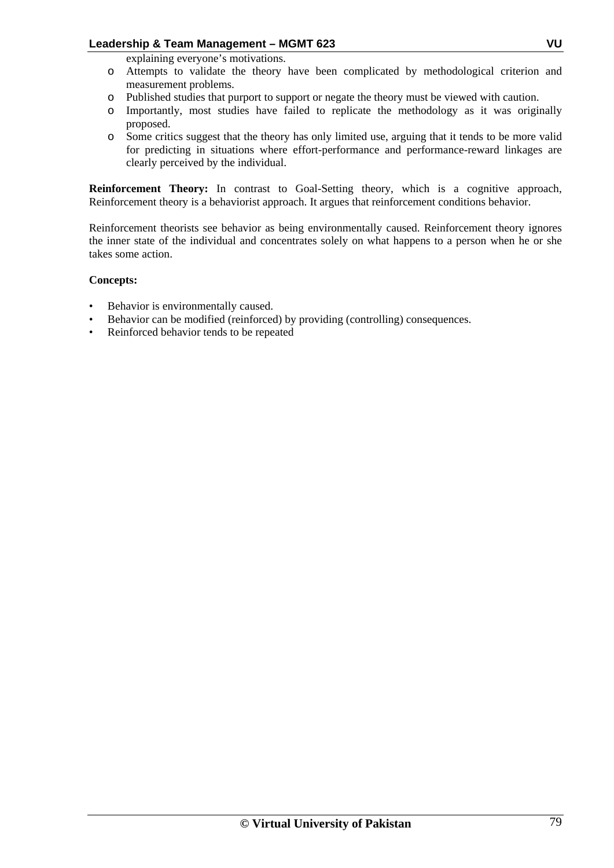explaining everyone's motivations.

- o Attempts to validate the theory have been complicated by methodological criterion and measurement problems.
- o Published studies that purport to support or negate the theory must be viewed with caution.
- o Importantly, most studies have failed to replicate the methodology as it was originally proposed.
- o Some critics suggest that the theory has only limited use, arguing that it tends to be more valid for predicting in situations where effort-performance and performance-reward linkages are clearly perceived by the individual.

**Reinforcement Theory:** In contrast to Goal-Setting theory, which is a cognitive approach, Reinforcement theory is a behaviorist approach. It argues that reinforcement conditions behavior.

Reinforcement theorists see behavior as being environmentally caused. Reinforcement theory ignores the inner state of the individual and concentrates solely on what happens to a person when he or she takes some action.

#### **Concepts:**

- Behavior is environmentally caused.
- Behavior can be modified (reinforced) by providing (controlling) consequences.
- Reinforced behavior tends to be repeated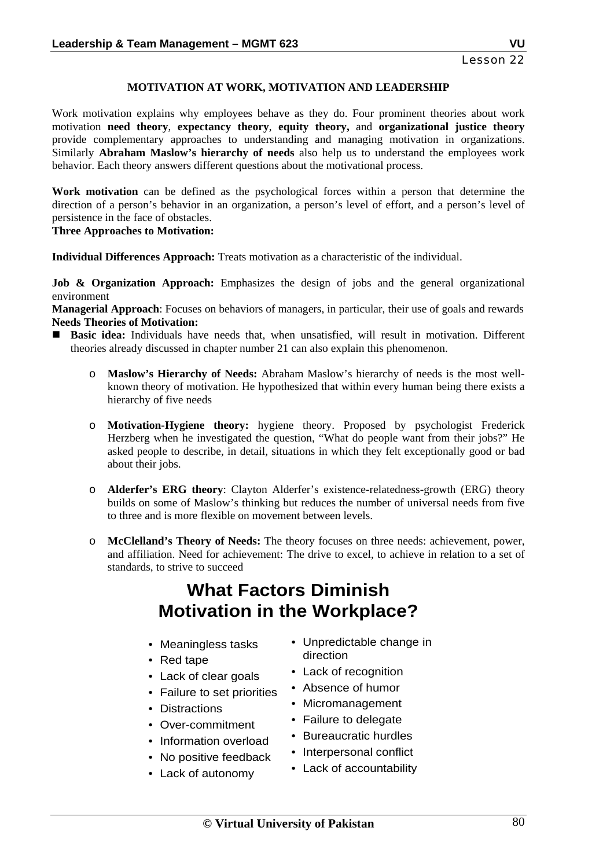#### **MOTIVATION AT WORK, MOTIVATION AND LEADERSHIP**

Work motivation explains why employees behave as they do. Four prominent theories about work motivation **need theory**, **expectancy theory**, **equity theory,** and **organizational justice theory** provide complementary approaches to understanding and managing motivation in organizations. Similarly **Abraham Maslow's hierarchy of needs** also help us to understand the employees work behavior. Each theory answers different questions about the motivational process.

**Work motivation** can be defined as the psychological forces within a person that determine the direction of a person's behavior in an organization, a person's level of effort, and a person's level of persistence in the face of obstacles.

#### **Three Approaches to Motivation:**

**Individual Differences Approach:** Treats motivation as a characteristic of the individual.

**Job & Organization Approach:** Emphasizes the design of jobs and the general organizational environment

**Managerial Approach**: Focuses on behaviors of managers, in particular, their use of goals and rewards **Needs Theories of Motivation:** 

- **Basic idea:** Individuals have needs that, when unsatisfied, will result in motivation. Different theories already discussed in chapter number 21 can also explain this phenomenon.
	- o **Maslow's Hierarchy of Needs:** Abraham Maslow's hierarchy of needs is the most wellknown theory of motivation. He hypothesized that within every human being there exists a hierarchy of five needs
	- o **Motivation-Hygiene theory:** hygiene theory. Proposed by psychologist Frederick Herzberg when he investigated the question, "What do people want from their jobs?" He asked people to describe, in detail, situations in which they felt exceptionally good or bad about their jobs.
	- o **Alderfer's ERG theory**: Clayton Alderfer's existence-relatedness-growth (ERG) theory builds on some of Maslow's thinking but reduces the number of universal needs from five to three and is more flexible on movement between levels.
	- o **McClelland's Theory of Needs:** The theory focuses on three needs: achievement, power, and affiliation. Need for achievement: The drive to excel, to achieve in relation to a set of standards, to strive to succeed

## **What Factors Diminish Motivation in the Workplace?**

- Meaningless tasks
- Red tape
- Lack of clear goals
- Failure to set priorities
- Distractions
- Over-commitment
- Information overload
- No positive feedback
- Lack of autonomy
- Unpredictable change in direction
- Lack of recognition
- Absence of humor
- Micromanagement
- Failure to delegate
- Bureaucratic hurdles
- Interpersonal conflict
- Lack of accountability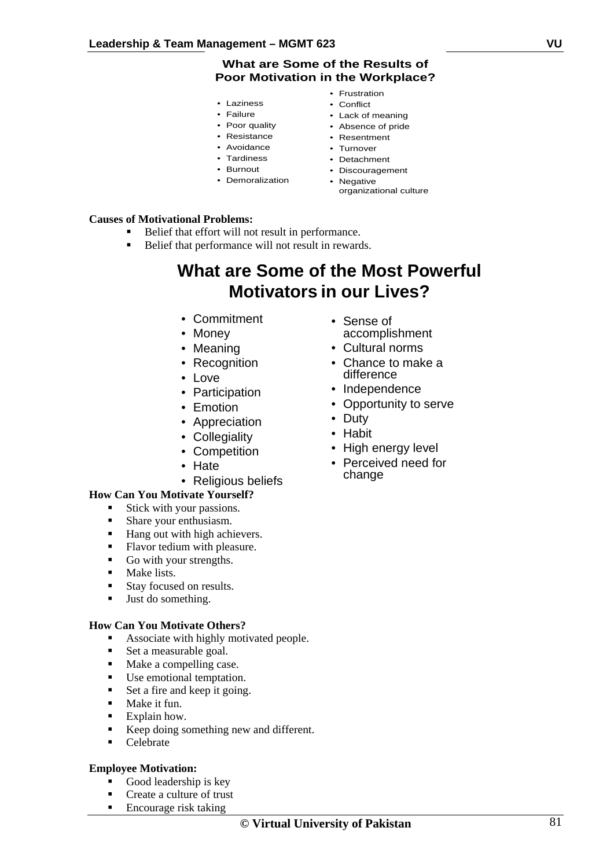#### **What are Some of the Results of Poor Motivation in the Workplace?**

- Laziness
- Failure
- Poor quality
- Resistance
- Avoidance
- Tardiness
- Burnout
- Demoralization
- Frustration
- Conflict
- Lack of meaning
- Absence of pride • Resentment
- Turnover
- Detachment
- Discouragement
- Negative organizational culture

#### **Causes of Motivational Problems:**

- Belief that effort will not result in performance.
- Belief that performance will not result in rewards.

## **What are Some of the Most Powerful Motivators in our Lives?**

- Commitment
- Money
- Meaning
- Recognition
- Love
- Participation
- Emotion
- Appreciation
- Collegiality
- Competition
- Hate
- Religious beliefs

#### **How Can You Motivate Yourself?**

- **Stick with your passions.**
- Share your enthusiasm.
- Hang out with high achievers.
- Flavor tedium with pleasure.
- Go with your strengths.
- Make lists.
- Stay focused on results.
- **Just do something.**

#### **How Can You Motivate Others?**

- Associate with highly motivated people.
- Set a measurable goal.
- Make a compelling case.
- Use emotional temptation.
- Set a fire and keep it going.
- **Make it fun.**
- **Explain how.**
- Keep doing something new and different.
- Celebrate

#### **Employee Motivation:**

- Good leadership is key
- Create a culture of trust
- Encourage risk taking
- Sense of accomplishment
- Cultural norms
- Chance to make a difference
- Independence
- Opportunity to serve
- Duty
- Habit
- High energy level
- Perceived need for change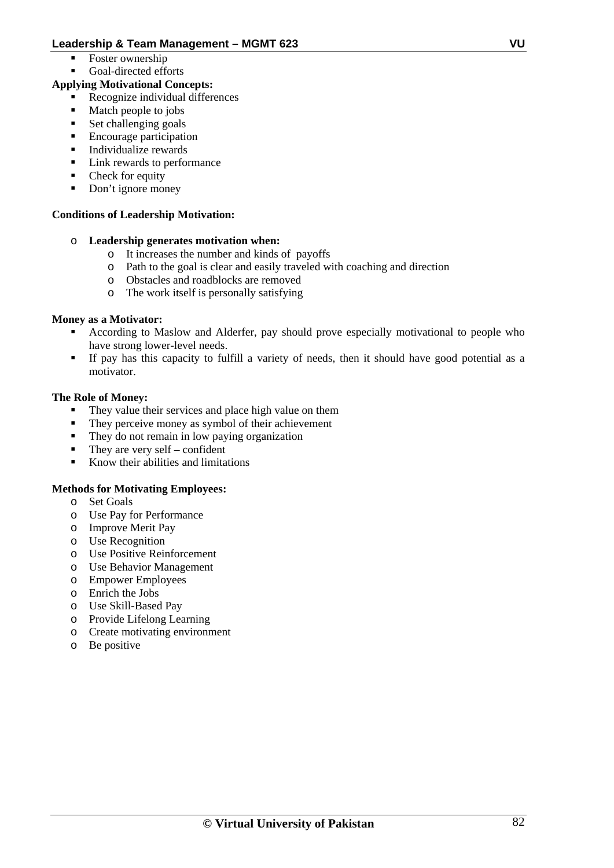- $\blacksquare$  Foster ownership
- Goal-directed efforts

#### **Applying Motivational Concepts:**

- Recognize individual differences
- Match people to jobs
- Set challenging goals
- Encourage participation
- **Individualize rewards**
- Link rewards to performance
- Check for equity
- Don't ignore money

#### **Conditions of Leadership Motivation:**

- o **Leadership generates motivation when:** 
	- o It increases the number and kinds of payoffs
	- o Path to the goal is clear and easily traveled with coaching and direction
	- o Obstacles and roadblocks are removed<br>
	o The work itself is personally satisfying
	- The work itself is personally satisfying

#### **Money as a Motivator:**

- According to Maslow and Alderfer, pay should prove especially motivational to people who have strong lower-level needs.
- If pay has this capacity to fulfill a variety of needs, then it should have good potential as a motivator.

#### **The Role of Money:**

- They value their services and place high value on them
- They perceive money as symbol of their achievement
- They do not remain in low paying organization
- They are very self confident
- Know their abilities and limitations

#### **Methods for Motivating Employees:**

- o Set Goals
- o Use Pay for Performance
- o Improve Merit Pay
- o Use Recognition
- o Use Positive Reinforcement
- o Use Behavior Management
- o Empower Employees
- o Enrich the Jobs
- o Use Skill-Based Pay
- o Provide Lifelong Learning
- o Create motivating environment
- o Be positive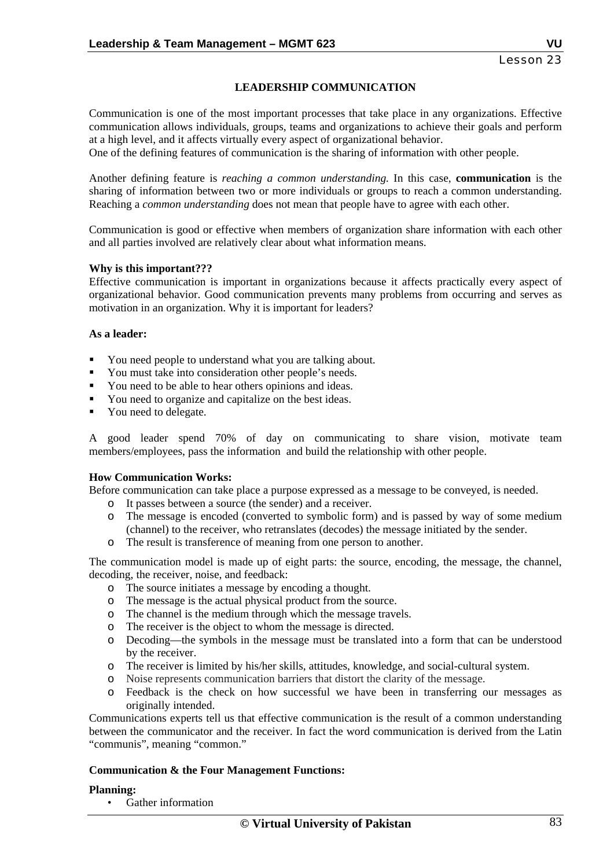#### **LEADERSHIP COMMUNICATION**

Communication is one of the most important processes that take place in any organizations. Effective communication allows individuals, groups, teams and organizations to achieve their goals and perform at a high level, and it affects virtually every aspect of organizational behavior.

One of the defining features of communication is the sharing of information with other people.

Another defining feature is *reaching a common understanding.* In this case, **communication** is the sharing of information between two or more individuals or groups to reach a common understanding. Reaching a *common understanding* does not mean that people have to agree with each other.

Communication is good or effective when members of organization share information with each other and all parties involved are relatively clear about what information means.

#### **Why is this important???**

Effective communication is important in organizations because it affects practically every aspect of organizational behavior. Good communication prevents many problems from occurring and serves as motivation in an organization. Why it is important for leaders?

#### **As a leader:**

- You need people to understand what you are talking about.
- You must take into consideration other people's needs.
- You need to be able to hear others opinions and ideas.
- You need to organize and capitalize on the best ideas.
- You need to delegate.

A good leader spend 70% of day on communicating to share vision, motivate team members/employees, pass the information and build the relationship with other people.

#### **How Communication Works:**

Before communication can take place a purpose expressed as a message to be conveyed, is needed.

- o It passes between a source (the sender) and a receiver.
- o The message is encoded (converted to symbolic form) and is passed by way of some medium (channel) to the receiver, who retranslates (decodes) the message initiated by the sender.
- o The result is transference of meaning from one person to another.

The communication model is made up of eight parts: the source, encoding, the message, the channel, decoding, the receiver, noise, and feedback:

- o The source initiates a message by encoding a thought.
- o The message is the actual physical product from the source.
- o The channel is the medium through which the message travels.
- o The receiver is the object to whom the message is directed.
- o Decoding—the symbols in the message must be translated into a form that can be understood by the receiver.
- o The receiver is limited by his/her skills, attitudes, knowledge, and social-cultural system.
- o Noise represents communication barriers that distort the clarity of the message.
- o Feedback is the check on how successful we have been in transferring our messages as originally intended.

Communications experts tell us that effective communication is the result of a common understanding between the communicator and the receiver. In fact the word communication is derived from the Latin "communis", meaning "common."

#### **Communication & the Four Management Functions:**

#### **Planning:**

• Gather information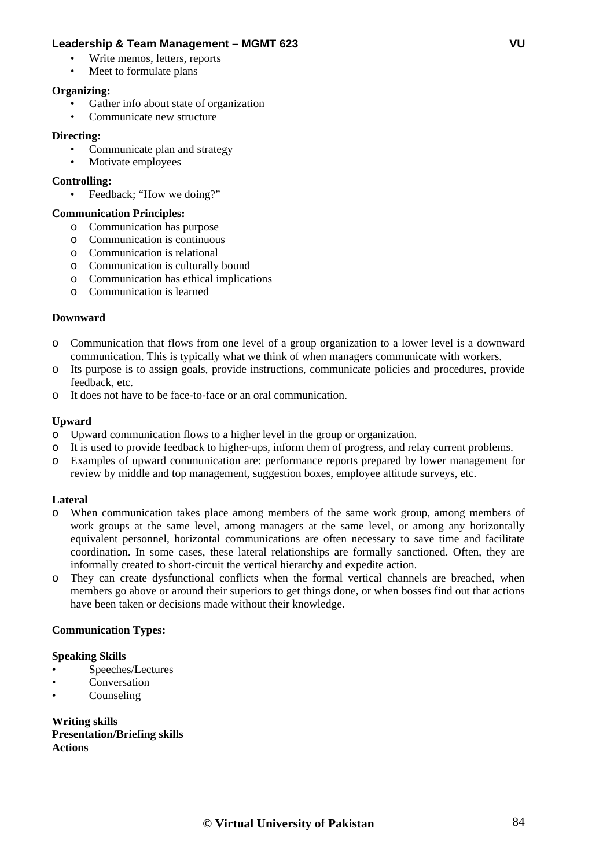- Write memos, letters, reports
- Meet to formulate plans

#### **Organizing:**

- Gather info about state of organization
- Communicate new structure

#### **Directing:**

- Communicate plan and strategy
- Motivate employees

#### **Controlling:**

Feedback; "How we doing?"

#### **Communication Principles:**

- o Communication has purpose
- o Communication is continuous
- o Communication is relational
- o Communication is culturally bound
- o Communication has ethical implications
- o Communication is learned

#### **Downward**

- o Communication that flows from one level of a group organization to a lower level is a downward communication. This is typically what we think of when managers communicate with workers.
- o Its purpose is to assign goals, provide instructions, communicate policies and procedures, provide feedback, etc.
- o It does not have to be face-to-face or an oral communication.

#### **Upward**

- o Upward communication flows to a higher level in the group or organization.
- It is used to provide feedback to higher-ups, inform them of progress, and relay current problems.
- o Examples of upward communication are: performance reports prepared by lower management for review by middle and top management, suggestion boxes, employee attitude surveys, etc.

#### **Lateral**

- o When communication takes place among members of the same work group, among members of work groups at the same level, among managers at the same level, or among any horizontally equivalent personnel, horizontal communications are often necessary to save time and facilitate coordination. In some cases, these lateral relationships are formally sanctioned. Often, they are informally created to short-circuit the vertical hierarchy and expedite action.
- o They can create dysfunctional conflicts when the formal vertical channels are breached, when members go above or around their superiors to get things done, or when bosses find out that actions have been taken or decisions made without their knowledge.

#### **Communication Types:**

#### **Speaking Skills**

- Speeches/Lectures
- **Conversation**
- Counseling

**Writing skills Presentation/Briefing skills Actions**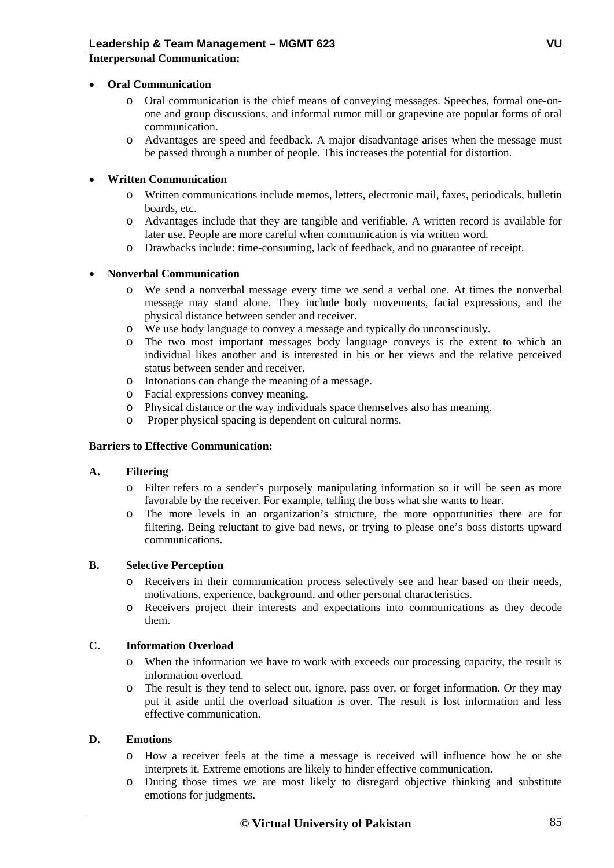**Interpersonal Communication:** 

#### • **Oral Communication**

- o Oral communication is the chief means of conveying messages. Speeches, formal one-onone and group discussions, and informal rumor mill or grapevine are popular forms of oral communication.
- o Advantages are speed and feedback. A major disadvantage arises when the message must be passed through a number of people. This increases the potential for distortion.

#### • **Written Communication**

- o Written communications include memos, letters, electronic mail, faxes, periodicals, bulletin boards, etc.
- o Advantages include that they are tangible and verifiable. A written record is available for later use. People are more careful when communication is via written word.
- o Drawbacks include: time-consuming, lack of feedback, and no guarantee of receipt.

#### • **Nonverbal Communication**

- o We send a nonverbal message every time we send a verbal one. At times the nonverbal message may stand alone. They include body movements, facial expressions, and the physical distance between sender and receiver.
- o We use body language to convey a message and typically do unconsciously.
- o The two most important messages body language conveys is the extent to which an individual likes another and is interested in his or her views and the relative perceived status between sender and receiver.
- o Intonations can change the meaning of a message.
- o Facial expressions convey meaning.
- o Physical distance or the way individuals space themselves also has meaning.
- o Proper physical spacing is dependent on cultural norms.

#### **Barriers to Effective Communication:**

#### **A. Filtering**

- o Filter refers to a sender's purposely manipulating information so it will be seen as more favorable by the receiver. For example, telling the boss what she wants to hear.
- o The more levels in an organization's structure, the more opportunities there are for filtering. Being reluctant to give bad news, or trying to please one's boss distorts upward communications.

#### **B. Selective Perception**

- o Receivers in their communication process selectively see and hear based on their needs, motivations, experience, background, and other personal characteristics.
- o Receivers project their interests and expectations into communications as they decode them.

#### **C. Information Overload**

- o When the information we have to work with exceeds our processing capacity, the result is information overload.
- o The result is they tend to select out, ignore, pass over, or forget information. Or they may put it aside until the overload situation is over. The result is lost information and less effective communication.

#### **D. Emotions**

- o How a receiver feels at the time a message is received will influence how he or she interprets it. Extreme emotions are likely to hinder effective communication.
- o During those times we are most likely to disregard objective thinking and substitute emotions for judgments.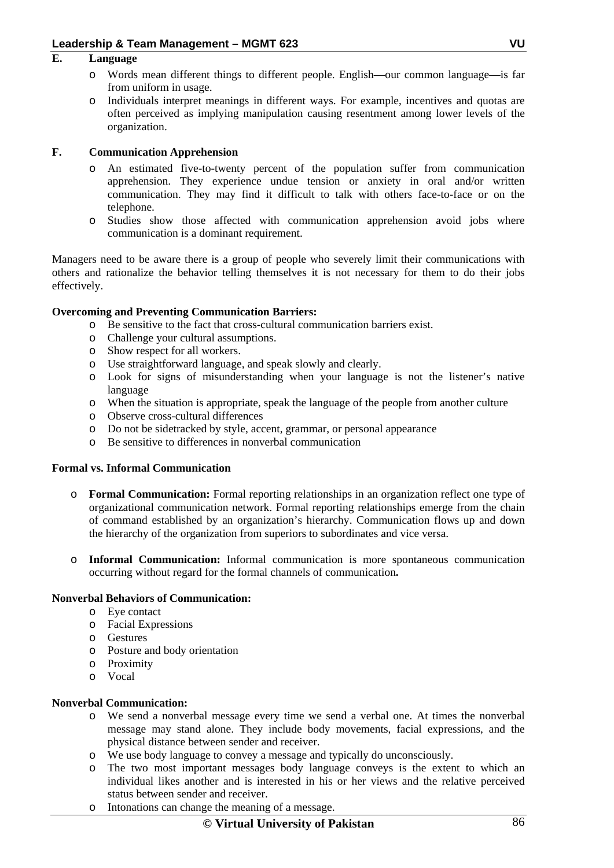#### **E. Language**

- o Words mean different things to different people. English—our common language—is far from uniform in usage.
- o Individuals interpret meanings in different ways. For example, incentives and quotas are often perceived as implying manipulation causing resentment among lower levels of the organization.

#### **F. Communication Apprehension**

- o An estimated five-to-twenty percent of the population suffer from communication apprehension. They experience undue tension or anxiety in oral and/or written communication. They may find it difficult to talk with others face-to-face or on the telephone.
- o Studies show those affected with communication apprehension avoid jobs where communication is a dominant requirement.

Managers need to be aware there is a group of people who severely limit their communications with others and rationalize the behavior telling themselves it is not necessary for them to do their jobs effectively.

#### **Overcoming and Preventing Communication Barriers:**

- o Be sensitive to the fact that cross-cultural communication barriers exist.
- o Challenge your cultural assumptions.
- o Show respect for all workers.
- o Use straightforward language, and speak slowly and clearly.
- o Look for signs of misunderstanding when your language is not the listener's native language
- o When the situation is appropriate, speak the language of the people from another culture
- o Observe cross-cultural differences
- o Do not be sidetracked by style, accent, grammar, or personal appearance
- o Be sensitive to differences in nonverbal communication

#### **Formal vs. Informal Communication**

- o **Formal Communication:** Formal reporting relationships in an organization reflect one type of organizational communication network. Formal reporting relationships emerge from the chain of command established by an organization's hierarchy. Communication flows up and down the hierarchy of the organization from superiors to subordinates and vice versa.
- o **Informal Communication:** Informal communication is more spontaneous communication occurring without regard for the formal channels of communication**.**

#### **Nonverbal Behaviors of Communication:**

- o Eye contact
- o Facial Expressions
- o Gestures
- o Posture and body orientation
- o Proximity
- o Vocal

#### **Nonverbal Communication:**

- o We send a nonverbal message every time we send a verbal one. At times the nonverbal message may stand alone. They include body movements, facial expressions, and the physical distance between sender and receiver.
- o We use body language to convey a message and typically do unconsciously.
- o The two most important messages body language conveys is the extent to which an individual likes another and is interested in his or her views and the relative perceived status between sender and receiver.
- o Intonations can change the meaning of a message.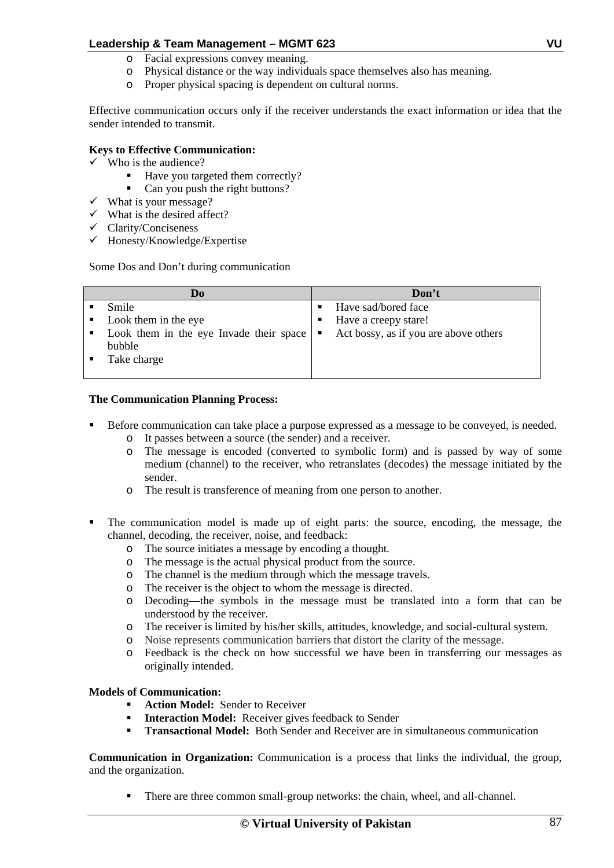- o Facial expressions convey meaning.
- o Physical distance or the way individuals space themselves also has meaning.
- o Proper physical spacing is dependent on cultural norms.

Effective communication occurs only if the receiver understands the exact information or idea that the sender intended to transmit.

#### **Keys to Effective Communication:**

- $\checkmark$  Who is the audience?
	- Have you targeted them correctly?<br> $\blacksquare$  Can you push the right buttons?
	- Can you push the right buttons?
- $\checkmark$  What is your message?
- $\checkmark$  What is the desired affect?
- $\checkmark$  Clarity/Conciseness
- $\checkmark$  Honesty/Knowledge/Expertise

Some Dos and Don't during communication

|             | D <sub>0</sub>                                                | Don't                                 |
|-------------|---------------------------------------------------------------|---------------------------------------|
|             | Smile                                                         | Have sad/bored face                   |
|             | Look them in the eye                                          | Have a creepy stare!                  |
| the control | Look them in the eye Invade their space $\vert \bullet \vert$ | Act bossy, as if you are above others |
|             | bubble                                                        |                                       |
|             | Take charge                                                   |                                       |
|             |                                                               |                                       |

#### **The Communication Planning Process:**

- Before communication can take place a purpose expressed as a message to be conveyed, is needed.
	- o It passes between a source (the sender) and a receiver.
	- o The message is encoded (converted to symbolic form) and is passed by way of some medium (channel) to the receiver, who retranslates (decodes) the message initiated by the sender.
	- o The result is transference of meaning from one person to another.
- The communication model is made up of eight parts: the source, encoding, the message, the channel, decoding, the receiver, noise, and feedback:
	- o The source initiates a message by encoding a thought.
	- o The message is the actual physical product from the source.
	- o The channel is the medium through which the message travels.
	- o The receiver is the object to whom the message is directed.
	- o Decoding—the symbols in the message must be translated into a form that can be understood by the receiver.
	- o The receiver is limited by his/her skills, attitudes, knowledge, and social-cultural system.
	- o Noise represents communication barriers that distort the clarity of the message.
	- o Feedback is the check on how successful we have been in transferring our messages as originally intended.

#### **Models of Communication:**

- **Action Model:** Sender to Receiver
- **Interaction Model:** Receiver gives feedback to Sender
- **Transactional Model:** Both Sender and Receiver are in simultaneous communication

**Communication in Organization:** Communication is a process that links the individual, the group, and the organization.

There are three common small-group networks: the chain, wheel, and all-channel.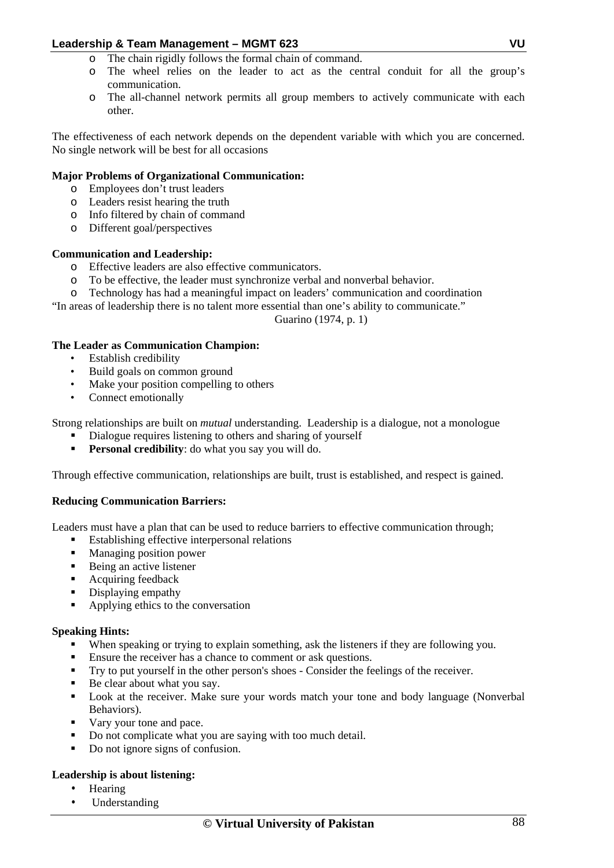- o The chain rigidly follows the formal chain of command.
- o The wheel relies on the leader to act as the central conduit for all the group's communication.
- o The all-channel network permits all group members to actively communicate with each other.

The effectiveness of each network depends on the dependent variable with which you are concerned. No single network will be best for all occasions

#### **Major Problems of Organizational Communication:**

- o Employees don't trust leaders
- o Leaders resist hearing the truth
- o Info filtered by chain of command
- o Different goal/perspectives

#### **Communication and Leadership:**

- o Effective leaders are also effective communicators.
- o To be effective, the leader must synchronize verbal and nonverbal behavior.
- o Technology has had a meaningful impact on leaders' communication and coordination

"In areas of leadership there is no talent more essential than one's ability to communicate."

Guarino (1974, p. 1)

#### **The Leader as Communication Champion:**

- Establish credibility
- Build goals on common ground
- Make your position compelling to others
- Connect emotionally

Strong relationships are built on *mutual* understanding. Leadership is a dialogue, not a monologue

- Dialogue requires listening to others and sharing of yourself
- **Personal credibility**: do what you say you will do.

Through effective communication, relationships are built, trust is established, and respect is gained.

#### **Reducing Communication Barriers:**

Leaders must have a plan that can be used to reduce barriers to effective communication through;

- Establishing effective interpersonal relations
- Managing position power
- Being an active listener
- Acquiring feedback
- Displaying empathy
- Applying ethics to the conversation

#### **Speaking Hints:**

- When speaking or trying to explain something, ask the listeners if they are following you.
- Ensure the receiver has a chance to comment or ask questions.
- Try to put yourself in the other person's shoes Consider the feelings of the receiver.
- Be clear about what you say.
- **Look at the receiver. Make sure your words match your tone and body language (Nonverbal** Behaviors).
- Vary your tone and pace.
- Do not complicate what you are saying with too much detail.
- Do not ignore signs of confusion.

#### **Leadership is about listening:**

- Hearing
- Understanding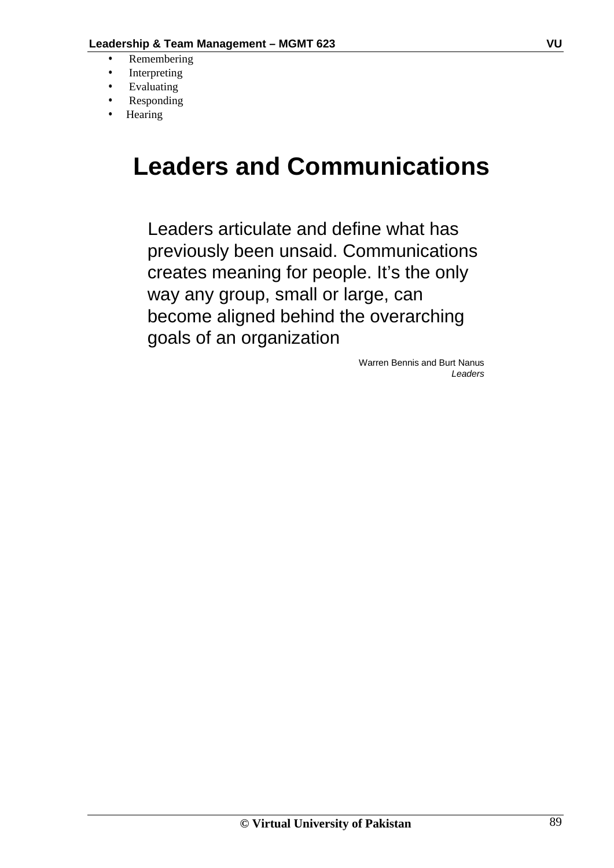- Remembering
- **Interpreting**
- **Evaluating**
- Responding
- **Hearing**

# **Leaders and Communications**

Leaders articulate and define what has previously been unsaid. Communications creates meaning for people. It's the only way any group, small or large, can become aligned behind the overarching goals of an organization

> Warren Bennis and Burt Nanus *Leaders*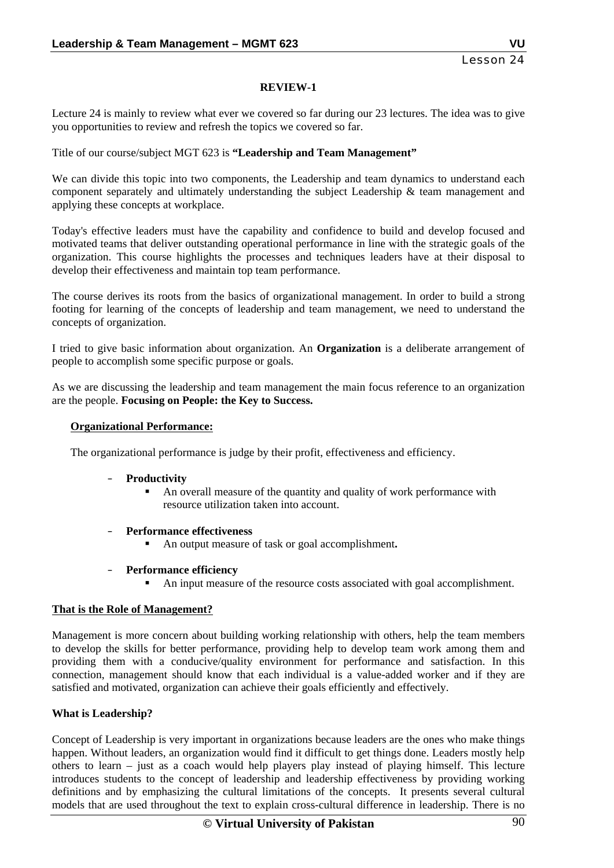#### **REVIEW-1**

Lecture 24 is mainly to review what ever we covered so far during our 23 lectures. The idea was to give you opportunities to review and refresh the topics we covered so far.

Title of our course/subject MGT 623 is **"Leadership and Team Management"** 

We can divide this topic into two components, the Leadership and team dynamics to understand each component separately and ultimately understanding the subject Leadership  $\&$  team management and applying these concepts at workplace.

Today's effective leaders must have the capability and confidence to build and develop focused and motivated teams that deliver outstanding operational performance in line with the strategic goals of the organization. This course highlights the processes and techniques leaders have at their disposal to develop their effectiveness and maintain top team performance.

The course derives its roots from the basics of organizational management. In order to build a strong footing for learning of the concepts of leadership and team management, we need to understand the concepts of organization.

I tried to give basic information about organization. An **Organization** is a deliberate arrangement of people to accomplish some specific purpose or goals.

As we are discussing the leadership and team management the main focus reference to an organization are the people. **Focusing on People: the Key to Success.** 

#### **Organizational Performance:**

The organizational performance is judge by their profit, effectiveness and efficiency.

#### – **Productivity**

- An overall measure of the quantity and quality of work performance with resource utilization taken into account.
- **Performance effectiveness** 
	- An output measure of task or goal accomplishment**.**
- **Performance efficiency** 
	- An input measure of the resource costs associated with goal accomplishment.

#### **That is the Role of Management?**

Management is more concern about building working relationship with others, help the team members to develop the skills for better performance, providing help to develop team work among them and providing them with a conducive/quality environment for performance and satisfaction. In this connection, management should know that each individual is a value-added worker and if they are satisfied and motivated, organization can achieve their goals efficiently and effectively.

#### **What is Leadership?**

Concept of Leadership is very important in organizations because leaders are the ones who make things happen. Without leaders, an organization would find it difficult to get things done. Leaders mostly help others to learn – just as a coach would help players play instead of playing himself. This lecture introduces students to the concept of leadership and leadership effectiveness by providing working definitions and by emphasizing the cultural limitations of the concepts. It presents several cultural models that are used throughout the text to explain cross-cultural difference in leadership. There is no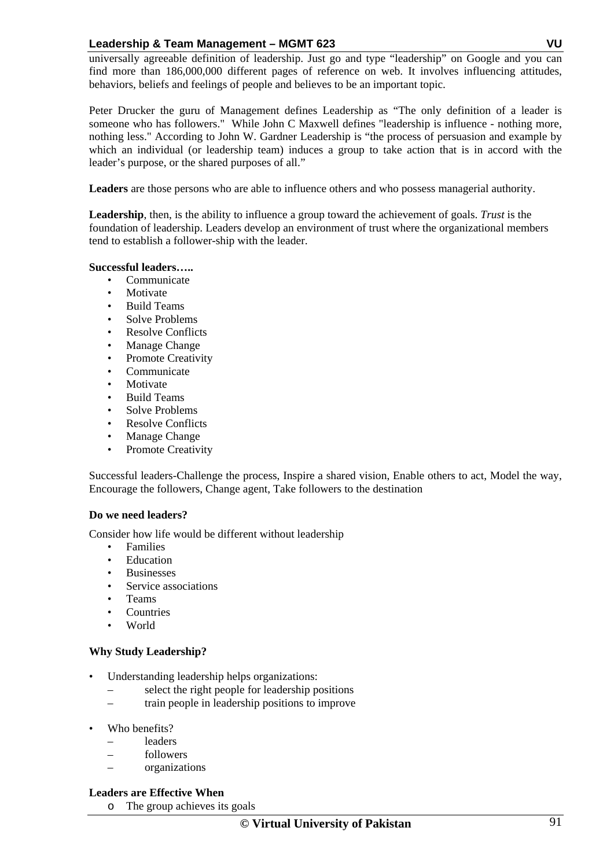universally agreeable definition of leadership. Just go and type "leadership" on Google and you can find more than 186,000,000 different pages of reference on web. It involves influencing attitudes, behaviors, beliefs and feelings of people and believes to be an important topic.

Peter Drucker the guru of Management defines Leadership as "The only definition of a leader is someone who has followers." While John C Maxwell defines "leadership is influence - nothing more, nothing less." According to John W. Gardner Leadership is "the process of persuasion and example by which an individual (or leadership team) induces a group to take action that is in accord with the leader's purpose, or the shared purposes of all."

**Leaders** are those persons who are able to influence others and who possess managerial authority.

**Leadership**, then, is the ability to influence a group toward the achievement of goals. *Trust* is the foundation of leadership. Leaders develop an environment of trust where the organizational members tend to establish a follower-ship with the leader.

#### **Successful leaders…..**

- **Communicate**
- **Motivate**
- Build Teams
- Solve Problems
- Resolve Conflicts
- Manage Change
- Promote Creativity
- Communicate
- Motivate
- Build Teams
- Solve Problems
- Resolve Conflicts
- Manage Change
- Promote Creativity

Successful leaders-Challenge the process, Inspire a shared vision, Enable others to act, Model the way, Encourage the followers, Change agent, Take followers to the destination

#### **Do we need leaders?**

Consider how life would be different without leadership

- Families
- Education
- Businesses
- Service associations
- Teams
- **Countries**
- World

#### **Why Study Leadership?**

- Understanding leadership helps organizations:
	- select the right people for leadership positions
	- train people in leadership positions to improve
- Who benefits?
	- leaders
	- followers
	- organizations

#### **Leaders are Effective When**

o The group achieves its goals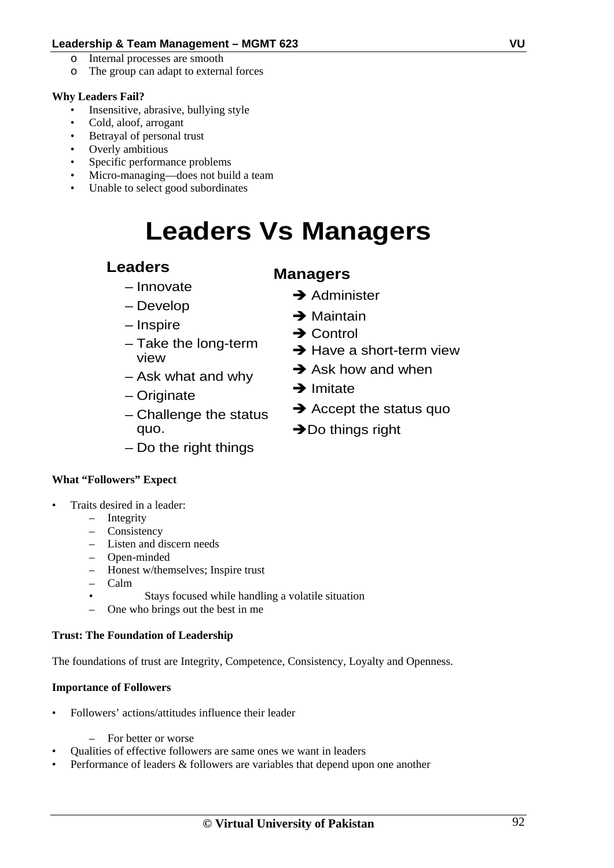- o Internal processes are smooth
- o The group can adapt to external forces

#### **Why Leaders Fail?**

- Insensitive, abrasive, bullying style
- Cold, aloof, arrogant
- Betrayal of personal trust
- Overly ambitious
- Specific performance problems
- Micro-managing—does not build a team
- Unable to select good subordinates

# **Leaders Vs Managers**

### **Leaders**

- Innovate
- Develop
- Inspire
- Take the long-term view
- Ask what and why
- Originate
- Challenge the status quo.
- Do the right things

#### **What "Followers" Expect**

- Traits desired in a leader:
	- Integrity
		- Consistency
		- Listen and discern needs
		- Open-minded
		- Honest w/themselves; Inspire trust
		- Calm
		- Stays focused while handling a volatile situation
		- One who brings out the best in me

#### **Trust: The Foundation of Leadership**

The foundations of trust are Integrity, Competence, Consistency, Loyalty and Openness.

#### **Importance of Followers**

- Followers' actions/attitudes influence their leader
	- For better or worse
- Qualities of effective followers are same ones we want in leaders
- Performance of leaders & followers are variables that depend upon one another

### **Managers**

- $\rightarrow$  Administer
- $\rightarrow$  Maintain
- $\rightarrow$  Control
- $\rightarrow$  Have a short-term view
- $\rightarrow$  Ask how and when
- $\rightarrow$  Imitate
- $\rightarrow$  Accept the status quo
- $\rightarrow$  Do things right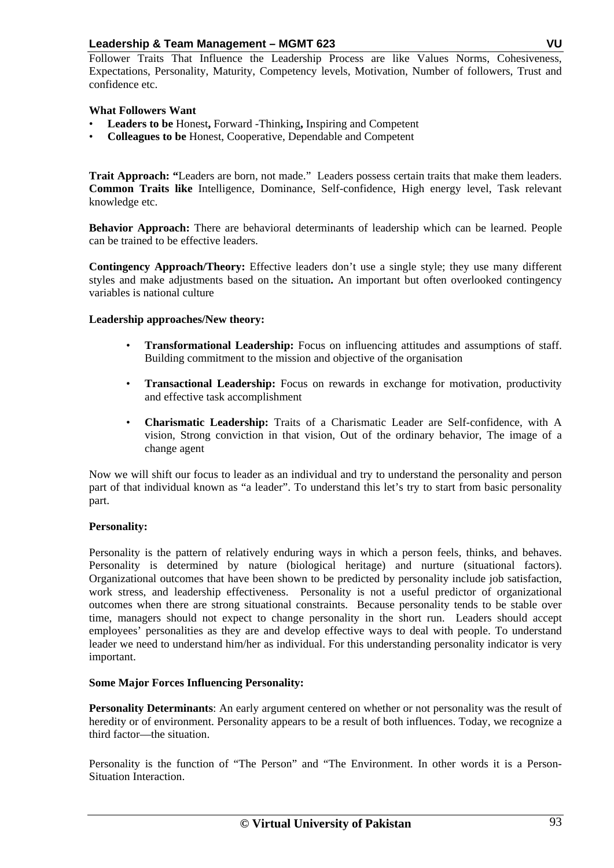Follower Traits That Influence the Leadership Process are like Values Norms, Cohesiveness, Expectations, Personality, Maturity, Competency levels, Motivation, Number of followers, Trust and confidence etc.

#### **What Followers Want**

- **Leaders to be** Honest**,** Forward -Thinking**,** Inspiring and Competent
- **Colleagues to be** Honest, Cooperative, Dependable and Competent

**Trait Approach: "**Leaders are born, not made." Leaders possess certain traits that make them leaders. **Common Traits like** Intelligence, Dominance, Self-confidence, High energy level, Task relevant knowledge etc.

**Behavior Approach:** There are behavioral determinants of leadership which can be learned. People can be trained to be effective leaders.

**Contingency Approach/Theory:** Effective leaders don't use a single style; they use many different styles and make adjustments based on the situation**.** An important but often overlooked contingency variables is national culture

#### **Leadership approaches/New theory:**

- **Transformational Leadership:** Focus on influencing attitudes and assumptions of staff. Building commitment to the mission and objective of the organisation
- **Transactional Leadership:** Focus on rewards in exchange for motivation, productivity and effective task accomplishment
- **Charismatic Leadership:** Traits of a Charismatic Leader are Self-confidence, with A vision, Strong conviction in that vision, Out of the ordinary behavior, The image of a change agent

Now we will shift our focus to leader as an individual and try to understand the personality and person part of that individual known as "a leader". To understand this let's try to start from basic personality part.

#### **Personality:**

Personality is the pattern of relatively enduring ways in which a person feels, thinks, and behaves. Personality is determined by nature (biological heritage) and nurture (situational factors). Organizational outcomes that have been shown to be predicted by personality include job satisfaction, work stress, and leadership effectiveness. Personality is not a useful predictor of organizational outcomes when there are strong situational constraints. Because personality tends to be stable over time, managers should not expect to change personality in the short run. Leaders should accept employees' personalities as they are and develop effective ways to deal with people. To understand leader we need to understand him/her as individual. For this understanding personality indicator is very important.

#### **Some Major Forces Influencing Personality:**

**Personality Determinants**: An early argument centered on whether or not personality was the result of heredity or of environment. Personality appears to be a result of both influences. Today, we recognize a third factor—the situation.

Personality is the function of "The Person" and "The Environment. In other words it is a Person-Situation Interaction.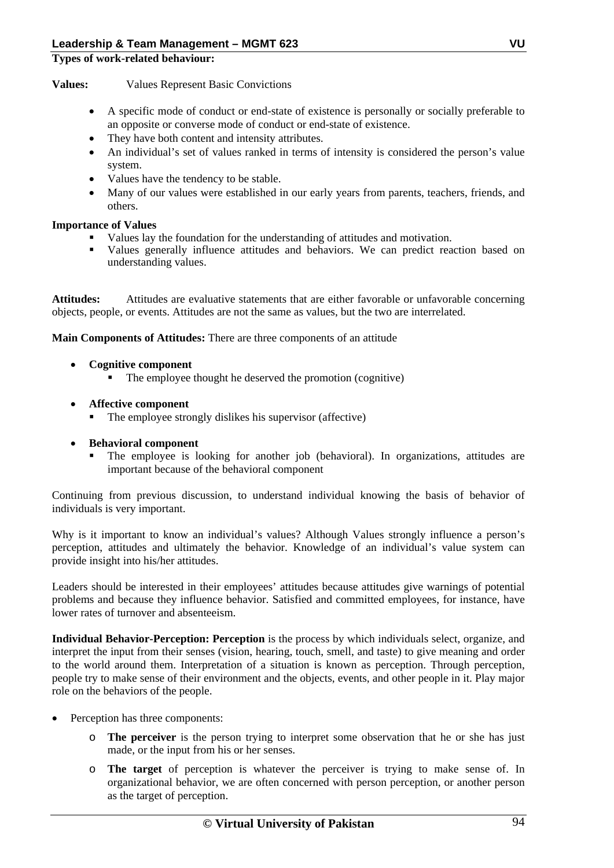#### **Types of work-related behaviour:**

**Values:** Values Represent Basic Convictions

- A specific mode of conduct or end-state of existence is personally or socially preferable to an opposite or converse mode of conduct or end-state of existence.
- They have both content and intensity attributes.
- An individual's set of values ranked in terms of intensity is considered the person's value system.
- Values have the tendency to be stable.
- Many of our values were established in our early years from parents, teachers, friends, and others.

#### **Importance of Values**

- Values lay the foundation for the understanding of attitudes and motivation.
- Values generally influence attitudes and behaviors. We can predict reaction based on understanding values.

**Attitudes:** Attitudes are evaluative statements that are either favorable or unfavorable concerning objects, people, or events. Attitudes are not the same as values, but the two are interrelated.

**Main Components of Attitudes:** There are three components of an attitude

- **Cognitive component** 
	- The employee thought he deserved the promotion (cognitive)
- **Affective component** 
	- The employee strongly dislikes his supervisor (affective)
- **Behavioral component** 
	- The employee is looking for another job (behavioral). In organizations, attitudes are important because of the behavioral component

Continuing from previous discussion, to understand individual knowing the basis of behavior of individuals is very important.

Why is it important to know an individual's values? Although Values strongly influence a person's perception, attitudes and ultimately the behavior. Knowledge of an individual's value system can provide insight into his/her attitudes.

Leaders should be interested in their employees' attitudes because attitudes give warnings of potential problems and because they influence behavior. Satisfied and committed employees, for instance, have lower rates of turnover and absenteeism.

**Individual Behavior-Perception: Perception** is the process by which individuals select, organize, and interpret the input from their senses (vision, hearing, touch, smell, and taste) to give meaning and order to the world around them. Interpretation of a situation is known as perception. Through perception, people try to make sense of their environment and the objects, events, and other people in it. Play major role on the behaviors of the people.

- Perception has three components:
	- o **The perceiver** is the person trying to interpret some observation that he or she has just made, or the input from his or her senses.
	- o **The target** of perception is whatever the perceiver is trying to make sense of. In organizational behavior, we are often concerned with person perception, or another person as the target of perception.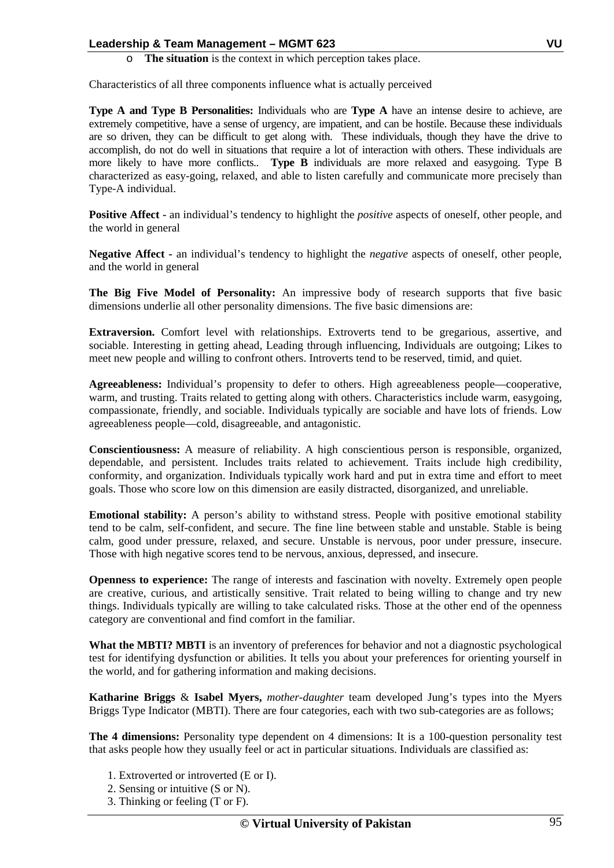o **The situation** is the context in which perception takes place.

Characteristics of all three components influence what is actually perceived

**Type A and Type B Personalities:** Individuals who are **Type A** have an intense desire to achieve, are extremely competitive, have a sense of urgency, are impatient, and can be hostile. Because these individuals are so driven, they can be difficult to get along with. These individuals, though they have the drive to accomplish, do not do well in situations that require a lot of interaction with others. These individuals are more likely to have more conflicts.. **Type B** individuals are more relaxed and easygoing. Type B characterized as easy-going, relaxed, and able to listen carefully and communicate more precisely than Type-A individual.

**Positive Affect -** an individual's tendency to highlight the *positive* aspects of oneself, other people, and the world in general

**Negative Affect -** an individual's tendency to highlight the *negative* aspects of oneself, other people, and the world in general

**The Big Five Model of Personality:** An impressive body of research supports that five basic dimensions underlie all other personality dimensions. The five basic dimensions are:

**Extraversion.** Comfort level with relationships. Extroverts tend to be gregarious, assertive, and sociable. Interesting in getting ahead, Leading through influencing, Individuals are outgoing; Likes to meet new people and willing to confront others. Introverts tend to be reserved, timid, and quiet.

**Agreeableness:** Individual's propensity to defer to others. High agreeableness people—cooperative, warm, and trusting. Traits related to getting along with others. Characteristics include warm, easygoing, compassionate, friendly, and sociable. Individuals typically are sociable and have lots of friends. Low agreeableness people—cold, disagreeable, and antagonistic.

**Conscientiousness:** A measure of reliability. A high conscientious person is responsible, organized, dependable, and persistent. Includes traits related to achievement. Traits include high credibility, conformity, and organization. Individuals typically work hard and put in extra time and effort to meet goals. Those who score low on this dimension are easily distracted, disorganized, and unreliable.

**Emotional stability:** A person's ability to withstand stress. People with positive emotional stability tend to be calm, self-confident, and secure. The fine line between stable and unstable. Stable is being calm, good under pressure, relaxed, and secure. Unstable is nervous, poor under pressure, insecure. Those with high negative scores tend to be nervous, anxious, depressed, and insecure.

**Openness to experience:** The range of interests and fascination with novelty. Extremely open people are creative, curious, and artistically sensitive. Trait related to being willing to change and try new things. Individuals typically are willing to take calculated risks. Those at the other end of the openness category are conventional and find comfort in the familiar.

**What the MBTI? MBTI** is an inventory of preferences for behavior and not a diagnostic psychological test for identifying dysfunction or abilities. It tells you about your preferences for orienting yourself in the world, and for gathering information and making decisions.

**Katharine Briggs** & **Isabel Myers,** *mother-daughter* team developed Jung's types into the Myers Briggs Type Indicator (MBTI). There are four categories, each with two sub-categories are as follows;

**The 4 dimensions:** Personality type dependent on 4 dimensions: It is a 100-question personality test that asks people how they usually feel or act in particular situations. Individuals are classified as:

- 1. Extroverted or introverted (E or I).
- 2. Sensing or intuitive (S or N).
- 3. Thinking or feeling (T or F).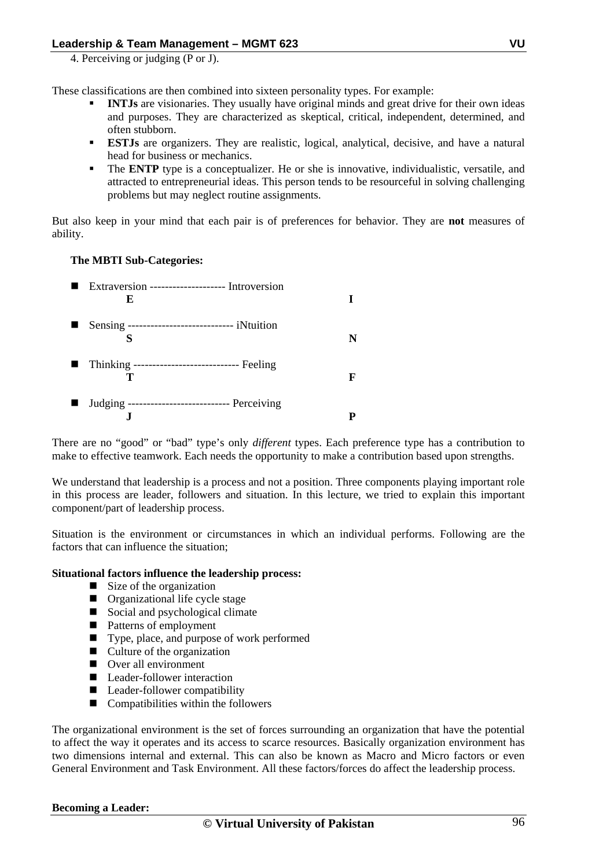4. Perceiving or judging (P or J).

These classifications are then combined into sixteen personality types. For example:

- **INTJs** are visionaries. They usually have original minds and great drive for their own ideas and purposes. They are characterized as skeptical, critical, independent, determined, and often stubborn.
- **ESTJs** are organizers. They are realistic, logical, analytical, decisive, and have a natural head for business or mechanics.
- The **ENTP** type is a conceptualizer. He or she is innovative, individualistic, versatile, and attracted to entrepreneurial ideas. This person tends to be resourceful in solving challenging problems but may neglect routine assignments.

But also keep in your mind that each pair is of preferences for behavior. They are **not** measures of ability.

#### **The MBTI Sub-Categories:**

|                | ■ Extraversion --------------------- Introversion<br>E |   |
|----------------|--------------------------------------------------------|---|
|                | Sensing ----------------------------- iNtuition        |   |
| $\blacksquare$ | Thinking ------------------------------ Feeling        | F |
| ш              | Judging ---------------------------- Perceiving        |   |

There are no "good" or "bad" type's only *different* types. Each preference type has a contribution to make to effective teamwork. Each needs the opportunity to make a contribution based upon strengths.

We understand that leadership is a process and not a position. Three components playing important role in this process are leader, followers and situation. In this lecture, we tried to explain this important component/part of leadership process.

Situation is the environment or circumstances in which an individual performs. Following are the factors that can influence the situation;

#### **Situational factors influence the leadership process:**

- $\blacksquare$  Size of the organization
- **Organizational life cycle stage**
- Social and psychological climate
- Patterns of employment
- Type, place, and purpose of work performed
- Culture of the organization
- Over all environment
- Leader-follower interaction
- Leader-follower compatibility
- $\blacksquare$  Compatibilities within the followers

The organizational environment is the set of forces surrounding an organization that have the potential to affect the way it operates and its access to scarce resources. Basically organization environment has two dimensions internal and external. This can also be known as Macro and Micro factors or even General Environment and Task Environment. All these factors/forces do affect the leadership process.

#### **Becoming a Leader:**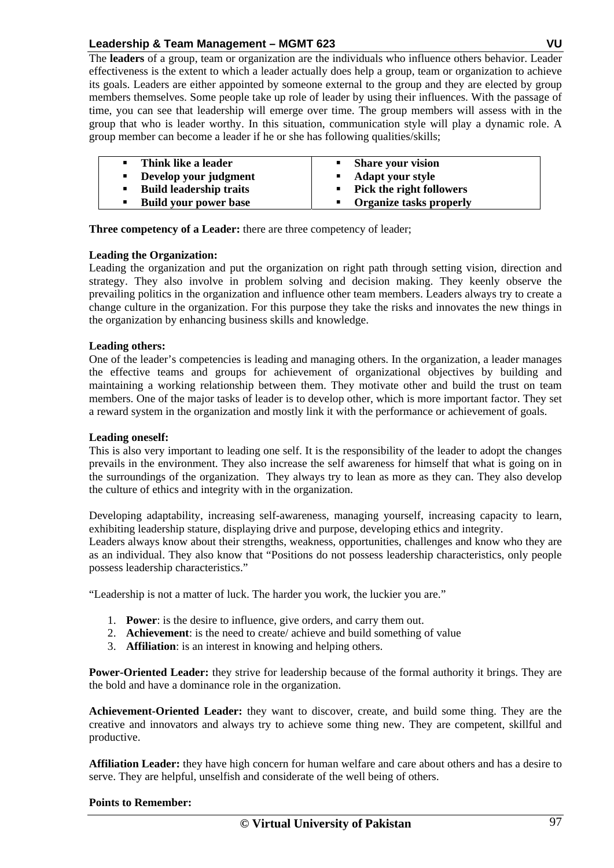The **leaders** of a group, team or organization are the individuals who influence others behavior. Leader effectiveness is the extent to which a leader actually does help a group, team or organization to achieve its goals. Leaders are either appointed by someone external to the group and they are elected by group members themselves. Some people take up role of leader by using their influences. With the passage of time, you can see that leadership will emerge over time. The group members will assess with in the group that who is leader worthy. In this situation, communication style will play a dynamic role. A group member can become a leader if he or she has following qualities/skills;

| Think like a leader                 | • Share your vision        |
|-------------------------------------|----------------------------|
| Develop your judgment<br>л.         | • Adapt your style         |
| <b>Build leadership traits</b><br>٠ | • Pick the right followers |
| <b>Build your power base</b><br>п   | • Organize tasks properly  |

**Three competency of a Leader:** there are three competency of leader;

#### **Leading the Organization:**

Leading the organization and put the organization on right path through setting vision, direction and strategy. They also involve in problem solving and decision making. They keenly observe the prevailing politics in the organization and influence other team members. Leaders always try to create a change culture in the organization. For this purpose they take the risks and innovates the new things in the organization by enhancing business skills and knowledge.

#### **Leading others:**

One of the leader's competencies is leading and managing others. In the organization, a leader manages the effective teams and groups for achievement of organizational objectives by building and maintaining a working relationship between them. They motivate other and build the trust on team members. One of the major tasks of leader is to develop other, which is more important factor. They set a reward system in the organization and mostly link it with the performance or achievement of goals.

#### **Leading oneself:**

This is also very important to leading one self. It is the responsibility of the leader to adopt the changes prevails in the environment. They also increase the self awareness for himself that what is going on in the surroundings of the organization. They always try to lean as more as they can. They also develop the culture of ethics and integrity with in the organization.

Developing adaptability, increasing self-awareness, managing yourself, increasing capacity to learn, exhibiting leadership stature, displaying drive and purpose, developing ethics and integrity.

Leaders always know about their strengths, weakness, opportunities, challenges and know who they are as an individual. They also know that "Positions do not possess leadership characteristics, only people possess leadership characteristics."

"Leadership is not a matter of luck. The harder you work, the luckier you are."

- 1. **Power**: is the desire to influence, give orders, and carry them out.
- 2. **Achievement**: is the need to create/ achieve and build something of value
- 3. **Affiliation**: is an interest in knowing and helping others.

**Power-Oriented Leader:** they strive for leadership because of the formal authority it brings. They are the bold and have a dominance role in the organization.

**Achievement-Oriented Leader:** they want to discover, create, and build some thing. They are the creative and innovators and always try to achieve some thing new. They are competent, skillful and productive.

**Affiliation Leader:** they have high concern for human welfare and care about others and has a desire to serve. They are helpful, unselfish and considerate of the well being of others.

#### **Points to Remember:**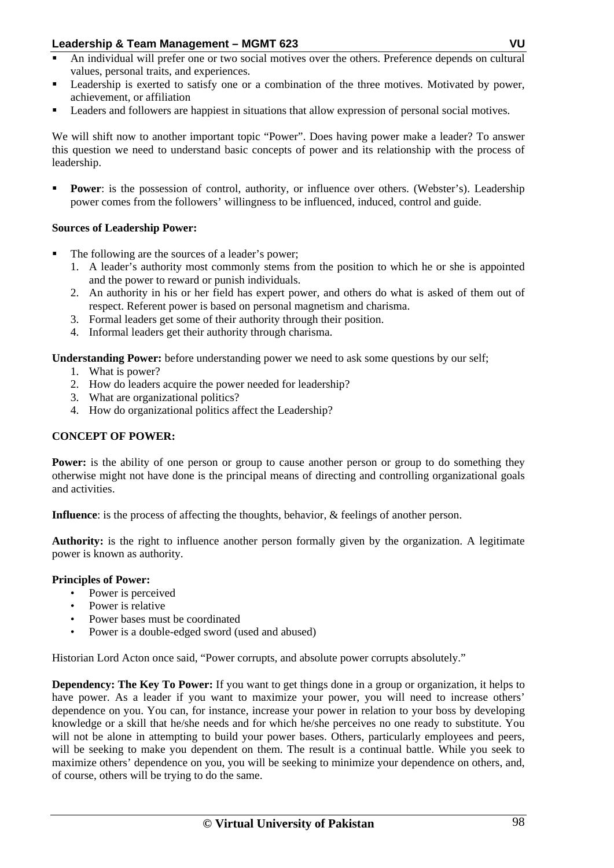- An individual will prefer one or two social motives over the others. Preference depends on cultural values, personal traits, and experiences.
- Leadership is exerted to satisfy one or a combination of the three motives. Motivated by power, achievement, or affiliation
- Leaders and followers are happiest in situations that allow expression of personal social motives.

We will shift now to another important topic "Power". Does having power make a leader? To answer this question we need to understand basic concepts of power and its relationship with the process of leadership.

**Power**: is the possession of control, authority, or influence over others. (Webster's). Leadership power comes from the followers' willingness to be influenced, induced, control and guide.

#### **Sources of Leadership Power:**

- The following are the sources of a leader's power;
	- 1. A leader's authority most commonly stems from the position to which he or she is appointed and the power to reward or punish individuals.
	- 2. An authority in his or her field has expert power, and others do what is asked of them out of respect. Referent power is based on personal magnetism and charisma.
	- 3. Formal leaders get some of their authority through their position.
	- 4. Informal leaders get their authority through charisma.

**Understanding Power:** before understanding power we need to ask some questions by our self;

- 1. What is power?
- 2. How do leaders acquire the power needed for leadership?
- 3. What are organizational politics?
- 4. How do organizational politics affect the Leadership?

#### **CONCEPT OF POWER:**

**Power:** is the ability of one person or group to cause another person or group to do something they otherwise might not have done is the principal means of directing and controlling organizational goals and activities.

**Influence**: is the process of affecting the thoughts, behavior, & feelings of another person.

**Authority:** is the right to influence another person formally given by the organization. A legitimate power is known as authority.

#### **Principles of Power:**

- Power is perceived
- Power is relative
- Power bases must be coordinated
- Power is a double-edged sword (used and abused)

Historian Lord Acton once said, "Power corrupts, and absolute power corrupts absolutely."

**Dependency: The Key To Power:** If you want to get things done in a group or organization, it helps to have power. As a leader if you want to maximize your power, you will need to increase others' dependence on you. You can, for instance, increase your power in relation to your boss by developing knowledge or a skill that he/she needs and for which he/she perceives no one ready to substitute. You will not be alone in attempting to build your power bases. Others, particularly employees and peers, will be seeking to make you dependent on them. The result is a continual battle. While you seek to maximize others' dependence on you, you will be seeking to minimize your dependence on others, and, of course, others will be trying to do the same.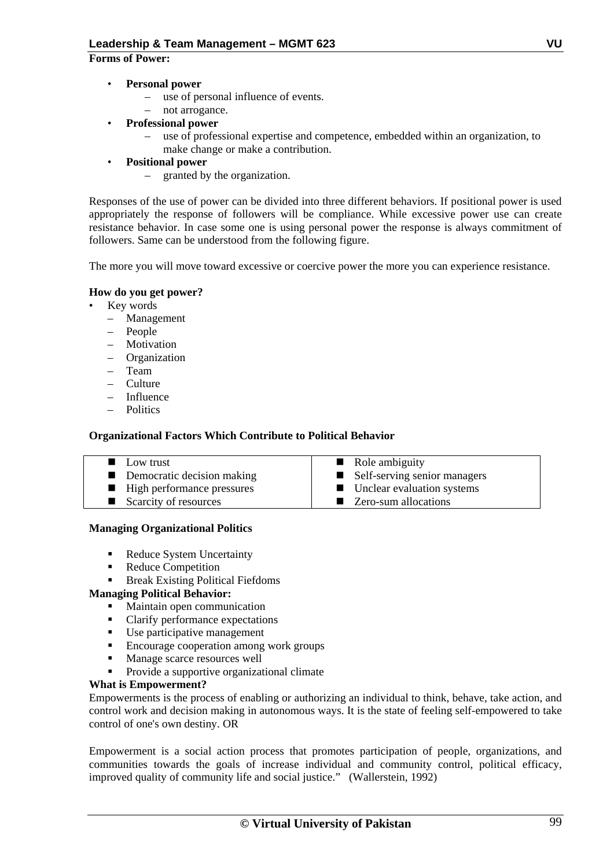#### **Forms of Power:**

- **Personal power** 
	- use of personal influence of events.
	- not arrogance.
- **Professional power** 
	- use of professional expertise and competence, embedded within an organization, to make change or make a contribution.
- **Positional power** 
	- granted by the organization.

Responses of the use of power can be divided into three different behaviors. If positional power is used appropriately the response of followers will be compliance. While excessive power use can create resistance behavior. In case some one is using personal power the response is always commitment of followers. Same can be understood from the following figure.

The more you will move toward excessive or coercive power the more you can experience resistance.

#### **How do you get power?**

- Key words
	- Management
	- People
	- Motivation
	- Organization
	- Team
	- Culture
	- Influence
	- Politics

#### **Organizational Factors Which Contribute to Political Behavior**

| $\blacksquare$ Low trust     | • Role ambiguity               |
|------------------------------|--------------------------------|
| Democratic decision making   | ■ Self-serving senior managers |
| ■ High performance pressures | • Unclear evaluation systems   |
| Scarcity of resources        | ■ Zero-sum allocations         |

#### **Managing Organizational Politics**

- Reduce System Uncertainty
- Reduce Competition
- Break Existing Political Fiefdoms

#### **Managing Political Behavior:**

- Maintain open communication
- Clarify performance expectations
- Use participative management
- **Encourage cooperation among work groups**
- **Manage scarce resources well**
- Provide a supportive organizational climate

#### **What is Empowerment?**

Empowerments is the process of enabling or authorizing an individual to think, behave, take action, and control work and decision making in autonomous ways. It is the state of feeling self-empowered to take control of one's own destiny. OR

Empowerment is a social action process that promotes participation of people, organizations, and communities towards the goals of increase individual and community control, political efficacy, improved quality of community life and social justice." (Wallerstein, 1992)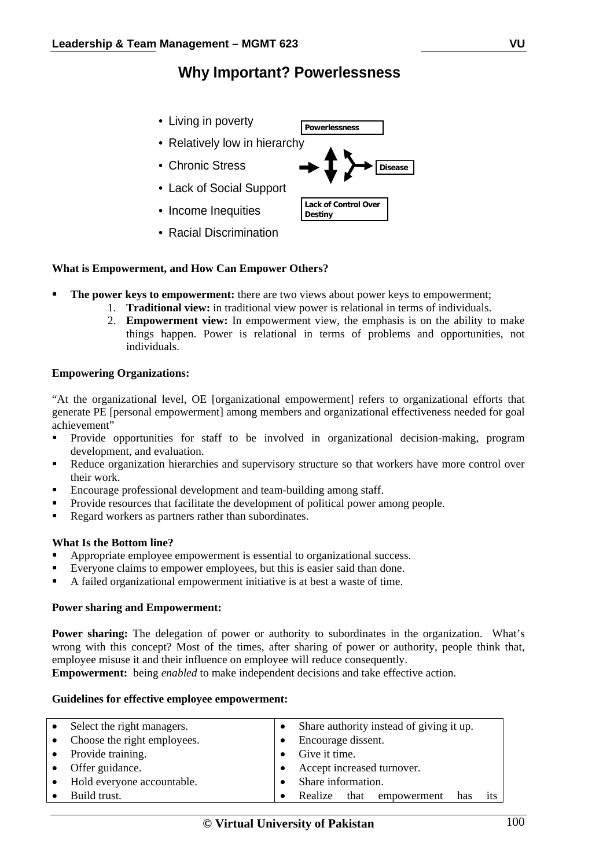### **Why Important? Powerlessness**

- Living in poverty
- Relatively low in hierarchy
- Chronic Stress
- Lack of Social Support
- Income Inequities
- Racial Discrimination

#### **What is Empowerment, and How Can Empower Others?**

- **The power keys to empowerment:** there are two views about power keys to empowerment;
	- 1. **Traditional view:** in traditional view power is relational in terms of individuals.
	- 2. **Empowerment view:** In empowerment view, the emphasis is on the ability to make things happen. Power is relational in terms of problems and opportunities, not individuals.

#### **Empowering Organizations:**

"At the organizational level, OE [organizational empowerment] refers to organizational efforts that generate PE [personal empowerment] among members and organizational effectiveness needed for goal achievement"

- Provide opportunities for staff to be involved in organizational decision-making, program development, and evaluation.
- Reduce organization hierarchies and supervisory structure so that workers have more control over their work.
- Encourage professional development and team-building among staff.
- Provide resources that facilitate the development of political power among people.
- Regard workers as partners rather than subordinates.

#### **What Is the Bottom line?**

- Appropriate employee empowerment is essential to organizational success.
- Everyone claims to empower employees, but this is easier said than done.
- A failed organizational empowerment initiative is at best a waste of time.

#### **Power sharing and Empowerment:**

Power sharing: The delegation of power or authority to subordinates in the organization. What's wrong with this concept? Most of the times, after sharing of power or authority, people think that, employee misuse it and their influence on employee will reduce consequently.

**Empowerment:** being *enabled* to make independent decisions and take effective action.

#### **Guidelines for effective employee empowerment:**

| • Select the right managers.  | Share authority instead of giving it up. |
|-------------------------------|------------------------------------------|
| • Choose the right employees. | Encourage dissent.                       |
| • Provide training.           | Give it time.                            |
| • Offer guidance.             | Accept increased turnover.               |
| • Hold everyone accountable.  | Share information.                       |
| $\bullet$ Build trust.        | Realize that empowerment<br>its<br>has   |



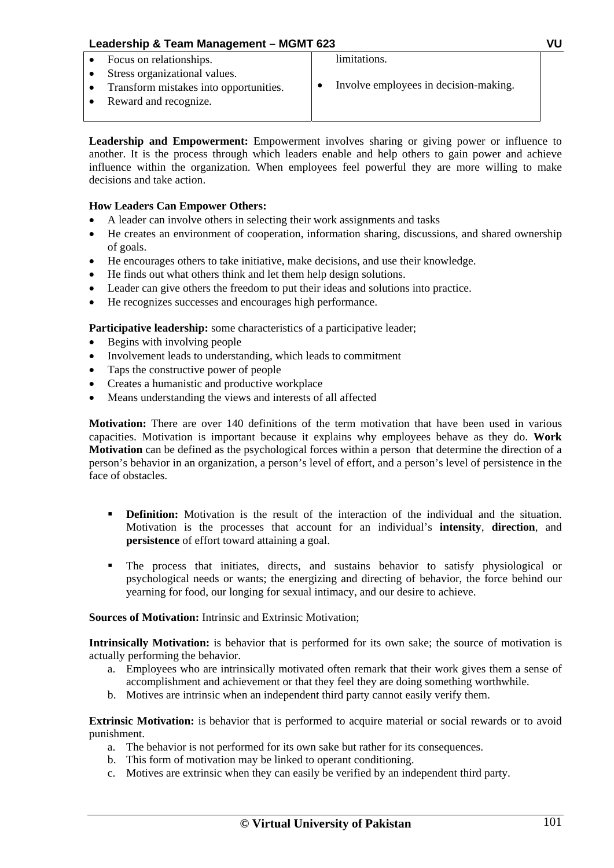| Leadership & Team Management - MGMT 623                                                          |  |                                       | VIJ |
|--------------------------------------------------------------------------------------------------|--|---------------------------------------|-----|
| Focus on relationships.                                                                          |  | limitations.                          |     |
| Stress organizational values.<br>Transform mistakes into opportunities.<br>Reward and recognize. |  | Involve employees in decision-making. |     |
|                                                                                                  |  |                                       |     |

**Leadership and Empowerment:** Empowerment involves sharing or giving power or influence to another. It is the process through which leaders enable and help others to gain power and achieve influence within the organization. When employees feel powerful they are more willing to make decisions and take action.

#### **How Leaders Can Empower Others:**

- A leader can involve others in selecting their work assignments and tasks
- He creates an environment of cooperation, information sharing, discussions, and shared ownership of goals.
- He encourages others to take initiative, make decisions, and use their knowledge.
- He finds out what others think and let them help design solutions.
- Leader can give others the freedom to put their ideas and solutions into practice.
- He recognizes successes and encourages high performance.

Participative leadership: some characteristics of a participative leader;

- Begins with involving people
- Involvement leads to understanding, which leads to commitment
- Taps the constructive power of people
- Creates a humanistic and productive workplace
- Means understanding the views and interests of all affected

**Motivation:** There are over 140 definitions of the term motivation that have been used in various capacities. Motivation is important because it explains why employees behave as they do. **Work Motivation** can be defined as the psychological forces within a person that determine the direction of a person's behavior in an organization, a person's level of effort, and a person's level of persistence in the face of obstacles.

- **Definition:** Motivation is the result of the interaction of the individual and the situation. Motivation is the processes that account for an individual's **intensity**, **direction**, and **persistence** of effort toward attaining a goal.
- The process that initiates, directs, and sustains behavior to satisfy physiological or psychological needs or wants; the energizing and directing of behavior, the force behind our yearning for food, our longing for sexual intimacy, and our desire to achieve.

#### **Sources of Motivation:** Intrinsic and Extrinsic Motivation;

**Intrinsically Motivation:** is behavior that is performed for its own sake; the source of motivation is actually performing the behavior.

- a. Employees who are intrinsically motivated often remark that their work gives them a sense of accomplishment and achievement or that they feel they are doing something worthwhile.
- b. Motives are intrinsic when an independent third party cannot easily verify them.

**Extrinsic Motivation:** is behavior that is performed to acquire material or social rewards or to avoid punishment.

- a. The behavior is not performed for its own sake but rather for its consequences.
- b. This form of motivation may be linked to operant conditioning.
- c. Motives are extrinsic when they can easily be verified by an independent third party.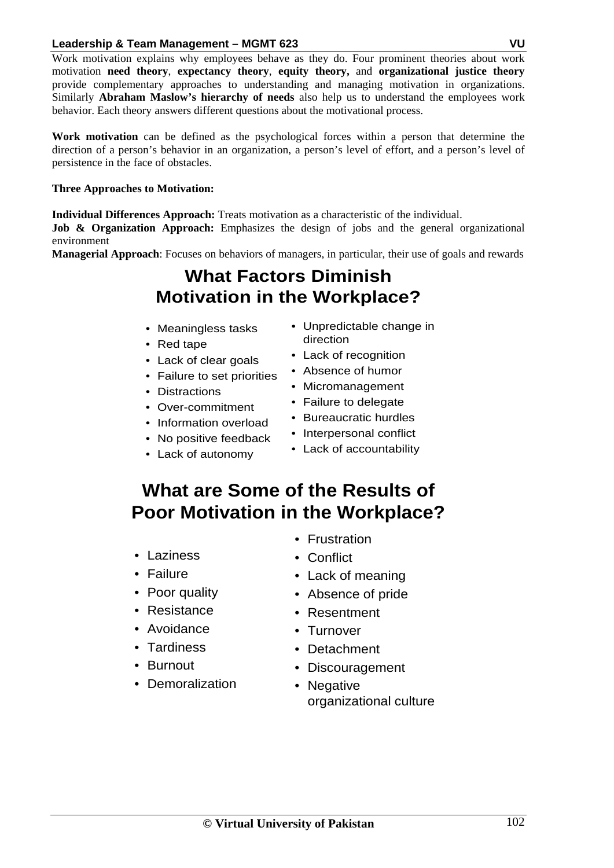Work motivation explains why employees behave as they do. Four prominent theories about work motivation **need theory**, **expectancy theory**, **equity theory,** and **organizational justice theory** provide complementary approaches to understanding and managing motivation in organizations. Similarly **Abraham Maslow's hierarchy of needs** also help us to understand the employees work behavior. Each theory answers different questions about the motivational process.

**Work motivation** can be defined as the psychological forces within a person that determine the direction of a person's behavior in an organization, a person's level of effort, and a person's level of persistence in the face of obstacles.

#### **Three Approaches to Motivation:**

**Individual Differences Approach:** Treats motivation as a characteristic of the individual.

**Job & Organization Approach:** Emphasizes the design of jobs and the general organizational environment

**Managerial Approach**: Focuses on behaviors of managers, in particular, their use of goals and rewards

## **What Factors Diminish Motivation in the Workplace?**

- Meaningless tasks
- Red tape
- Lack of clear goals
- Failure to set priorities
- Distractions
- Over-commitment
- Information overload
- No positive feedback
- Lack of autonomy
- Unpredictable change in direction
- Lack of recognition
- Absence of humor
- Micromanagement
- Failure to delegate
- Bureaucratic hurdles
- Interpersonal conflict
- Lack of accountability

# **What are Some of the Results of Poor Motivation in the Workplace?**

- Laziness
- Failure
- Poor quality
- Resistance
- Avoidance
- Tardiness
- Burnout
- Demoralization
- Frustration
- Conflict
- Lack of meaning
- Absence of pride
- Resentment
- Turnover
- Detachment
- Discouragement
- Negative organizational culture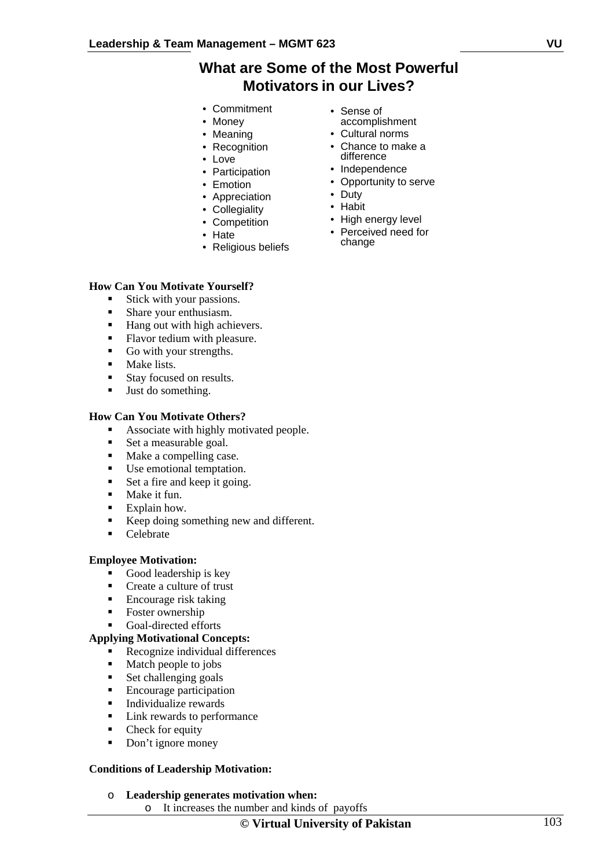### **What are Some of the Most Powerful Motivators in our Lives?**

- Commitment
- Money
- Meaning
- Recognition
- Love
- Participation
- Emotion
- Appreciation
- Collegiality
- Competition
- Hate
- Religious beliefs

#### **How Can You Motivate Yourself?**

- Stick with your passions.
- Share your enthusiasm.
- Hang out with high achievers.
- Flavor tedium with pleasure.
- Go with your strengths.
- **Make lists.**
- Stay focused on results.
- Ust do something.

#### **How Can You Motivate Others?**

- Associate with highly motivated people.
- Set a measurable goal.
- Make a compelling case.
- Use emotional temptation.
- Set a fire and keep it going.
- Make it fun.
- $\blacksquare$  Explain how.
- Keep doing something new and different.
- Celebrate

#### **Employee Motivation:**

- Good leadership is key
- Create a culture of trust
- Encourage risk taking
- Foster ownership
- Goal-directed efforts

#### **Applying Motivational Concepts:**

- Recognize individual differences
- Match people to jobs
- Set challenging goals
- **Encourage participation**
- **Individualize rewards**
- Link rewards to performance
- Check for equity
- Don't ignore money

#### **Conditions of Leadership Motivation:**

- o **Leadership generates motivation when:** 
	- o It increases the number and kinds of payoffs

- Sense of accomplishment
- Cultural norms
- Chance to make a difference
- Independence
- Opportunity to serve
- Duty
- Habit
- High energy level
- Perceived need for change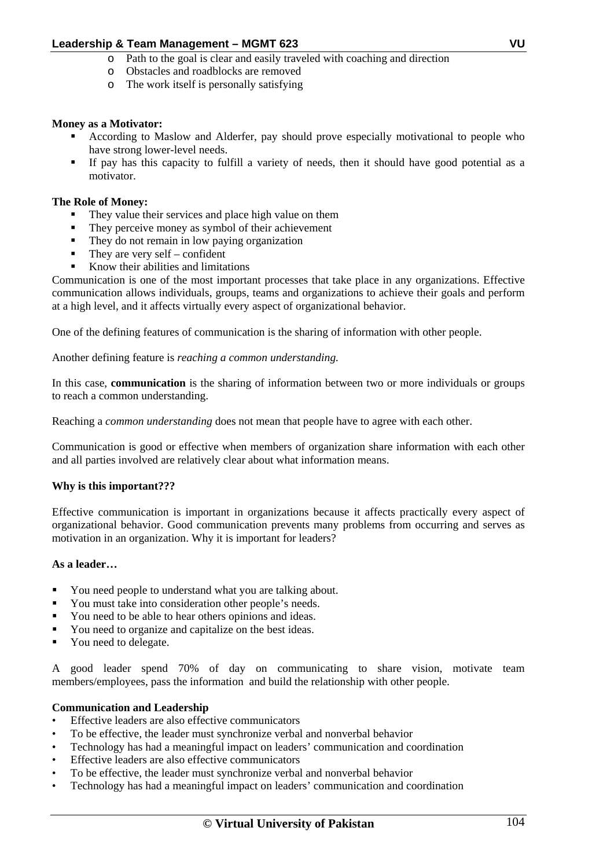- o Path to the goal is clear and easily traveled with coaching and direction
- o Obstacles and roadblocks are removed
- o The work itself is personally satisfying

#### **Money as a Motivator:**

- According to Maslow and Alderfer, pay should prove especially motivational to people who have strong lower-level needs.
- If pay has this capacity to fulfill a variety of needs, then it should have good potential as a motivator.

#### **The Role of Money:**

- They value their services and place high value on them
- They perceive money as symbol of their achievement
- They do not remain in low paying organization
- They are very self confident
- Know their abilities and limitations

Communication is one of the most important processes that take place in any organizations. Effective communication allows individuals, groups, teams and organizations to achieve their goals and perform at a high level, and it affects virtually every aspect of organizational behavior.

One of the defining features of communication is the sharing of information with other people.

Another defining feature is *reaching a common understanding.*

In this case, **communication** is the sharing of information between two or more individuals or groups to reach a common understanding.

Reaching a *common understanding* does not mean that people have to agree with each other.

Communication is good or effective when members of organization share information with each other and all parties involved are relatively clear about what information means.

#### **Why is this important???**

Effective communication is important in organizations because it affects practically every aspect of organizational behavior. Good communication prevents many problems from occurring and serves as motivation in an organization. Why it is important for leaders?

#### **As a leader…**

- You need people to understand what you are talking about.
- You must take into consideration other people's needs.
- You need to be able to hear others opinions and ideas.
- You need to organize and capitalize on the best ideas.
- You need to delegate.

A good leader spend 70% of day on communicating to share vision, motivate team members/employees, pass the information and build the relationship with other people.

#### **Communication and Leadership**

- Effective leaders are also effective communicators
- To be effective, the leader must synchronize verbal and nonverbal behavior
- Technology has had a meaningful impact on leaders' communication and coordination
- Effective leaders are also effective communicators
- To be effective, the leader must synchronize verbal and nonverbal behavior
- Technology has had a meaningful impact on leaders' communication and coordination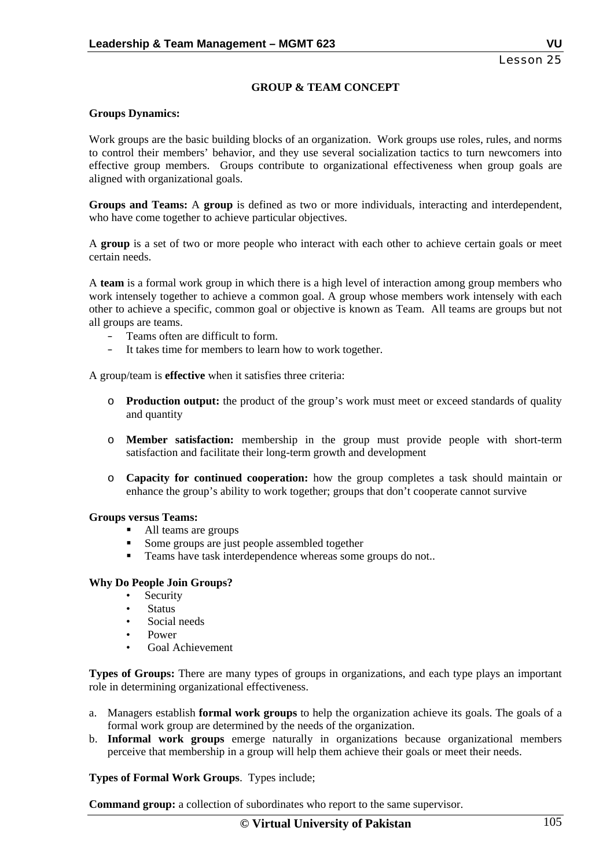#### **GROUP & TEAM CONCEPT**

#### **Groups Dynamics:**

Work groups are the basic building blocks of an organization. Work groups use roles, rules, and norms to control their members' behavior, and they use several socialization tactics to turn newcomers into effective group members. Groups contribute to organizational effectiveness when group goals are aligned with organizational goals.

**Groups and Teams:** A **group** is defined as two or more individuals, interacting and interdependent, who have come together to achieve particular objectives.

A **group** is a set of two or more people who interact with each other to achieve certain goals or meet certain needs.

A **team** is a formal work group in which there is a high level of interaction among group members who work intensely together to achieve a common goal. A group whose members work intensely with each other to achieve a specific, common goal or objective is known as Team. All teams are groups but not all groups are teams.

- Teams often are difficult to form.
- It takes time for members to learn how to work together.

A group/team is **effective** when it satisfies three criteria:

- o **Production output:** the product of the group's work must meet or exceed standards of quality and quantity
- o **Member satisfaction:** membership in the group must provide people with short-term satisfaction and facilitate their long-term growth and development
- o **Capacity for continued cooperation:** how the group completes a task should maintain or enhance the group's ability to work together; groups that don't cooperate cannot survive

#### **Groups versus Teams:**

- All teams are groups
- Some groups are just people assembled together
- **Teams have task interdependence whereas some groups do not..**

#### **Why Do People Join Groups?**

- Security
- Status
- Social needs
- Power
- Goal Achievement

**Types of Groups:** There are many types of groups in organizations, and each type plays an important role in determining organizational effectiveness.

- a. Managers establish **formal work groups** to help the organization achieve its goals. The goals of a formal work group are determined by the needs of the organization.
- b. **Informal work groups** emerge naturally in organizations because organizational members perceive that membership in a group will help them achieve their goals or meet their needs.

**Types of Formal Work Groups**. Types include;

**Command group:** a collection of subordinates who report to the same supervisor.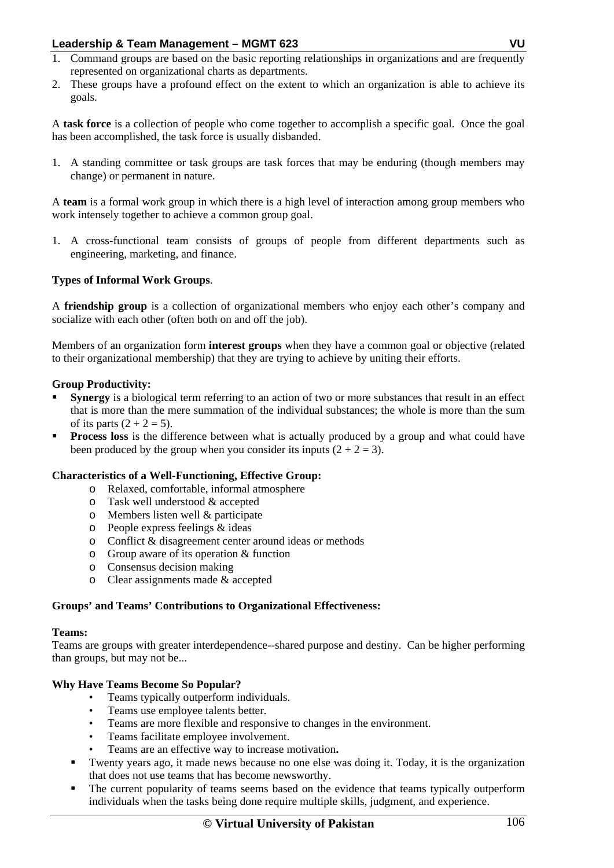- 1. Command groups are based on the basic reporting relationships in organizations and are frequently represented on organizational charts as departments.
- 2. These groups have a profound effect on the extent to which an organization is able to achieve its goals.

A **task force** is a collection of people who come together to accomplish a specific goal. Once the goal has been accomplished, the task force is usually disbanded.

1. A standing committee or task groups are task forces that may be enduring (though members may change) or permanent in nature.

A **team** is a formal work group in which there is a high level of interaction among group members who work intensely together to achieve a common group goal.

1. A cross-functional team consists of groups of people from different departments such as engineering, marketing, and finance.

#### **Types of Informal Work Groups**.

A **friendship group** is a collection of organizational members who enjoy each other's company and socialize with each other (often both on and off the job).

Members of an organization form **interest groups** when they have a common goal or objective (related to their organizational membership) that they are trying to achieve by uniting their efforts.

#### **Group Productivity:**

- **Synergy** is a biological term referring to an action of two or more substances that result in an effect that is more than the mere summation of the individual substances; the whole is more than the sum of its parts  $(2 + 2 = 5)$ .
- **Process loss** is the difference between what is actually produced by a group and what could have been produced by the group when you consider its inputs  $(2 + 2 = 3)$ .

#### **Characteristics of a Well-Functioning, Effective Group:**

- o Relaxed, comfortable, informal atmosphere
- o Task well understood & accepted
- o Members listen well & participate
- o People express feelings & ideas
- o Conflict & disagreement center around ideas or methods
- o Group aware of its operation & function
- o Consensus decision making
- o Clear assignments made & accepted

#### **Groups' and Teams' Contributions to Organizational Effectiveness:**

#### **Teams:**

Teams are groups with greater interdependence--shared purpose and destiny. Can be higher performing than groups, but may not be...

#### **Why Have Teams Become So Popular?**

- Teams typically outperform individuals.
- Teams use employee talents better.
- Teams are more flexible and responsive to changes in the environment.
- Teams facilitate employee involvement.
- Teams are an effective way to increase motivation**.**
- Twenty years ago, it made news because no one else was doing it. Today, it is the organization that does not use teams that has become newsworthy.
- The current popularity of teams seems based on the evidence that teams typically outperform individuals when the tasks being done require multiple skills, judgment, and experience.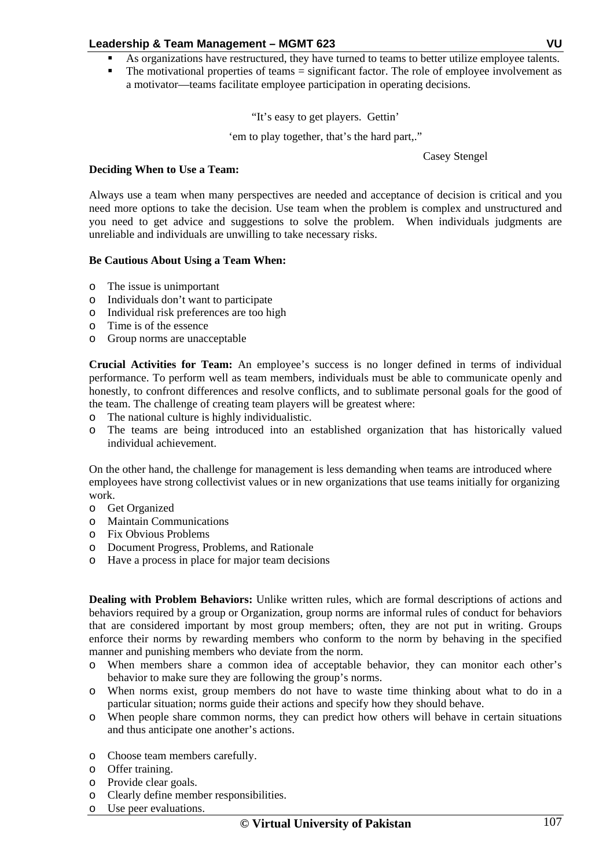- As organizations have restructured, they have turned to teams to better utilize employee talents.
- The motivational properties of teams = significant factor. The role of employee involvement as a motivator—teams facilitate employee participation in operating decisions.

"It's easy to get players. Gettin'

'em to play together, that's the hard part,."

Casey Stengel

#### **Deciding When to Use a Team:**

Always use a team when many perspectives are needed and acceptance of decision is critical and you need more options to take the decision. Use team when the problem is complex and unstructured and you need to get advice and suggestions to solve the problem. When individuals judgments are unreliable and individuals are unwilling to take necessary risks.

#### **Be Cautious About Using a Team When:**

- o The issue is unimportant
- o Individuals don't want to participate
- o Individual risk preferences are too high
- o Time is of the essence
- o Group norms are unacceptable

**Crucial Activities for Team:** An employee's success is no longer defined in terms of individual performance. To perform well as team members, individuals must be able to communicate openly and honestly, to confront differences and resolve conflicts, and to sublimate personal goals for the good of the team. The challenge of creating team players will be greatest where:

- o The national culture is highly individualistic.
- o The teams are being introduced into an established organization that has historically valued individual achievement.

On the other hand, the challenge for management is less demanding when teams are introduced where employees have strong collectivist values or in new organizations that use teams initially for organizing work.

- o Get Organized
- o Maintain Communications
- o Fix Obvious Problems
- o Document Progress, Problems, and Rationale
- o Have a process in place for major team decisions

**Dealing with Problem Behaviors:** Unlike written rules, which are formal descriptions of actions and behaviors required by a group or Organization, group norms are informal rules of conduct for behaviors that are considered important by most group members; often, they are not put in writing. Groups enforce their norms by rewarding members who conform to the norm by behaving in the specified manner and punishing members who deviate from the norm.

- o When members share a common idea of acceptable behavior, they can monitor each other's behavior to make sure they are following the group's norms.
- o When norms exist, group members do not have to waste time thinking about what to do in a particular situation; norms guide their actions and specify how they should behave.
- o When people share common norms, they can predict how others will behave in certain situations and thus anticipate one another's actions.
- o Choose team members carefully.
- o Offer training.
- o Provide clear goals.
- o Clearly define member responsibilities.
- o Use peer evaluations.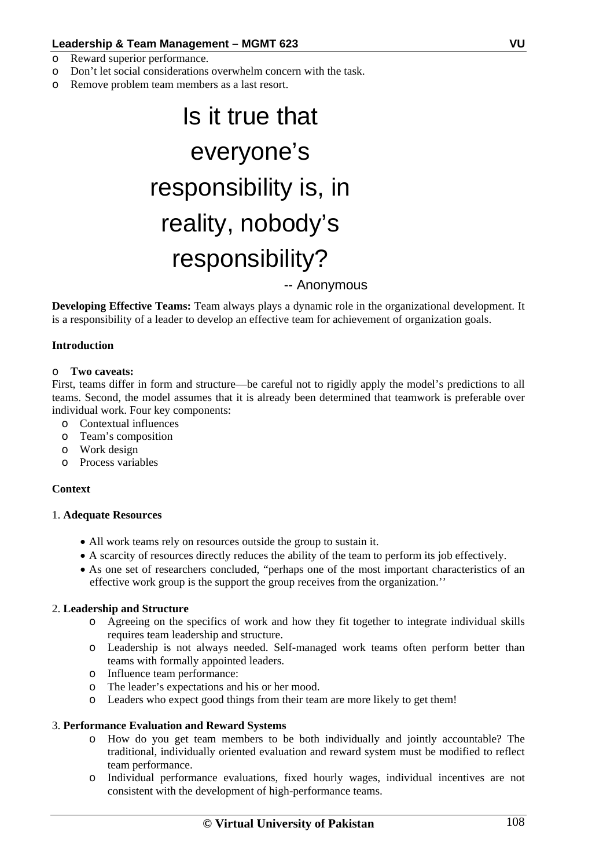- o Reward superior performance.
- o Don't let social considerations overwhelm concern with the task.
- o Remove problem team members as a last resort.

# Is it true that everyone's responsibility is, in reality, nobody's responsibility? -- Anonymous

**Developing Effective Teams:** Team always plays a dynamic role in the organizational development. It is a responsibility of a leader to develop an effective team for achievement of organization goals.

#### **Introduction**

#### o **Two caveats:**

First, teams differ in form and structure—be careful not to rigidly apply the model's predictions to all teams. Second, the model assumes that it is already been determined that teamwork is preferable over individual work. Four key components:

- o Contextual influences
- o Team's composition
- o Work design
- o Process variables

#### **Context**

#### 1. **Adequate Resources**

- All work teams rely on resources outside the group to sustain it.
- A scarcity of resources directly reduces the ability of the team to perform its job effectively.
- As one set of researchers concluded, "perhaps one of the most important characteristics of an effective work group is the support the group receives from the organization.''

#### 2. **Leadership and Structure**

- o Agreeing on the specifics of work and how they fit together to integrate individual skills requires team leadership and structure.
- o Leadership is not always needed. Self-managed work teams often perform better than teams with formally appointed leaders.
- o Influence team performance:
- o The leader's expectations and his or her mood.
- o Leaders who expect good things from their team are more likely to get them!

#### 3. **Performance Evaluation and Reward Systems**

- o How do you get team members to be both individually and jointly accountable? The traditional, individually oriented evaluation and reward system must be modified to reflect team performance.
- o Individual performance evaluations, fixed hourly wages, individual incentives are not consistent with the development of high-performance teams.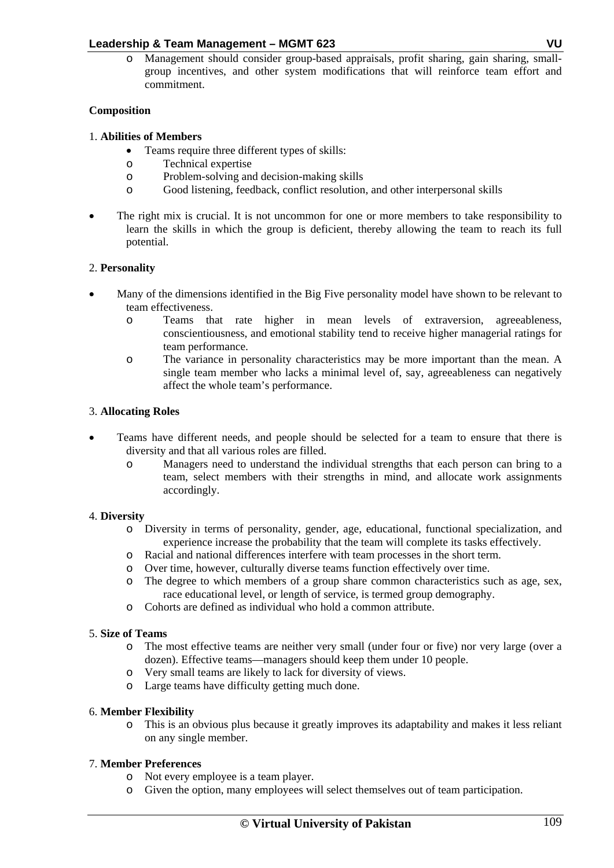o Management should consider group-based appraisals, profit sharing, gain sharing, smallgroup incentives, and other system modifications that will reinforce team effort and commitment.

# **Composition**

# 1. **Abilities of Members**

- Teams require three different types of skills:
- o Technical expertise
- o Problem-solving and decision-making skills
- o Good listening, feedback, conflict resolution, and other interpersonal skills
- The right mix is crucial. It is not uncommon for one or more members to take responsibility to learn the skills in which the group is deficient, thereby allowing the team to reach its full potential.

# 2. **Personality**

- Many of the dimensions identified in the Big Five personality model have shown to be relevant to team effectiveness.
	- o Teams that rate higher in mean levels of extraversion, agreeableness, conscientiousness, and emotional stability tend to receive higher managerial ratings for team performance.
	- o The variance in personality characteristics may be more important than the mean. A single team member who lacks a minimal level of, say, agreeableness can negatively affect the whole team's performance.

# 3. **Allocating Roles**

- Teams have different needs, and people should be selected for a team to ensure that there is diversity and that all various roles are filled.
	- o Managers need to understand the individual strengths that each person can bring to a team, select members with their strengths in mind, and allocate work assignments accordingly.

# 4. **Diversity**

- o Diversity in terms of personality, gender, age, educational, functional specialization, and experience increase the probability that the team will complete its tasks effectively.
- o Racial and national differences interfere with team processes in the short term.
- o Over time, however, culturally diverse teams function effectively over time.
- o The degree to which members of a group share common characteristics such as age, sex, race educational level, or length of service, is termed group demography.
- o Cohorts are defined as individual who hold a common attribute.

# 5. **Size of Teams**

- o The most effective teams are neither very small (under four or five) nor very large (over a dozen). Effective teams—managers should keep them under 10 people.
- o Very small teams are likely to lack for diversity of views.
- o Large teams have difficulty getting much done.

# 6. **Member Flexibility**

o This is an obvious plus because it greatly improves its adaptability and makes it less reliant on any single member.

# 7. **Member Preferences**

- o Not every employee is a team player.
- o Given the option, many employees will select themselves out of team participation.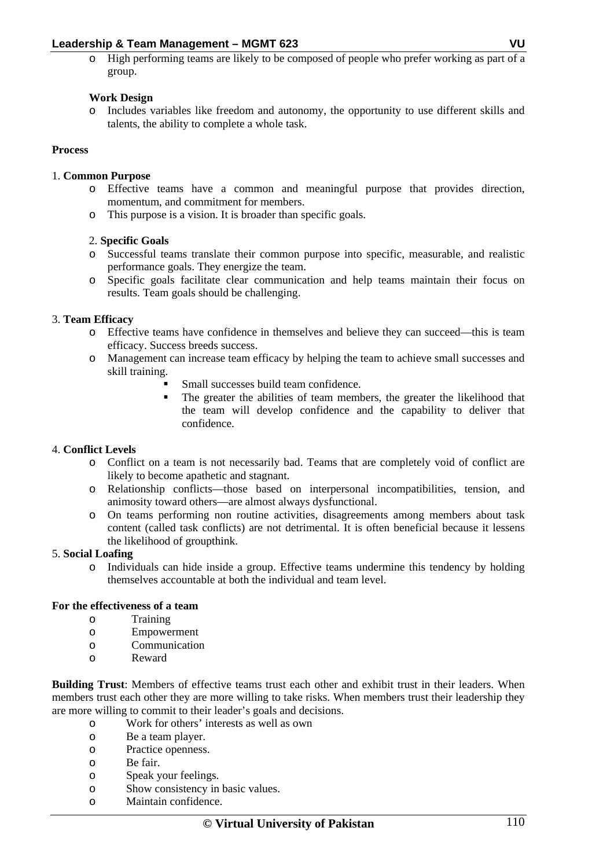o High performing teams are likely to be composed of people who prefer working as part of a group.

### **Work Design**

o Includes variables like freedom and autonomy, the opportunity to use different skills and talents, the ability to complete a whole task.

# **Process**

### 1. **Common Purpose**

- o Effective teams have a common and meaningful purpose that provides direction, momentum, and commitment for members.
- o This purpose is a vision. It is broader than specific goals.

### 2. **Specific Goals**

- o Successful teams translate their common purpose into specific, measurable, and realistic performance goals. They energize the team.
- o Specific goals facilitate clear communication and help teams maintain their focus on results. Team goals should be challenging.

### 3. **Team Efficacy**

- o Effective teams have confidence in themselves and believe they can succeed—this is team efficacy. Success breeds success.
- o Management can increase team efficacy by helping the team to achieve small successes and skill training.
	- Small successes build team confidence.
	- The greater the abilities of team members, the greater the likelihood that the team will develop confidence and the capability to deliver that confidence.

### 4. **Conflict Levels**

- o Conflict on a team is not necessarily bad. Teams that are completely void of conflict are likely to become apathetic and stagnant.
- o Relationship conflicts—those based on interpersonal incompatibilities, tension, and animosity toward others—are almost always dysfunctional.
- o On teams performing non routine activities, disagreements among members about task content (called task conflicts) are not detrimental. It is often beneficial because it lessens the likelihood of groupthink.

### 5. **Social Loafing**

o Individuals can hide inside a group. Effective teams undermine this tendency by holding themselves accountable at both the individual and team level.

### **For the effectiveness of a team**

- o Training
- o Empowerment
- o Communication
- o Reward

**Building Trust**: Members of effective teams trust each other and exhibit trust in their leaders. When members trust each other they are more willing to take risks. When members trust their leadership they are more willing to commit to their leader's goals and decisions.

- o Work for others' interests as well as own
- o Be a team player.
- o Practice openness.
- o Be fair.
- o Speak your feelings.
- o Show consistency in basic values.
- o Maintain confidence.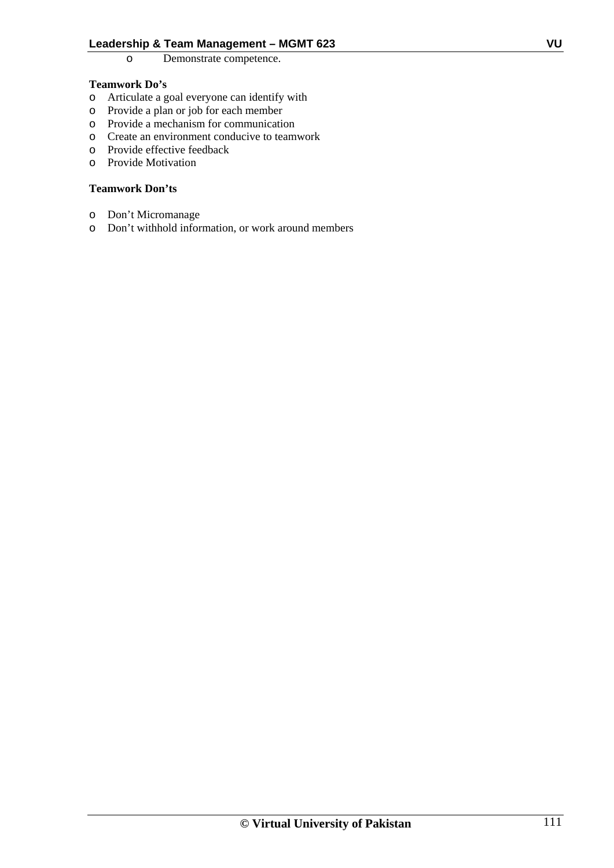### o Demonstrate competence.

### **Teamwork Do's**

- o Articulate a goal everyone can identify with
- o Provide a plan or job for each member
- o Provide a mechanism for communication
- o Create an environment conducive to teamwork
- o Provide effective feedback
- o Provide Motivation

### **Teamwork Don'ts**

- o Don't Micromanage
- o Don't withhold information, or work around members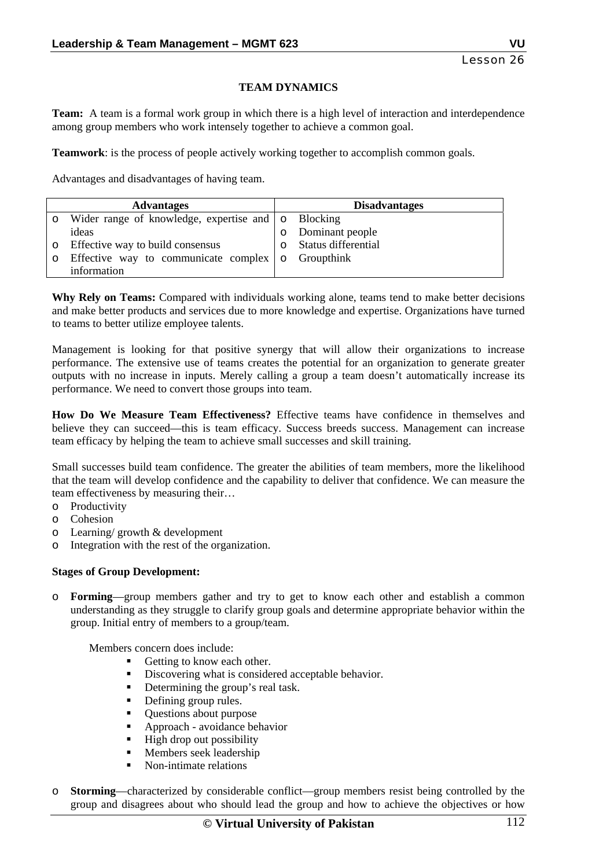### **TEAM DYNAMICS**

**Team:** A team is a formal work group in which there is a high level of interaction and interdependence among group members who work intensely together to achieve a common goal.

**Teamwork**: is the process of people actively working together to accomplish common goals.

Advantages and disadvantages of having team.

|         | <b>Advantages</b>                                       | <b>Disadvantages</b>  |
|---------|---------------------------------------------------------|-----------------------|
|         | Wider range of knowledge, expertise and   o Blocking    |                       |
|         | ideas                                                   | Dominant people       |
| $\circ$ | Effective way to build consensus                        | o Status differential |
|         | Effective way to communicate complex $\circ$ Groupthink |                       |
|         | information                                             |                       |

**Why Rely on Teams:** Compared with individuals working alone, teams tend to make better decisions and make better products and services due to more knowledge and expertise. Organizations have turned to teams to better utilize employee talents.

Management is looking for that positive synergy that will allow their organizations to increase performance. The extensive use of teams creates the potential for an organization to generate greater outputs with no increase in inputs. Merely calling a group a team doesn't automatically increase its performance. We need to convert those groups into team.

**How Do We Measure Team Effectiveness?** Effective teams have confidence in themselves and believe they can succeed—this is team efficacy. Success breeds success. Management can increase team efficacy by helping the team to achieve small successes and skill training.

Small successes build team confidence. The greater the abilities of team members, more the likelihood that the team will develop confidence and the capability to deliver that confidence. We can measure the team effectiveness by measuring their…

- o Productivity
- o Cohesion
- o Learning/ growth & development
- o Integration with the rest of the organization.

### **Stages of Group Development:**

o **Forming**—group members gather and try to get to know each other and establish a common understanding as they struggle to clarify group goals and determine appropriate behavior within the group. Initial entry of members to a group/team.

Members concern does include:

- Getting to know each other.
- Discovering what is considered acceptable behavior.
- Determining the group's real task.
- Defining group rules.
- Questions about purpose
- **Approach avoidance behavior**
- $\blacksquare$  High drop out possibility
- **Members seek leadership**
- Non-intimate relations
- o **Storming**—characterized by considerable conflict—group members resist being controlled by the group and disagrees about who should lead the group and how to achieve the objectives or how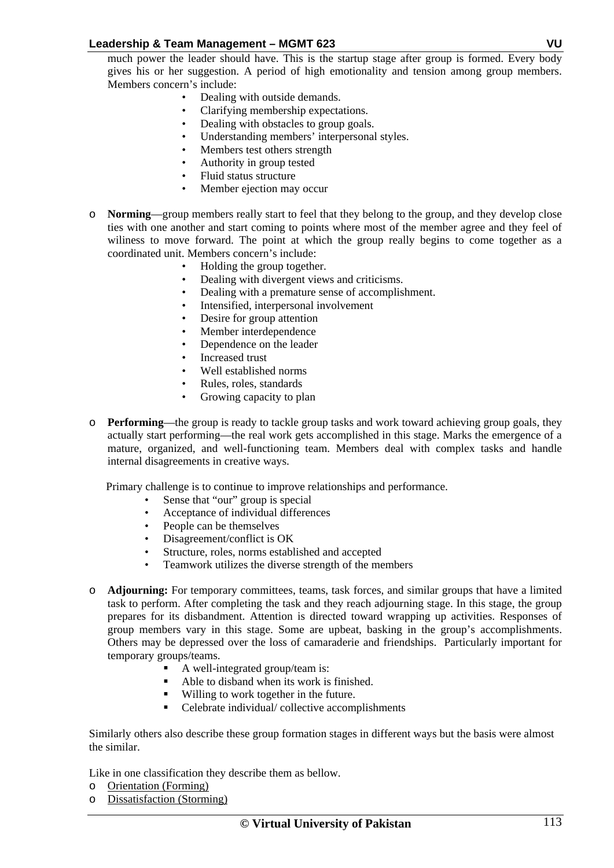much power the leader should have. This is the startup stage after group is formed. Every body gives his or her suggestion. A period of high emotionality and tension among group members. Members concern's include:

- Dealing with outside demands.
- Clarifying membership expectations.
- Dealing with obstacles to group goals.
- Understanding members' interpersonal styles.
- Members test others strength
- Authority in group tested
- Fluid status structure
- Member ejection may occur
- o **Norming**—group members really start to feel that they belong to the group, and they develop close ties with one another and start coming to points where most of the member agree and they feel of wiliness to move forward. The point at which the group really begins to come together as a coordinated unit. Members concern's include:
	- Holding the group together.
	- Dealing with divergent views and criticisms.
	- Dealing with a premature sense of accomplishment.
	- Intensified, interpersonal involvement
	- Desire for group attention
	- Member interdependence
	- Dependence on the leader
	- Increased trust
	- Well established norms
	- Rules, roles, standards
	- Growing capacity to plan
- o **Performing**—the group is ready to tackle group tasks and work toward achieving group goals, they actually start performing—the real work gets accomplished in this stage. Marks the emergence of a mature, organized, and well-functioning team. Members deal with complex tasks and handle internal disagreements in creative ways.

Primary challenge is to continue to improve relationships and performance.

- Sense that "our" group is special
- Acceptance of individual differences<br>• People can be themselves
- People can be themselves
- Disagreement/conflict is OK
- Structure, roles, norms established and accepted
- Teamwork utilizes the diverse strength of the members
- o **Adjourning:** For temporary committees, teams, task forces, and similar groups that have a limited task to perform. After completing the task and they reach adjourning stage. In this stage, the group prepares for its disbandment. Attention is directed toward wrapping up activities. Responses of group members vary in this stage. Some are upbeat, basking in the group's accomplishments. Others may be depressed over the loss of camaraderie and friendships. Particularly important for temporary groups/teams.
	- A well-integrated group/team is:
	- Able to disband when its work is finished.
	- Willing to work together in the future.
	- Celebrate individual/ collective accomplishments

Similarly others also describe these group formation stages in different ways but the basis were almost the similar.

Like in one classification they describe them as bellow.

- o Orientation (Forming)
- o Dissatisfaction (Storming)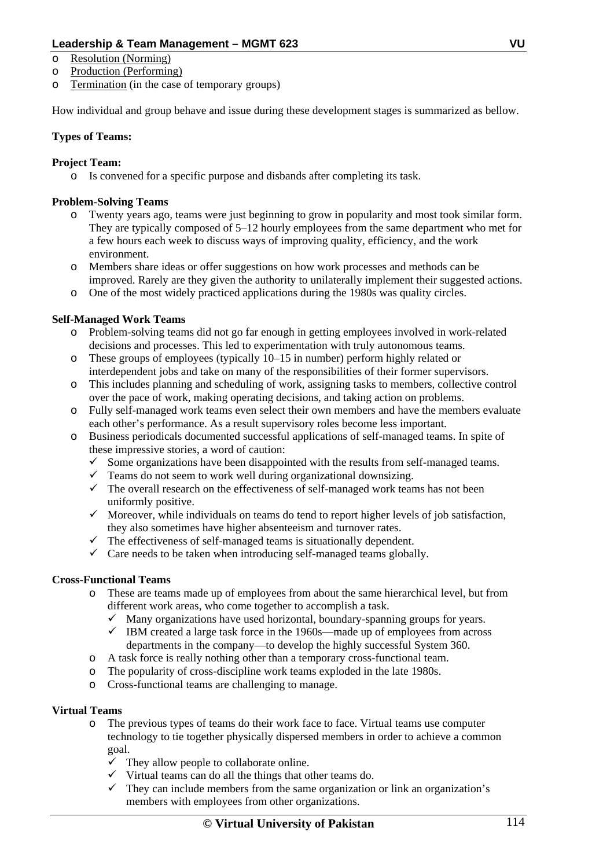- o Resolution (Norming)
- o Production (Performing)
- o Termination (in the case of temporary groups)

How individual and group behave and issue during these development stages is summarized as bellow.

# **Types of Teams:**

# **Project Team:**

o Is convened for a specific purpose and disbands after completing its task.

# **Problem-Solving Teams**

- o Twenty years ago, teams were just beginning to grow in popularity and most took similar form. They are typically composed of 5–12 hourly employees from the same department who met for a few hours each week to discuss ways of improving quality, efficiency, and the work environment.
- o Members share ideas or offer suggestions on how work processes and methods can be improved. Rarely are they given the authority to unilaterally implement their suggested actions.
- o One of the most widely practiced applications during the 1980s was quality circles.

# **Self-Managed Work Teams**

- o Problem-solving teams did not go far enough in getting employees involved in work-related decisions and processes. This led to experimentation with truly autonomous teams.
- $\overline{\text{o}}$  These groups of employees (typically 10–15 in number) perform highly related or interdependent jobs and take on many of the responsibilities of their former supervisors.
- o This includes planning and scheduling of work, assigning tasks to members, collective control over the pace of work, making operating decisions, and taking action on problems.
- o Fully self-managed work teams even select their own members and have the members evaluate each other's performance. As a result supervisory roles become less important.
- o Business periodicals documented successful applications of self-managed teams. In spite of these impressive stories, a word of caution:
	- $\checkmark$  Some organizations have been disappointed with the results from self-managed teams.
	- $\checkmark$  Teams do not seem to work well during organizational downsizing.
	- $\checkmark$  The overall research on the effectiveness of self-managed work teams has not been uniformly positive.
	- $\checkmark$  Moreover, while individuals on teams do tend to report higher levels of job satisfaction, they also sometimes have higher absenteeism and turnover rates.
	- $\checkmark$  The effectiveness of self-managed teams is situationally dependent.
	- $\checkmark$  Care needs to be taken when introducing self-managed teams globally.

# **Cross-Functional Teams**

- o These are teams made up of employees from about the same hierarchical level, but from different work areas, who come together to accomplish a task.
	- $\checkmark$  Many organizations have used horizontal, boundary-spanning groups for years.
	- $\checkmark$  IBM created a large task force in the 1960s—made up of employees from across departments in the company—to develop the highly successful System 360.
- o A task force is really nothing other than a temporary cross-functional team.
- o The popularity of cross-discipline work teams exploded in the late 1980s.
- o Cross-functional teams are challenging to manage.

# **Virtual Teams**

- o The previous types of teams do their work face to face. Virtual teams use computer technology to tie together physically dispersed members in order to achieve a common goal.
	- $\checkmark$  They allow people to collaborate online.
	- $\checkmark$  Virtual teams can do all the things that other teams do.
	- $\checkmark$  They can include members from the same organization or link an organization's members with employees from other organizations.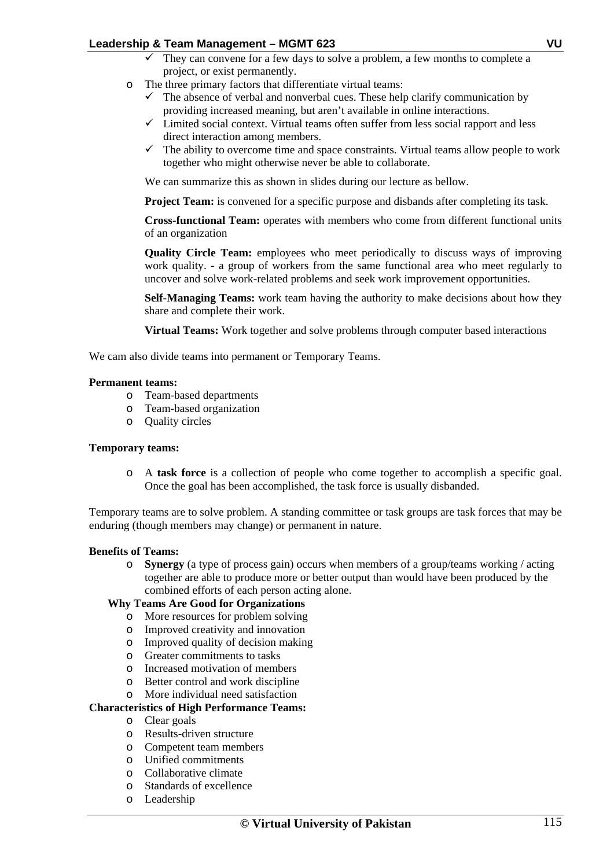- They can convene for a few days to solve a problem, a few months to complete a project, or exist permanently.
- o The three primary factors that differentiate virtual teams:
	- $\checkmark$  The absence of verbal and nonverbal cues. These help clarify communication by providing increased meaning, but aren't available in online interactions.
	- $\checkmark$  Limited social context. Virtual teams often suffer from less social rapport and less direct interaction among members.
	- $\checkmark$  The ability to overcome time and space constraints. Virtual teams allow people to work together who might otherwise never be able to collaborate.

We can summarize this as shown in slides during our lecture as bellow.

**Project Team:** is convened for a specific purpose and disbands after completing its task.

**Cross-functional Team:** operates with members who come from different functional units of an organization

**Quality Circle Team:** employees who meet periodically to discuss ways of improving work quality. - a group of workers from the same functional area who meet regularly to uncover and solve work-related problems and seek work improvement opportunities.

**Self-Managing Teams:** work team having the authority to make decisions about how they share and complete their work.

**Virtual Teams:** Work together and solve problems through computer based interactions

We cam also divide teams into permanent or Temporary Teams.

#### **Permanent teams:**

- o Team-based departments
- o Team-based organization
- o Quality circles

#### **Temporary teams:**

o A **task force** is a collection of people who come together to accomplish a specific goal. Once the goal has been accomplished, the task force is usually disbanded.

Temporary teams are to solve problem. A standing committee or task groups are task forces that may be enduring (though members may change) or permanent in nature.

### **Benefits of Teams:**

o **Synergy** (a type of process gain) occurs when members of a group/teams working / acting together are able to produce more or better output than would have been produced by the combined efforts of each person acting alone.

# **Why Teams Are Good for Organizations**

- o More resources for problem solving<br>o Improved creativity and innovation
- Improved creativity and innovation
- o Improved quality of decision making
- o Greater commitments to tasks
- o Increased motivation of members
- o Better control and work discipline
- o More individual need satisfaction

### **Characteristics of High Performance Teams:**

- 
- o Clear goals Results-driven structure
- o Competent team members
- o Unified commitments
- o Collaborative climate
- o Standards of excellence
- o Leadership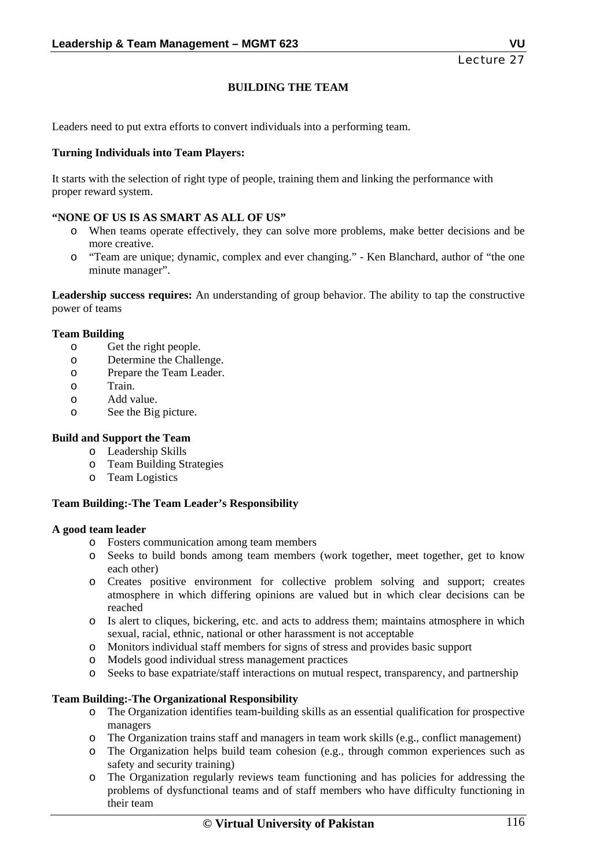# **BUILDING THE TEAM**

Leaders need to put extra efforts to convert individuals into a performing team.

### **Turning Individuals into Team Players:**

It starts with the selection of right type of people, training them and linking the performance with proper reward system.

### **"NONE OF US IS AS SMART AS ALL OF US"**

- o When teams operate effectively, they can solve more problems, make better decisions and be more creative.
- o "Team are unique; dynamic, complex and ever changing." Ken Blanchard, author of "the one minute manager".

**Leadership success requires:** An understanding of group behavior. The ability to tap the constructive power of teams

### **Team Building**

- o Get the right people.
- o Determine the Challenge.
- o Prepare the Team Leader.
- o Train.
- o Add value.
- o See the Big picture.

### **Build and Support the Team**

- o Leadership Skills
- o Team Building Strategies
- o Team Logistics

### **Team Building:-The Team Leader's Responsibility**

### **A good team leader**

- o Fosters communication among team members
- o Seeks to build bonds among team members (work together, meet together, get to know each other)
- o Creates positive environment for collective problem solving and support; creates atmosphere in which differing opinions are valued but in which clear decisions can be reached
- o Is alert to cliques, bickering, etc. and acts to address them; maintains atmosphere in which sexual, racial, ethnic, national or other harassment is not acceptable
- o Monitors individual staff members for signs of stress and provides basic support
- o Models good individual stress management practices
- o Seeks to base expatriate/staff interactions on mutual respect, transparency, and partnership

### **Team Building:-The Organizational Responsibility**

- o The Organization identifies team-building skills as an essential qualification for prospective managers
- o The Organization trains staff and managers in team work skills (e.g., conflict management)
- o The Organization helps build team cohesion (e.g., through common experiences such as safety and security training)
- o The Organization regularly reviews team functioning and has policies for addressing the problems of dysfunctional teams and of staff members who have difficulty functioning in their team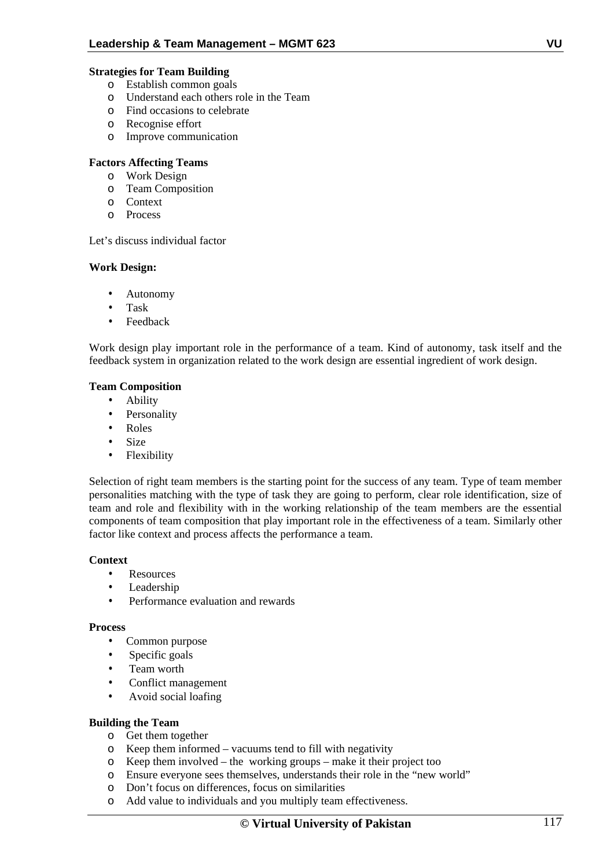### **Strategies for Team Building**

- o Establish common goals
- o Understand each others role in the Team
- o Find occasions to celebrate
- o Recognise effort
- o Improve communication

### **Factors Affecting Teams**

- o Work Design
- o Team Composition
- o Context
- o Process

### Let's discuss individual factor

### **Work Design:**

- Autonomy
- Task
- **Feedback**

Work design play important role in the performance of a team. Kind of autonomy, task itself and the feedback system in organization related to the work design are essential ingredient of work design.

### **Team Composition**

- Ability
- Personality
- Roles
- Size
- Flexibility

Selection of right team members is the starting point for the success of any team. Type of team member personalities matching with the type of task they are going to perform, clear role identification, size of team and role and flexibility with in the working relationship of the team members are the essential components of team composition that play important role in the effectiveness of a team. Similarly other factor like context and process affects the performance a team.

### **Context**

- Resources
- Leadership
- Performance evaluation and rewards

### **Process**

- Common purpose
- Specific goals
- Team worth
- Conflict management
- Avoid social loafing

### **Building the Team**

- o Get them together
- o Keep them informed vacuums tend to fill with negativity
- o Keep them involved the working groups make it their project too
- o Ensure everyone sees themselves, understands their role in the "new world"
- o Don't focus on differences, focus on similarities
- o Add value to individuals and you multiply team effectiveness.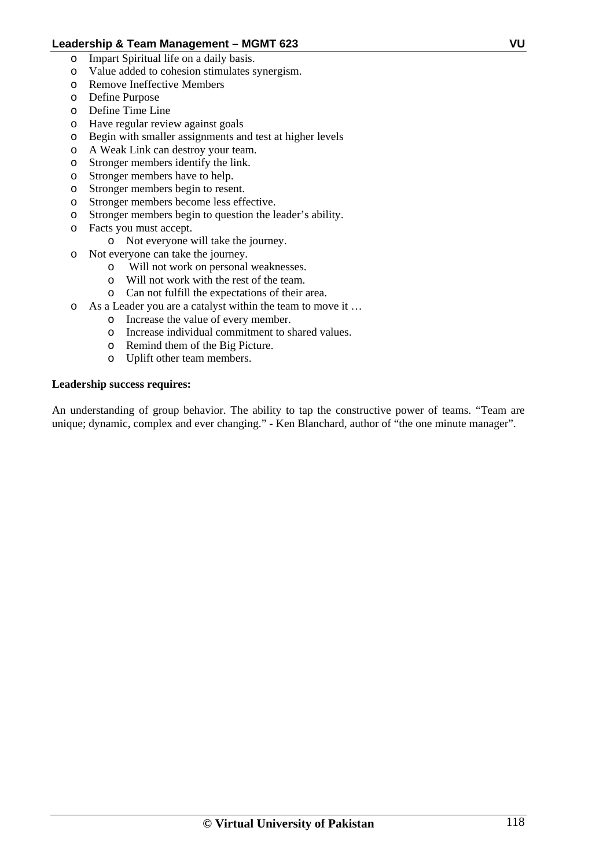- o Impart Spiritual life on a daily basis.
- o Value added to cohesion stimulates synergism.
- o Remove Ineffective Members
- o Define Purpose
- o Define Time Line
- o Have regular review against goals
- o Begin with smaller assignments and test at higher levels
- o A Weak Link can destroy your team.
- o Stronger members identify the link.
- o Stronger members have to help.
- o Stronger members begin to resent.
- o Stronger members become less effective.
- o Stronger members begin to question the leader's ability.
- o Facts you must accept.
	- o Not everyone will take the journey.
- o Not everyone can take the journey.
	- o Will not work on personal weaknesses.
	- o Will not work with the rest of the team.
	- o Can not fulfill the expectations of their area.
- o As a Leader you are a catalyst within the team to move it …
	- o Increase the value of every member.
	- o Increase individual commitment to shared values.
	- o Remind them of the Big Picture.
	- o Uplift other team members.

### **Leadership success requires:**

An understanding of group behavior. The ability to tap the constructive power of teams. "Team are unique; dynamic, complex and ever changing." - Ken Blanchard, author of "the one minute manager".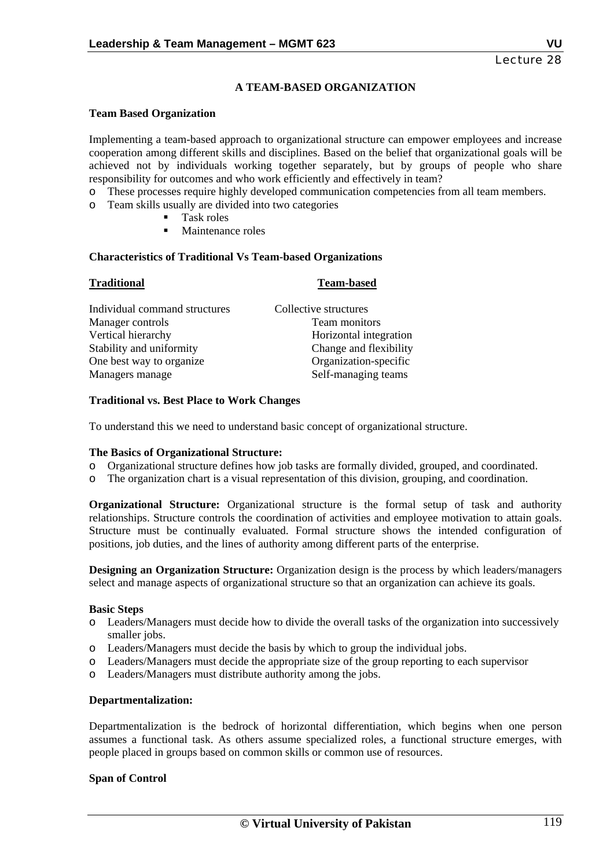# **A TEAM-BASED ORGANIZATION**

### **Team Based Organization**

Implementing a team-based approach to organizational structure can empower employees and increase cooperation among different skills and disciplines. Based on the belief that organizational goals will be achieved not by individuals working together separately, but by groups of people who share responsibility for outcomes and who work efficiently and effectively in team?

- o These processes require highly developed communication competencies from all team members.
- o Team skills usually are divided into two categories
	- Task roles
	- Maintenance roles

### **Characteristics of Traditional Vs Team-based Organizations**

| <b>Traditional</b>            | <b>Team-based</b>      |
|-------------------------------|------------------------|
| Individual command structures | Collective structures  |
| Manager controls              | Team monitors          |
| Vertical hierarchy            | Horizontal integration |
| Stability and uniformity      | Change and flexibility |
| One best way to organize      | Organization-specific  |
| Managers manage               | Self-managing teams    |

### **Traditional vs. Best Place to Work Changes**

To understand this we need to understand basic concept of organizational structure.

### **The Basics of Organizational Structure:**

- o Organizational structure defines how job tasks are formally divided, grouped, and coordinated.
- o The organization chart is a visual representation of this division, grouping, and coordination.

**Organizational Structure:** Organizational structure is the formal setup of task and authority relationships. Structure controls the coordination of activities and employee motivation to attain goals. Structure must be continually evaluated. Formal structure shows the intended configuration of positions, job duties, and the lines of authority among different parts of the enterprise.

**Designing an Organization Structure:** Organization design is the process by which leaders/managers select and manage aspects of organizational structure so that an organization can achieve its goals.

### **Basic Steps**

- o Leaders/Managers must decide how to divide the overall tasks of the organization into successively smaller jobs.
- o Leaders/Managers must decide the basis by which to group the individual jobs.
- o Leaders/Managers must decide the appropriate size of the group reporting to each supervisor
- o Leaders/Managers must distribute authority among the jobs.

### **Departmentalization:**

Departmentalization is the bedrock of horizontal differentiation, which begins when one person assumes a functional task. As others assume specialized roles, a functional structure emerges, with people placed in groups based on common skills or common use of resources.

### **Span of Control**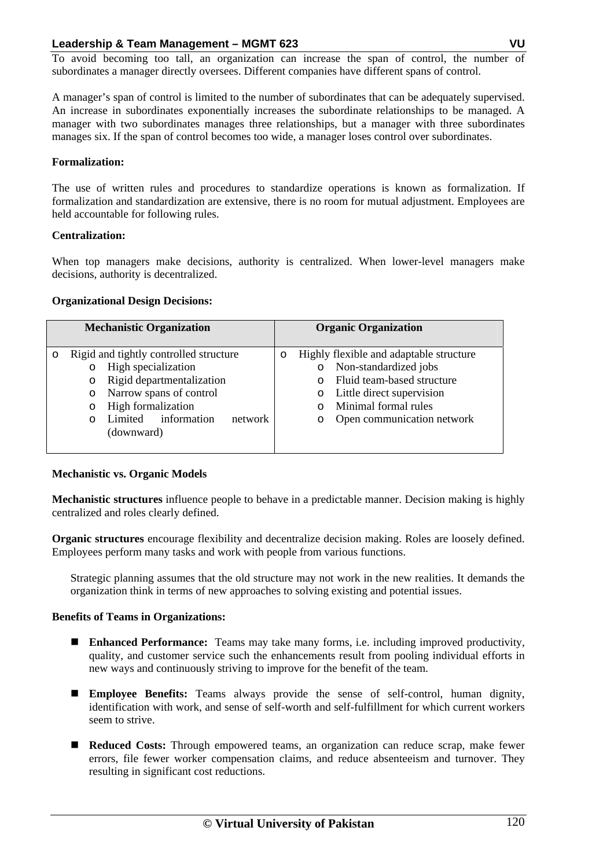To avoid becoming too tall, an organization can increase the span of control, the number of subordinates a manager directly oversees. Different companies have different spans of control.

A manager's span of control is limited to the number of subordinates that can be adequately supervised. An increase in subordinates exponentially increases the subordinate relationships to be managed. A manager with two subordinates manages three relationships, but a manager with three subordinates manages six. If the span of control becomes too wide, a manager loses control over subordinates.

### **Formalization:**

The use of written rules and procedures to standardize operations is known as formalization. If formalization and standardization are extensive, there is no room for mutual adjustment. Employees are held accountable for following rules.

### **Centralization:**

When top managers make decisions, authority is centralized. When lower-level managers make decisions, authority is decentralized.

### **Organizational Design Decisions:**

| <b>Mechanistic Organization</b>                                                                                                                                                                                           | <b>Organic Organization</b>                                                                                                                                                                                 |
|---------------------------------------------------------------------------------------------------------------------------------------------------------------------------------------------------------------------------|-------------------------------------------------------------------------------------------------------------------------------------------------------------------------------------------------------------|
| Rigid and tightly controlled structure<br>O<br>High specialization<br>O<br>Rigid departmentalization<br>O<br>Narrow spans of control<br>O<br>High formalization<br>O<br>Limited information<br>network<br>O<br>(downward) | Highly flexible and adaptable structure<br>O<br>Non-standardized jobs<br>O<br>Fluid team-based structure<br>Little direct supervision<br>O<br>Minimal formal rules<br>Open communication network<br>$\circ$ |

### **Mechanistic vs. Organic Models**

**Mechanistic structures** influence people to behave in a predictable manner. Decision making is highly centralized and roles clearly defined.

**Organic structures** encourage flexibility and decentralize decision making. Roles are loosely defined. Employees perform many tasks and work with people from various functions.

Strategic planning assumes that the old structure may not work in the new realities. It demands the organization think in terms of new approaches to solving existing and potential issues.

### **Benefits of Teams in Organizations:**

- **Enhanced Performance:** Teams may take many forms, i.e. including improved productivity, quality, and customer service such the enhancements result from pooling individual efforts in new ways and continuously striving to improve for the benefit of the team.
- **Employee Benefits:** Teams always provide the sense of self-control, human dignity, identification with work, and sense of self-worth and self-fulfillment for which current workers seem to strive.
- **Reduced Costs:** Through empowered teams, an organization can reduce scrap, make fewer errors, file fewer worker compensation claims, and reduce absenteeism and turnover. They resulting in significant cost reductions.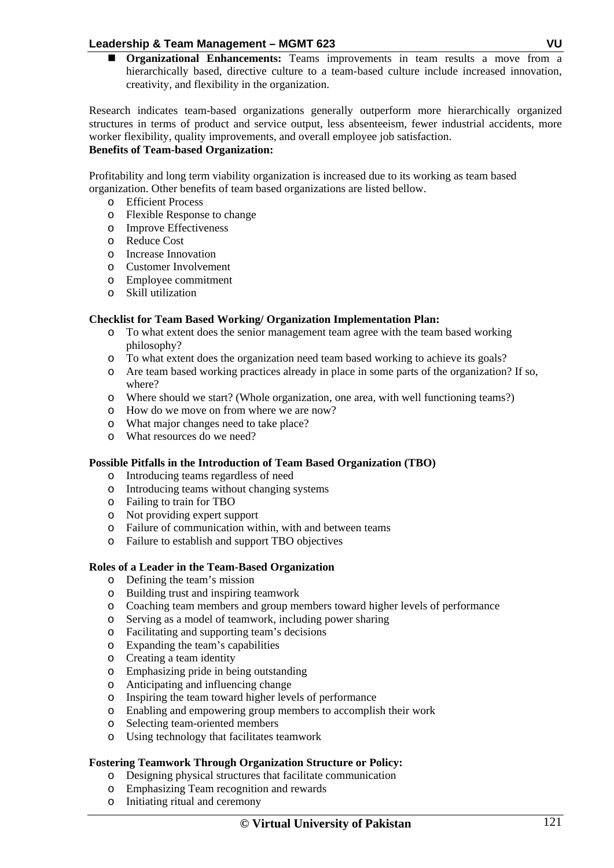**Organizational Enhancements:** Teams improvements in team results a move from a hierarchically based, directive culture to a team-based culture include increased innovation, creativity, and flexibility in the organization.

Research indicates team-based organizations generally outperform more hierarchically organized structures in terms of product and service output, less absenteeism, fewer industrial accidents, more worker flexibility, quality improvements, and overall employee job satisfaction.

# **Benefits of Team-based Organization:**

Profitability and long term viability organization is increased due to its working as team based organization. Other benefits of team based organizations are listed bellow.

- o Efficient Process
- o Flexible Response to change
- o Improve Effectiveness
- o Reduce Cost
- o Increase Innovation
- o Customer Involvement
- o Employee commitment
- o Skill utilization

# **Checklist for Team Based Working/ Organization Implementation Plan:**

- o To what extent does the senior management team agree with the team based working philosophy?
- o To what extent does the organization need team based working to achieve its goals?
- o Are team based working practices already in place in some parts of the organization? If so, where?
- o Where should we start? (Whole organization, one area, with well functioning teams?)
- o How do we move on from where we are now?
- o What major changes need to take place?
- o What resources do we need?

# **Possible Pitfalls in the Introduction of Team Based Organization (TBO)**

- o Introducing teams regardless of need
- o Introducing teams without changing systems
- o Failing to train for TBO
- o Not providing expert support
- o Failure of communication within, with and between teams
- o Failure to establish and support TBO objectives

# **Roles of a Leader in the Team-Based Organization**

- o Defining the team's mission
- o Building trust and inspiring teamwork
- o Coaching team members and group members toward higher levels of performance
- o Serving as a model of teamwork, including power sharing
- o Facilitating and supporting team's decisions
- o Expanding the team's capabilities
- o Creating a team identity
- o Emphasizing pride in being outstanding
- o Anticipating and influencing change
- o Inspiring the team toward higher levels of performance
- o Enabling and empowering group members to accomplish their work
- o Selecting team-oriented members
- o Using technology that facilitates teamwork

# **Fostering Teamwork Through Organization Structure or Policy:**

- o Designing physical structures that facilitate communication
- o Emphasizing Team recognition and rewards
- o Initiating ritual and ceremony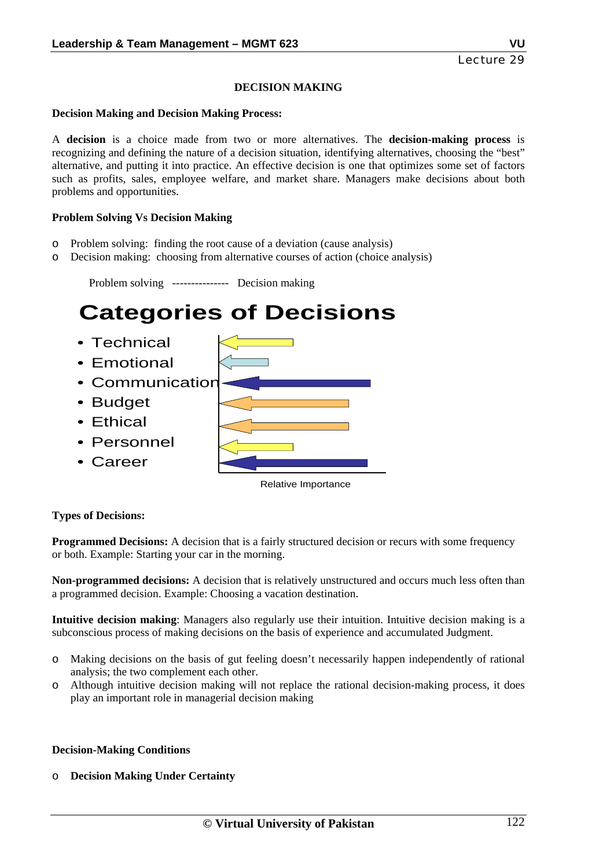# **DECISION MAKING**

#### **Decision Making and Decision Making Process:**

A **decision** is a choice made from two or more alternatives. The **decision-making process** is recognizing and defining the nature of a decision situation, identifying alternatives, choosing the "best" alternative, and putting it into practice. An effective decision is one that optimizes some set of factors such as profits, sales, employee welfare, and market share. Managers make decisions about both problems and opportunities.

### **Problem Solving Vs Decision Making**

- o Problem solving: finding the root cause of a deviation (cause analysis)
- o Decision making: choosing from alternative courses of action (choice analysis)

 Problem solving --------------- Decision making **Categories of Decisions** • Technical • Emotional • Communication • Budget • Ethical • Personnel • Career Relative Importance

# **Types of Decisions:**

**Programmed Decisions:** A decision that is a fairly structured decision or recurs with some frequency or both. Example: Starting your car in the morning.

**Non-programmed decisions:** A decision that is relatively unstructured and occurs much less often than a programmed decision. Example: Choosing a vacation destination.

**Intuitive decision making**: Managers also regularly use their intuition. Intuitive decision making is a subconscious process of making decisions on the basis of experience and accumulated Judgment.

- o Making decisions on the basis of gut feeling doesn't necessarily happen independently of rational analysis; the two complement each other.
- o Although intuitive decision making will not replace the rational decision-making process, it does play an important role in managerial decision making

### **Decision-Making Conditions**

o **Decision Making Under Certainty**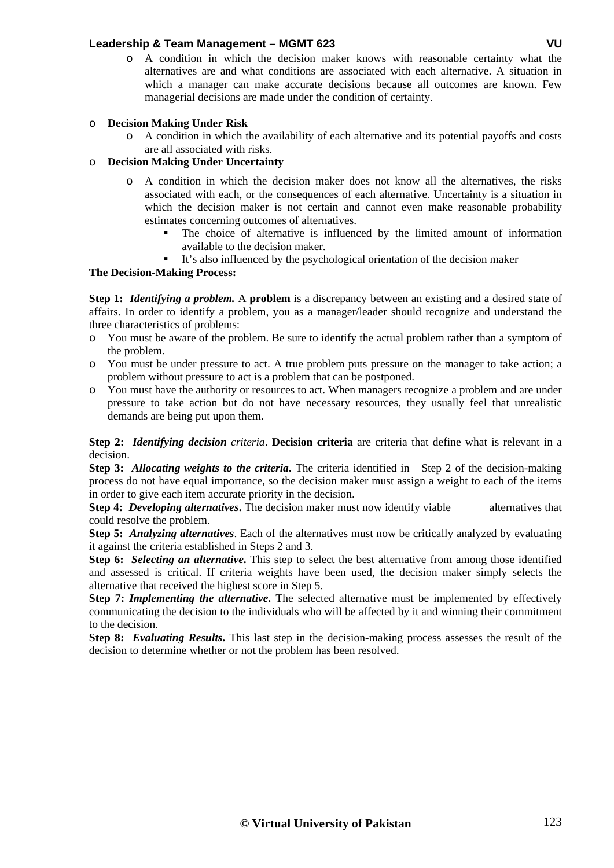o A condition in which the decision maker knows with reasonable certainty what the alternatives are and what conditions are associated with each alternative. A situation in which a manager can make accurate decisions because all outcomes are known. Few managerial decisions are made under the condition of certainty.

# o **Decision Making Under Risk**

o A condition in which the availability of each alternative and its potential payoffs and costs are all associated with risks.

# o **Decision Making Under Uncertainty**

- o A condition in which the decision maker does not know all the alternatives, the risks associated with each, or the consequences of each alternative. Uncertainty is a situation in which the decision maker is not certain and cannot even make reasonable probability estimates concerning outcomes of alternatives.
	- The choice of alternative is influenced by the limited amount of information available to the decision maker.
	- It's also influenced by the psychological orientation of the decision maker

# **The Decision-Making Process:**

**Step 1:** *Identifying a problem.* A **problem** is a discrepancy between an existing and a desired state of affairs. In order to identify a problem, you as a manager/leader should recognize and understand the three characteristics of problems:

- o You must be aware of the problem. Be sure to identify the actual problem rather than a symptom of the problem.
- o You must be under pressure to act. A true problem puts pressure on the manager to take action; a problem without pressure to act is a problem that can be postponed.
- o You must have the authority or resources to act. When managers recognize a problem and are under pressure to take action but do not have necessary resources, they usually feel that unrealistic demands are being put upon them.

**Step 2:** *Identifying decision criteria*. **Decision criteria** are criteria that define what is relevant in a decision.

**Step 3:** *Allocating weights to the criteria***.** The criteria identified in Step 2 of the decision-making process do not have equal importance, so the decision maker must assign a weight to each of the items in order to give each item accurate priority in the decision.

**Step 4:** *Developing alternatives*. The decision maker must now identify viable alternatives that could resolve the problem.

**Step 5:** *Analyzing alternatives*. Each of the alternatives must now be critically analyzed by evaluating it against the criteria established in Steps 2 and 3.

**Step 6:** *Selecting an alternative***.** This step to select the best alternative from among those identified and assessed is critical. If criteria weights have been used, the decision maker simply selects the alternative that received the highest score in Step 5.

**Step 7:** *Implementing the alternative*. The selected alternative must be implemented by effectively communicating the decision to the individuals who will be affected by it and winning their commitment to the decision.

**Step 8:** *Evaluating Results***.** This last step in the decision-making process assesses the result of the decision to determine whether or not the problem has been resolved.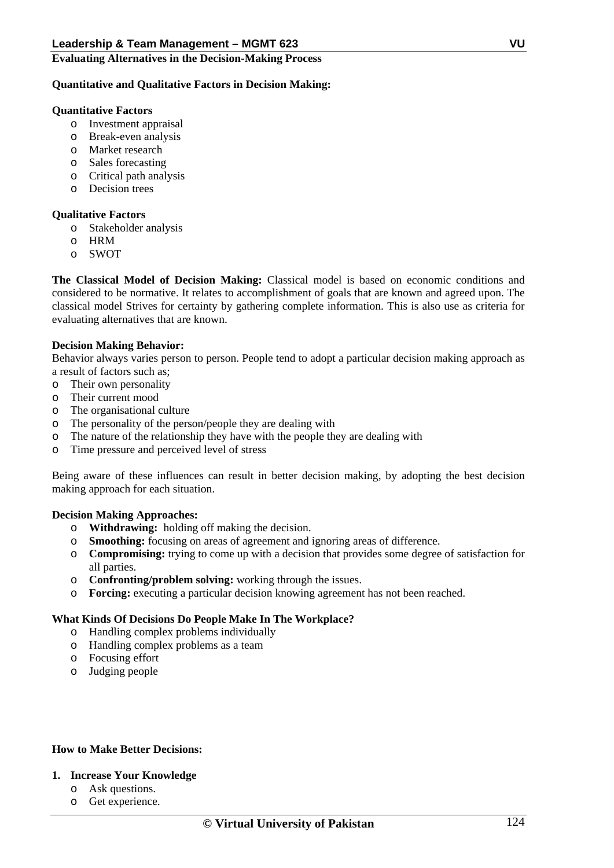### **Evaluating Alternatives in the Decision-Making Process**

### **Quantitative and Qualitative Factors in Decision Making:**

### **Quantitative Factors**

- o Investment appraisal
- o Break-even analysis
- o Market research
- o Sales forecasting
- o Critical path analysis
- o Decision trees

### **Qualitative Factors**

- o Stakeholder analysis
- o HRM
- o SWOT

**The Classical Model of Decision Making:** Classical model is based on economic conditions and considered to be normative. It relates to accomplishment of goals that are known and agreed upon. The classical model Strives for certainty by gathering complete information. This is also use as criteria for evaluating alternatives that are known.

### **Decision Making Behavior:**

Behavior always varies person to person. People tend to adopt a particular decision making approach as a result of factors such as;

- o Their own personality
- o Their current mood
- o The organisational culture
- o The personality of the person/people they are dealing with
- o The nature of the relationship they have with the people they are dealing with
- o Time pressure and perceived level of stress

Being aware of these influences can result in better decision making, by adopting the best decision making approach for each situation.

### **Decision Making Approaches:**

- o **Withdrawing:** holding off making the decision.
- o **Smoothing:** focusing on areas of agreement and ignoring areas of difference.
- o **Compromising:** trying to come up with a decision that provides some degree of satisfaction for all parties.
- o **Confronting/problem solving:** working through the issues.
- o **Forcing:** executing a particular decision knowing agreement has not been reached.

### **What Kinds Of Decisions Do People Make In The Workplace?**

- o Handling complex problems individually
- o Handling complex problems as a team
- o Focusing effort
- o Judging people

# **How to Make Better Decisions:**

### **1. Increase Your Knowledge**

- o Ask questions.
- o Get experience.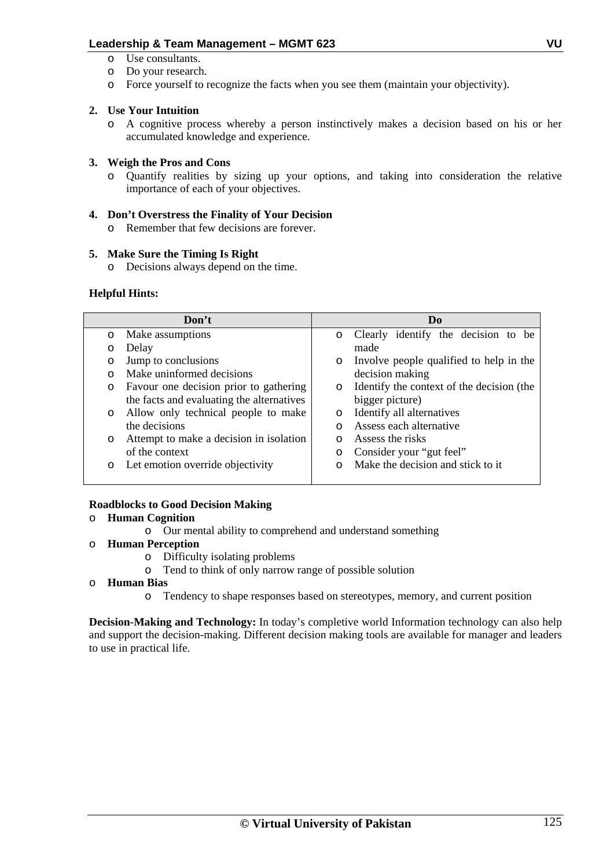- o Use consultants.
- o Do your research.
- o Force yourself to recognize the facts when you see them (maintain your objectivity).

# **2. Use Your Intuition**

o A cognitive process whereby a person instinctively makes a decision based on his or her accumulated knowledge and experience.

# **3. Weigh the Pros and Cons**

o Quantify realities by sizing up your options, and taking into consideration the relative importance of each of your objectives.

# **4. Don't Overstress the Finality of Your Decision**

o Remember that few decisions are forever.

# **5. Make Sure the Timing Is Right**

o Decisions always depend on the time.

# **Helpful Hints:**

|          | Don't                                     |         | Do                                        |
|----------|-------------------------------------------|---------|-------------------------------------------|
| $\circ$  | Make assumptions                          | $\circ$ | Clearly identify the decision to be       |
| O        | Delay                                     |         | made                                      |
| $\circ$  | Jump to conclusions                       | $\circ$ | Involve people qualified to help in the   |
| $\Omega$ | Make uninformed decisions                 |         | decision making                           |
| O        | Favour one decision prior to gathering    | $\circ$ | Identify the context of the decision (the |
|          | the facts and evaluating the alternatives |         | bigger picture)                           |
| $\circ$  | Allow only technical people to make       | $\circ$ | Identify all alternatives                 |
|          | the decisions                             | ∩       | Assess each alternative                   |
| $\circ$  | Attempt to make a decision in isolation   | $\circ$ | Assess the risks                          |
|          | of the context                            | O       | Consider your "gut feel"                  |
| $\circ$  | Let emotion override objectivity          | ∩       | Make the decision and stick to it         |
|          |                                           |         |                                           |

# **Roadblocks to Good Decision Making**

# o **Human Cognition**

o Our mental ability to comprehend and understand something

# o **Human Perception**

- o Difficulty isolating problems
- o Tend to think of only narrow range of possible solution
- o **Human Bias** 
	- o Tendency to shape responses based on stereotypes, memory, and current position

**Decision-Making and Technology:** In today's completive world Information technology can also help and support the decision-making. Different decision making tools are available for manager and leaders to use in practical life.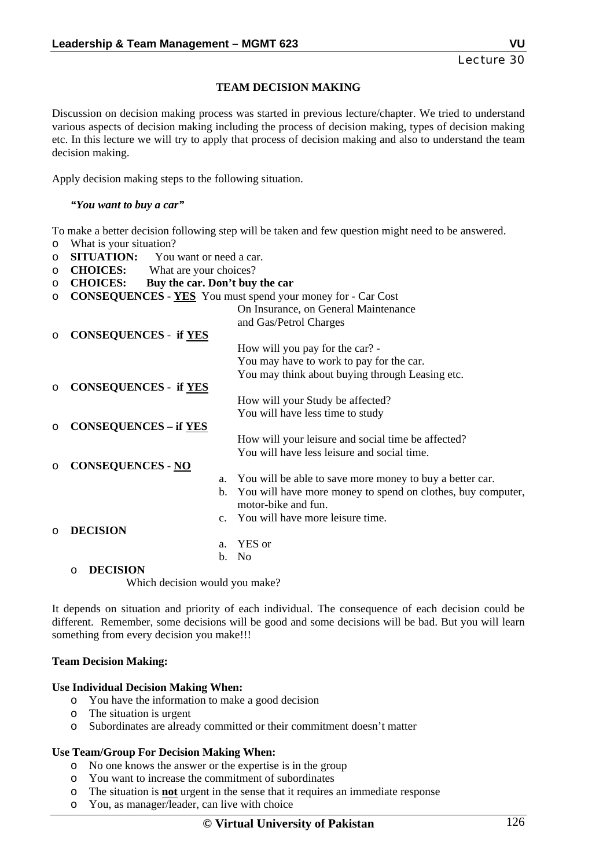### **TEAM DECISION MAKING**

Discussion on decision making process was started in previous lecture/chapter. We tried to understand various aspects of decision making including the process of decision making, types of decision making etc. In this lecture we will try to apply that process of decision making and also to understand the team decision making.

Apply decision making steps to the following situation.

*"You want to buy a car"* 

To make a better decision following step will be taken and few question might need to be answered.

- o What is your situation?
- **O SITUATION:** You want or need a car.
- o **CHOICES:** What are your choices?
- o **CHOICES: Buy the car. Don't buy the car**
- o **CONSEQUENCES YES** You must spend your money for Car Cost

|         |                              |                | On Insurance, on General Maintenance                        |
|---------|------------------------------|----------------|-------------------------------------------------------------|
|         |                              |                | and Gas/Petrol Charges                                      |
| $\circ$ | <b>CONSEQUENCES - if YES</b> |                |                                                             |
|         |                              |                | How will you pay for the car? -                             |
|         |                              |                | You may have to work to pay for the car.                    |
|         |                              |                | You may think about buying through Leasing etc.             |
| $\circ$ | <b>CONSEQUENCES - if YES</b> |                |                                                             |
|         |                              |                | How will your Study be affected?                            |
|         |                              |                | You will have less time to study                            |
| $\circ$ | <b>CONSEQUENCES - if YES</b> |                |                                                             |
|         |                              |                | How will your leisure and social time be affected?          |
|         |                              |                | You will have less leisure and social time.                 |
| $\circ$ | <b>CONSEQUENCES - NO</b>     |                |                                                             |
|         |                              | a.             | You will be able to save more money to buy a better car.    |
|         |                              | $b_{1}$        | You will have more money to spend on clothes, buy computer, |
|         |                              |                | motor-bike and fun.                                         |
|         |                              |                | c. You will have more leisure time.                         |
| $\circ$ | <b>DECISION</b>              |                |                                                             |
|         |                              | a <sub>z</sub> | YES or                                                      |
|         |                              | $b_{1}$        | - No                                                        |

#### o **DECISION**

Which decision would you make?

It depends on situation and priority of each individual. The consequence of each decision could be different. Remember, some decisions will be good and some decisions will be bad. But you will learn something from every decision you make!!!

### **Team Decision Making:**

### **Use Individual Decision Making When:**

- o You have the information to make a good decision
- o The situation is urgent
- o Subordinates are already committed or their commitment doesn't matter

### **Use Team/Group For Decision Making When:**

- o No one knows the answer or the expertise is in the group
- o You want to increase the commitment of subordinates
- o The situation is **not** urgent in the sense that it requires an immediate response
- o You, as manager/leader, can live with choice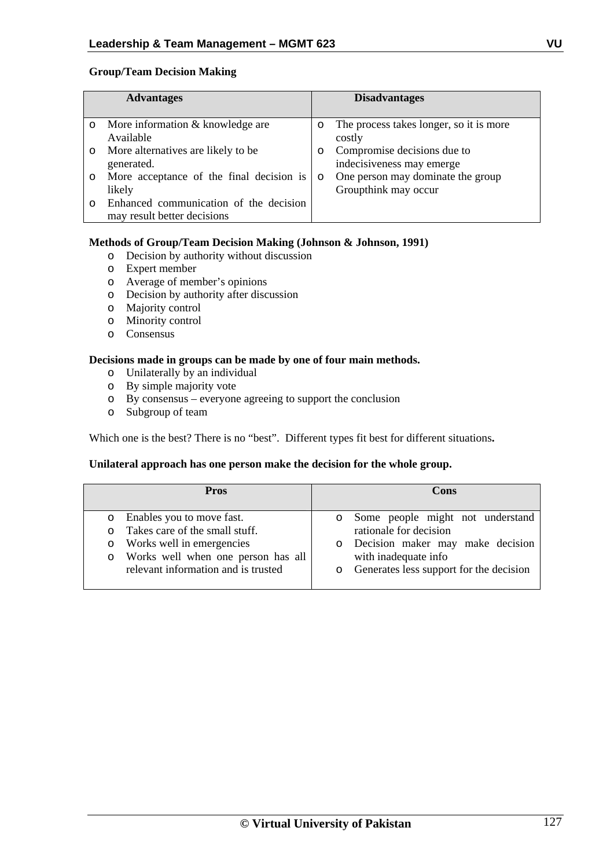### **Group/Team Decision Making**

|         | <b>Advantages</b>                        |         | <b>Disadvantages</b>                    |
|---------|------------------------------------------|---------|-----------------------------------------|
|         |                                          |         |                                         |
| $\circ$ | More information & knowledge are         | $\circ$ | The process takes longer, so it is more |
|         | Available                                |         | costly                                  |
| $\circ$ | More alternatives are likely to be.      | $\circ$ | Compromise decisions due to             |
|         | generated.                               |         | indecisiveness may emerge               |
| $\circ$ | More acceptance of the final decision is | $\circ$ | One person may dominate the group       |
|         | likely                                   |         | Groupthink may occur                    |
|         | Enhanced communication of the decision   |         |                                         |
|         | may result better decisions              |         |                                         |

### **Methods of Group/Team Decision Making (Johnson & Johnson, 1991)**

- o Decision by authority without discussion
- o Expert member
- o Average of member's opinions
- o Decision by authority after discussion
- o Majority control
- o Minority control
- o Consensus

### **Decisions made in groups can be made by one of four main methods.**

- o Unilaterally by an individual
- o By simple majority vote
- o By consensus everyone agreeing to support the conclusion
- o Subgroup of team

Which one is the best? There is no "best". Different types fit best for different situations**.**

### **Unilateral approach has one person make the decision for the whole group.**

| <b>Pros</b>                                                                                                                                                                                   | Cons                                                                                                                                                                                               |
|-----------------------------------------------------------------------------------------------------------------------------------------------------------------------------------------------|----------------------------------------------------------------------------------------------------------------------------------------------------------------------------------------------------|
| Enables you to move fast.<br>$\circ$<br>Takes care of the small stuff.<br>Works well in emergencies<br>$\circ$<br>o Works well when one person has all<br>relevant information and is trusted | Some people might not understand<br>$\circ$<br>rationale for decision<br>Decision maker may make decision<br>$\circ$<br>with inadequate info<br>Generates less support for the decision<br>$\circ$ |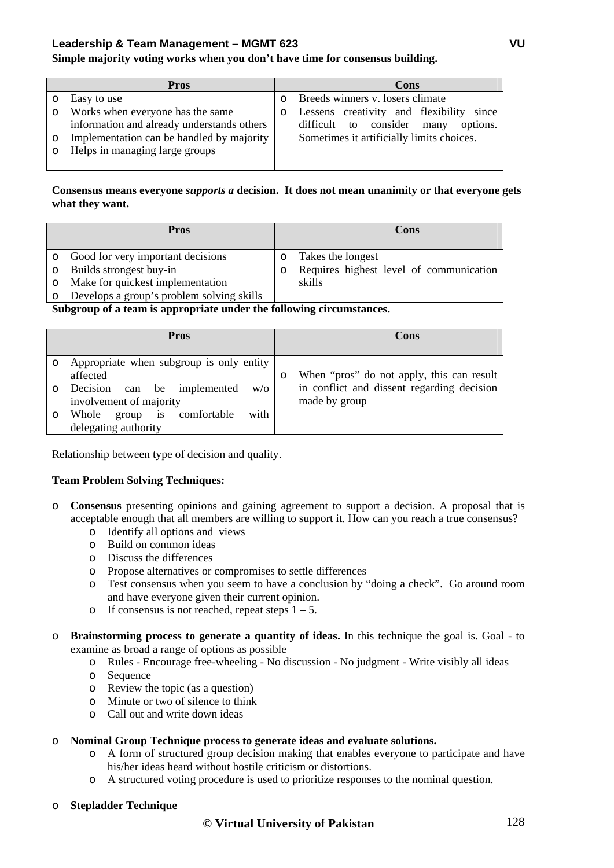### **Simple majority voting works when you don't have time for consensus building.**

|         | Pros                                       | Cons                                        |
|---------|--------------------------------------------|---------------------------------------------|
|         | Easy to use                                | Breeds winners v. losers climate            |
| $\circ$ | Works when everyone has the same           | Lessens creativity and flexibility<br>since |
|         | information and already understands others | difficult to consider<br>options.<br>many   |
| $\circ$ | Implementation can be handled by majority  | Sometimes it artificially limits choices.   |
|         | Helps in managing large groups             |                                             |
|         |                                            |                                             |

### **Consensus means everyone** *supports a* **decision. It does not mean unanimity or that everyone gets what they want.**

|         | <b>Pros</b>                               |         | Cons                                    |
|---------|-------------------------------------------|---------|-----------------------------------------|
|         | • Good for very important decisions       | $\circ$ | Takes the longest                       |
| $\circ$ | Builds strongest buy-in                   |         | Requires highest level of communication |
| $\circ$ | Make for quickest implementation          |         | skills                                  |
|         | Develops a group's problem solving skills |         |                                         |

**Subgroup of a team is appropriate under the following circumstances.** 

| <b>Pros</b>                                                                    | Cons                                                        |
|--------------------------------------------------------------------------------|-------------------------------------------------------------|
| Appropriate when subgroup is only entity<br>affected                           | When "pros" do not apply, this can result                   |
| Decision<br>can be implemented<br>W/O<br>involvement of majority               | in conflict and dissent regarding decision<br>made by group |
| with<br>comfortable<br>Whole<br>group<br><sup>is</sup><br>delegating authority |                                                             |

Relationship between type of decision and quality.

### **Team Problem Solving Techniques:**

- o **Consensus** presenting opinions and gaining agreement to support a decision. A proposal that is acceptable enough that all members are willing to support it. How can you reach a true consensus?
	- o Identify all options and views
	- o Build on common ideas
	- o Discuss the differences
	- o Propose alternatives or compromises to settle differences
	- o Test consensus when you seem to have a conclusion by "doing a check". Go around room and have everyone given their current opinion.
	- o If consensus is not reached, repeat steps  $1 5$ .
- o **Brainstorming process to generate a quantity of ideas.** In this technique the goal is. Goal to examine as broad a range of options as possible

o Rules - Encourage free-wheeling - No discussion - No judgment - Write visibly all ideas

- o Sequence
- o Review the topic (as a question)
- o Minute or two of silence to think
- o Call out and write down ideas

#### o **Nominal Group Technique process to generate ideas and evaluate solutions.**

- o A form of structured group decision making that enables everyone to participate and have his/her ideas heard without hostile criticism or distortions.
- o A structured voting procedure is used to prioritize responses to the nominal question.

#### o **Stepladder Technique**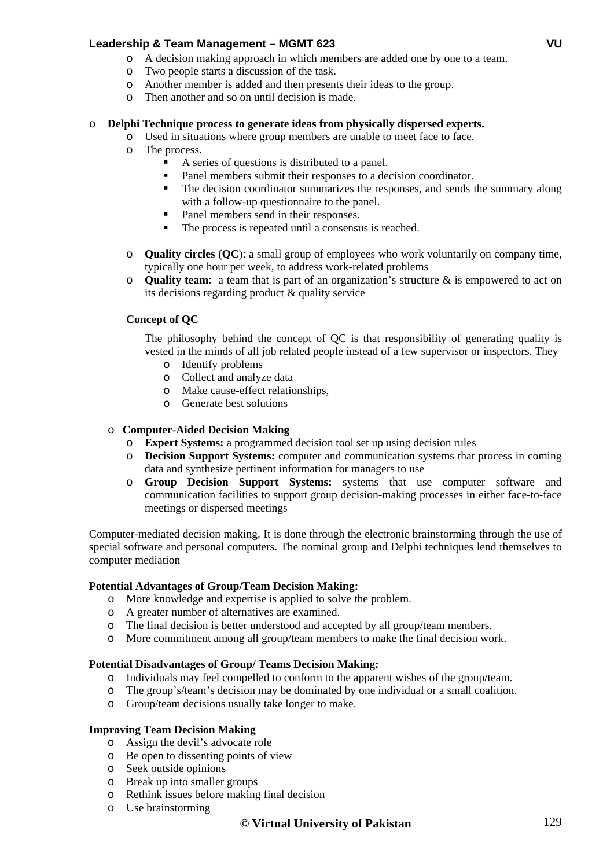- o A decision making approach in which members are added one by one to a team.
- o Two people starts a discussion of the task.
- o Another member is added and then presents their ideas to the group.
- o Then another and so on until decision is made.

# o **Delphi Technique process to generate ideas from physically dispersed experts.**

- o Used in situations where group members are unable to meet face to face.
- o The process.
	- A series of questions is distributed to a panel.<br>Panel members submit their responses to a de-
	- Panel members submit their responses to a decision coordinator.
	- The decision coordinator summarizes the responses, and sends the summary along with a follow-up questionnaire to the panel.
	- Panel members send in their responses.
	- The process is repeated until a consensus is reached.
- o **Quality circles (QC**): a small group of employees who work voluntarily on company time, typically one hour per week, to address work-related problems
- o **Quality team**: a team that is part of an organization's structure & is empowered to act on its decisions regarding product & quality service

# **Concept of QC**

The philosophy behind the concept of QC is that responsibility of generating quality is vested in the minds of all job related people instead of a few supervisor or inspectors. They

- o Identify problems
- o Collect and analyze data
- o Make cause-effect relationships,
- o Generate best solutions

### o **Computer-Aided Decision Making**

- o **Expert Systems:** a programmed decision tool set up using decision rules
- o **Decision Support Systems:** computer and communication systems that process in coming data and synthesize pertinent information for managers to use
- o **Group Decision Support Systems:** systems that use computer software and communication facilities to support group decision-making processes in either face-to-face meetings or dispersed meetings

Computer-mediated decision making. It is done through the electronic brainstorming through the use of special software and personal computers. The nominal group and Delphi techniques lend themselves to computer mediation

# **Potential Advantages of Group/Team Decision Making:**

- o More knowledge and expertise is applied to solve the problem.
- o A greater number of alternatives are examined.
- o The final decision is better understood and accepted by all group/team members.
- o More commitment among all group/team members to make the final decision work.

### **Potential Disadvantages of Group/ Teams Decision Making:**

- o Individuals may feel compelled to conform to the apparent wishes of the group/team.
- o The group's/team's decision may be dominated by one individual or a small coalition.
- o Group/team decisions usually take longer to make.

### **Improving Team Decision Making**

- o Assign the devil's advocate role
- o Be open to dissenting points of view
- o Seek outside opinions
- o Break up into smaller groups
- o Rethink issues before making final decision
- o Use brainstorming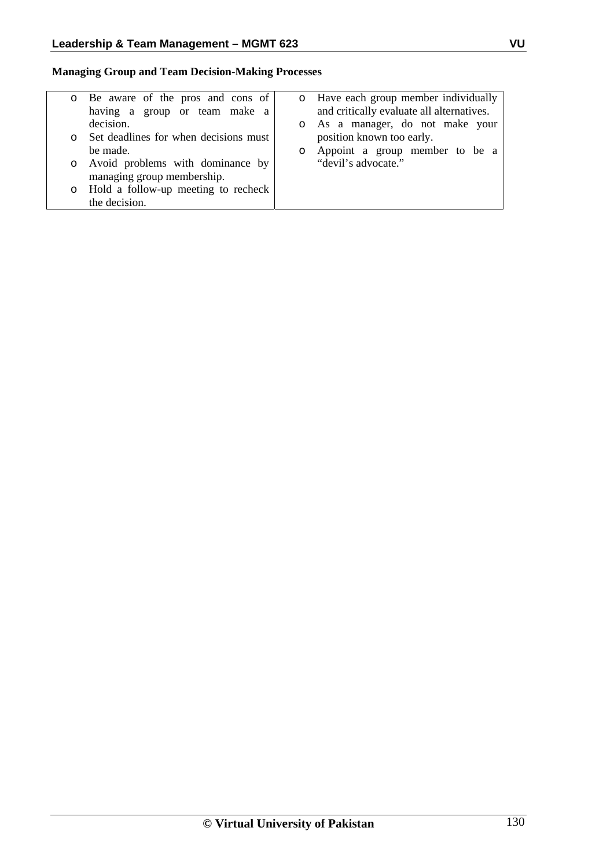**Managing Group and Team Decision-Making Processes** 

| o Be aware of the pros and cons of<br>having a group or team make a | o Have each group member individually<br>and critically evaluate all alternatives. |
|---------------------------------------------------------------------|------------------------------------------------------------------------------------|
| decision.                                                           | o As a manager, do not make your                                                   |
| o Set deadlines for when decisions must                             | position known too early.                                                          |
| be made.                                                            | Appoint a group member to be a                                                     |
| o Avoid problems with dominance by<br>managing group membership.    | "devil's advocate."                                                                |
| o Hold a follow-up meeting to recheck                               |                                                                                    |
| the decision.                                                       |                                                                                    |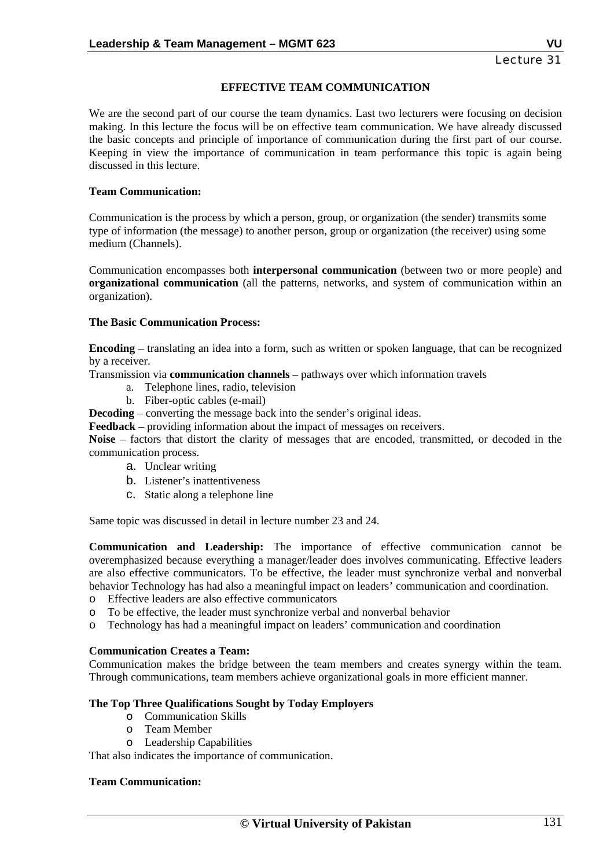### **EFFECTIVE TEAM COMMUNICATION**

We are the second part of our course the team dynamics. Last two lecturers were focusing on decision making. In this lecture the focus will be on effective team communication. We have already discussed the basic concepts and principle of importance of communication during the first part of our course. Keeping in view the importance of communication in team performance this topic is again being discussed in this lecture.

### **Team Communication:**

Communication is the process by which a person, group, or organization (the sender) transmits some type of information (the message) to another person, group or organization (the receiver) using some medium (Channels).

Communication encompasses both **interpersonal communication** (between two or more people) and **organizational communication** (all the patterns, networks, and system of communication within an organization).

### **The Basic Communication Process:**

**Encoding** – translating an idea into a form, such as written or spoken language, that can be recognized by a receiver.

Transmission via **communication channels** – pathways over which information travels

- a. Telephone lines, radio, television
- b. Fiber-optic cables (e-mail)

**Decoding** – converting the message back into the sender's original ideas.

**Feedback** – providing information about the impact of messages on receivers.

**Noise** – factors that distort the clarity of messages that are encoded, transmitted, or decoded in the communication process.

- a. Unclear writing
- b. Listener's inattentiveness
- c. Static along a telephone line

Same topic was discussed in detail in lecture number 23 and 24.

**Communication and Leadership:** The importance of effective communication cannot be overemphasized because everything a manager/leader does involves communicating. Effective leaders are also effective communicators. To be effective, the leader must synchronize verbal and nonverbal behavior Technology has had also a meaningful impact on leaders' communication and coordination.

o Effective leaders are also effective communicators

- o To be effective, the leader must synchronize verbal and nonverbal behavior
- o Technology has had a meaningful impact on leaders' communication and coordination

### **Communication Creates a Team:**

Communication makes the bridge between the team members and creates synergy within the team. Through communications, team members achieve organizational goals in more efficient manner.

### **The Top Three Qualifications Sought by Today Employers**

- o Communication Skills
- o Team Member
- o Leadership Capabilities

That also indicates the importance of communication.

### **Team Communication:**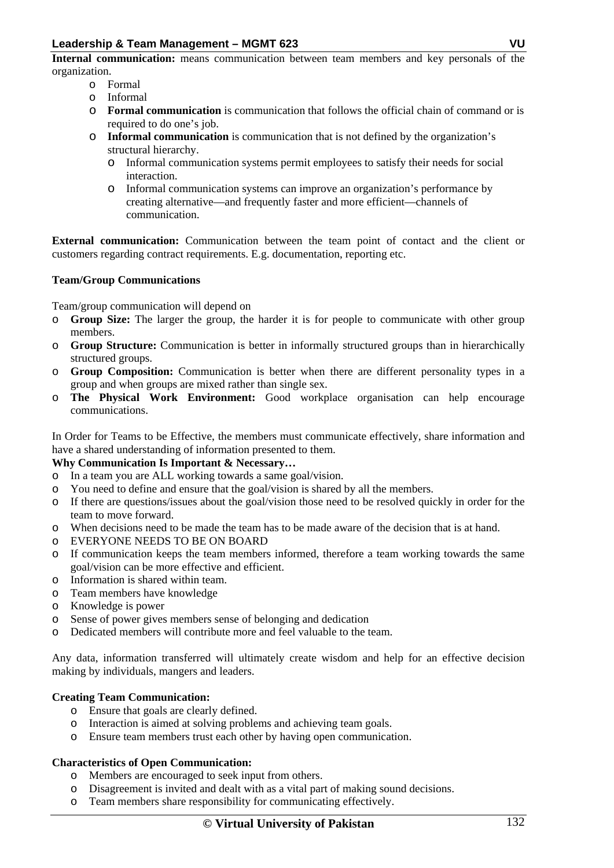**Internal communication:** means communication between team members and key personals of the organization.

- o Formal
- o Informal
- o **Formal communication** is communication that follows the official chain of command or is required to do one's job.
- o **Informal communication** is communication that is not defined by the organization's structural hierarchy.
	- o Informal communication systems permit employees to satisfy their needs for social interaction.
	- o Informal communication systems can improve an organization's performance by creating alternative—and frequently faster and more efficient—channels of communication.

**External communication:** Communication between the team point of contact and the client or customers regarding contract requirements. E.g. documentation, reporting etc.

# **Team/Group Communications**

Team/group communication will depend on

- o **Group Size:** The larger the group, the harder it is for people to communicate with other group members.
- o **Group Structure:** Communication is better in informally structured groups than in hierarchically structured groups.
- o **Group Composition:** Communication is better when there are different personality types in a group and when groups are mixed rather than single sex.
- o **The Physical Work Environment:** Good workplace organisation can help encourage communications.

In Order for Teams to be Effective, the members must communicate effectively, share information and have a shared understanding of information presented to them.

# **Why Communication Is Important & Necessary…**

- o In a team you are ALL working towards a same goal/vision.
- o You need to define and ensure that the goal/vision is shared by all the members.
- o If there are questions/issues about the goal/vision those need to be resolved quickly in order for the team to move forward.
- o When decisions need to be made the team has to be made aware of the decision that is at hand.
- o EVERYONE NEEDS TO BE ON BOARD
- o If communication keeps the team members informed, therefore a team working towards the same goal/vision can be more effective and efficient.
- o Information is shared within team.
- o Team members have knowledge
- o Knowledge is power
- o Sense of power gives members sense of belonging and dedication
- o Dedicated members will contribute more and feel valuable to the team.

Any data, information transferred will ultimately create wisdom and help for an effective decision making by individuals, mangers and leaders.

# **Creating Team Communication:**

- o Ensure that goals are clearly defined.
- o Interaction is aimed at solving problems and achieving team goals.
- o Ensure team members trust each other by having open communication.

### **Characteristics of Open Communication:**

- o Members are encouraged to seek input from others.
- o Disagreement is invited and dealt with as a vital part of making sound decisions.
- o Team members share responsibility for communicating effectively.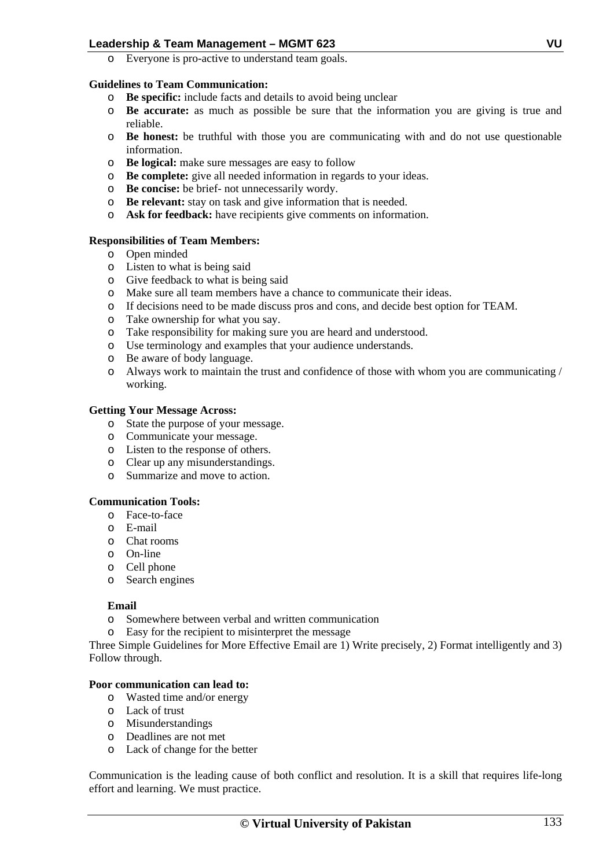o Everyone is pro-active to understand team goals.

### **Guidelines to Team Communication:**

- o **Be specific:** include facts and details to avoid being unclear
- o **Be accurate:** as much as possible be sure that the information you are giving is true and reliable.
- o **Be honest:** be truthful with those you are communicating with and do not use questionable information.
- o **Be logical:** make sure messages are easy to follow
- o **Be complete:** give all needed information in regards to your ideas.
- o **Be concise:** be brief- not unnecessarily wordy.
- o **Be relevant:** stay on task and give information that is needed.
- o **Ask for feedback:** have recipients give comments on information.

### **Responsibilities of Team Members:**

- o Open minded
- o Listen to what is being said
- o Give feedback to what is being said
- o Make sure all team members have a chance to communicate their ideas.
- o If decisions need to be made discuss pros and cons, and decide best option for TEAM.
- o Take ownership for what you say.
- o Take responsibility for making sure you are heard and understood.
- o Use terminology and examples that your audience understands.
- o Be aware of body language.
- o Always work to maintain the trust and confidence of those with whom you are communicating / working.

### **Getting Your Message Across:**

- o State the purpose of your message.
- o Communicate your message.
- o Listen to the response of others.
- o Clear up any misunderstandings.
- o Summarize and move to action.

# **Communication Tools:**

- o Face-to-face
- o E-mail
- o Chat rooms
- o On-line
- o Cell phone
- o Search engines

### **Email**

- o Somewhere between verbal and written communication
- o Easy for the recipient to misinterpret the message

Three Simple Guidelines for More Effective Email are 1) Write precisely, 2) Format intelligently and 3) Follow through.

# **Poor communication can lead to:**

- o Wasted time and/or energy
- o Lack of trust
- o Misunderstandings
- o Deadlines are not met
- o Lack of change for the better

Communication is the leading cause of both conflict and resolution. It is a skill that requires life-long effort and learning. We must practice.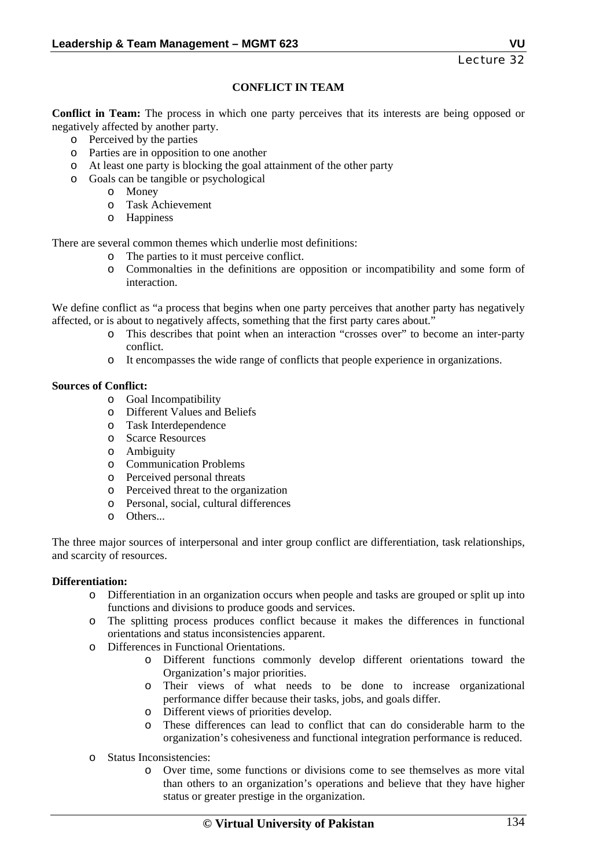# **CONFLICT IN TEAM**

**Conflict in Team:** The process in which one party perceives that its interests are being opposed or negatively affected by another party.

- o Perceived by the parties
- o Parties are in opposition to one another
- o At least one party is blocking the goal attainment of the other party
- o Goals can be tangible or psychological
	- o Money
	- o Task Achievement
	- o Happiness

There are several common themes which underlie most definitions:

- o The parties to it must perceive conflict.
- o Commonalties in the definitions are opposition or incompatibility and some form of interaction.

We define conflict as "a process that begins when one party perceives that another party has negatively affected, or is about to negatively affects, something that the first party cares about."

- o This describes that point when an interaction "crosses over" to become an inter-party conflict.
- o It encompasses the wide range of conflicts that people experience in organizations.

### **Sources of Conflict:**

- o Goal Incompatibility
- o Different Values and Beliefs
- o Task Interdependence
- o Scarce Resources
- o Ambiguity
- o Communication Problems
- o Perceived personal threats
- o Perceived threat to the organization
- o Personal, social, cultural differences
- o Others...

The three major sources of interpersonal and inter group conflict are differentiation, task relationships, and scarcity of resources.

### **Differentiation:**

- o Differentiation in an organization occurs when people and tasks are grouped or split up into functions and divisions to produce goods and services.
- o The splitting process produces conflict because it makes the differences in functional orientations and status inconsistencies apparent.
- o Differences in Functional Orientations.
	- o Different functions commonly develop different orientations toward the Organization's major priorities.
	- o Their views of what needs to be done to increase organizational performance differ because their tasks, jobs, and goals differ.
	- o Different views of priorities develop.
	- o These differences can lead to conflict that can do considerable harm to the organization's cohesiveness and functional integration performance is reduced.
- o Status Inconsistencies:
	- o Over time, some functions or divisions come to see themselves as more vital than others to an organization's operations and believe that they have higher status or greater prestige in the organization.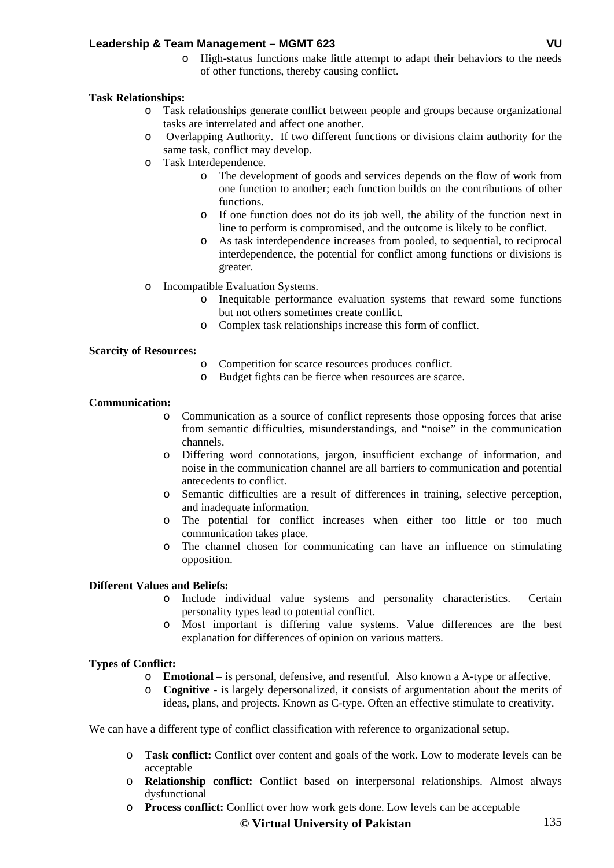o High-status functions make little attempt to adapt their behaviors to the needs of other functions, thereby causing conflict.

### **Task Relationships:**

- o Task relationships generate conflict between people and groups because organizational tasks are interrelated and affect one another.
- o Overlapping Authority. If two different functions or divisions claim authority for the same task, conflict may develop.
- o Task Interdependence.
	- o The development of goods and services depends on the flow of work from one function to another; each function builds on the contributions of other functions.
	- o If one function does not do its job well, the ability of the function next in line to perform is compromised, and the outcome is likely to be conflict.
	- o As task interdependence increases from pooled, to sequential, to reciprocal interdependence, the potential for conflict among functions or divisions is greater.
- o Incompatible Evaluation Systems.
	- o Inequitable performance evaluation systems that reward some functions but not others sometimes create conflict.
	- o Complex task relationships increase this form of conflict.

### **Scarcity of Resources:**

- o Competition for scarce resources produces conflict.
- o Budget fights can be fierce when resources are scarce.

### **Communication:**

- o Communication as a source of conflict represents those opposing forces that arise from semantic difficulties, misunderstandings, and "noise" in the communication channels.
- o Differing word connotations, jargon, insufficient exchange of information, and noise in the communication channel are all barriers to communication and potential antecedents to conflict.
- o Semantic difficulties are a result of differences in training, selective perception, and inadequate information.
- o The potential for conflict increases when either too little or too much communication takes place.
- o The channel chosen for communicating can have an influence on stimulating opposition.

### **Different Values and Beliefs:**

- o Include individual value systems and personality characteristics. Certain personality types lead to potential conflict.
- o Most important is differing value systems. Value differences are the best explanation for differences of opinion on various matters.

### **Types of Conflict:**

- o **Emotional**  is personal, defensive, and resentful. Also known a A-type or affective.
- o **Cognitive**  is largely depersonalized, it consists of argumentation about the merits of ideas, plans, and projects. Known as C-type. Often an effective stimulate to creativity.

We can have a different type of conflict classification with reference to organizational setup.

- o **Task conflict:** Conflict over content and goals of the work. Low to moderate levels can be acceptable
- o **Relationship conflict:** Conflict based on interpersonal relationships. Almost always dysfunctional
- o **Process conflict:** Conflict over how work gets done. Low levels can be acceptable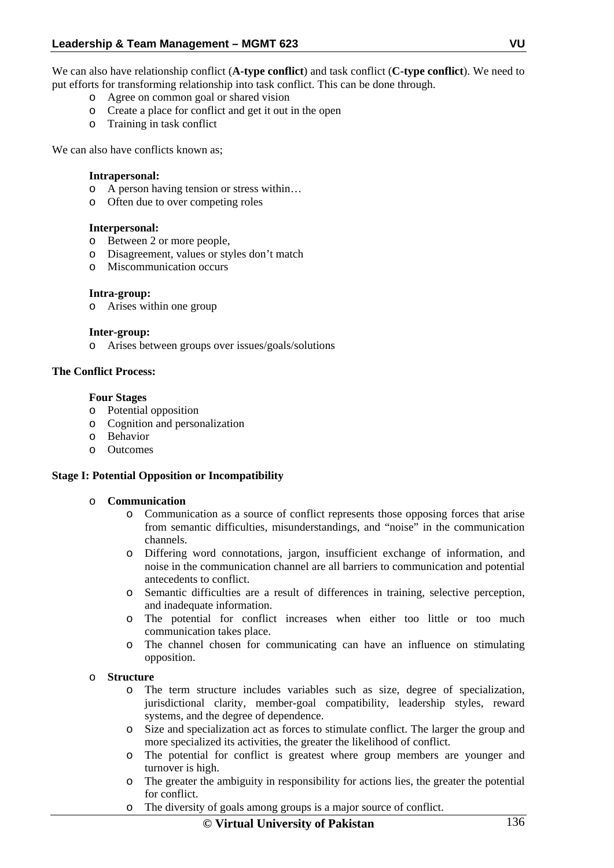We can also have relationship conflict (**A-type conflict**) and task conflict (**C-type conflict**). We need to put efforts for transforming relationship into task conflict. This can be done through.

- o Agree on common goal or shared vision
- o Create a place for conflict and get it out in the open
- o Training in task conflict

We can also have conflicts known as:

### **Intrapersonal:**

- o A person having tension or stress within…
- o Often due to over competing roles

#### **Interpersonal:**

- o Between 2 or more people,
- o Disagreement, values or styles don't match
- o Miscommunication occurs

#### **Intra-group:**

o Arises within one group

#### **Inter-group:**

o Arises between groups over issues/goals/solutions

### **The Conflict Process:**

#### **Four Stages**

- o Potential opposition
- o Cognition and personalization
- o Behavior
- o Outcomes

### **Stage I: Potential Opposition or Incompatibility**

### o **Communication**

- o Communication as a source of conflict represents those opposing forces that arise from semantic difficulties, misunderstandings, and "noise" in the communication channels.
- o Differing word connotations, jargon, insufficient exchange of information, and noise in the communication channel are all barriers to communication and potential antecedents to conflict.
- o Semantic difficulties are a result of differences in training, selective perception, and inadequate information.
- o The potential for conflict increases when either too little or too much communication takes place.
- o The channel chosen for communicating can have an influence on stimulating opposition.

#### o **Structure**

- o The term structure includes variables such as size, degree of specialization, jurisdictional clarity, member-goal compatibility, leadership styles, reward systems, and the degree of dependence.
- o Size and specialization act as forces to stimulate conflict. The larger the group and more specialized its activities, the greater the likelihood of conflict.
- o The potential for conflict is greatest where group members are younger and turnover is high.
- o The greater the ambiguity in responsibility for actions lies, the greater the potential for conflict.
- o The diversity of goals among groups is a major source of conflict.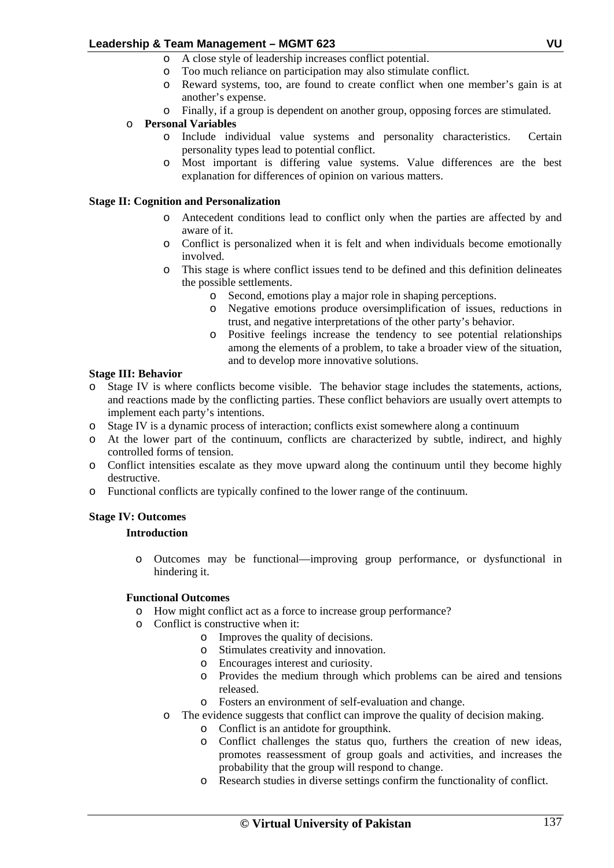- o A close style of leadership increases conflict potential.
- o Too much reliance on participation may also stimulate conflict.
- o Reward systems, too, are found to create conflict when one member's gain is at another's expense.
- o Finally, if a group is dependent on another group, opposing forces are stimulated.

# o **Personal Variables**

- o Include individual value systems and personality characteristics. Certain personality types lead to potential conflict.
- o Most important is differing value systems. Value differences are the best explanation for differences of opinion on various matters.

### **Stage II: Cognition and Personalization**

- o Antecedent conditions lead to conflict only when the parties are affected by and aware of it.
- o Conflict is personalized when it is felt and when individuals become emotionally involved.
- o This stage is where conflict issues tend to be defined and this definition delineates the possible settlements.
	- o Second, emotions play a major role in shaping perceptions.
	- o Negative emotions produce oversimplification of issues, reductions in trust, and negative interpretations of the other party's behavior.
	- o Positive feelings increase the tendency to see potential relationships among the elements of a problem, to take a broader view of the situation, and to develop more innovative solutions.

### **Stage III: Behavior**

- o Stage IV is where conflicts become visible. The behavior stage includes the statements, actions, and reactions made by the conflicting parties. These conflict behaviors are usually overt attempts to implement each party's intentions.
- o Stage IV is a dynamic process of interaction; conflicts exist somewhere along a continuum
- o At the lower part of the continuum, conflicts are characterized by subtle, indirect, and highly controlled forms of tension.
- o Conflict intensities escalate as they move upward along the continuum until they become highly destructive.
- o Functional conflicts are typically confined to the lower range of the continuum.

# **Stage IV: Outcomes**

# **Introduction**

o Outcomes may be functional—improving group performance, or dysfunctional in hindering it.

# **Functional Outcomes**

- o How might conflict act as a force to increase group performance?
- o Conflict is constructive when it:
	- o Improves the quality of decisions.
	- o Stimulates creativity and innovation.
	- o Encourages interest and curiosity.
	- o Provides the medium through which problems can be aired and tensions released.
	- o Fosters an environment of self-evaluation and change.
	- o The evidence suggests that conflict can improve the quality of decision making.
		- o Conflict is an antidote for groupthink.
		- o Conflict challenges the status quo, furthers the creation of new ideas, promotes reassessment of group goals and activities, and increases the probability that the group will respond to change.
		- o Research studies in diverse settings confirm the functionality of conflict.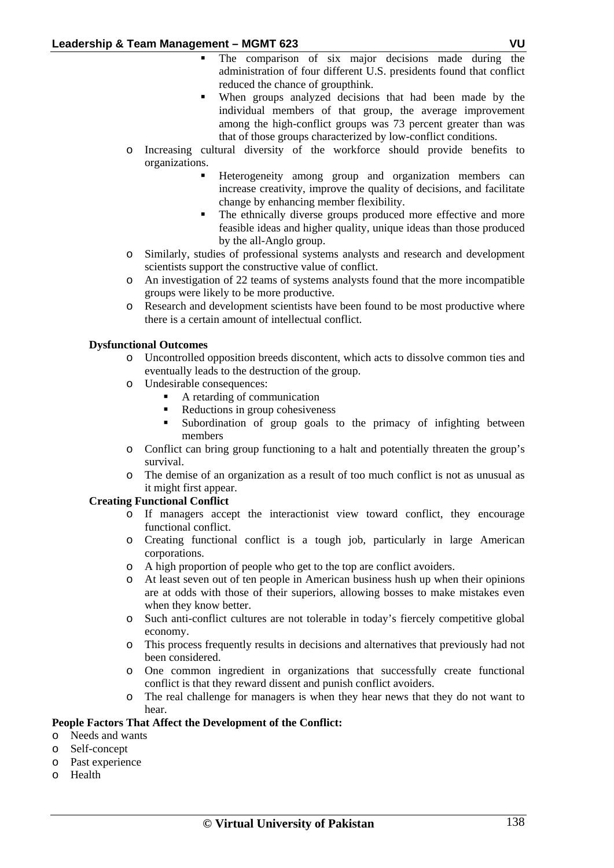- The comparison of six major decisions made during the administration of four different U.S. presidents found that conflict reduced the chance of groupthink.
- When groups analyzed decisions that had been made by the individual members of that group, the average improvement among the high-conflict groups was 73 percent greater than was that of those groups characterized by low-conflict conditions.
- o Increasing cultural diversity of the workforce should provide benefits to organizations.
	- Heterogeneity among group and organization members can increase creativity, improve the quality of decisions, and facilitate change by enhancing member flexibility.
	- The ethnically diverse groups produced more effective and more feasible ideas and higher quality, unique ideas than those produced by the all-Anglo group.
- o Similarly, studies of professional systems analysts and research and development scientists support the constructive value of conflict.
- o An investigation of 22 teams of systems analysts found that the more incompatible groups were likely to be more productive.
- o Research and development scientists have been found to be most productive where there is a certain amount of intellectual conflict.

# **Dysfunctional Outcomes**

- o Uncontrolled opposition breeds discontent, which acts to dissolve common ties and eventually leads to the destruction of the group.
- o Undesirable consequences:
	- A retarding of communication
	- Reductions in group cohesiveness
	- Subordination of group goals to the primacy of infighting between members
- o Conflict can bring group functioning to a halt and potentially threaten the group's survival.
- o The demise of an organization as a result of too much conflict is not as unusual as it might first appear.

# **Creating Functional Conflict**

- o If managers accept the interactionist view toward conflict, they encourage functional conflict.
- o Creating functional conflict is a tough job, particularly in large American corporations.
- o A high proportion of people who get to the top are conflict avoiders.
- o At least seven out of ten people in American business hush up when their opinions are at odds with those of their superiors, allowing bosses to make mistakes even when they know better.
- o Such anti-conflict cultures are not tolerable in today's fiercely competitive global economy.
- o This process frequently results in decisions and alternatives that previously had not been considered.
- o One common ingredient in organizations that successfully create functional conflict is that they reward dissent and punish conflict avoiders.
- o The real challenge for managers is when they hear news that they do not want to hear.

# **People Factors That Affect the Development of the Conflict:**

- o Needs and wants
- o Self-concept
- o Past experience
- o Health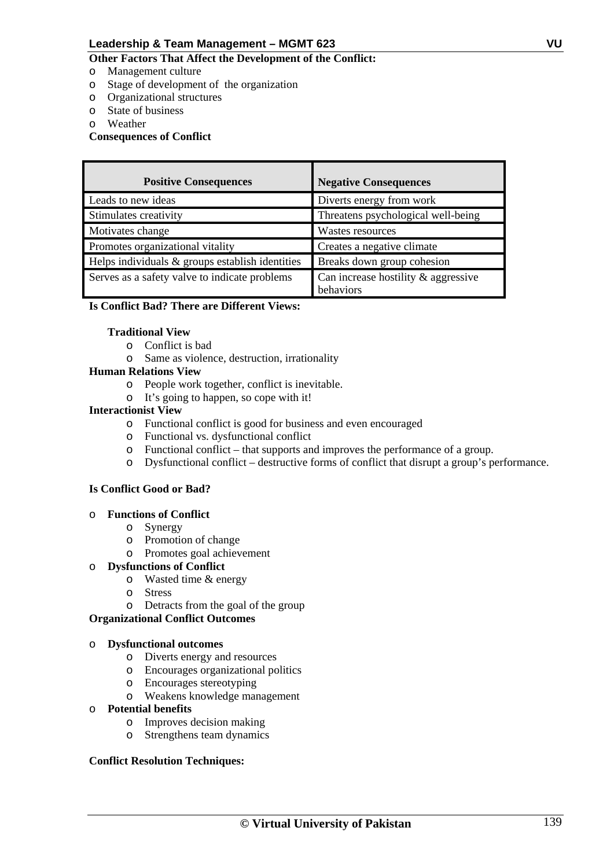# **Other Factors That Affect the Development of the Conflict:**

- o Management culture
- o Stage of development of the organization
- o Organizational structures
- o State of business
- o Weather

# **Consequences of Conflict**

| <b>Positive Consequences</b>                      | <b>Negative Consequences</b>                        |
|---------------------------------------------------|-----------------------------------------------------|
| Leads to new ideas                                | Diverts energy from work                            |
| Stimulates creativity                             | Threatens psychological well-being                  |
| Motivates change                                  | Wastes resources                                    |
| Promotes organizational vitality                  | Creates a negative climate                          |
| Helps individuals $&$ groups establish identities | Breaks down group cohesion                          |
| Serves as a safety valve to indicate problems     | Can increase hostility $\&$ aggressive<br>behaviors |

# **Is Conflict Bad? There are Different Views:**

### **Traditional View**

- o Conflict is bad
- o Same as violence, destruction, irrationality

### **Human Relations View**

- o People work together, conflict is inevitable.
- o It's going to happen, so cope with it!

### **Interactionist View**

- o Functional conflict is good for business and even encouraged
- o Functional vs. dysfunctional conflict
- o Functional conflict that supports and improves the performance of a group.
- o Dysfunctional conflict destructive forms of conflict that disrupt a group's performance.

### **Is Conflict Good or Bad?**

### o **Functions of Conflict**

- o Synergy
- o Promotion of change
- o Promotes goal achievement

# o **Dysfunctions of Conflict**

- o Wasted time & energy
- o Stress
- o Detracts from the goal of the group

### **Organizational Conflict Outcomes**

### o **Dysfunctional outcomes**

- o Diverts energy and resources
- o Encourages organizational politics
- o Encourages stereotyping
- o Weakens knowledge management

# o **Potential benefits**

- o Improves decision making
- o Strengthens team dynamics

### **Conflict Resolution Techniques:**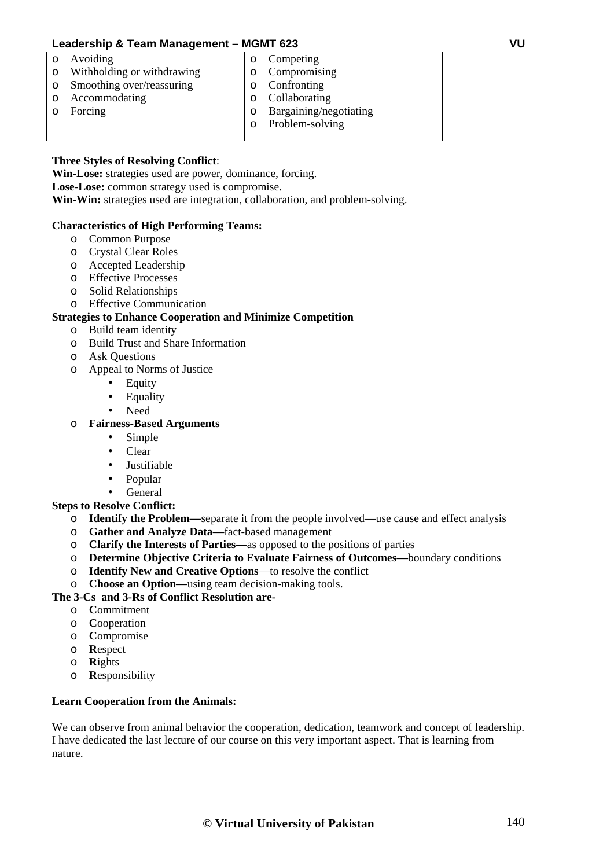o Avoiding

o Forcing

o Accommodating

- o Withholding or withdrawing
- o Smoothing over/reassuring
- o Confronting o Collaborating

o Competing o Compromising

- o Bargaining/negotiating
- o Problem-solving

# **Three Styles of Resolving Conflict**:

**Win-Lose:** strategies used are power, dominance, forcing.

**Lose-Lose:** common strategy used is compromise.

**Win-Win:** strategies used are integration, collaboration, and problem-solving.

# **Characteristics of High Performing Teams:**

- o Common Purpose
- o Crystal Clear Roles
- o Accepted Leadership
- o Effective Processes
- o Solid Relationships
- o Effective Communication

# **Strategies to Enhance Cooperation and Minimize Competition**

- o Build team identity
- o Build Trust and Share Information
- o Ask Questions
- o Appeal to Norms of Justice
	- **Equity**
	- **Equality**
	- Need

# o **Fairness-Based Arguments**

- Simple
- Clear
- Justifiable
- Popular
- General

# **Steps to Resolve Conflict:**

- o **Identify the Problem—**separate it from the people involved—use cause and effect analysis
- o **Gather and Analyze Data—**fact-based management
- o **Clarify the Interests of Parties—**as opposed to the positions of parties
- o **Determine Objective Criteria to Evaluate Fairness of Outcomes—**boundary conditions
- o **Identify New and Creative Options**—to resolve the conflict
- o **Choose an Option—**using team decision-making tools.

# **The 3-Cs and 3-Rs of Conflict Resolution are-**

- o **C**ommitment
- o **C**ooperation
- o **C**ompromise
- o **R**espect
- o **R**ights
- o **R**esponsibility

# **Learn Cooperation from the Animals:**

We can observe from animal behavior the cooperation, dedication, teamwork and concept of leadership. I have dedicated the last lecture of our course on this very important aspect. That is learning from nature.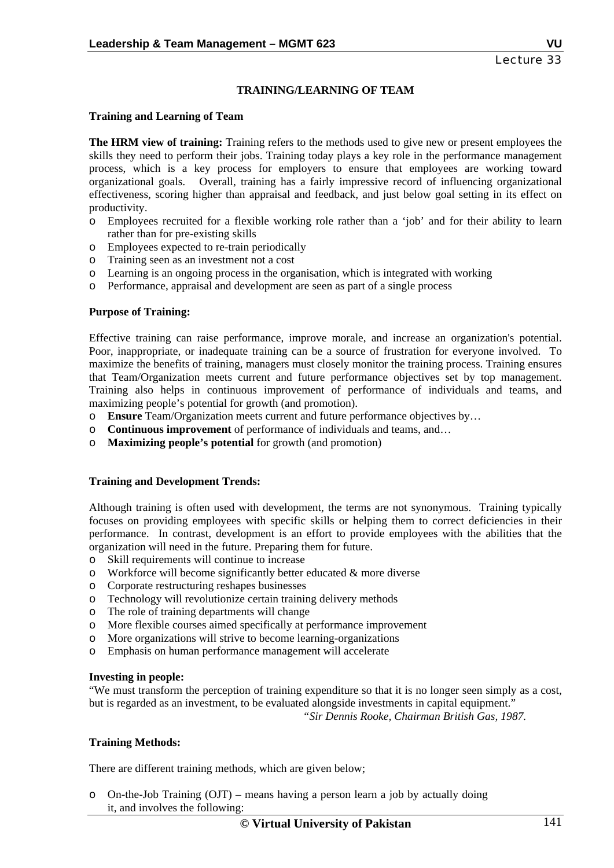# **TRAINING/LEARNING OF TEAM**

### **Training and Learning of Team**

**The HRM view of training:** Training refers to the methods used to give new or present employees the skills they need to perform their jobs. Training today plays a key role in the performance management process, which is a key process for employers to ensure that employees are working toward organizational goals. Overall, training has a fairly impressive record of influencing organizational effectiveness, scoring higher than appraisal and feedback, and just below goal setting in its effect on productivity.

- o Employees recruited for a flexible working role rather than a 'job' and for their ability to learn rather than for pre-existing skills
- o Employees expected to re-train periodically
- o Training seen as an investment not a cost
- o Learning is an ongoing process in the organisation, which is integrated with working
- o Performance, appraisal and development are seen as part of a single process

### **Purpose of Training:**

Effective training can raise performance, improve morale, and increase an organization's potential. Poor, inappropriate, or inadequate training can be a source of frustration for everyone involved. To maximize the benefits of training, managers must closely monitor the training process. Training ensures that Team/Organization meets current and future performance objectives set by top management. Training also helps in continuous improvement of performance of individuals and teams, and maximizing people's potential for growth (and promotion).

- o **Ensure** Team/Organization meets current and future performance objectives by…
- o **Continuous improvement** of performance of individuals and teams, and…
- o **Maximizing people's potential** for growth (and promotion)

### **Training and Development Trends:**

Although training is often used with development, the terms are not synonymous. Training typically focuses on providing employees with specific skills or helping them to correct deficiencies in their performance. In contrast, development is an effort to provide employees with the abilities that the organization will need in the future. Preparing them for future.

- o Skill requirements will continue to increase
- $\circ$  Workforce will become significantly better educated & more diverse
- o Corporate restructuring reshapes businesses
- o Technology will revolutionize certain training delivery methods
- o The role of training departments will change
- o More flexible courses aimed specifically at performance improvement
- o More organizations will strive to become learning-organizations
- o Emphasis on human performance management will accelerate

### **Investing in people:**

"We must transform the perception of training expenditure so that it is no longer seen simply as a cost, but is regarded as an investment, to be evaluated alongside investments in capital equipment."

 *"Sir Dennis Rooke, Chairman British Gas, 1987.* 

### **Training Methods:**

There are different training methods, which are given below;

o On-the-Job Training (OJT) – means having a person learn a job by actually doing it, and involves the following: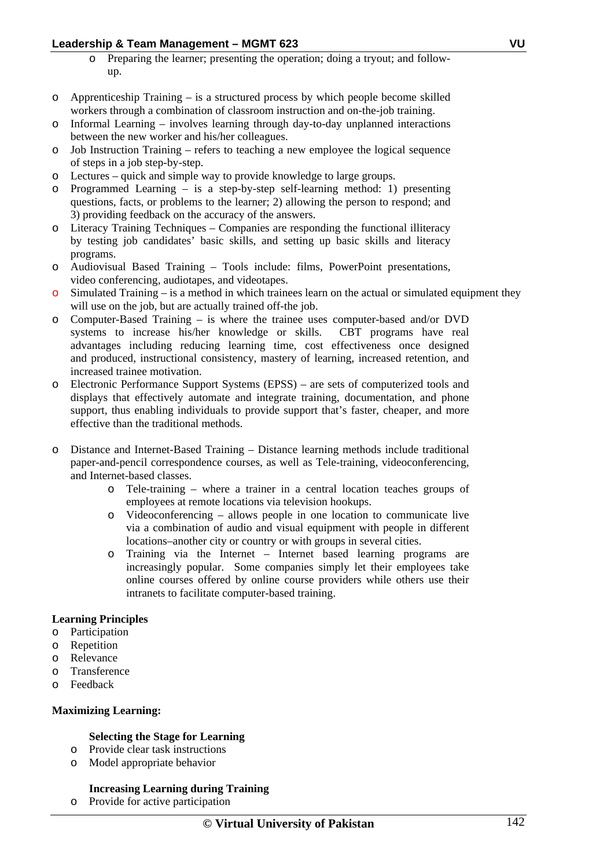- o Preparing the learner; presenting the operation; doing a tryout; and followup.
- o Apprenticeship Training is a structured process by which people become skilled workers through a combination of classroom instruction and on-the-job training.
- $\circ$  Informal Learning involves learning through day-to-day unplanned interactions between the new worker and his/her colleagues.
- o Job Instruction Training refers to teaching a new employee the logical sequence of steps in a job step-by-step.
- o Lectures quick and simple way to provide knowledge to large groups.
- o Programmed Learning is a step-by-step self-learning method: 1) presenting questions, facts, or problems to the learner; 2) allowing the person to respond; and 3) providing feedback on the accuracy of the answers.
- Literacy Training Techniques Companies are responding the functional illiteracy by testing job candidates' basic skills, and setting up basic skills and literacy programs.
- o Audiovisual Based Training Tools include: films, PowerPoint presentations, video conferencing, audiotapes, and videotapes.
- $\circ$  Simulated Training is a method in which trainees learn on the actual or simulated equipment they will use on the job, but are actually trained off-the job.
- o Computer-Based Training is where the trainee uses computer-based and/or DVD systems to increase his/her knowledge or skills. CBT programs have real advantages including reducing learning time, cost effectiveness once designed and produced, instructional consistency, mastery of learning, increased retention, and increased trainee motivation.
- o Electronic Performance Support Systems (EPSS) are sets of computerized tools and displays that effectively automate and integrate training, documentation, and phone support, thus enabling individuals to provide support that's faster, cheaper, and more effective than the traditional methods.
- o Distance and Internet-Based Training Distance learning methods include traditional paper-and-pencil correspondence courses, as well as Tele-training, videoconferencing, and Internet-based classes.
	- o Tele-training where a trainer in a central location teaches groups of employees at remote locations via television hookups.
	- o Videoconferencing allows people in one location to communicate live via a combination of audio and visual equipment with people in different locations–another city or country or with groups in several cities.
	- o Training via the Internet Internet based learning programs are increasingly popular. Some companies simply let their employees take online courses offered by online course providers while others use their intranets to facilitate computer-based training.

### **Learning Principles**

- o Participation
- o Repetition
- o Relevance
- o Transference
- o Feedback

### **Maximizing Learning:**

### **Selecting the Stage for Learning**

- o Provide clear task instructions
- o Model appropriate behavior

### **Increasing Learning during Training**

o Provide for active participation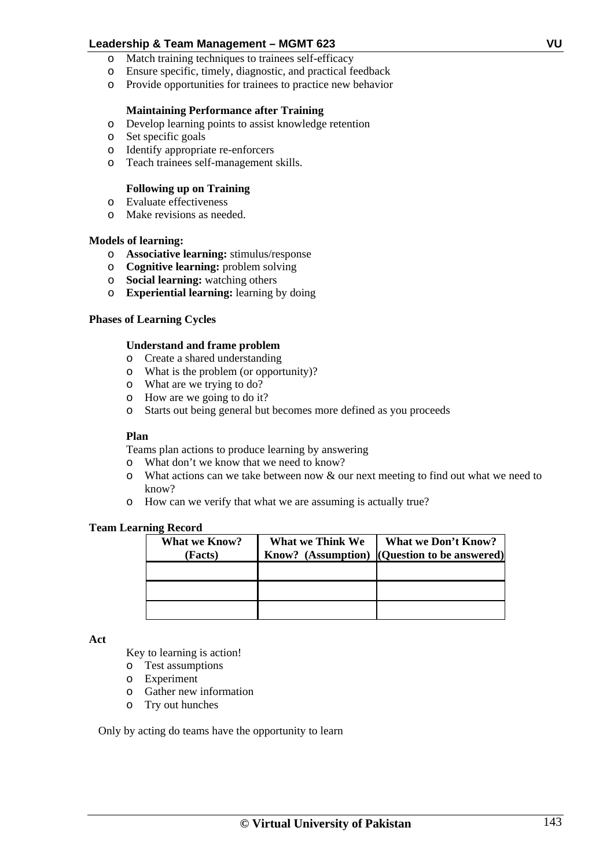- o Match training techniques to trainees self-efficacy
- o Ensure specific, timely, diagnostic, and practical feedback
- o Provide opportunities for trainees to practice new behavior

### **Maintaining Performance after Training**

- o Develop learning points to assist knowledge retention
- o Set specific goals
- o Identify appropriate re-enforcers
- o Teach trainees self-management skills.

### **Following up on Training**

- o Evaluate effectiveness
- o Make revisions as needed.

### **Models of learning:**

- o **Associative learning:** stimulus/response
- o **Cognitive learning:** problem solving
- o **Social learning:** watching others
- o **Experiential learning:** learning by doing

### **Phases of Learning Cycles**

### **Understand and frame problem**

- o Create a shared understanding
- o What is the problem (or opportunity)?
- o What are we trying to do?
- o How are we going to do it?
- o Starts out being general but becomes more defined as you proceeds

### **Plan**

Teams plan actions to produce learning by answering

- o What don't we know that we need to know?
- o What actions can we take between now & our next meeting to find out what we need to know?
- o How can we verify that what we are assuming is actually true?

### **Team Learning Record**

| <b>What we Know?</b><br><b>Facts</b> ) | <b>What we Think We</b><br>Know? (Assumption) | <b>What we Don't Know?</b><br>(Question to be answered) |
|----------------------------------------|-----------------------------------------------|---------------------------------------------------------|
|                                        |                                               |                                                         |
|                                        |                                               |                                                         |
|                                        |                                               |                                                         |

**Act** 

Key to learning is action!

- o Test assumptions
- o Experiment
- o Gather new information
- o Try out hunches

Only by acting do teams have the opportunity to learn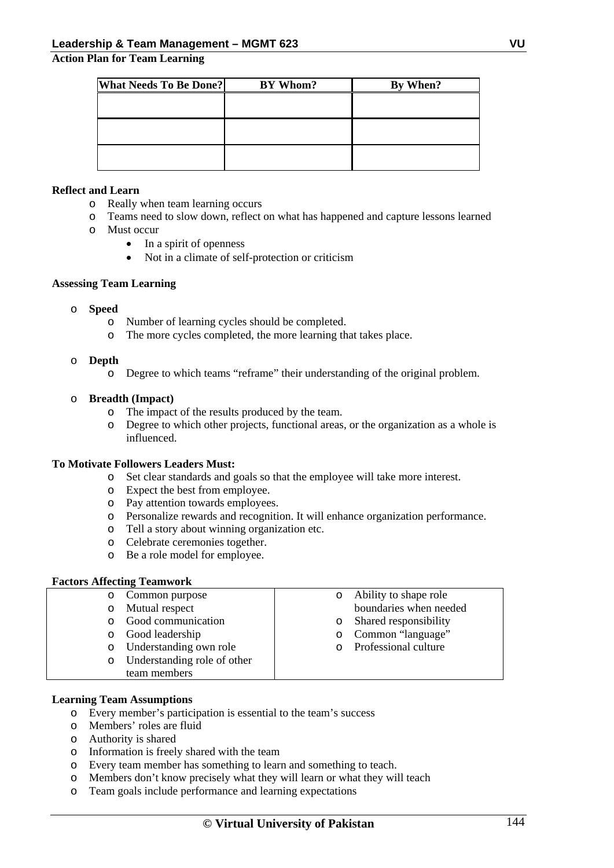### **Action Plan for Team Learning**

| <b>What Needs To Be Done?</b> | BY Whom? | By When? |
|-------------------------------|----------|----------|
|                               |          |          |
|                               |          |          |
|                               |          |          |
|                               |          |          |
|                               |          |          |
|                               |          |          |

### **Reflect and Learn**

- o Really when team learning occurs
- o Teams need to slow down, reflect on what has happened and capture lessons learned
- o Must occur
	- In a spirit of openness
	- Not in a climate of self-protection or criticism

### **Assessing Team Learning**

- o **Speed** 
	- o Number of learning cycles should be completed.
	- o The more cycles completed, the more learning that takes place.

### o **Depth**

o Degree to which teams "reframe" their understanding of the original problem.

### o **Breadth (Impact)**

- o The impact of the results produced by the team.
- o Degree to which other projects, functional areas, or the organization as a whole is influenced.

### **To Motivate Followers Leaders Must:**

- o Set clear standards and goals so that the employee will take more interest.
- o Expect the best from employee.
- o Pay attention towards employees.
- o Personalize rewards and recognition. It will enhance organization performance.
- o Tell a story about winning organization etc.
- o Celebrate ceremonies together.
- o Be a role model for employee.

### **Factors Affecting Teamwork**

| $\circ$ | Common purpose              |         | Ability to shape role  |
|---------|-----------------------------|---------|------------------------|
| $\circ$ | Mutual respect              |         | boundaries when needed |
|         | Good communication          |         | Shared responsibility  |
| $\circ$ | Good leadership             | $\circ$ | Common "language"      |
| $\circ$ | Understanding own role      |         | Professional culture   |
| $\circ$ | Understanding role of other |         |                        |
|         | team members                |         |                        |

### **Learning Team Assumptions**

- o Every member's participation is essential to the team's success
- o Members' roles are fluid
- o Authority is shared
- o Information is freely shared with the team
- o Every team member has something to learn and something to teach.
- o Members don't know precisely what they will learn or what they will teach
- o Team goals include performance and learning expectations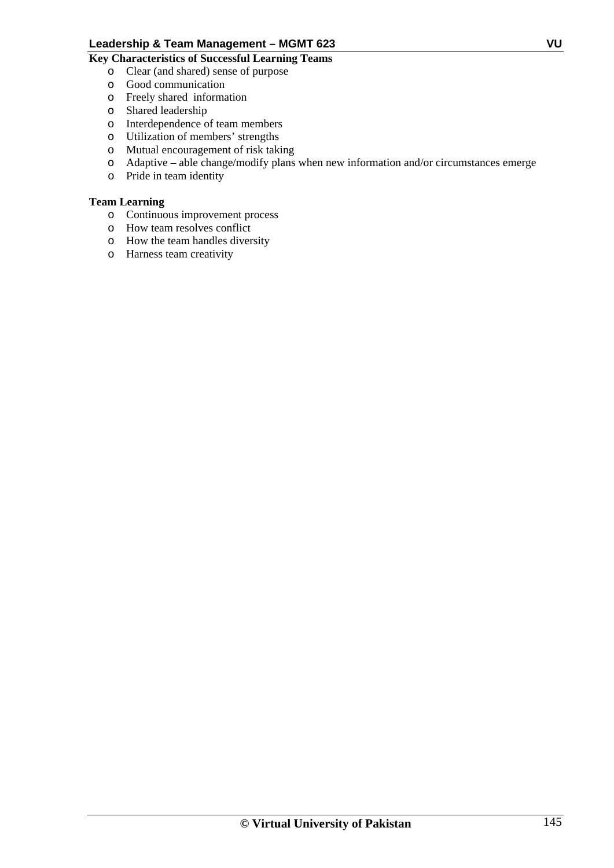# **Key Characteristics of Successful Learning Teams**

- o Clear (and shared) sense of purpose
- o Good communication
- o Freely shared information
- o Shared leadership
- o Interdependence of team members
- o Utilization of members' strengths
- o Mutual encouragement of risk taking
- o Adaptive able change/modify plans when new information and/or circumstances emerge
- o Pride in team identity

# **Team Learning**

- o Continuous improvement process
- o How team resolves conflict
- o How the team handles diversity
- o Harness team creativity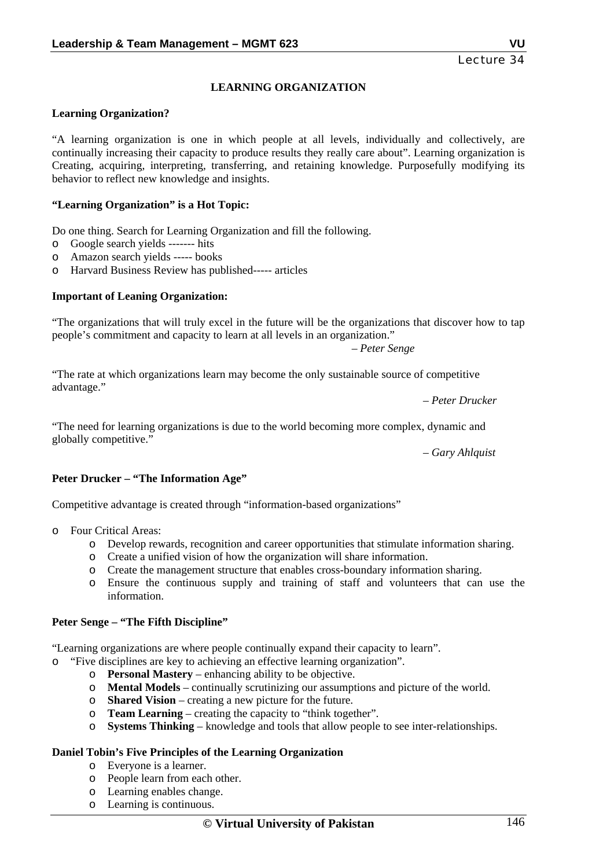# **LEARNING ORGANIZATION**

## **Learning Organization?**

"A learning organization is one in which people at all levels, individually and collectively, are continually increasing their capacity to produce results they really care about". Learning organization is Creating, acquiring, interpreting, transferring, and retaining knowledge. Purposefully modifying its behavior to reflect new knowledge and insights.

#### **"Learning Organization" is a Hot Topic:**

Do one thing. Search for Learning Organization and fill the following.

- o Google search yields ------- hits
- o Amazon search yields ----- books
- o Harvard Business Review has published----- articles

#### **Important of Leaning Organization:**

"The organizations that will truly excel in the future will be the organizations that discover how to tap people's commitment and capacity to learn at all levels in an organization."

*– Peter Senge* 

"The rate at which organizations learn may become the only sustainable source of competitive advantage."

*– Peter Drucker* 

"The need for learning organizations is due to the world becoming more complex, dynamic and globally competitive."

*– Gary Ahlquist* 

#### **Peter Drucker – "The Information Age"**

Competitive advantage is created through "information-based organizations"

- o Four Critical Areas:
	- o Develop rewards, recognition and career opportunities that stimulate information sharing.
	- o Create a unified vision of how the organization will share information.
	- o Create the management structure that enables cross-boundary information sharing.
	- o Ensure the continuous supply and training of staff and volunteers that can use the information.

#### **Peter Senge – "The Fifth Discipline"**

"Learning organizations are where people continually expand their capacity to learn".

"Five disciplines are key to achieving an effective learning organization".

- o **Personal Mastery**  enhancing ability to be objective.
- o **Mental Models** continually scrutinizing our assumptions and picture of the world.
- o **Shared Vision** creating a new picture for the future.
- o **Team Learning** creating the capacity to "think together".
- o **Systems Thinking** knowledge and tools that allow people to see inter-relationships.

## **Daniel Tobin's Five Principles of the Learning Organization**

- o Everyone is a learner.
- o People learn from each other.
- o Learning enables change.
- o Learning is continuous.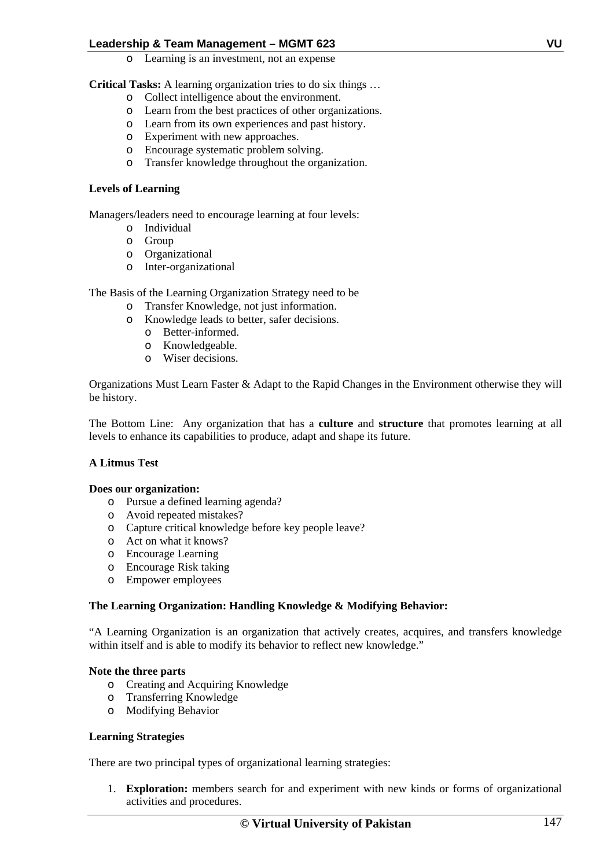o Learning is an investment, not an expense

**Critical Tasks:** A learning organization tries to do six things …

- o Collect intelligence about the environment.
- o Learn from the best practices of other organizations.
- o Learn from its own experiences and past history.
- o Experiment with new approaches.
- o Encourage systematic problem solving.
- o Transfer knowledge throughout the organization.

## **Levels of Learning**

Managers/leaders need to encourage learning at four levels:

- o Individual
- o Group
- o Organizational
- o Inter-organizational

The Basis of the Learning Organization Strategy need to be

- o Transfer Knowledge, not just information.
- o Knowledge leads to better, safer decisions.
	- o Better-informed.
	- o Knowledgeable.
	- o Wiser decisions.

Organizations Must Learn Faster & Adapt to the Rapid Changes in the Environment otherwise they will be history.

The Bottom Line: Any organization that has a **culture** and **structure** that promotes learning at all levels to enhance its capabilities to produce, adapt and shape its future.

# **A Litmus Test**

## **Does our organization:**

- o Pursue a defined learning agenda?
- o Avoid repeated mistakes?
- o Capture critical knowledge before key people leave?
- o Act on what it knows?
- o Encourage Learning
- o Encourage Risk taking
- o Empower employees

# **The Learning Organization: Handling Knowledge & Modifying Behavior:**

"A Learning Organization is an organization that actively creates, acquires, and transfers knowledge within itself and is able to modify its behavior to reflect new knowledge."

## **Note the three parts**

- o Creating and Acquiring Knowledge
- o Transferring Knowledge
- o Modifying Behavior

## **Learning Strategies**

There are two principal types of organizational learning strategies:

1. **Exploration:** members search for and experiment with new kinds or forms of organizational activities and procedures.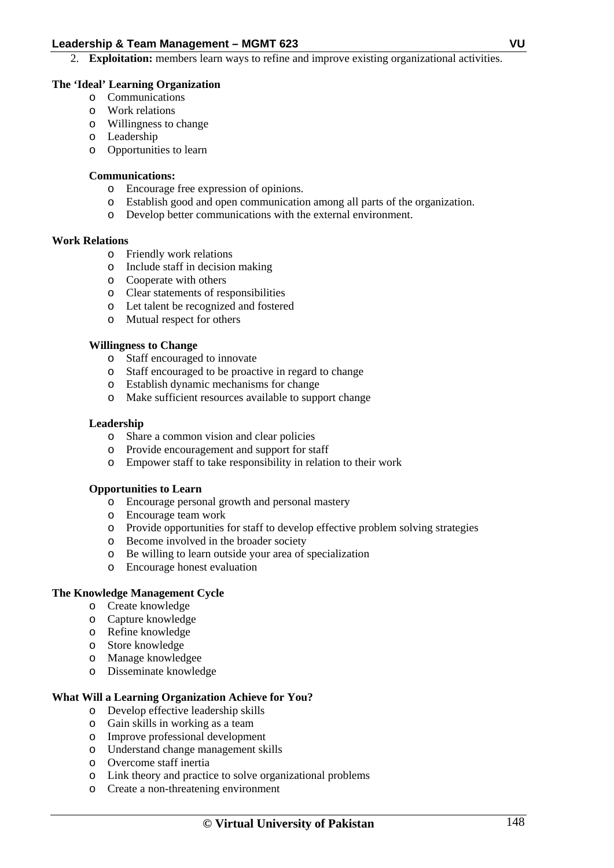2. **Exploitation:** members learn ways to refine and improve existing organizational activities.

## **The 'Ideal' Learning Organization**

- o Communications
- o Work relations
- o Willingness to change
- o Leadership
- o Opportunities to learn

## **Communications:**

- o Encourage free expression of opinions.
- o Establish good and open communication among all parts of the organization.
- o Develop better communications with the external environment.

## **Work Relations**

- o Friendly work relations
- o Include staff in decision making
- o Cooperate with others
- o Clear statements of responsibilities
- o Let talent be recognized and fostered
- o Mutual respect for others

## **Willingness to Change**

- o Staff encouraged to innovate
- o Staff encouraged to be proactive in regard to change
- o Establish dynamic mechanisms for change
- o Make sufficient resources available to support change

## **Leadership**

- o Share a common vision and clear policies
- o Provide encouragement and support for staff
- o Empower staff to take responsibility in relation to their work

## **Opportunities to Learn**

- o Encourage personal growth and personal mastery
- o Encourage team work
- o Provide opportunities for staff to develop effective problem solving strategies
- o Become involved in the broader society
- o Be willing to learn outside your area of specialization
- o Encourage honest evaluation

# **The Knowledge Management Cycle**

- o Create knowledge
- o Capture knowledge
- o Refine knowledge
- o Store knowledge
- o Manage knowledgee
- o Disseminate knowledge

# **What Will a Learning Organization Achieve for You?**

- o Develop effective leadership skills
- o Gain skills in working as a team
- o Improve professional development
- o Understand change management skills
- o Overcome staff inertia
- o Link theory and practice to solve organizational problems
- o Create a non-threatening environment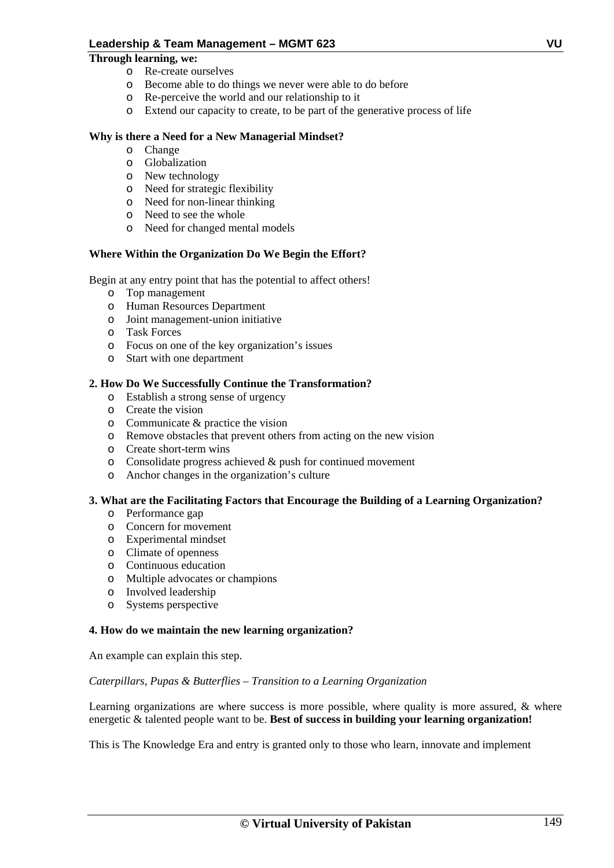## **Through learning, we:**

- o Re-create ourselves
- o Become able to do things we never were able to do before
- o Re-perceive the world and our relationship to it
- o Extend our capacity to create, to be part of the generative process of life

# **Why is there a Need for a New Managerial Mindset?**

- o Change
- o Globalization
- o New technology
- o Need for strategic flexibility
- o Need for non-linear thinking
- o Need to see the whole
- o Need for changed mental models

## **Where Within the Organization Do We Begin the Effort?**

Begin at any entry point that has the potential to affect others!

- o Top management
- o Human Resources Department
- o Joint management-union initiative
- o Task Forces
- o Focus on one of the key organization's issues
- o Start with one department

## **2. How Do We Successfully Continue the Transformation?**

- o Establish a strong sense of urgency
- o Create the vision
- o Communicate & practice the vision
- o Remove obstacles that prevent others from acting on the new vision
- o Create short-term wins
- o Consolidate progress achieved & push for continued movement
- o Anchor changes in the organization's culture

## **3. What are the Facilitating Factors that Encourage the Building of a Learning Organization?**

- o Performance gap
- o Concern for movement
- o Experimental mindset
- o Climate of openness
- o Continuous education
- o Multiple advocates or champions
- o Involved leadership
- o Systems perspective

## **4. How do we maintain the new learning organization?**

An example can explain this step.

## *Caterpillars, Pupas & Butterflies – Transition to a Learning Organization*

Learning organizations are where success is more possible, where quality is more assured, & where energetic & talented people want to be. **Best of success in building your learning organization!** 

This is The Knowledge Era and entry is granted only to those who learn, innovate and implement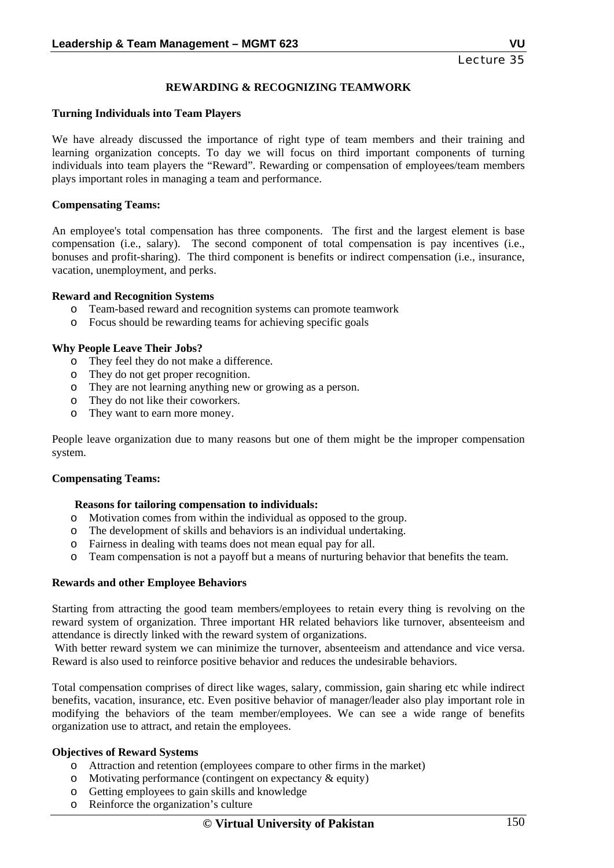# **REWARDING & RECOGNIZING TEAMWORK**

#### **Turning Individuals into Team Players**

We have already discussed the importance of right type of team members and their training and learning organization concepts. To day we will focus on third important components of turning individuals into team players the "Reward". Rewarding or compensation of employees/team members plays important roles in managing a team and performance.

#### **Compensating Teams:**

An employee's total compensation has three components. The first and the largest element is base compensation (i.e., salary). The second component of total compensation is pay incentives (i.e., bonuses and profit-sharing). The third component is benefits or indirect compensation (i.e., insurance, vacation, unemployment, and perks.

#### **Reward and Recognition Systems**

- o Team-based reward and recognition systems can promote teamwork
- o Focus should be rewarding teams for achieving specific goals

#### **Why People Leave Their Jobs?**

- o They feel they do not make a difference.
- o They do not get proper recognition.
- o They are not learning anything new or growing as a person.
- o They do not like their coworkers.
- o They want to earn more money.

People leave organization due to many reasons but one of them might be the improper compensation system.

#### **Compensating Teams:**

#### **Reasons for tailoring compensation to individuals:**

- o Motivation comes from within the individual as opposed to the group.
- o The development of skills and behaviors is an individual undertaking.
- o Fairness in dealing with teams does not mean equal pay for all.
- o Team compensation is not a payoff but a means of nurturing behavior that benefits the team.

#### **Rewards and other Employee Behaviors**

Starting from attracting the good team members/employees to retain every thing is revolving on the reward system of organization. Three important HR related behaviors like turnover, absenteeism and attendance is directly linked with the reward system of organizations.

 With better reward system we can minimize the turnover, absenteeism and attendance and vice versa. Reward is also used to reinforce positive behavior and reduces the undesirable behaviors.

Total compensation comprises of direct like wages, salary, commission, gain sharing etc while indirect benefits, vacation, insurance, etc. Even positive behavior of manager/leader also play important role in modifying the behaviors of the team member/employees. We can see a wide range of benefits organization use to attract, and retain the employees.

## **Objectives of Reward Systems**

- o Attraction and retention (employees compare to other firms in the market)
- o Motivating performance (contingent on expectancy & equity)
- o Getting employees to gain skills and knowledge
- o Reinforce the organization's culture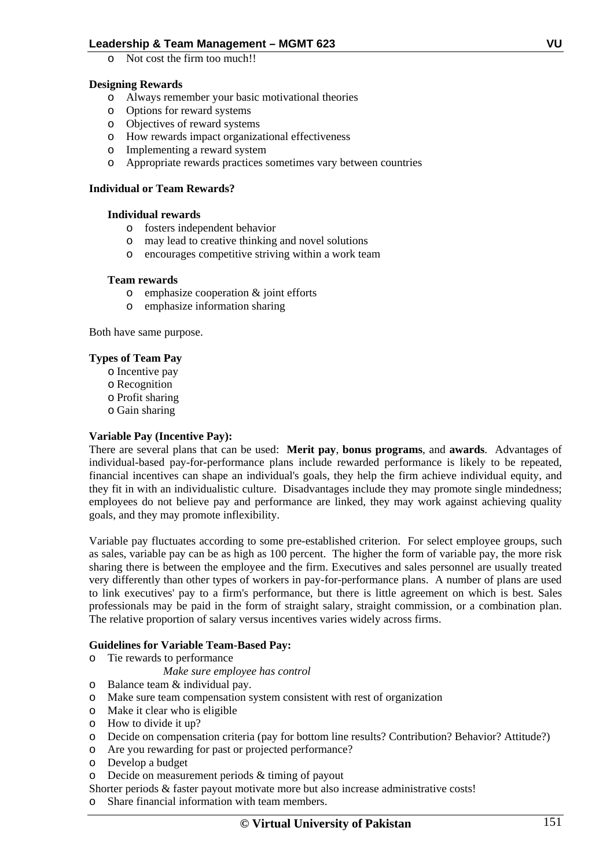o Not cost the firm too much!!

# **Designing Rewards**

- o Always remember your basic motivational theories
- o Options for reward systems
- o Objectives of reward systems
- o How rewards impact organizational effectiveness
- o Implementing a reward system
- o Appropriate rewards practices sometimes vary between countries

## **Individual or Team Rewards?**

## **Individual rewards**

- o fosters independent behavior
- o may lead to creative thinking and novel solutions
- o encourages competitive striving within a work team

## **Team rewards**

- o emphasize cooperation & joint efforts
- o emphasize information sharing

Both have same purpose.

## **Types of Team Pay**

- o Incentive pay
- o Recognition
- o Profit sharing
- o Gain sharing

# **Variable Pay (Incentive Pay):**

There are several plans that can be used: **Merit pay**, **bonus programs**, and **awards**. Advantages of individual-based pay-for-performance plans include rewarded performance is likely to be repeated, financial incentives can shape an individual's goals, they help the firm achieve individual equity, and they fit in with an individualistic culture. Disadvantages include they may promote single mindedness; employees do not believe pay and performance are linked, they may work against achieving quality goals, and they may promote inflexibility.

Variable pay fluctuates according to some pre-established criterion. For select employee groups, such as sales, variable pay can be as high as 100 percent. The higher the form of variable pay, the more risk sharing there is between the employee and the firm. Executives and sales personnel are usually treated very differently than other types of workers in pay-for-performance plans. A number of plans are used to link executives' pay to a firm's performance, but there is little agreement on which is best. Sales professionals may be paid in the form of straight salary, straight commission, or a combination plan. The relative proportion of salary versus incentives varies widely across firms.

## **Guidelines for Variable Team-Based Pay:**

o Tie rewards to performance

*Make sure employee has control* 

- o Balance team & individual pay.
- o Make sure team compensation system consistent with rest of organization
- o Make it clear who is eligible
- o How to divide it up?
- o Decide on compensation criteria (pay for bottom line results? Contribution? Behavior? Attitude?)
- o Are you rewarding for past or projected performance?
- o Develop a budget
- o Decide on measurement periods & timing of payout

Shorter periods & faster payout motivate more but also increase administrative costs!

o Share financial information with team members.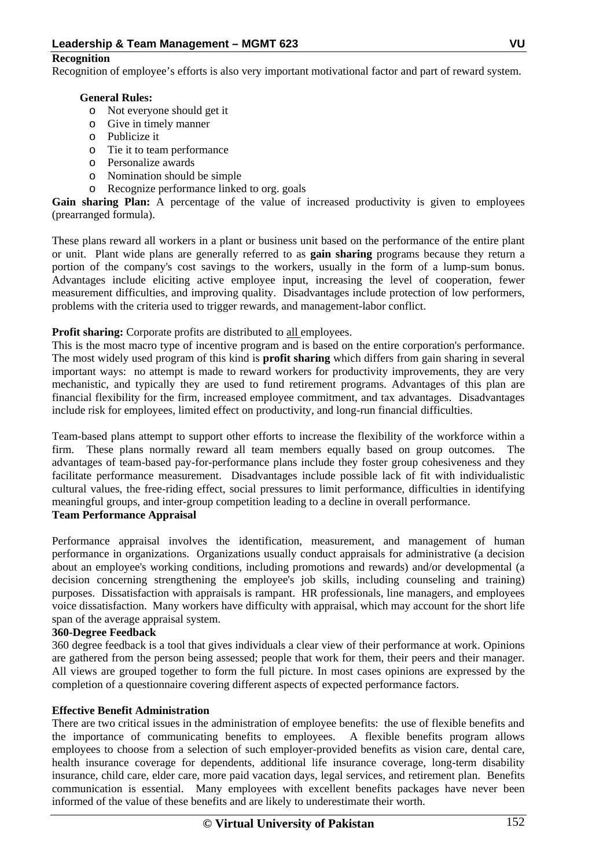## **Recognition**

Recognition of employee's efforts is also very important motivational factor and part of reward system.

## **General Rules:**

- o Not everyone should get it
- o Give in timely manner
- o Publicize it
- o Tie it to team performance
- o Personalize awards
- o Nomination should be simple
- o Recognize performance linked to org. goals

Gain sharing Plan: A percentage of the value of increased productivity is given to employees (prearranged formula).

These plans reward all workers in a plant or business unit based on the performance of the entire plant or unit. Plant wide plans are generally referred to as **gain sharing** programs because they return a portion of the company's cost savings to the workers, usually in the form of a lump-sum bonus. Advantages include eliciting active employee input, increasing the level of cooperation, fewer measurement difficulties, and improving quality. Disadvantages include protection of low performers, problems with the criteria used to trigger rewards, and management-labor conflict.

## **Profit sharing:** Corporate profits are distributed to all employees.

This is the most macro type of incentive program and is based on the entire corporation's performance. The most widely used program of this kind is **profit sharing** which differs from gain sharing in several important ways: no attempt is made to reward workers for productivity improvements, they are very mechanistic, and typically they are used to fund retirement programs. Advantages of this plan are financial flexibility for the firm, increased employee commitment, and tax advantages. Disadvantages include risk for employees, limited effect on productivity, and long-run financial difficulties.

Team-based plans attempt to support other efforts to increase the flexibility of the workforce within a firm. These plans normally reward all team members equally based on group outcomes. The advantages of team-based pay-for-performance plans include they foster group cohesiveness and they facilitate performance measurement. Disadvantages include possible lack of fit with individualistic cultural values, the free-riding effect, social pressures to limit performance, difficulties in identifying meaningful groups, and inter-group competition leading to a decline in overall performance. **Team Performance Appraisal** 

Performance appraisal involves the identification, measurement, and management of human performance in organizations. Organizations usually conduct appraisals for administrative (a decision about an employee's working conditions, including promotions and rewards) and/or developmental (a decision concerning strengthening the employee's job skills, including counseling and training) purposes. Dissatisfaction with appraisals is rampant. HR professionals, line managers, and employees voice dissatisfaction. Many workers have difficulty with appraisal, which may account for the short life span of the average appraisal system.

## **360-Degree Feedback**

360 degree feedback is a tool that gives individuals a clear view of their performance at work. Opinions are gathered from the person being assessed; people that work for them, their peers and their manager. All views are grouped together to form the full picture. In most cases opinions are expressed by the completion of a questionnaire covering different aspects of expected performance factors.

## **Effective Benefit Administration**

There are two critical issues in the administration of employee benefits: the use of flexible benefits and the importance of communicating benefits to employees. A flexible benefits program allows employees to choose from a selection of such employer-provided benefits as vision care, dental care, health insurance coverage for dependents, additional life insurance coverage, long-term disability insurance, child care, elder care, more paid vacation days, legal services, and retirement plan. Benefits communication is essential. Many employees with excellent benefits packages have never been informed of the value of these benefits and are likely to underestimate their worth.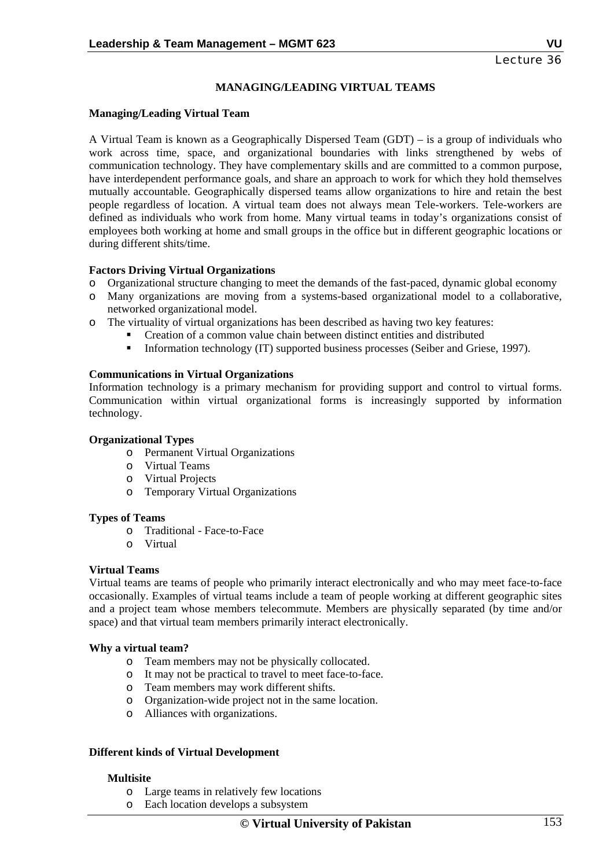# **MANAGING/LEADING VIRTUAL TEAMS**

#### **Managing/Leading Virtual Team**

A Virtual Team is known as a Geographically Dispersed Team (GDT) – is a group of individuals who work across time, space, and organizational boundaries with links strengthened by webs of communication technology. They have complementary skills and are committed to a common purpose, have interdependent performance goals, and share an approach to work for which they hold themselves mutually accountable. Geographically dispersed teams allow organizations to hire and retain the best people regardless of location. A virtual team does not always mean Tele-workers. Tele-workers are defined as individuals who work from home. Many virtual teams in today's organizations consist of employees both working at home and small groups in the office but in different geographic locations or during different shits/time.

## **Factors Driving Virtual Organizations**

- o Organizational structure changing to meet the demands of the fast-paced, dynamic global economy
- o Many organizations are moving from a systems-based organizational model to a collaborative, networked organizational model.
- o The virtuality of virtual organizations has been described as having two key features:
	- Creation of a common value chain between distinct entities and distributed
		- Information technology (IT) supported business processes (Seiber and Griese, 1997).

#### **Communications in Virtual Organizations**

Information technology is a primary mechanism for providing support and control to virtual forms. Communication within virtual organizational forms is increasingly supported by information technology.

#### **Organizational Types**

- o Permanent Virtual Organizations
- o Virtual Teams
- o Virtual Projects
- o Temporary Virtual Organizations

#### **Types of Teams**

- o Traditional Face-to-Face
- o Virtual

#### **Virtual Teams**

Virtual teams are teams of people who primarily interact electronically and who may meet face-to-face occasionally. Examples of virtual teams include a team of people working at different geographic sites and a project team whose members telecommute. Members are physically separated (by time and/or space) and that virtual team members primarily interact electronically.

#### **Why a virtual team?**

- o Team members may not be physically collocated.
- o It may not be practical to travel to meet face-to-face.
- Team members may work different shifts.
- o Organization-wide project not in the same location.
- o Alliances with organizations.

## **Different kinds of Virtual Development**

## **Multisite**

- o Large teams in relatively few locations
- o Each location develops a subsystem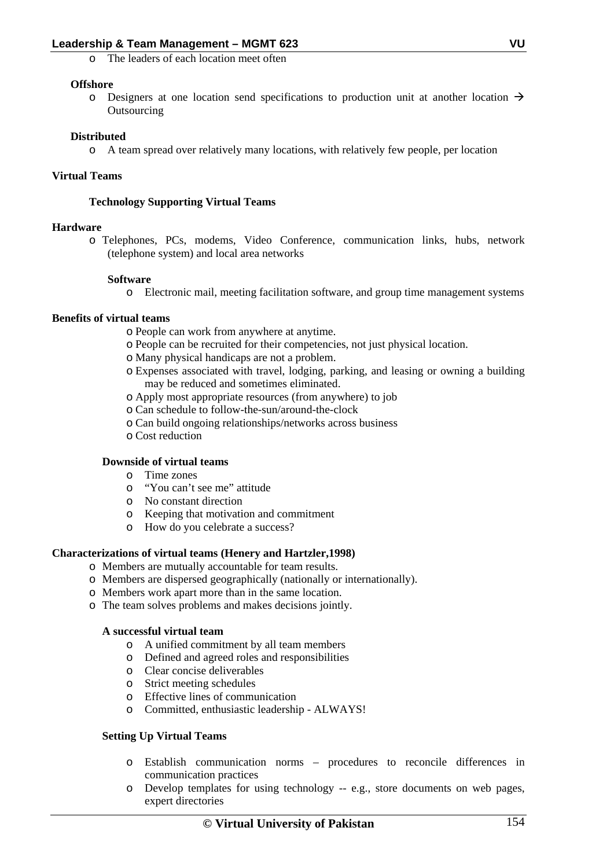o The leaders of each location meet often

# **Offshore**

o Designers at one location send specifications to production unit at another location  $\rightarrow$ **Outsourcing** 

# **Distributed**

o A team spread over relatively many locations, with relatively few people, per location

# **Virtual Teams**

# **Technology Supporting Virtual Teams**

# **Hardware**

o Telephones, PCs, modems, Video Conference, communication links, hubs, network (telephone system) and local area networks

# **Software**

o Electronic mail, meeting facilitation software, and group time management systems

# **Benefits of virtual teams**

- o People can work from anywhere at anytime.
- o People can be recruited for their competencies, not just physical location.
- o Many physical handicaps are not a problem.
- o Expenses associated with travel, lodging, parking, and leasing or owning a building may be reduced and sometimes eliminated.
- o Apply most appropriate resources (from anywhere) to job
- o Can schedule to follow-the-sun/around-the-clock
- o Can build ongoing relationships/networks across business
- o Cost reduction

# **Downside of virtual teams**

- o Time zones
- o "You can't see me" attitude
- o No constant direction
- o Keeping that motivation and commitment
- o How do you celebrate a success?

# **Characterizations of virtual teams (Henery and Hartzler,1998)**

- o Members are mutually accountable for team results.
- o Members are dispersed geographically (nationally or internationally).
- o Members work apart more than in the same location.
- o The team solves problems and makes decisions jointly.

# **A successful virtual team**

- o A unified commitment by all team members
- o Defined and agreed roles and responsibilities
- o Clear concise deliverables
- o Strict meeting schedules
- o Effective lines of communication
- o Committed, enthusiastic leadership ALWAYS!

# **Setting Up Virtual Teams**

- o Establish communication norms procedures to reconcile differences in communication practices
- o Develop templates for using technology -- e.g., store documents on web pages, expert directories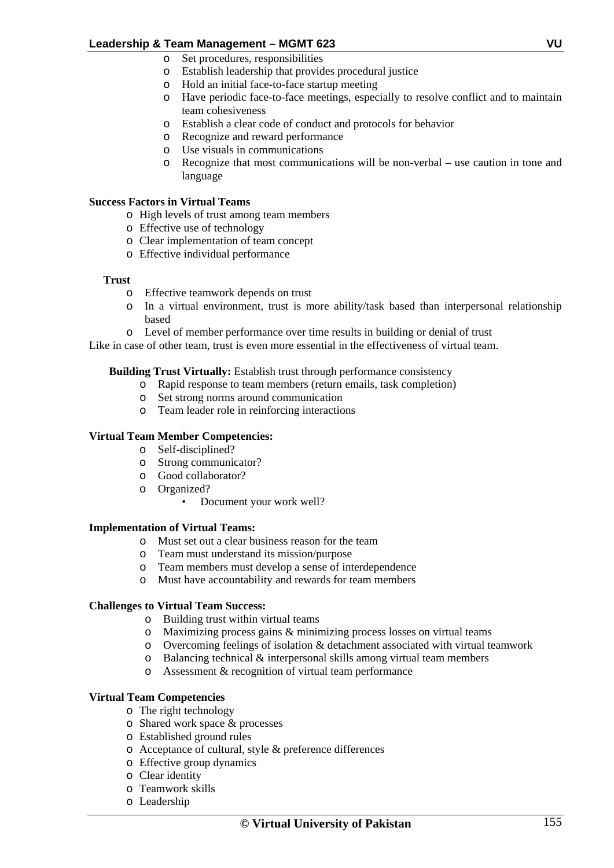- o Set procedures, responsibilities
- o Establish leadership that provides procedural justice
- o Hold an initial face-to-face startup meeting
- o Have periodic face-to-face meetings, especially to resolve conflict and to maintain team cohesiveness
- o Establish a clear code of conduct and protocols for behavior
- o Recognize and reward performance
- o Use visuals in communications
- o Recognize that most communications will be non-verbal use caution in tone and language

#### **Success Factors in Virtual Teams**

- o High levels of trust among team members
- o Effective use of technology
- o Clear implementation of team concept
- o Effective individual performance

#### **Trust**

- o Effective teamwork depends on trust
- o In a virtual environment, trust is more ability/task based than interpersonal relationship based
- o Level of member performance over time results in building or denial of trust

Like in case of other team, trust is even more essential in the effectiveness of virtual team.

## **Building Trust Virtually:** Establish trust through performance consistency

- o Rapid response to team members (return emails, task completion)
- o Set strong norms around communication
- o Team leader role in reinforcing interactions

#### **Virtual Team Member Competencies:**

- o Self-disciplined?
- o Strong communicator?
- o Good collaborator?
- o Organized?
	- Document your work well?

## **Implementation of Virtual Teams:**

- o Must set out a clear business reason for the team
- o Team must understand its mission/purpose
- o Team members must develop a sense of interdependence
- o Must have accountability and rewards for team members

## **Challenges to Virtual Team Success:**

- o Building trust within virtual teams
- o Maximizing process gains & minimizing process losses on virtual teams
- o Overcoming feelings of isolation & detachment associated with virtual teamwork
- o Balancing technical & interpersonal skills among virtual team members
- o Assessment & recognition of virtual team performance

## **Virtual Team Competencies**

- o The right technology
- o Shared work space & processes
- o Established ground rules
- o Acceptance of cultural, style & preference differences
- o Effective group dynamics
- o Clear identity
- o Teamwork skills
- o Leadership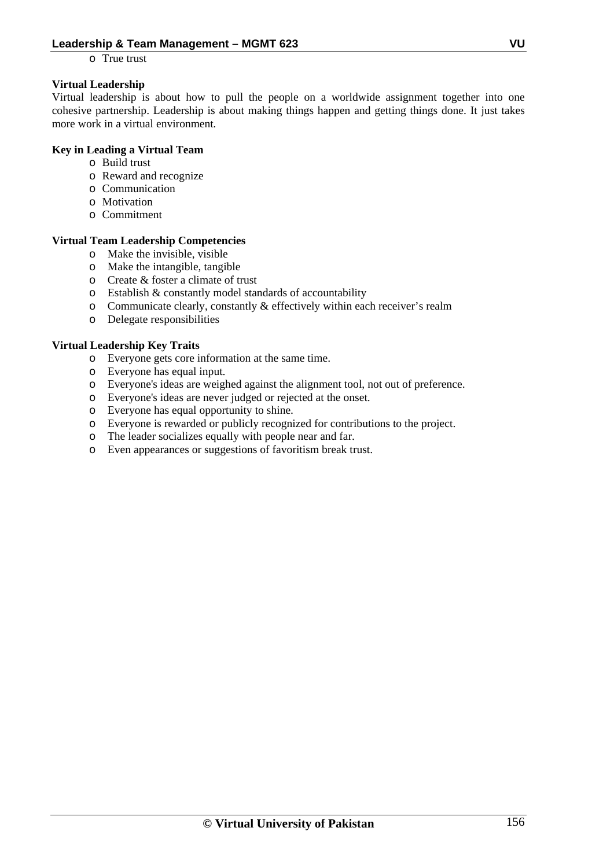o True trust

# **Virtual Leadership**

Virtual leadership is about how to pull the people on a worldwide assignment together into one cohesive partnership. Leadership is about making things happen and getting things done. It just takes more work in a virtual environment*.*

# **Key in Leading a Virtual Team**

- o Build trust
- o Reward and recognize
- o Communication
- o Motivation
- o Commitment

# **Virtual Team Leadership Competencies**

- o Make the invisible, visible
- o Make the intangible, tangible
- o Create & foster a climate of trust
- o Establish & constantly model standards of accountability
- o Communicate clearly, constantly & effectively within each receiver's realm
- o Delegate responsibilities

# **Virtual Leadership Key Traits**

- o Everyone gets core information at the same time.
- o Everyone has equal input.
- o Everyone's ideas are weighed against the alignment tool, not out of preference.
- o Everyone's ideas are never judged or rejected at the onset.
- o Everyone has equal opportunity to shine.
- o Everyone is rewarded or publicly recognized for contributions to the project.
- o The leader socializes equally with people near and far.
- o Even appearances or suggestions of favoritism break trust.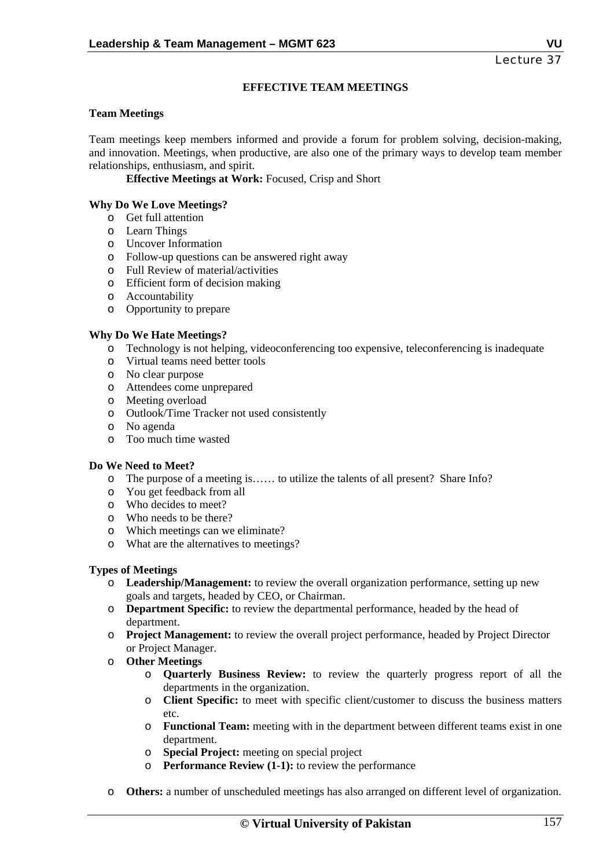# **EFFECTIVE TEAM MEETINGS**

#### **Team Meetings**

Team meetings keep members informed and provide a forum for problem solving, decision-making, and innovation. Meetings, when productive, are also one of the primary ways to develop team member relationships, enthusiasm, and spirit.

 **Effective Meetings at Work:** Focused, Crisp and Short

#### **Why Do We Love Meetings?**

- o Get full attention
- o Learn Things
- o Uncover Information
- o Follow-up questions can be answered right away
- o Full Review of material/activities
- o Efficient form of decision making
- o Accountability
- o Opportunity to prepare

#### **Why Do We Hate Meetings?**

- o Technology is not helping, videoconferencing too expensive, teleconferencing is inadequate
- o Virtual teams need better tools
- o No clear purpose
- o Attendees come unprepared
- o Meeting overload
- o Outlook/Time Tracker not used consistently
- o No agenda
- o Too much time wasted

#### **Do We Need to Meet?**

- o The purpose of a meeting is…… to utilize the talents of all present? Share Info?
- o You get feedback from all
- o Who decides to meet?
- o Who needs to be there?
- o Which meetings can we eliminate?
- o What are the alternatives to meetings?

#### **Types of Meetings**

- o **Leadership/Management:** to review the overall organization performance, setting up new goals and targets, headed by CEO, or Chairman.
- o **Department Specific:** to review the departmental performance, headed by the head of department.
- o **Project Management:** to review the overall project performance, headed by Project Director or Project Manager.
- o **Other Meetings** 
	- o **Quarterly Business Review:** to review the quarterly progress report of all the departments in the organization.
	- o **Client Specific:** to meet with specific client/customer to discuss the business matters etc.
	- o **Functional Team:** meeting with in the department between different teams exist in one department.
	- o **Special Project:** meeting on special project
	- o **Performance Review (1-1):** to review the performance
- o **Others:** a number of unscheduled meetings has also arranged on different level of organization.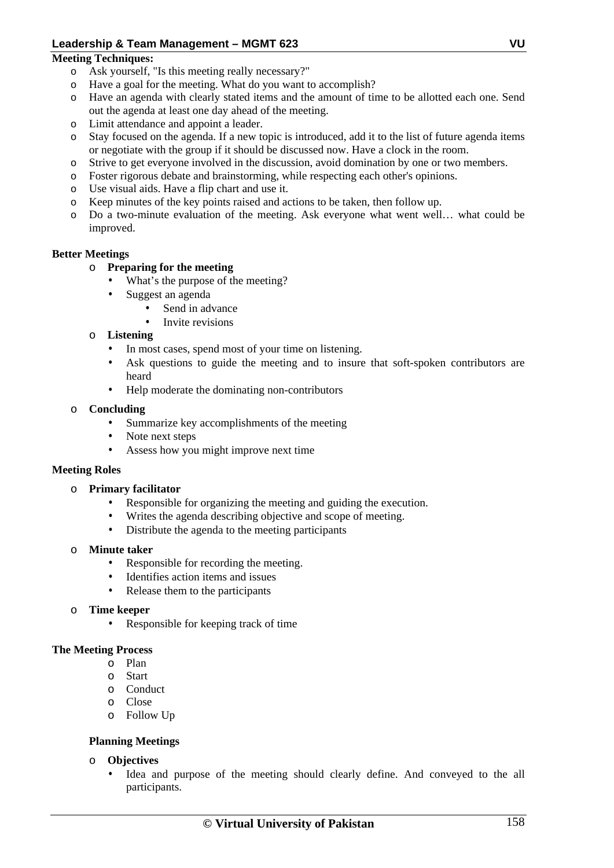## **Meeting Techniques:**

- o Ask yourself, "Is this meeting really necessary?"
- o Have a goal for the meeting. What do you want to accomplish?
- o Have an agenda with clearly stated items and the amount of time to be allotted each one. Send out the agenda at least one day ahead of the meeting.
- o Limit attendance and appoint a leader.
- o Stay focused on the agenda. If a new topic is introduced, add it to the list of future agenda items or negotiate with the group if it should be discussed now. Have a clock in the room.
- o Strive to get everyone involved in the discussion, avoid domination by one or two members.
- o Foster rigorous debate and brainstorming, while respecting each other's opinions.
- o Use visual aids. Have a flip chart and use it.
- o Keep minutes of the key points raised and actions to be taken, then follow up.
- o Do a two-minute evaluation of the meeting. Ask everyone what went well… what could be improved.

## **Better Meetings**

## o **Preparing for the meeting**

- What's the purpose of the meeting?
- Suggest an agenda
	- Send in advance
	- Invite revisions

## o **Listening**

- In most cases, spend most of your time on listening.
- Ask questions to guide the meeting and to insure that soft-spoken contributors are heard
- Help moderate the dominating non-contributors

## o **Concluding**

- Summarize key accomplishments of the meeting
- Note next steps
- Assess how you might improve next time

# **Meeting Roles**

## o **Primary facilitator**

- Responsible for organizing the meeting and guiding the execution.
- Writes the agenda describing objective and scope of meeting.
- Distribute the agenda to the meeting participants

## o **Minute taker**

- Responsible for recording the meeting.
- Identifies action items and issues
- Release them to the participants
- **Time keeper** 
	- Responsible for keeping track of time

## **The Meeting Process**

- o Plan
- o Start
- o Conduct
- o Close
- o Follow Up

# **Planning Meetings**

- o **Objectives** 
	- Idea and purpose of the meeting should clearly define. And conveyed to the all participants.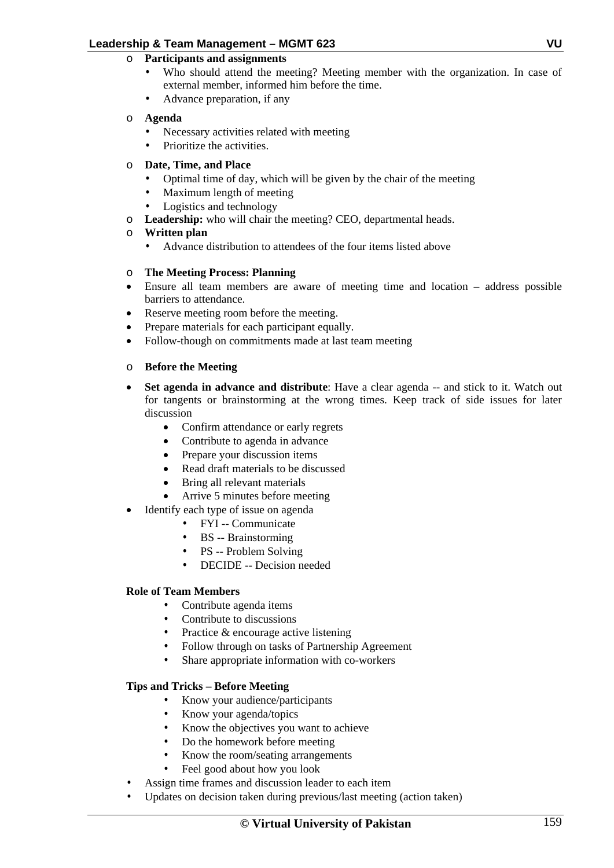- o **Participants and assignments** 
	- Who should attend the meeting? Meeting member with the organization. In case of external member, informed him before the time.
	- Advance preparation, if any

# o **Agenda**

- Necessary activities related with meeting
- Prioritize the activities.
- o **Date, Time, and Place** 
	- Optimal time of day, which will be given by the chair of the meeting
	- Maximum length of meeting
	- Logistics and technology
- o **Leadership:** who will chair the meeting? CEO, departmental heads.
- o **Written plan** 
	- Advance distribution to attendees of the four items listed above

## o **The Meeting Process: Planning**

- Ensure all team members are aware of meeting time and location address possible barriers to attendance.
- Reserve meeting room before the meeting.
- Prepare materials for each participant equally.
- Follow-though on commitments made at last team meeting

## o **Before the Meeting**

- **Set agenda in advance and distribute**: Have a clear agenda -- and stick to it. Watch out for tangents or brainstorming at the wrong times. Keep track of side issues for later discussion
	- Confirm attendance or early regrets
	- Contribute to agenda in advance
	- Prepare your discussion items
	- Read draft materials to be discussed
	- Bring all relevant materials
	- Arrive 5 minutes before meeting
- Identify each type of issue on agenda
	- FYI -- Communicate
	- BS -- Brainstorming
	- PS -- Problem Solving
	- DECIDE -- Decision needed

## **Role of Team Members**

- Contribute agenda items
- Contribute to discussions
- Practice & encourage active listening
- Follow through on tasks of Partnership Agreement
- Share appropriate information with co-workers

## **Tips and Tricks – Before Meeting**

- Know your audience/participants
- Know your agenda/topics
- Know the objectives you want to achieve
- Do the homework before meeting
- Know the room/seating arrangements
- Feel good about how you look
- Assign time frames and discussion leader to each item
- Updates on decision taken during previous/last meeting (action taken)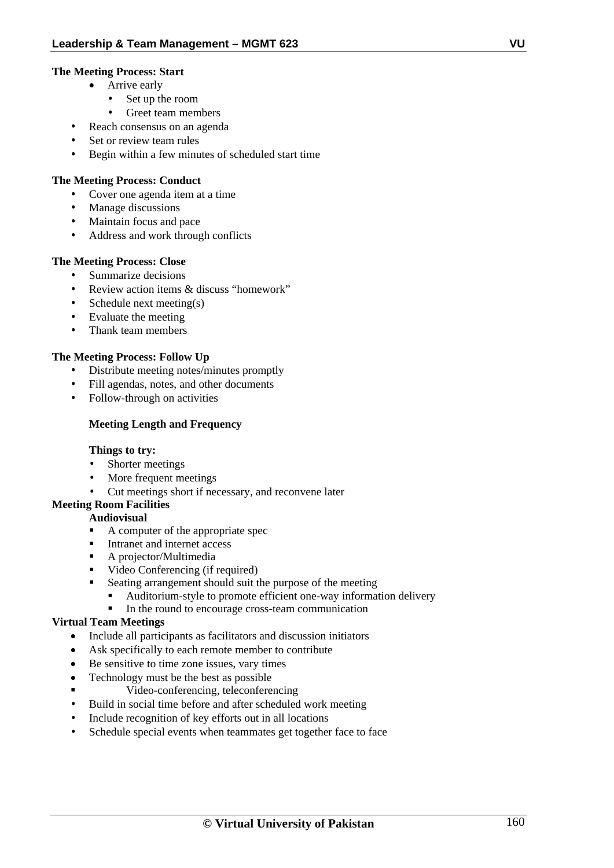# **The Meeting Process: Start**

- Arrive early
	- Set up the room
- Greet team members
- Reach consensus on an agenda
- Set or review team rules
- Begin within a few minutes of scheduled start time

# **The Meeting Process: Conduct**

- Cover one agenda item at a time
- Manage discussions
- Maintain focus and pace
- Address and work through conflicts

## **The Meeting Process: Close**

- Summarize decisions
- Review action items & discuss "homework"
- Schedule next meeting(s)
- Evaluate the meeting
- Thank team members

# **The Meeting Process: Follow Up**

- Distribute meeting notes/minutes promptly
- Fill agendas, notes, and other documents
- Follow-through on activities

# **Meeting Length and Frequency**

## **Things to try:**

- Shorter meetings
- More frequent meetings
- Cut meetings short if necessary, and reconvene later

# **Meeting Room Facilities**

## **Audiovisual**

- A computer of the appropriate spec
- Intranet and internet access
- A projector/Multimedia
- Video Conferencing (if required)
- Seating arrangement should suit the purpose of the meeting
	- Auditorium-style to promote efficient one-way information delivery
	- In the round to encourage cross-team communication

# **Virtual Team Meetings**

- Include all participants as facilitators and discussion initiators
- Ask specifically to each remote member to contribute
- Be sensitive to time zone issues, vary times
- Technology must be the best as possible
- Video-conferencing, teleconferencing
- Build in social time before and after scheduled work meeting
- Include recognition of key efforts out in all locations
- Schedule special events when teammates get together face to face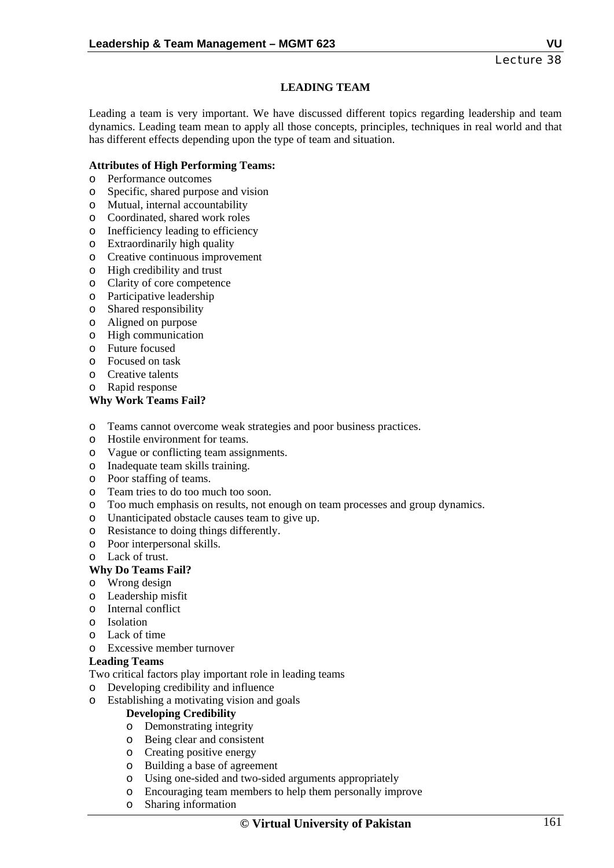# **LEADING TEAM**

Leading a team is very important. We have discussed different topics regarding leadership and team dynamics. Leading team mean to apply all those concepts, principles, techniques in real world and that has different effects depending upon the type of team and situation.

## **Attributes of High Performing Teams:**

- o Performance outcomes
- o Specific, shared purpose and vision
- o Mutual, internal accountability
- o Coordinated, shared work roles
- o Inefficiency leading to efficiency
- o Extraordinarily high quality
- o Creative continuous improvement
- o High credibility and trust
- o Clarity of core competence
- o Participative leadership
- o Shared responsibility
- o Aligned on purpose
- o High communication
- o Future focused
- o Focused on task
- o Creative talents
- o Rapid response

## **Why Work Teams Fail?**

- o Teams cannot overcome weak strategies and poor business practices.
- o Hostile environment for teams.
- o Vague or conflicting team assignments.
- o Inadequate team skills training.
- o Poor staffing of teams.
- o Team tries to do too much too soon.
- o Too much emphasis on results, not enough on team processes and group dynamics.
- o Unanticipated obstacle causes team to give up.
- o Resistance to doing things differently.
- o Poor interpersonal skills.
- o Lack of trust.
- **Why Do Teams Fail?**
- o Wrong design
- o Leadership misfit
- o Internal conflict
- o Isolation
- o Lack of time
- o Excessive member turnover

## **Leading Teams**

Two critical factors play important role in leading teams

- o Developing credibility and influence
- o Establishing a motivating vision and goals

## **Developing Credibility**

- o Demonstrating integrity
- o Being clear and consistent
- o Creating positive energy
- o Building a base of agreement
- o Using one-sided and two-sided arguments appropriately
- o Encouraging team members to help them personally improve
- o Sharing information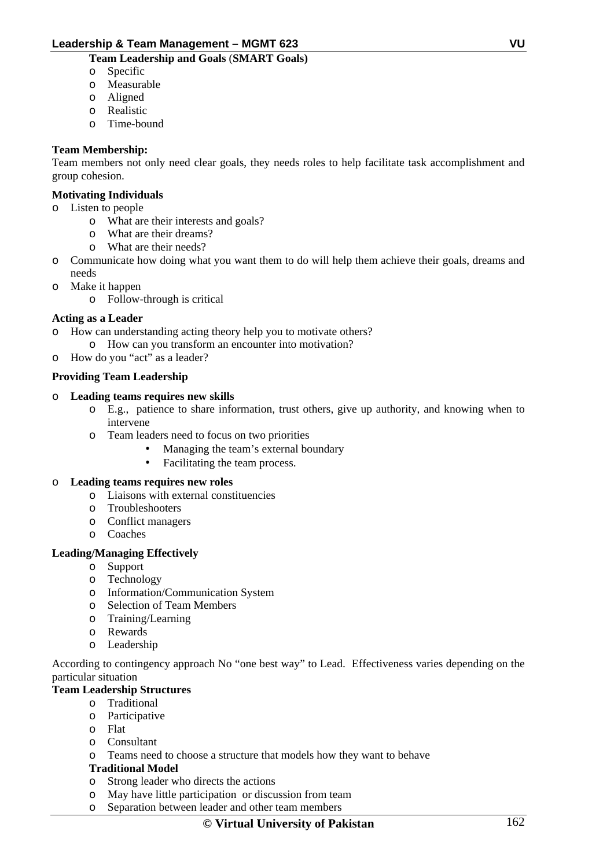# **Team Leadership and Goals** (**SMART Goals)**

- o Specific
- o Measurable
- o Aligned
- o Realistic
- o Time-bound

# **Team Membership:**

Team members not only need clear goals, they needs roles to help facilitate task accomplishment and group cohesion.

## **Motivating Individuals**

- o Listen to people
	- o What are their interests and goals?
	- o What are their dreams?
	- o What are their needs?
- o Communicate how doing what you want them to do will help them achieve their goals, dreams and needs
- o Make it happen
	- o Follow-through is critical

## **Acting as a Leader**

- How can understanding acting theory help you to motivate others?
- o How can you transform an encounter into motivation?
- o How do you "act" as a leader?

## **Providing Team Leadership**

- o **Leading teams requires new skills** 
	- o E.g., patience to share information, trust others, give up authority, and knowing when to intervene
	- o Team leaders need to focus on two priorities
		- Managing the team's external boundary
		- Facilitating the team process.

## o **Leading teams requires new roles**

- o Liaisons with external constituencies
- o Troubleshooters
- o Conflict managers
- o Coaches

# **Leading/Managing Effectively**

- o Support
- o Technology
- o Information/Communication System
- o Selection of Team Members
- o Training/Learning
- o Rewards
- o Leadership

According to contingency approach No "one best way" to Lead. Effectiveness varies depending on the particular situation

# **Team Leadership Structures**

- o Traditional
- o Participative
- o Flat
- o Consultant
- o Teams need to choose a structure that models how they want to behave

# **Traditional Model**

- o Strong leader who directs the actions
- o May have little participation or discussion from team
- o Separation between leader and other team members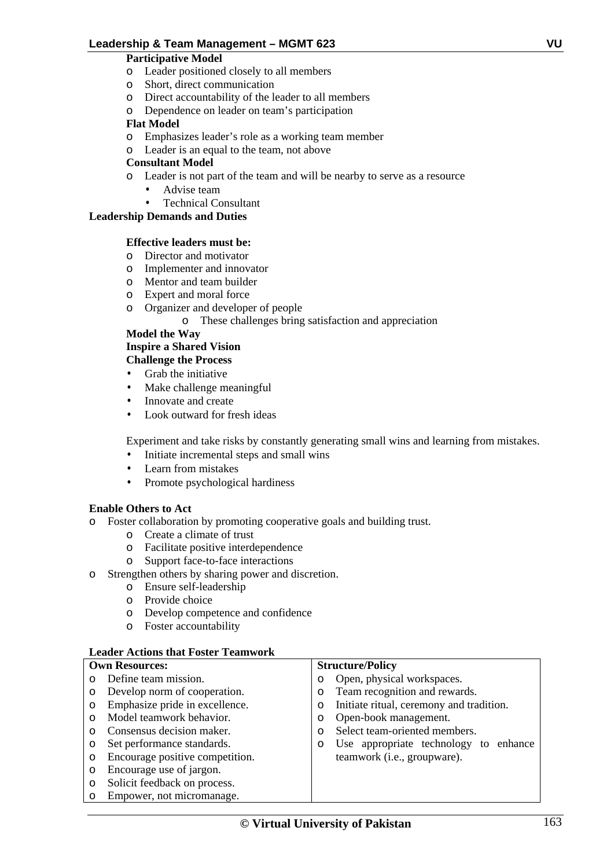# **Participative Model**

- o Leader positioned closely to all members
- o Short, direct communication
- o Direct accountability of the leader to all members
- o Dependence on leader on team's participation

## **Flat Model**

- o Emphasizes leader's role as a working team member
- o Leader is an equal to the team, not above

## **Consultant Model**

- o Leader is not part of the team and will be nearby to serve as a resource
	- Advise team
	- Technical Consultant

# **Leadership Demands and Duties**

## **Effective leaders must be:**

- o Director and motivator
- o Implementer and innovator
- o Mentor and team builder
- o Expert and moral force
- o Organizer and developer of people
	- o These challenges bring satisfaction and appreciation

# **Model the Way**

# **Inspire a Shared Vision**

- **Challenge the Process**
- Grab the initiative
- Make challenge meaningful
- Innovate and create
- Look outward for fresh ideas

Experiment and take risks by constantly generating small wins and learning from mistakes.

- Initiate incremental steps and small wins
- Learn from mistakes
- Promote psychological hardiness

# **Enable Others to Act**

- o Foster collaboration by promoting cooperative goals and building trust.
	- o Create a climate of trust
	- o Facilitate positive interdependence
	- o Support face-to-face interactions
- o Strengthen others by sharing power and discretion.
	- o Ensure self-leadership
	- o Provide choice
	- o Develop competence and confidence
	- o Foster accountability

## **Leader Actions that Foster Teamwork**

# **Own Resources:**

- o Define team mission.
- o Develop norm of cooperation.
- o Emphasize pride in excellence.
- o Model teamwork behavior.
- o Consensus decision maker.
- o Set performance standards.
- o Encourage positive competition.
- o Encourage use of jargon.
- o Solicit feedback on process.
- o Empower, not micromanage.

## **Structure/Policy**

- o Open, physical workspaces.
- o Team recognition and rewards.
- o Initiate ritual, ceremony and tradition.
- o Open-book management.
- o Select team-oriented members.
- o Use appropriate technology to enhance teamwork (i.e., groupware).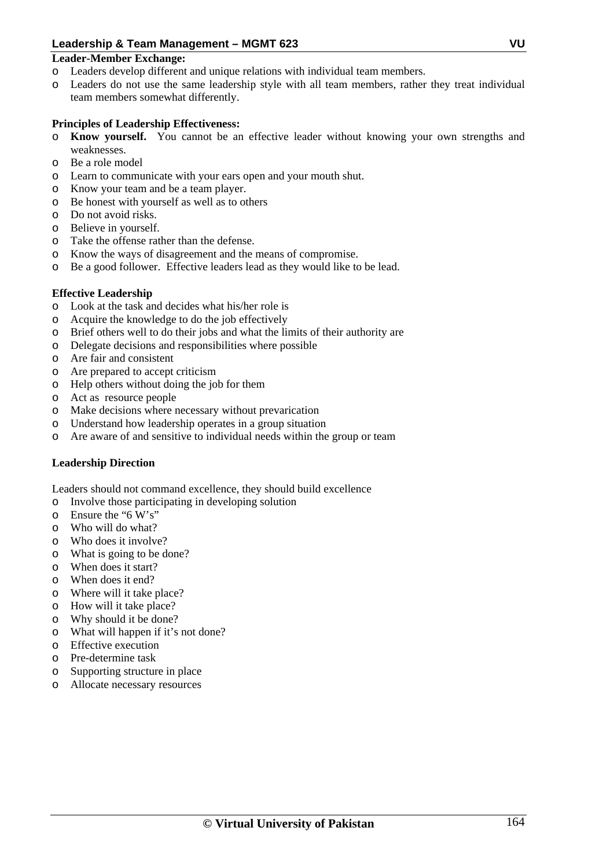## **Leader-Member Exchange:**

- o Leaders develop different and unique relations with individual team members.
- o Leaders do not use the same leadership style with all team members, rather they treat individual team members somewhat differently.

# **Principles of Leadership Effectiveness:**

- o **Know yourself.** You cannot be an effective leader without knowing your own strengths and weaknesses.
- o Be a role model
- o Learn to communicate with your ears open and your mouth shut.
- o Know your team and be a team player.
- o Be honest with yourself as well as to others
- o Do not avoid risks.
- o Believe in yourself.
- o Take the offense rather than the defense.
- o Know the ways of disagreement and the means of compromise.
- o Be a good follower. Effective leaders lead as they would like to be lead.

## **Effective Leadership**

- o Look at the task and decides what his/her role is
- o Acquire the knowledge to do the job effectively
- o Brief others well to do their jobs and what the limits of their authority are
- o Delegate decisions and responsibilities where possible
- o Are fair and consistent
- o Are prepared to accept criticism
- o Help others without doing the job for them
- o Act as resource people
- o Make decisions where necessary without prevarication
- o Understand how leadership operates in a group situation
- o Are aware of and sensitive to individual needs within the group or team

# **Leadership Direction**

Leaders should not command excellence, they should build excellence

- o Involve those participating in developing solution
- o Ensure the "6 W's"
- o Who will do what?
- o Who does it involve?
- o What is going to be done?
- o When does it start?
- o When does it end?
- o Where will it take place?
- o How will it take place?
- o Why should it be done?
- o What will happen if it's not done?
- o Effective execution
- o Pre-determine task
- o Supporting structure in place
- o Allocate necessary resources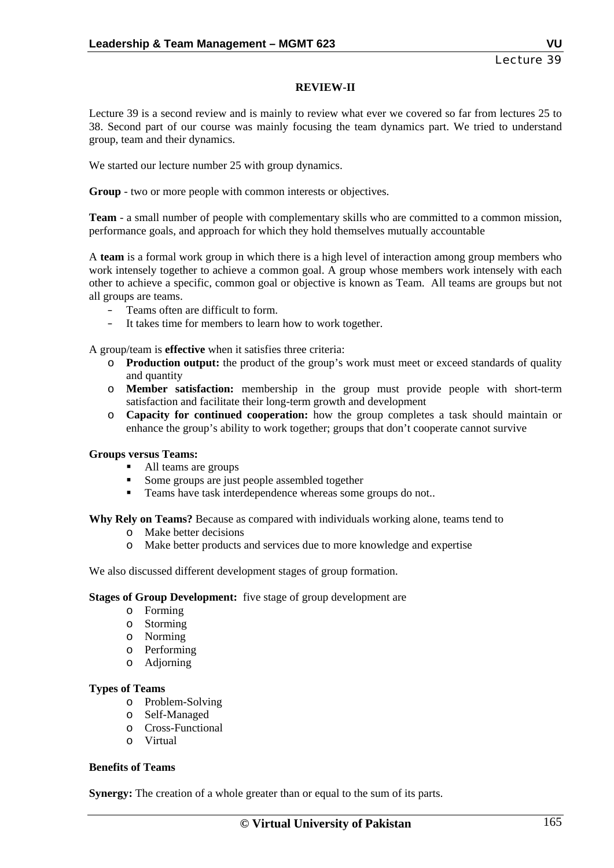## **REVIEW-II**

Lecture 39 is a second review and is mainly to review what ever we covered so far from lectures 25 to 38. Second part of our course was mainly focusing the team dynamics part. We tried to understand group, team and their dynamics.

We started our lecture number 25 with group dynamics.

**Group** - two or more people with common interests or objectives.

**Team** - a small number of people with complementary skills who are committed to a common mission, performance goals, and approach for which they hold themselves mutually accountable

A **team** is a formal work group in which there is a high level of interaction among group members who work intensely together to achieve a common goal. A group whose members work intensely with each other to achieve a specific, common goal or objective is known as Team. All teams are groups but not all groups are teams.

- Teams often are difficult to form.
- It takes time for members to learn how to work together.

A group/team is **effective** when it satisfies three criteria:

- o **Production output:** the product of the group's work must meet or exceed standards of quality and quantity
- o **Member satisfaction:** membership in the group must provide people with short-term satisfaction and facilitate their long-term growth and development
- o **Capacity for continued cooperation:** how the group completes a task should maintain or enhance the group's ability to work together; groups that don't cooperate cannot survive

#### **Groups versus Teams:**

- All teams are groups
- Some groups are just people assembled together
- **Teams have task interdependence whereas some groups do not..**

**Why Rely on Teams?** Because as compared with individuals working alone, teams tend to

- o Make better decisions
- o Make better products and services due to more knowledge and expertise

We also discussed different development stages of group formation.

#### **Stages of Group Development:** five stage of group development are

- o Forming
- o Storming
- o Norming
- o Performing
- o Adjorning

## **Types of Teams**

- o Problem-Solving
- o Self-Managed
- o Cross-Functional
- o Virtual

## **Benefits of Teams**

**Synergy:** The creation of a whole greater than or equal to the sum of its parts.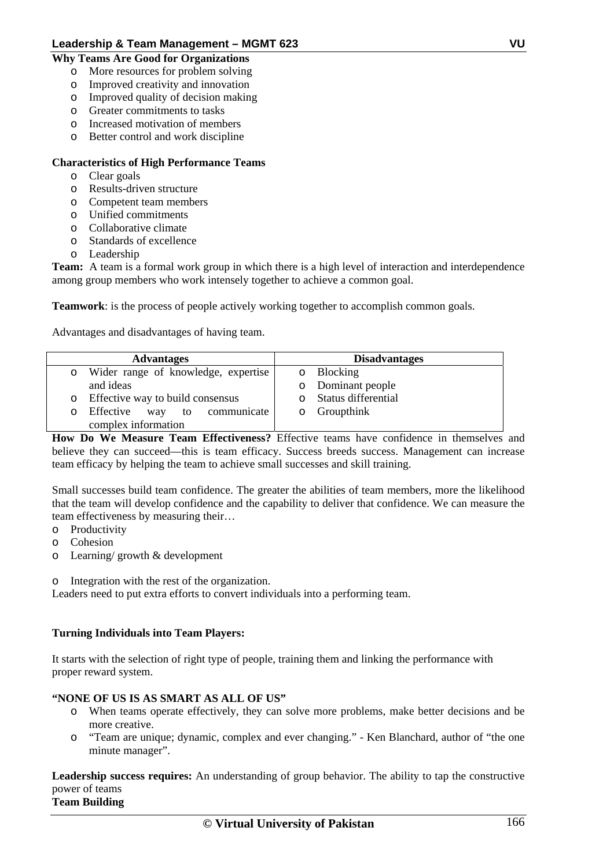## **Why Teams Are Good for Organizations**

- o More resources for problem solving
- o Improved creativity and innovation
- o Improved quality of decision making
- o Greater commitments to tasks
- o Increased motivation of members
- o Better control and work discipline

# **Characteristics of High Performance Teams**

- o Clear goals
- o Results-driven structure
- o Competent team members
- o Unified commitments
- o Collaborative climate
- o Standards of excellence
- o Leadership

**Team:** A team is a formal work group in which there is a high level of interaction and interdependence among group members who work intensely together to achieve a common goal.

**Teamwork**: is the process of people actively working together to accomplish common goals.

Advantages and disadvantages of having team.

| <b>Advantages</b> |                                     | <b>Disadvantages</b> |  |
|-------------------|-------------------------------------|----------------------|--|
| $\circ$           | Wider range of knowledge, expertise | o Blocking           |  |
|                   | and ideas                           | o Dominant people    |  |
| $\circ$           | Effective way to build consensus    | Status differential  |  |
| O                 | Effective way to communicate        | $\circ$ Groupthink   |  |
|                   | complex information                 |                      |  |

**How Do We Measure Team Effectiveness?** Effective teams have confidence in themselves and believe they can succeed—this is team efficacy. Success breeds success. Management can increase team efficacy by helping the team to achieve small successes and skill training.

Small successes build team confidence. The greater the abilities of team members, more the likelihood that the team will develop confidence and the capability to deliver that confidence. We can measure the team effectiveness by measuring their…

- o Productivity
- o Cohesion
- o Learning/ growth & development

o Integration with the rest of the organization.

Leaders need to put extra efforts to convert individuals into a performing team.

# **Turning Individuals into Team Players:**

It starts with the selection of right type of people, training them and linking the performance with proper reward system.

# **"NONE OF US IS AS SMART AS ALL OF US"**

- o When teams operate effectively, they can solve more problems, make better decisions and be more creative.
- o "Team are unique; dynamic, complex and ever changing." Ken Blanchard, author of "the one minute manager".

**Leadership success requires:** An understanding of group behavior. The ability to tap the constructive power of teams **Team Building**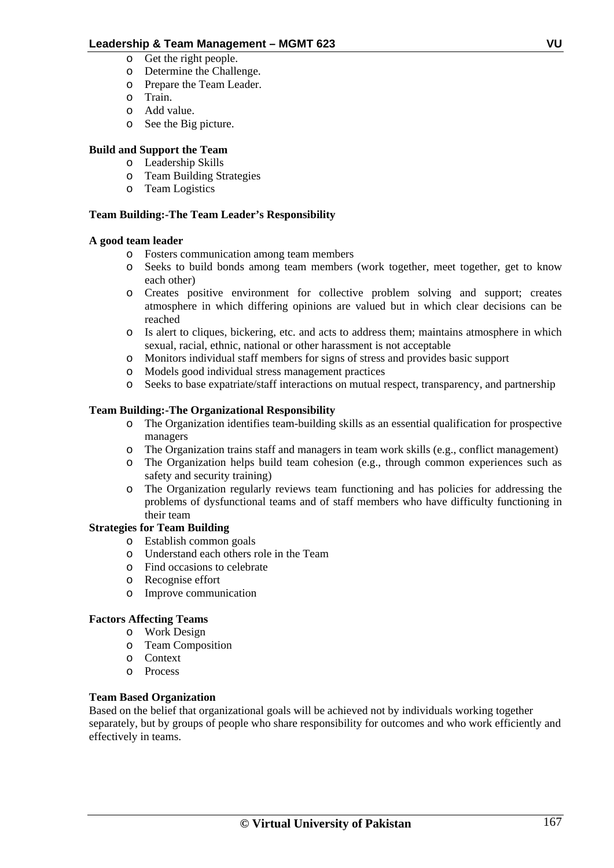- o Get the right people.
- o Determine the Challenge.
- o Prepare the Team Leader.
- o Train.
- o Add value.
- o See the Big picture.

# **Build and Support the Team**

- o Leadership Skills
- o Team Building Strategies
- o Team Logistics

# **Team Building:-The Team Leader's Responsibility**

# **A good team leader**

- o Fosters communication among team members
- o Seeks to build bonds among team members (work together, meet together, get to know each other)
- o Creates positive environment for collective problem solving and support; creates atmosphere in which differing opinions are valued but in which clear decisions can be reached
- o Is alert to cliques, bickering, etc. and acts to address them; maintains atmosphere in which sexual, racial, ethnic, national or other harassment is not acceptable
- o Monitors individual staff members for signs of stress and provides basic support
- o Models good individual stress management practices
- o Seeks to base expatriate/staff interactions on mutual respect, transparency, and partnership

# **Team Building:-The Organizational Responsibility**

- o The Organization identifies team-building skills as an essential qualification for prospective managers
- o The Organization trains staff and managers in team work skills (e.g., conflict management)
- o The Organization helps build team cohesion (e.g., through common experiences such as safety and security training)
- o The Organization regularly reviews team functioning and has policies for addressing the problems of dysfunctional teams and of staff members who have difficulty functioning in their team

# **Strategies for Team Building**

- o Establish common goals
- o Understand each others role in the Team
- o Find occasions to celebrate
- o Recognise effort
- o Improve communication

# **Factors Affecting Teams**

- o Work Design
- o Team Composition
- o Context
- o Process

# **Team Based Organization**

Based on the belief that organizational goals will be achieved not by individuals working together separately, but by groups of people who share responsibility for outcomes and who work efficiently and effectively in teams.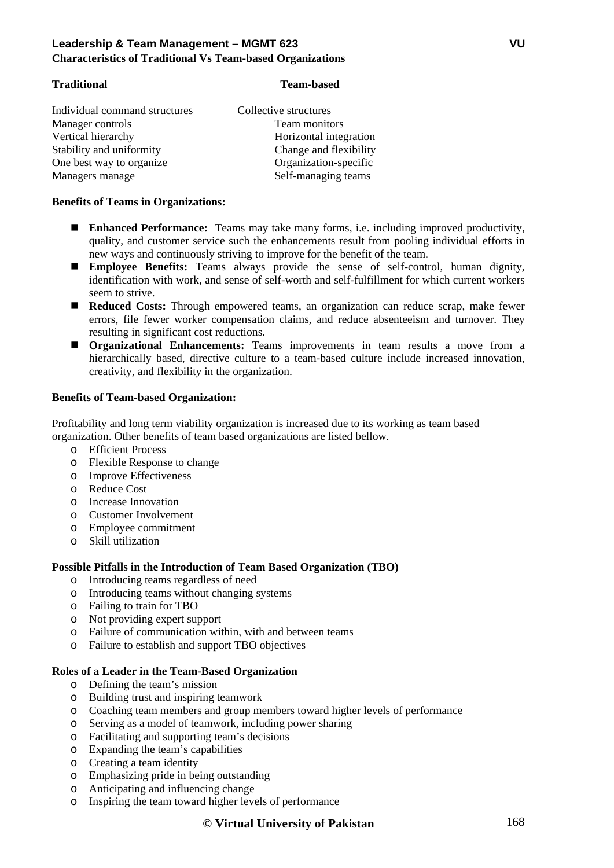#### **Characteristics of Traditional Vs Team-based Organizations**

#### **Traditional Team-based**

| Collective structures  |  |
|------------------------|--|
| Team monitors          |  |
| Horizontal integration |  |
| Change and flexibility |  |
| Organization-specific  |  |
| Self-managing teams    |  |
|                        |  |

#### **Benefits of Teams in Organizations:**

- **Enhanced Performance:** Teams may take many forms, i.e. including improved productivity, quality, and customer service such the enhancements result from pooling individual efforts in new ways and continuously striving to improve for the benefit of the team.
- **Employee Benefits:** Teams always provide the sense of self-control, human dignity, identification with work, and sense of self-worth and self-fulfillment for which current workers seem to strive.
- **Reduced Costs:** Through empowered teams, an organization can reduce scrap, make fewer errors, file fewer worker compensation claims, and reduce absenteeism and turnover. They resulting in significant cost reductions.
- **Organizational Enhancements:** Teams improvements in team results a move from a hierarchically based, directive culture to a team-based culture include increased innovation, creativity, and flexibility in the organization.

## **Benefits of Team-based Organization:**

Profitability and long term viability organization is increased due to its working as team based organization. Other benefits of team based organizations are listed bellow.

- o Efficient Process
- o Flexible Response to change
- o Improve Effectiveness
- o Reduce Cost
- o Increase Innovation
- o Customer Involvement
- o Employee commitment
- o Skill utilization

## **Possible Pitfalls in the Introduction of Team Based Organization (TBO)**

- o Introducing teams regardless of need
- o Introducing teams without changing systems
- o Failing to train for TBO
- o Not providing expert support
- o Failure of communication within, with and between teams
- o Failure to establish and support TBO objectives

## **Roles of a Leader in the Team-Based Organization**

- o Defining the team's mission
- o Building trust and inspiring teamwork
- o Coaching team members and group members toward higher levels of performance
- o Serving as a model of teamwork, including power sharing
- o Facilitating and supporting team's decisions
- o Expanding the team's capabilities
- o Creating a team identity
- o Emphasizing pride in being outstanding
- o Anticipating and influencing change
- o Inspiring the team toward higher levels of performance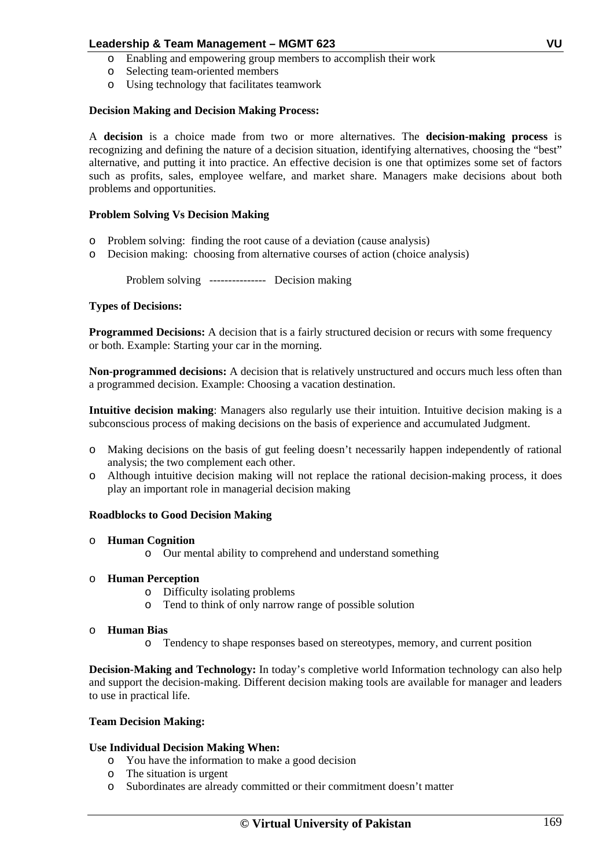- o Enabling and empowering group members to accomplish their work
- o Selecting team-oriented members
- o Using technology that facilitates teamwork

## **Decision Making and Decision Making Process:**

A **decision** is a choice made from two or more alternatives. The **decision-making process** is recognizing and defining the nature of a decision situation, identifying alternatives, choosing the "best" alternative, and putting it into practice. An effective decision is one that optimizes some set of factors such as profits, sales, employee welfare, and market share. Managers make decisions about both problems and opportunities.

## **Problem Solving Vs Decision Making**

- o Problem solving: finding the root cause of a deviation (cause analysis)
- o Decision making: choosing from alternative courses of action (choice analysis)

Problem solving --------------- Decision making

## **Types of Decisions:**

**Programmed Decisions:** A decision that is a fairly structured decision or recurs with some frequency or both. Example: Starting your car in the morning.

**Non-programmed decisions:** A decision that is relatively unstructured and occurs much less often than a programmed decision. Example: Choosing a vacation destination.

**Intuitive decision making**: Managers also regularly use their intuition. Intuitive decision making is a subconscious process of making decisions on the basis of experience and accumulated Judgment.

- o Making decisions on the basis of gut feeling doesn't necessarily happen independently of rational analysis; the two complement each other.
- o Although intuitive decision making will not replace the rational decision-making process, it does play an important role in managerial decision making

## **Roadblocks to Good Decision Making**

## o **Human Cognition**

o Our mental ability to comprehend and understand something

## o **Human Perception**

- o Difficulty isolating problems
- o Tend to think of only narrow range of possible solution

## o **Human Bias**

o Tendency to shape responses based on stereotypes, memory, and current position

**Decision-Making and Technology:** In today's completive world Information technology can also help and support the decision-making. Different decision making tools are available for manager and leaders to use in practical life.

## **Team Decision Making:**

## **Use Individual Decision Making When:**

- o You have the information to make a good decision
- o The situation is urgent
- o Subordinates are already committed or their commitment doesn't matter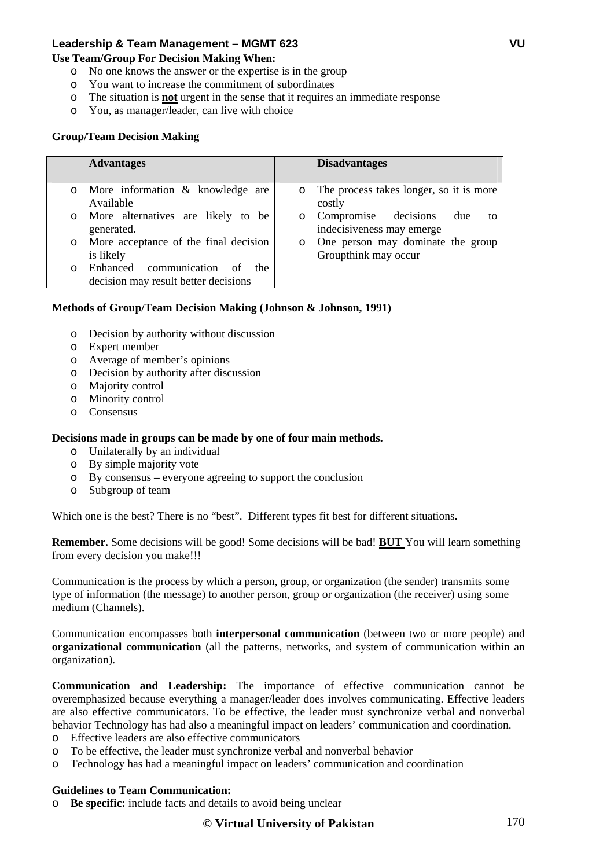## **Use Team/Group For Decision Making When:**

- o No one knows the answer or the expertise is in the group
- o You want to increase the commitment of subordinates
- o The situation is **not** urgent in the sense that it requires an immediate response
- o You, as manager/leader, can live with choice

# **Group/Team Decision Making**

|         | <b>Advantages</b>                                                            |         | <b>Disadvantages</b>                                           |
|---------|------------------------------------------------------------------------------|---------|----------------------------------------------------------------|
| $\circ$ | More information & knowledge are<br>Available                                |         | o The process takes longer, so it is more<br>costly            |
| $\circ$ | More alternatives are likely to be<br>generated.                             | $\circ$ | Compromise decisions<br>due<br>tΟ<br>indecisiveness may emerge |
| $\circ$ | More acceptance of the final decision<br>is likely                           | $\circ$ | One person may dominate the group<br>Groupthink may occur      |
| O       | Enhanced communication<br>of<br>the.<br>decision may result better decisions |         |                                                                |

# **Methods of Group/Team Decision Making (Johnson & Johnson, 1991)**

- o Decision by authority without discussion
- o Expert member
- o Average of member's opinions
- o Decision by authority after discussion
- o Majority control
- o Minority control
- o Consensus

## **Decisions made in groups can be made by one of four main methods.**

- o Unilaterally by an individual
- o By simple majority vote
- o By consensus everyone agreeing to support the conclusion
- o Subgroup of team

Which one is the best? There is no "best". Different types fit best for different situations**.**

**Remember.** Some decisions will be good! Some decisions will be bad! **BUT** You will learn something from every decision you make!!!

Communication is the process by which a person, group, or organization (the sender) transmits some type of information (the message) to another person, group or organization (the receiver) using some medium (Channels).

Communication encompasses both **interpersonal communication** (between two or more people) and **organizational communication** (all the patterns, networks, and system of communication within an organization).

**Communication and Leadership:** The importance of effective communication cannot be overemphasized because everything a manager/leader does involves communicating. Effective leaders are also effective communicators. To be effective, the leader must synchronize verbal and nonverbal behavior Technology has had also a meaningful impact on leaders' communication and coordination.

- o Effective leaders are also effective communicators
- o To be effective, the leader must synchronize verbal and nonverbal behavior
- o Technology has had a meaningful impact on leaders' communication and coordination

## **Guidelines to Team Communication:**

o **Be specific:** include facts and details to avoid being unclear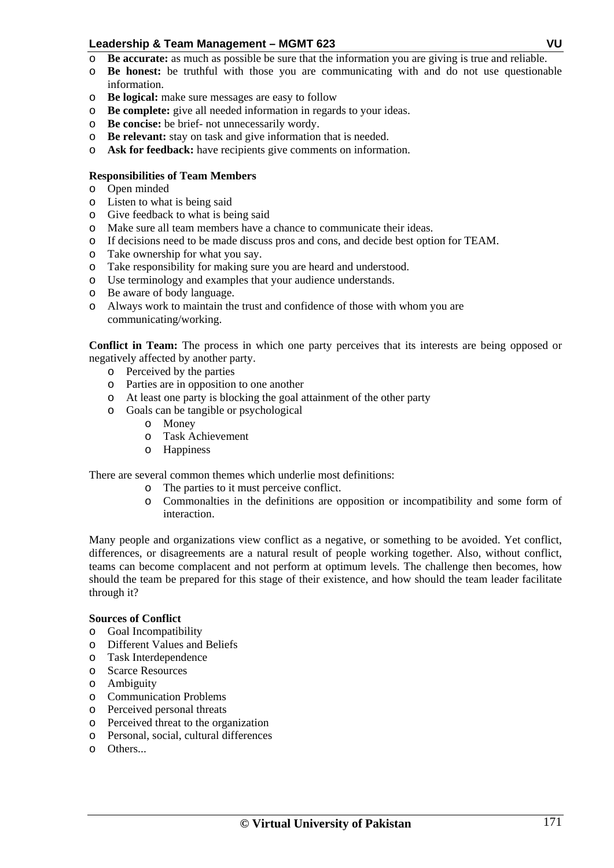- o **Be accurate:** as much as possible be sure that the information you are giving is true and reliable.
- o **Be honest:** be truthful with those you are communicating with and do not use questionable information.
- o **Be logical:** make sure messages are easy to follow
- o **Be complete:** give all needed information in regards to your ideas.
- o **Be concise:** be brief- not unnecessarily wordy.
- o **Be relevant:** stay on task and give information that is needed.
- o **Ask for feedback:** have recipients give comments on information.

## **Responsibilities of Team Members**

- o Open minded
- o Listen to what is being said
- o Give feedback to what is being said
- o Make sure all team members have a chance to communicate their ideas.
- o If decisions need to be made discuss pros and cons, and decide best option for TEAM.
- o Take ownership for what you say.
- o Take responsibility for making sure you are heard and understood.
- o Use terminology and examples that your audience understands.
- o Be aware of body language.
- o Always work to maintain the trust and confidence of those with whom you are communicating/working.

**Conflict in Team:** The process in which one party perceives that its interests are being opposed or negatively affected by another party.

- o Perceived by the parties
- o Parties are in opposition to one another
- o At least one party is blocking the goal attainment of the other party
- o Goals can be tangible or psychological
	- o Money
	- o Task Achievement
	- o Happiness

There are several common themes which underlie most definitions:

- o The parties to it must perceive conflict.
- o Commonalties in the definitions are opposition or incompatibility and some form of interaction.

Many people and organizations view conflict as a negative, or something to be avoided. Yet conflict, differences, or disagreements are a natural result of people working together. Also, without conflict, teams can become complacent and not perform at optimum levels. The challenge then becomes, how should the team be prepared for this stage of their existence, and how should the team leader facilitate through it?

## **Sources of Conflict**

- o Goal Incompatibility
- o Different Values and Beliefs
- o Task Interdependence
- o Scarce Resources
- o Ambiguity
- o Communication Problems
- o Perceived personal threats
- o Perceived threat to the organization
- o Personal, social, cultural differences
- o Others...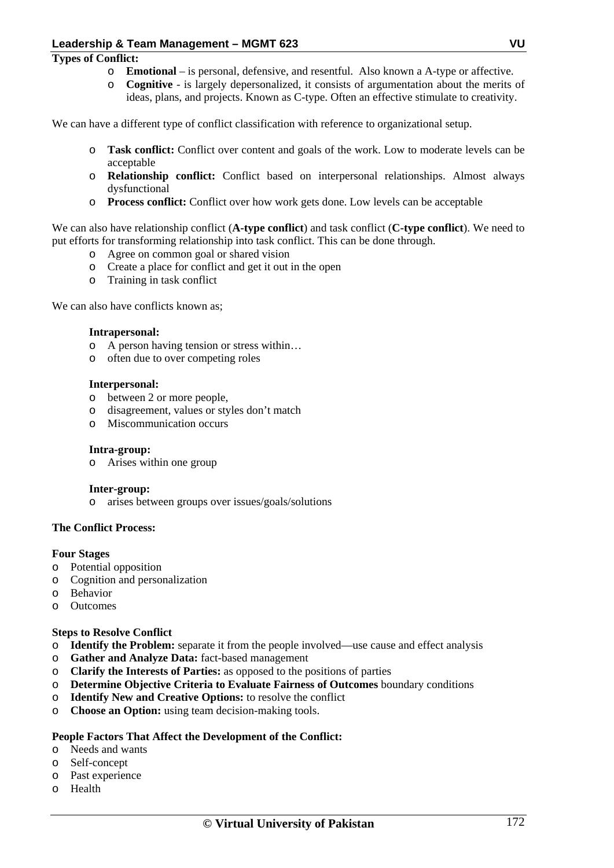## **Types of Conflict:**

- o **Emotional**  is personal, defensive, and resentful. Also known a A-type or affective.
- o **Cognitive**  is largely depersonalized, it consists of argumentation about the merits of ideas, plans, and projects. Known as C-type. Often an effective stimulate to creativity.

We can have a different type of conflict classification with reference to organizational setup.

- o **Task conflict:** Conflict over content and goals of the work. Low to moderate levels can be acceptable
- o **Relationship conflict:** Conflict based on interpersonal relationships. Almost always dysfunctional
- o **Process conflict:** Conflict over how work gets done. Low levels can be acceptable

We can also have relationship conflict (**A-type conflict**) and task conflict (**C-type conflict**). We need to put efforts for transforming relationship into task conflict. This can be done through.

- o Agree on common goal or shared vision
- o Create a place for conflict and get it out in the open
- o Training in task conflict

We can also have conflicts known as:

#### **Intrapersonal:**

- o A person having tension or stress within…
- o often due to over competing roles

#### **Interpersonal:**

- o between 2 or more people,
- o disagreement, values or styles don't match
- o Miscommunication occurs

## **Intra-group:**

o Arises within one group

## **Inter-group:**

o arises between groups over issues/goals/solutions

## **The Conflict Process:**

## **Four Stages**

- o Potential opposition
- o Cognition and personalization
- o Behavior
- o Outcomes

## **Steps to Resolve Conflict**

- o **Identify the Problem:** separate it from the people involved—use cause and effect analysis
- o **Gather and Analyze Data:** fact-based management
- o **Clarify the Interests of Parties:** as opposed to the positions of parties
- o **Determine Objective Criteria to Evaluate Fairness of Outcomes** boundary conditions
- o **Identify New and Creative Options:** to resolve the conflict
- o **Choose an Option:** using team decision-making tools.

## **People Factors That Affect the Development of the Conflict:**

- o Needs and wants
- o Self-concept
- o Past experience
- o Health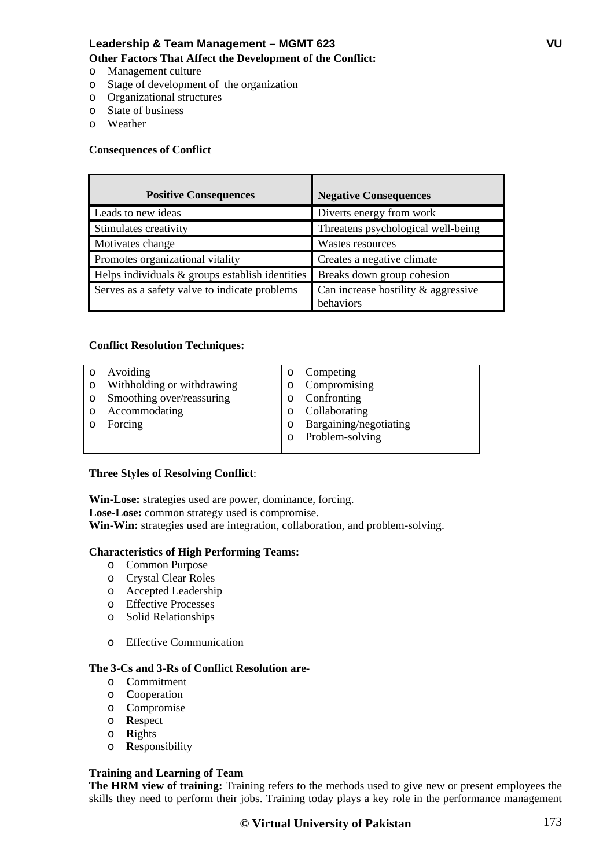## **Other Factors That Affect the Development of the Conflict:**

- o Management culture
- o Stage of development of the organization
- o Organizational structures
- o State of business
- o Weather

## **Consequences of Conflict**

| <b>Positive Consequences</b>                       | <b>Negative Consequences</b>                        |
|----------------------------------------------------|-----------------------------------------------------|
| Leads to new ideas                                 | Diverts energy from work                            |
| Stimulates creativity                              | Threatens psychological well-being                  |
| Motivates change                                   | Wastes resources                                    |
| Promotes organizational vitality                   | Creates a negative climate                          |
| Helps individuals $\&$ groups establish identities | Breaks down group cohesion                          |
| Serves as a safety valve to indicate problems      | Can increase hostility $\&$ aggressive<br>behaviors |

## **Conflict Resolution Techniques:**

|         | Avoiding                   | Competing              |
|---------|----------------------------|------------------------|
| $\circ$ | Withholding or withdrawing | Compromising           |
| $\circ$ | Smoothing over/reassuring  | o Confronting          |
|         | Accommodating              | Collaborating          |
|         | Forcing                    | Bargaining/negotiating |
|         |                            | Problem-solving        |
|         |                            |                        |

## **Three Styles of Resolving Conflict**:

**Win-Lose:** strategies used are power, dominance, forcing. **Lose-Lose:** common strategy used is compromise. Win-Win: strategies used are integration, collaboration, and problem-solving.

## **Characteristics of High Performing Teams:**

- o Common Purpose
- o Crystal Clear Roles
- o Accepted Leadership
- o Effective Processes
- o Solid Relationships
- o Effective Communication

#### **The 3-Cs and 3-Rs of Conflict Resolution are-**

- o **C**ommitment
- o **C**ooperation
- o **C**ompromise
- o **R**espect
- o **R**ights
- o **R**esponsibility

## **Training and Learning of Team**

**The HRM view of training:** Training refers to the methods used to give new or present employees the skills they need to perform their jobs. Training today plays a key role in the performance management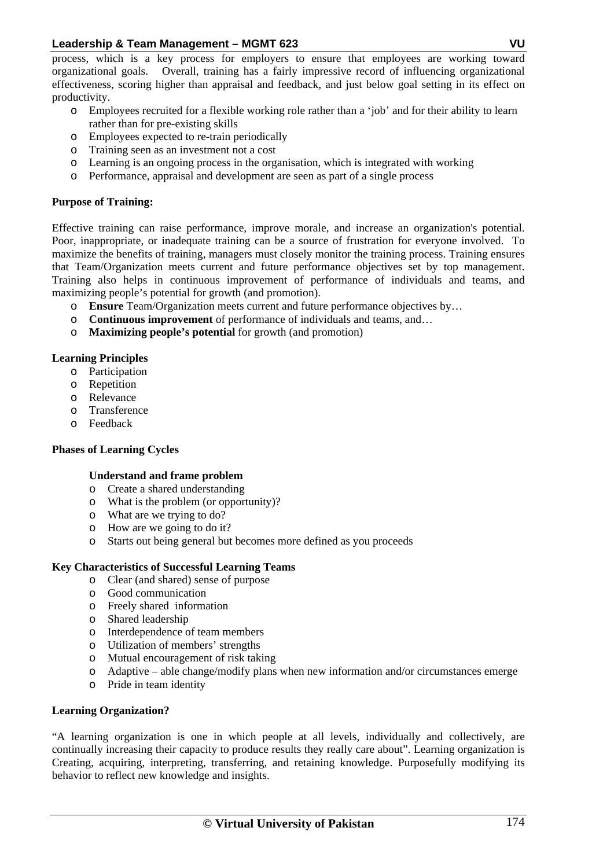process, which is a key process for employers to ensure that employees are working toward organizational goals. Overall, training has a fairly impressive record of influencing organizational effectiveness, scoring higher than appraisal and feedback, and just below goal setting in its effect on productivity.

- o Employees recruited for a flexible working role rather than a 'job' and for their ability to learn rather than for pre-existing skills
- o Employees expected to re-train periodically
- o Training seen as an investment not a cost
- o Learning is an ongoing process in the organisation, which is integrated with working
- o Performance, appraisal and development are seen as part of a single process

# **Purpose of Training:**

Effective training can raise performance, improve morale, and increase an organization's potential. Poor, inappropriate, or inadequate training can be a source of frustration for everyone involved. To maximize the benefits of training, managers must closely monitor the training process. Training ensures that Team/Organization meets current and future performance objectives set by top management. Training also helps in continuous improvement of performance of individuals and teams, and maximizing people's potential for growth (and promotion).

- o **Ensure** Team/Organization meets current and future performance objectives by…
- o **Continuous improvement** of performance of individuals and teams, and…
- o **Maximizing people's potential** for growth (and promotion)

# **Learning Principles**

- o Participation
- o Repetition
- o Relevance
- o Transference
- o Feedback

# **Phases of Learning Cycles**

# **Understand and frame problem**

- o Create a shared understanding
- o What is the problem (or opportunity)?
- o What are we trying to do?
- o How are we going to do it?
- o Starts out being general but becomes more defined as you proceeds

# **Key Characteristics of Successful Learning Teams**

- o Clear (and shared) sense of purpose
- o Good communication
- o Freely shared information
- o Shared leadership
- o Interdependence of team members
- o Utilization of members' strengths
- o Mutual encouragement of risk taking
- o Adaptive able change/modify plans when new information and/or circumstances emerge
- o Pride in team identity

# **Learning Organization?**

"A learning organization is one in which people at all levels, individually and collectively, are continually increasing their capacity to produce results they really care about". Learning organization is Creating, acquiring, interpreting, transferring, and retaining knowledge. Purposefully modifying its behavior to reflect new knowledge and insights.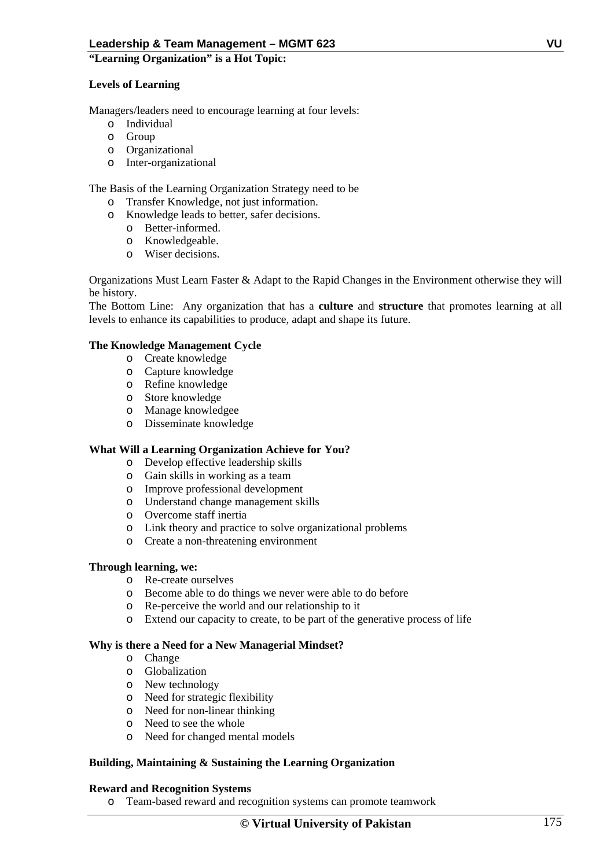## **"Learning Organization" is a Hot Topic:**

# **Levels of Learning**

Managers/leaders need to encourage learning at four levels:

- o Individual
- o Group
- o Organizational
- o Inter-organizational

The Basis of the Learning Organization Strategy need to be

- o Transfer Knowledge, not just information.
- o Knowledge leads to better, safer decisions.
	- o Better-informed.
	- o Knowledgeable.
	- o Wiser decisions.

Organizations Must Learn Faster & Adapt to the Rapid Changes in the Environment otherwise they will be history.

The Bottom Line: Any organization that has a **culture** and **structure** that promotes learning at all levels to enhance its capabilities to produce, adapt and shape its future.

## **The Knowledge Management Cycle**

- o Create knowledge
- o Capture knowledge
- o Refine knowledge
- o Store knowledge
- o Manage knowledgee
- o Disseminate knowledge

## **What Will a Learning Organization Achieve for You?**

- o Develop effective leadership skills
- o Gain skills in working as a team
- o Improve professional development
- o Understand change management skills
- o Overcome staff inertia
- o Link theory and practice to solve organizational problems
- o Create a non-threatening environment

# **Through learning, we:**

- o Re-create ourselves
- o Become able to do things we never were able to do before
- o Re-perceive the world and our relationship to it
- o Extend our capacity to create, to be part of the generative process of life

## **Why is there a Need for a New Managerial Mindset?**

- o Change
- o Globalization
- o New technology
- o Need for strategic flexibility
- o Need for non-linear thinking
- o Need to see the whole
- o Need for changed mental models

## **Building, Maintaining & Sustaining the Learning Organization**

## **Reward and Recognition Systems**

o Team-based reward and recognition systems can promote teamwork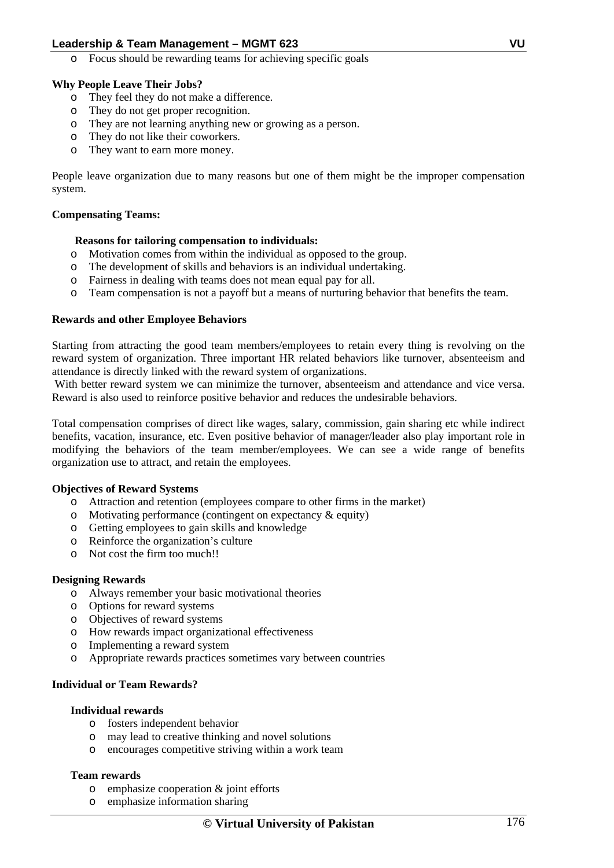o Focus should be rewarding teams for achieving specific goals

# **Why People Leave Their Jobs?**

- o They feel they do not make a difference.
- o They do not get proper recognition.
- o They are not learning anything new or growing as a person.
- o They do not like their coworkers.
- o They want to earn more money.

People leave organization due to many reasons but one of them might be the improper compensation system.

# **Compensating Teams:**

## **Reasons for tailoring compensation to individuals:**

- o Motivation comes from within the individual as opposed to the group.
- o The development of skills and behaviors is an individual undertaking.
- o Fairness in dealing with teams does not mean equal pay for all.
- o Team compensation is not a payoff but a means of nurturing behavior that benefits the team.

## **Rewards and other Employee Behaviors**

Starting from attracting the good team members/employees to retain every thing is revolving on the reward system of organization. Three important HR related behaviors like turnover, absenteeism and attendance is directly linked with the reward system of organizations.

With better reward system we can minimize the turnover, absenteeism and attendance and vice versa. Reward is also used to reinforce positive behavior and reduces the undesirable behaviors.

Total compensation comprises of direct like wages, salary, commission, gain sharing etc while indirect benefits, vacation, insurance, etc. Even positive behavior of manager/leader also play important role in modifying the behaviors of the team member/employees. We can see a wide range of benefits organization use to attract, and retain the employees.

## **Objectives of Reward Systems**

- o Attraction and retention (employees compare to other firms in the market)
- o Motivating performance (contingent on expectancy & equity)
- o Getting employees to gain skills and knowledge
- o Reinforce the organization's culture
- o Not cost the firm too much!!

## **Designing Rewards**

- o Always remember your basic motivational theories
- o Options for reward systems
- o Objectives of reward systems
- o How rewards impact organizational effectiveness
- o Implementing a reward system
- o Appropriate rewards practices sometimes vary between countries

# **Individual or Team Rewards?**

## **Individual rewards**

- o fosters independent behavior
- may lead to creative thinking and novel solutions
- o encourages competitive striving within a work team

## **Team rewards**

- o emphasize cooperation & joint efforts
- o emphasize information sharing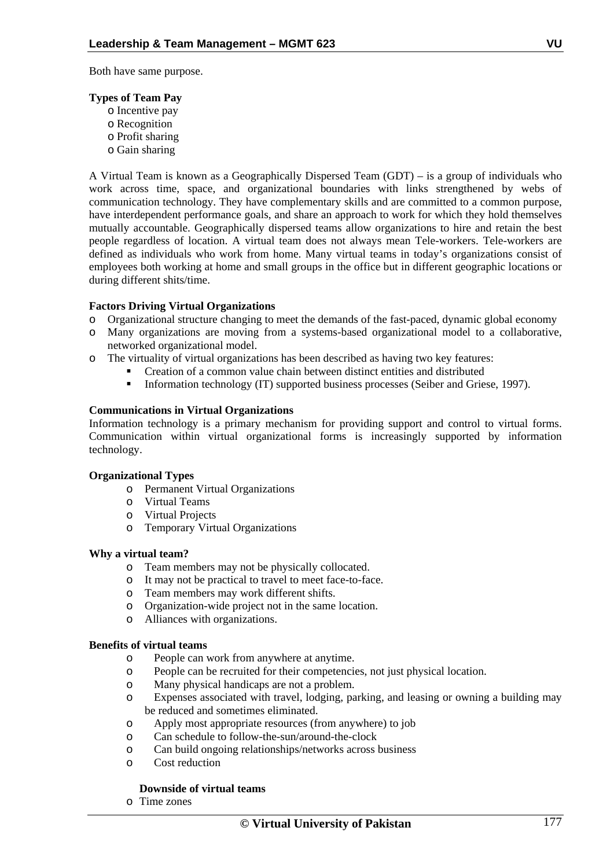Both have same purpose.

## **Types of Team Pay**

- o Incentive pay
- o Recognition
- o Profit sharing
- o Gain sharing

A Virtual Team is known as a Geographically Dispersed Team (GDT) – is a group of individuals who work across time, space, and organizational boundaries with links strengthened by webs of communication technology. They have complementary skills and are committed to a common purpose, have interdependent performance goals, and share an approach to work for which they hold themselves mutually accountable. Geographically dispersed teams allow organizations to hire and retain the best people regardless of location. A virtual team does not always mean Tele-workers. Tele-workers are defined as individuals who work from home. Many virtual teams in today's organizations consist of employees both working at home and small groups in the office but in different geographic locations or during different shits/time.

# **Factors Driving Virtual Organizations**

- o Organizational structure changing to meet the demands of the fast-paced, dynamic global economy
- o Many organizations are moving from a systems-based organizational model to a collaborative, networked organizational model.
- o The virtuality of virtual organizations has been described as having two key features:
	- Creation of a common value chain between distinct entities and distributed
		- Information technology (IT) supported business processes (Seiber and Griese, 1997).

## **Communications in Virtual Organizations**

Information technology is a primary mechanism for providing support and control to virtual forms. Communication within virtual organizational forms is increasingly supported by information technology.

# **Organizational Types**

- o Permanent Virtual Organizations
- o Virtual Teams
- o Virtual Projects
- o Temporary Virtual Organizations

## **Why a virtual team?**

- o Team members may not be physically collocated.
- o It may not be practical to travel to meet face-to-face.
- o Team members may work different shifts.
- o Organization-wide project not in the same location.
- o Alliances with organizations.

## **Benefits of virtual teams**

- o People can work from anywhere at anytime.
- o People can be recruited for their competencies, not just physical location.
- o Many physical handicaps are not a problem.
- o Expenses associated with travel, lodging, parking, and leasing or owning a building may be reduced and sometimes eliminated.
- o Apply most appropriate resources (from anywhere) to job
- o Can schedule to follow-the-sun/around-the-clock
- o Can build ongoing relationships/networks across business
- o Cost reduction

# **Downside of virtual teams**

o Time zones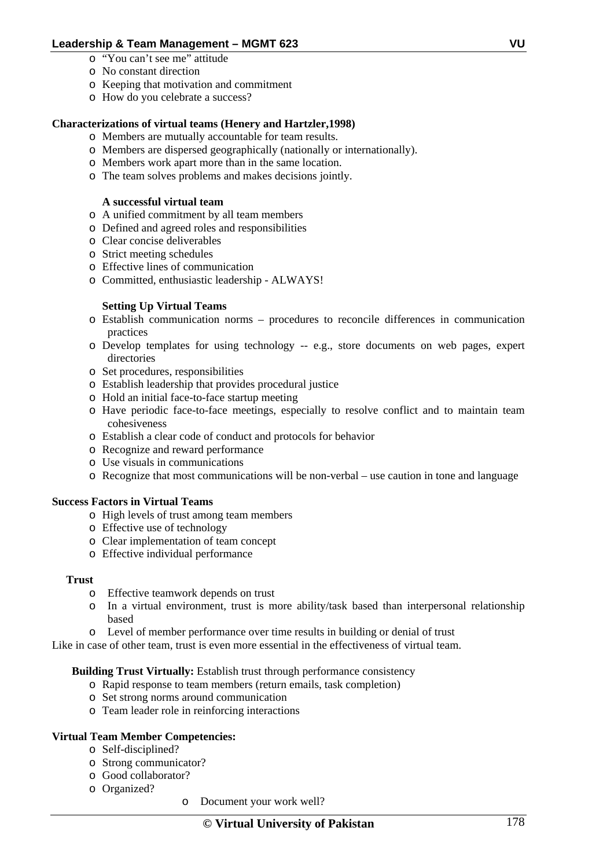- o "You can't see me" attitude
- o No constant direction
- o Keeping that motivation and commitment
- o How do you celebrate a success?

# **Characterizations of virtual teams (Henery and Hartzler,1998)**

- o Members are mutually accountable for team results.
- o Members are dispersed geographically (nationally or internationally).
- o Members work apart more than in the same location.
- o The team solves problems and makes decisions jointly.

## **A successful virtual team**

- o A unified commitment by all team members
- o Defined and agreed roles and responsibilities
- o Clear concise deliverables
- o Strict meeting schedules
- o Effective lines of communication
- o Committed, enthusiastic leadership ALWAYS!

## **Setting Up Virtual Teams**

- o Establish communication norms procedures to reconcile differences in communication practices
- o Develop templates for using technology -- e.g., store documents on web pages, expert directories
- o Set procedures, responsibilities
- o Establish leadership that provides procedural justice
- o Hold an initial face-to-face startup meeting
- o Have periodic face-to-face meetings, especially to resolve conflict and to maintain team cohesiveness
- o Establish a clear code of conduct and protocols for behavior
- o Recognize and reward performance
- o Use visuals in communications
- o Recognize that most communications will be non-verbal use caution in tone and language

## **Success Factors in Virtual Teams**

- o High levels of trust among team members
- o Effective use of technology
- o Clear implementation of team concept
- o Effective individual performance

## **Trust**

- o Effective teamwork depends on trust
- o In a virtual environment, trust is more ability/task based than interpersonal relationship based
- o Level of member performance over time results in building or denial of trust

Like in case of other team, trust is even more essential in the effectiveness of virtual team.

**Building Trust Virtually:** Establish trust through performance consistency

- o Rapid response to team members (return emails, task completion)
- o Set strong norms around communication
- o Team leader role in reinforcing interactions

## **Virtual Team Member Competencies:**

- o Self-disciplined?
- o Strong communicator?
- o Good collaborator?
- o Organized?
- o Document your work well?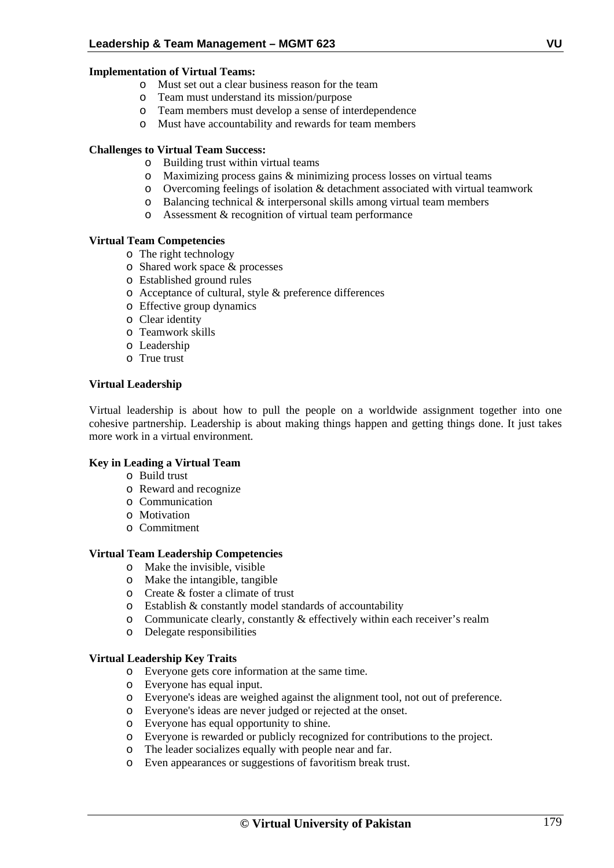## **Implementation of Virtual Teams:**

- o Must set out a clear business reason for the team
- o Team must understand its mission/purpose
- o Team members must develop a sense of interdependence
- o Must have accountability and rewards for team members

## **Challenges to Virtual Team Success:**

- o Building trust within virtual teams
- o Maximizing process gains & minimizing process losses on virtual teams
- o Overcoming feelings of isolation & detachment associated with virtual teamwork
- o Balancing technical & interpersonal skills among virtual team members
- o Assessment & recognition of virtual team performance

# **Virtual Team Competencies**

- o The right technology
- o Shared work space & processes
- o Established ground rules
- o Acceptance of cultural, style & preference differences
- o Effective group dynamics
- o Clear identity
- o Teamwork skills
- o Leadership
- o True trust

## **Virtual Leadership**

Virtual leadership is about how to pull the people on a worldwide assignment together into one cohesive partnership. Leadership is about making things happen and getting things done. It just takes more work in a virtual environment*.*

## **Key in Leading a Virtual Team**

- o Build trust
- o Reward and recognize
- o Communication
- o Motivation
- o Commitment

## **Virtual Team Leadership Competencies**

- o Make the invisible, visible
- o Make the intangible, tangible
- o Create & foster a climate of trust
- o Establish & constantly model standards of accountability
- o Communicate clearly, constantly & effectively within each receiver's realm
- o Delegate responsibilities

## **Virtual Leadership Key Traits**

- o Everyone gets core information at the same time.
- o Everyone has equal input.
- o Everyone's ideas are weighed against the alignment tool, not out of preference.
- o Everyone's ideas are never judged or rejected at the onset.
- o Everyone has equal opportunity to shine.
- o Everyone is rewarded or publicly recognized for contributions to the project.
- o The leader socializes equally with people near and far.
- o Even appearances or suggestions of favoritism break trust.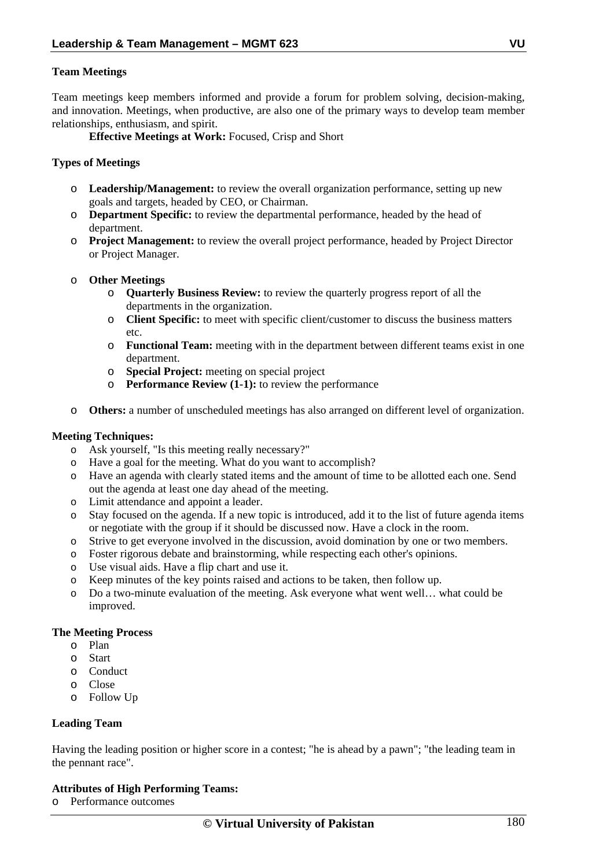## **Team Meetings**

Team meetings keep members informed and provide a forum for problem solving, decision-making, and innovation. Meetings, when productive, are also one of the primary ways to develop team member relationships, enthusiasm, and spirit.

 **Effective Meetings at Work:** Focused, Crisp and Short

## **Types of Meetings**

- o **Leadership/Management:** to review the overall organization performance, setting up new goals and targets, headed by CEO, or Chairman.
- o **Department Specific:** to review the departmental performance, headed by the head of department.
- o **Project Management:** to review the overall project performance, headed by Project Director or Project Manager.
- o **Other Meetings** 
	- o **Quarterly Business Review:** to review the quarterly progress report of all the departments in the organization.
	- o **Client Specific:** to meet with specific client/customer to discuss the business matters etc.
	- o **Functional Team:** meeting with in the department between different teams exist in one department.
	- o **Special Project:** meeting on special project
	- o **Performance Review (1-1):** to review the performance
- o **Others:** a number of unscheduled meetings has also arranged on different level of organization.

## **Meeting Techniques:**

- o Ask yourself, "Is this meeting really necessary?"
- o Have a goal for the meeting. What do you want to accomplish?
- o Have an agenda with clearly stated items and the amount of time to be allotted each one. Send out the agenda at least one day ahead of the meeting.
- o Limit attendance and appoint a leader.
- o Stay focused on the agenda. If a new topic is introduced, add it to the list of future agenda items or negotiate with the group if it should be discussed now. Have a clock in the room.
- o Strive to get everyone involved in the discussion, avoid domination by one or two members.
- o Foster rigorous debate and brainstorming, while respecting each other's opinions.
- o Use visual aids. Have a flip chart and use it.
- o Keep minutes of the key points raised and actions to be taken, then follow up.
- o Do a two-minute evaluation of the meeting. Ask everyone what went well… what could be improved.

## **The Meeting Process**

- o Plan
- o Start
- o Conduct
- o Close
- o Follow Up

## **Leading Team**

Having the leading position or higher score in a contest; "he is ahead by a pawn"; "the leading team in the pennant race".

# **Attributes of High Performing Teams:**

o Performance outcomes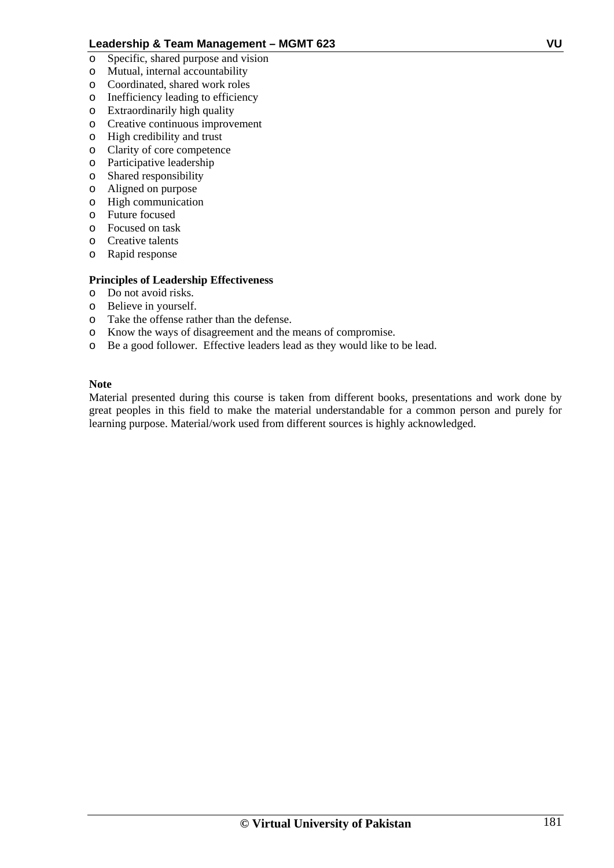- o Specific, shared purpose and vision
- o Mutual, internal accountability
- o Coordinated, shared work roles
- o Inefficiency leading to efficiency
- o Extraordinarily high quality
- o Creative continuous improvement
- o High credibility and trust
- o Clarity of core competence
- o Participative leadership
- o Shared responsibility
- o Aligned on purpose
- o High communication
- o Future focused
- o Focused on task
- o Creative talents
- o Rapid response

# **Principles of Leadership Effectiveness**

- o Do not avoid risks.
- o Believe in yourself.
- o Take the offense rather than the defense.
- o Know the ways of disagreement and the means of compromise.
- o Be a good follower. Effective leaders lead as they would like to be lead.

## **Note**

Material presented during this course is taken from different books, presentations and work done by great peoples in this field to make the material understandable for a common person and purely for learning purpose. Material/work used from different sources is highly acknowledged.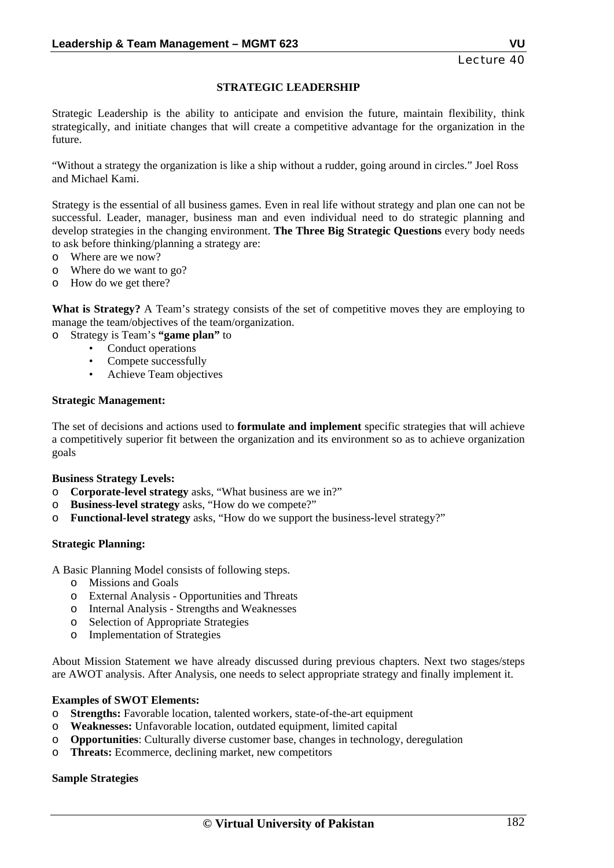## **STRATEGIC LEADERSHIP**

Strategic Leadership is the ability to anticipate and envision the future, maintain flexibility, think strategically, and initiate changes that will create a competitive advantage for the organization in the future.

"Without a strategy the organization is like a ship without a rudder, going around in circles." Joel Ross and Michael Kami.

Strategy is the essential of all business games. Even in real life without strategy and plan one can not be successful. Leader, manager, business man and even individual need to do strategic planning and develop strategies in the changing environment. **The Three Big Strategic Questions** every body needs to ask before thinking/planning a strategy are:

- o Where are we now?
- o Where do we want to go?
- o How do we get there?

**What is Strategy?** A Team's strategy consists of the set of competitive moves they are employing to manage the team/objectives of the team/organization.

- o Strategy is Team's **"game plan"** to
	- Conduct operations
	- Compete successfully
	- Achieve Team objectives

#### **Strategic Management:**

The set of decisions and actions used to **formulate and implement** specific strategies that will achieve a competitively superior fit between the organization and its environment so as to achieve organization goals

#### **Business Strategy Levels:**

- o **Corporate-level strategy** asks, "What business are we in?"
- o **Business-level strategy** asks, "How do we compete?"
- o **Functional-level strategy** asks, "How do we support the business-level strategy?"

#### **Strategic Planning:**

A Basic Planning Model consists of following steps.

- o Missions and Goals
- o External Analysis Opportunities and Threats
- o Internal Analysis Strengths and Weaknesses
- o Selection of Appropriate Strategies
- o Implementation of Strategies

About Mission Statement we have already discussed during previous chapters. Next two stages/steps are AWOT analysis. After Analysis, one needs to select appropriate strategy and finally implement it.

#### **Examples of SWOT Elements:**

- o **Strengths:** Favorable location, talented workers, state-of-the-art equipment
- o **Weaknesses:** Unfavorable location, outdated equipment, limited capital
- o **Opportunities**: Culturally diverse customer base, changes in technology, deregulation
- o **Threats:** Ecommerce, declining market, new competitors

## **Sample Strategies**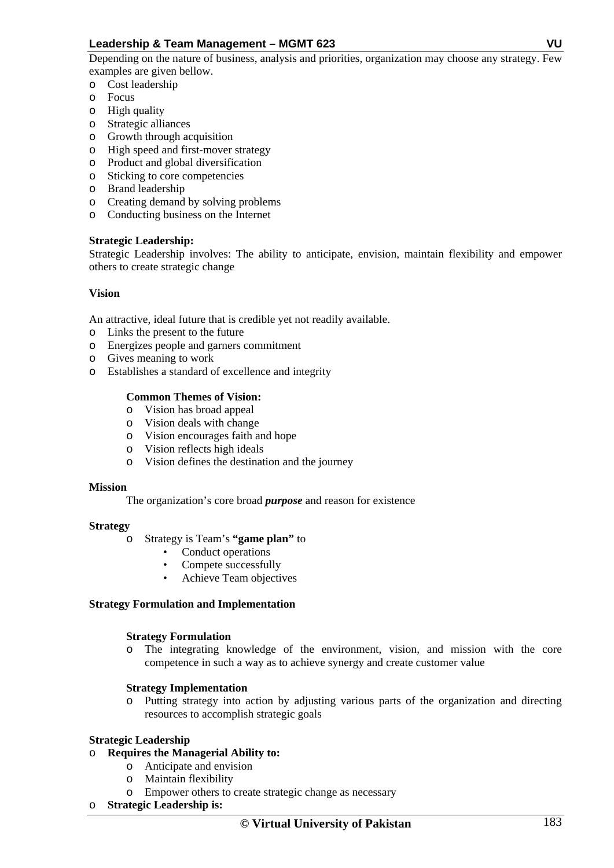Depending on the nature of business, analysis and priorities, organization may choose any strategy. Few examples are given bellow.

- o Cost leadership
- o Focus
- o High quality
- o Strategic alliances
- o Growth through acquisition
- o High speed and first-mover strategy
- o Product and global diversification
- o Sticking to core competencies
- o Brand leadership
- o Creating demand by solving problems
- o Conducting business on the Internet

## **Strategic Leadership:**

Strategic Leadership involves: The ability to anticipate, envision, maintain flexibility and empower others to create strategic change

## **Vision**

An attractive, ideal future that is credible yet not readily available.

- o Links the present to the future
- o Energizes people and garners commitment
- o Gives meaning to work
- o Establishes a standard of excellence and integrity

## **Common Themes of Vision:**

- o Vision has broad appeal
- o Vision deals with change
- o Vision encourages faith and hope
- o Vision reflects high ideals
- o Vision defines the destination and the journey

## **Mission**

The organization's core broad *purpose* and reason for existence

## **Strategy**

- o Strategy is Team's **"game plan"** to
	- Conduct operations
	- Compete successfully
	- Achieve Team objectives

# **Strategy Formulation and Implementation**

## **Strategy Formulation**

o The integrating knowledge of the environment, vision, and mission with the core competence in such a way as to achieve synergy and create customer value

# **Strategy Implementation**

o Putting strategy into action by adjusting various parts of the organization and directing resources to accomplish strategic goals

# **Strategic Leadership**

- o **Requires the Managerial Ability to:** 
	- o Anticipate and envision
	- o Maintain flexibility
	- o Empower others to create strategic change as necessary
- o **Strategic Leadership is:**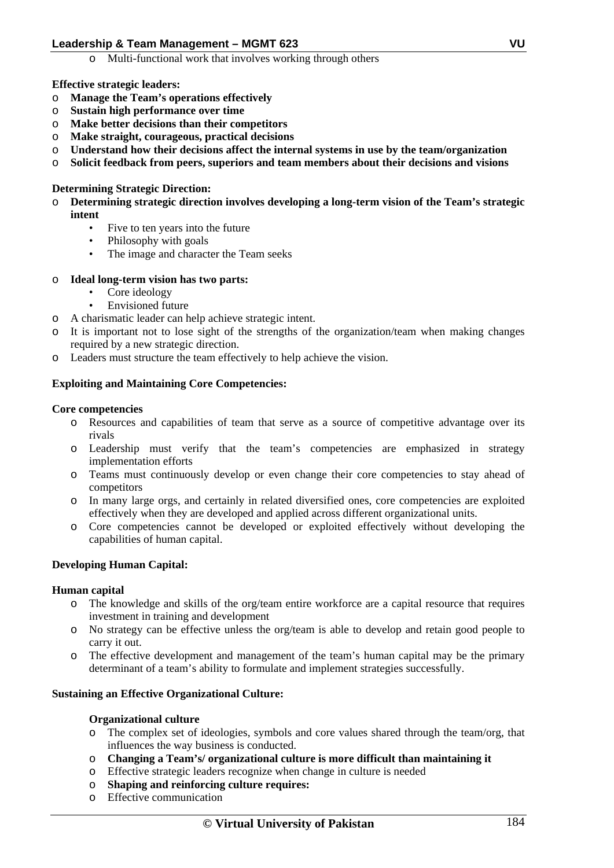o Multi-functional work that involves working through others

## **Effective strategic leaders:**

- o **Manage the Team's operations effectively**
- o **Sustain high performance over time**
- o **Make better decisions than their competitors**
- o **Make straight, courageous, practical decisions**
- o **Understand how their decisions affect the internal systems in use by the team/organization**
- o **Solicit feedback from peers, superiors and team members about their decisions and visions**

## **Determining Strategic Direction:**

- o **Determining strategic direction involves developing a long-term vision of the Team's strategic intent** 
	- Five to ten years into the future
	- Philosophy with goals
	- The image and character the Team seeks

## o **Ideal long-term vision has two parts:**

- Core ideology
- Envisioned future
- o A charismatic leader can help achieve strategic intent.
- It is important not to lose sight of the strengths of the organization/team when making changes required by a new strategic direction.
- o Leaders must structure the team effectively to help achieve the vision.

## **Exploiting and Maintaining Core Competencies:**

## **Core competencies**

- o Resources and capabilities of team that serve as a source of competitive advantage over its rivals
- o Leadership must verify that the team's competencies are emphasized in strategy implementation efforts
- o Teams must continuously develop or even change their core competencies to stay ahead of competitors
- o In many large orgs, and certainly in related diversified ones, core competencies are exploited effectively when they are developed and applied across different organizational units.
- o Core competencies cannot be developed or exploited effectively without developing the capabilities of human capital.

# **Developing Human Capital:**

## **Human capital**

- o The knowledge and skills of the org/team entire workforce are a capital resource that requires investment in training and development
- o No strategy can be effective unless the org/team is able to develop and retain good people to carry it out.
- o The effective development and management of the team's human capital may be the primary determinant of a team's ability to formulate and implement strategies successfully.

## **Sustaining an Effective Organizational Culture:**

## **Organizational culture**

- o The complex set of ideologies, symbols and core values shared through the team/org, that influences the way business is conducted.
- o **Changing a Team's/ organizational culture is more difficult than maintaining it**
- o Effective strategic leaders recognize when change in culture is needed
- o **Shaping and reinforcing culture requires:**
- o Effective communication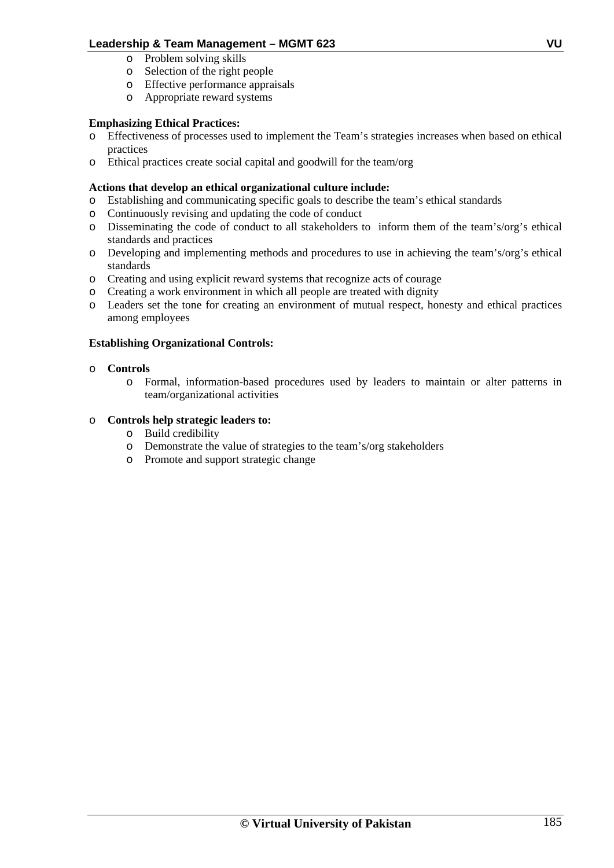- o Problem solving skills
- o Selection of the right people
- o Effective performance appraisals
- o Appropriate reward systems

# **Emphasizing Ethical Practices:**

- o Effectiveness of processes used to implement the Team's strategies increases when based on ethical practices
- o Ethical practices create social capital and goodwill for the team/org

# **Actions that develop an ethical organizational culture include:**

- o Establishing and communicating specific goals to describe the team's ethical standards
- o Continuously revising and updating the code of conduct
- o Disseminating the code of conduct to all stakeholders to inform them of the team's/org's ethical standards and practices
- o Developing and implementing methods and procedures to use in achieving the team's/org's ethical standards
- o Creating and using explicit reward systems that recognize acts of courage
- o Creating a work environment in which all people are treated with dignity
- o Leaders set the tone for creating an environment of mutual respect, honesty and ethical practices among employees

# **Establishing Organizational Controls:**

## o **Controls**

o Formal, information-based procedures used by leaders to maintain or alter patterns in team/organizational activities

## o **Controls help strategic leaders to:**

- o Build credibility
- o Demonstrate the value of strategies to the team's/org stakeholders
- o Promote and support strategic change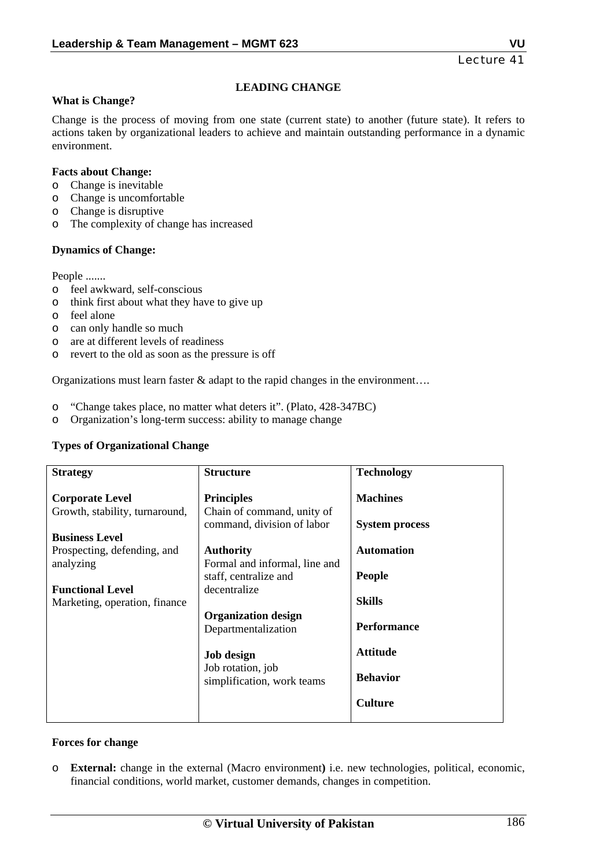# **LEADING CHANGE**

## **What is Change?**

Change is the process of moving from one state (current state) to another (future state). It refers to actions taken by organizational leaders to achieve and maintain outstanding performance in a dynamic environment.

## **Facts about Change:**

- o Change is inevitable
- o Change is uncomfortable
- o Change is disruptive
- o The complexity of change has increased

## **Dynamics of Change:**

People .......

- o feel awkward, self-conscious
- o think first about what they have to give up
- o feel alone
- o can only handle so much
- o are at different levels of readiness
- o revert to the old as soon as the pressure is off

Organizations must learn faster & adapt to the rapid changes in the environment....

- o "Change takes place, no matter what deters it". (Plato, 428-347BC)
- o Organization's long-term success: ability to manage change

## **Types of Organizational Change**

| <b>Strategy</b>                                                                                                                                                                           | <b>Structure</b>                                                                                                                                                                                                                                                                                         | <b>Technology</b>                                                                                                                                                             |
|-------------------------------------------------------------------------------------------------------------------------------------------------------------------------------------------|----------------------------------------------------------------------------------------------------------------------------------------------------------------------------------------------------------------------------------------------------------------------------------------------------------|-------------------------------------------------------------------------------------------------------------------------------------------------------------------------------|
| <b>Corporate Level</b><br>Growth, stability, turnaround,<br><b>Business Level</b><br>Prospecting, defending, and<br>analyzing<br><b>Functional Level</b><br>Marketing, operation, finance | <b>Principles</b><br>Chain of command, unity of<br>command, division of labor<br><b>Authority</b><br>Formal and informal, line and<br>staff, centralize and<br>decentralize<br><b>Organization design</b><br>Departmentalization<br><b>Job design</b><br>Job rotation, job<br>simplification, work teams | <b>Machines</b><br><b>System process</b><br><b>Automation</b><br><b>People</b><br><b>Skills</b><br><b>Performance</b><br><b>Attitude</b><br><b>Behavior</b><br><b>Culture</b> |

## **Forces for change**

o **External:** change in the external (Macro environment**)** i.e. new technologies, political, economic, financial conditions, world market, customer demands, changes in competition.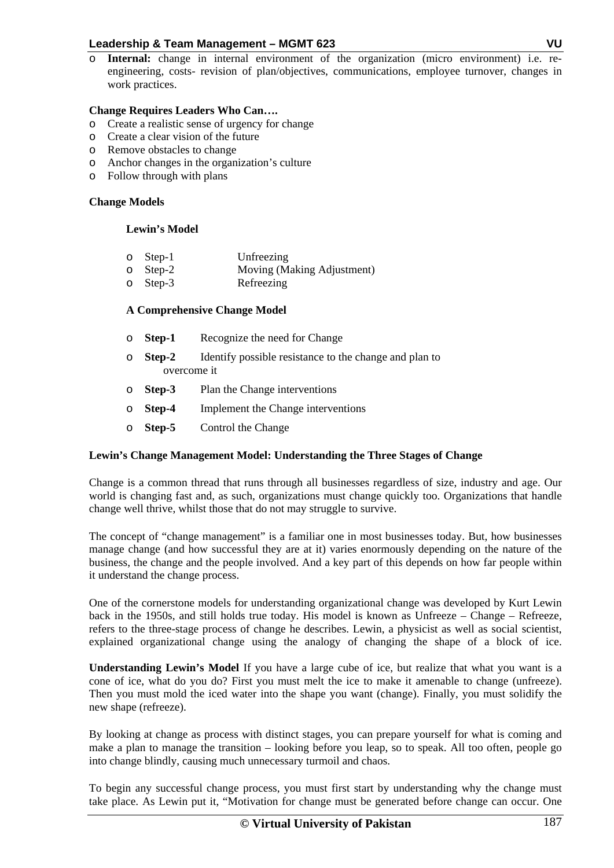o **Internal:** change in internal environment of the organization (micro environment) i.e. reengineering, costs- revision of plan/objectives, communications, employee turnover, changes in work practices.

## **Change Requires Leaders Who Can….**

- o Create a realistic sense of urgency for change
- o Create a clear vision of the future
- o Remove obstacles to change
- o Anchor changes in the organization's culture
- o Follow through with plans

## **Change Models**

## **Lewin's Model**

| $\circ$ Step-1 | Unfreezing                       |
|----------------|----------------------------------|
|                | $\sqrt{2}$ $\sqrt{2}$ $\sqrt{2}$ |

- o Step-2 Moving (Making Adjustment)
- o Step-3 Refreezing

# **A Comprehensive Change Model**

- o **Step-1** Recognize the need for Change
- o **Step-2** Identify possible resistance to the change and plan to overcome it
- o **Step-3** Plan the Change interventions
- o **Step-4** Implement the Change interventions
- o **Step-5** Control the Change

# **Lewin's Change Management Model: Understanding the Three Stages of Change**

Change is a common thread that runs through all businesses regardless of size, industry and age. Our world is changing fast and, as such, organizations must change quickly too. Organizations that handle change well thrive, whilst those that do not may struggle to survive.

The concept of "change management" is a familiar one in most businesses today. But, how businesses manage change (and how successful they are at it) varies enormously depending on the nature of the business, the change and the people involved. And a key part of this depends on how far people within it understand the change process.

One of the cornerstone models for understanding organizational change was developed by Kurt Lewin back in the 1950s, and still holds true today. His model is known as Unfreeze – Change – Refreeze, refers to the three-stage process of change he describes. Lewin, a physicist as well as social scientist, explained organizational change using the analogy of changing the shape of a block of ice.

**Understanding Lewin's Model** If you have a large cube of ice, but realize that what you want is a cone of ice, what do you do? First you must melt the ice to make it amenable to change (unfreeze). Then you must mold the iced water into the shape you want (change). Finally, you must solidify the new shape (refreeze).

By looking at change as process with distinct stages, you can prepare yourself for what is coming and make a plan to manage the transition – looking before you leap, so to speak. All too often, people go into change blindly, causing much unnecessary turmoil and chaos.

To begin any successful change process, you must first start by understanding why the change must take place. As Lewin put it, "Motivation for change must be generated before change can occur. One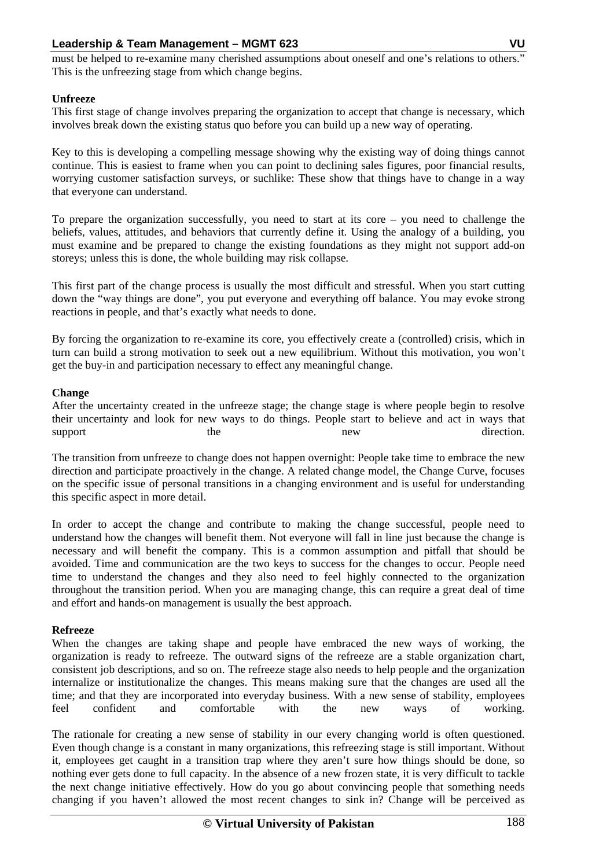must be helped to re-examine many cherished assumptions about oneself and one's relations to others." This is the unfreezing stage from which change begins.

## **Unfreeze**

This first stage of change involves preparing the organization to accept that change is necessary, which involves break down the existing status quo before you can build up a new way of operating.

Key to this is developing a compelling message showing why the existing way of doing things cannot continue. This is easiest to frame when you can point to declining sales figures, poor financial results, worrying customer satisfaction surveys, or suchlike: These show that things have to change in a way that everyone can understand.

To prepare the organization successfully, you need to start at its core – you need to challenge the beliefs, values, attitudes, and behaviors that currently define it. Using the analogy of a building, you must examine and be prepared to change the existing foundations as they might not support add-on storeys; unless this is done, the whole building may risk collapse.

This first part of the change process is usually the most difficult and stressful. When you start cutting down the "way things are done", you put everyone and everything off balance. You may evoke strong reactions in people, and that's exactly what needs to done.

By forcing the organization to re-examine its core, you effectively create a (controlled) crisis, which in turn can build a strong motivation to seek out a new equilibrium. Without this motivation, you won't get the buy-in and participation necessary to effect any meaningful change.

## **Change**

After the uncertainty created in the unfreeze stage; the change stage is where people begin to resolve their uncertainty and look for new ways to do things. People start to believe and act in ways that support the the new new direction.

The transition from unfreeze to change does not happen overnight: People take time to embrace the new direction and participate proactively in the change. A related change model, the Change Curve, focuses on the specific issue of personal transitions in a changing environment and is useful for understanding this specific aspect in more detail.

In order to accept the change and contribute to making the change successful, people need to understand how the changes will benefit them. Not everyone will fall in line just because the change is necessary and will benefit the company. This is a common assumption and pitfall that should be avoided. Time and communication are the two keys to success for the changes to occur. People need time to understand the changes and they also need to feel highly connected to the organization throughout the transition period. When you are managing change, this can require a great deal of time and effort and hands-on management is usually the best approach.

## **Refreeze**

When the changes are taking shape and people have embraced the new ways of working, the organization is ready to refreeze. The outward signs of the refreeze are a stable organization chart, consistent job descriptions, and so on. The refreeze stage also needs to help people and the organization internalize or institutionalize the changes. This means making sure that the changes are used all the time; and that they are incorporated into everyday business. With a new sense of stability, employees feel confident and comfortable with the new ways of working.

The rationale for creating a new sense of stability in our every changing world is often questioned. Even though change is a constant in many organizations, this refreezing stage is still important. Without it, employees get caught in a transition trap where they aren't sure how things should be done, so nothing ever gets done to full capacity. In the absence of a new frozen state, it is very difficult to tackle the next change initiative effectively. How do you go about convincing people that something needs changing if you haven't allowed the most recent changes to sink in? Change will be perceived as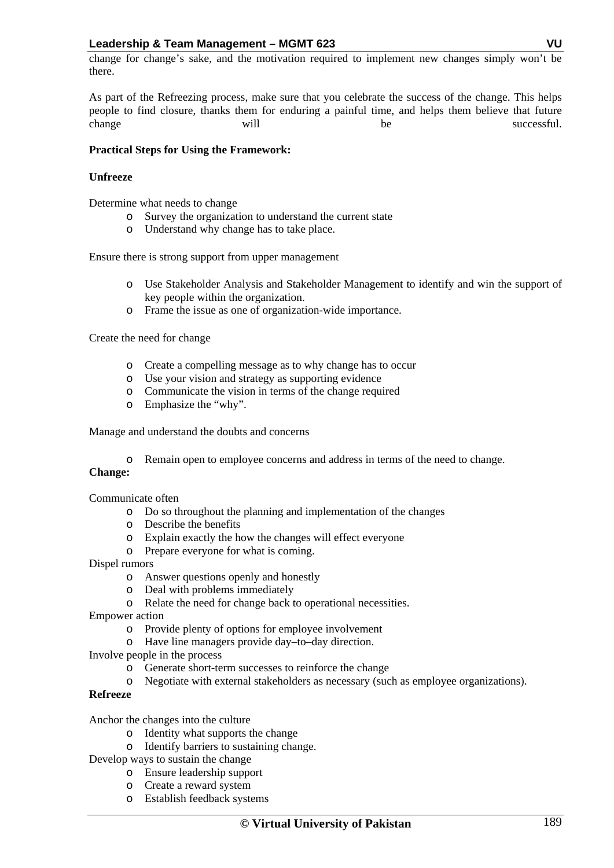change for change's sake, and the motivation required to implement new changes simply won't be there.

As part of the Refreezing process, make sure that you celebrate the success of the change. This helps people to find closure, thanks them for enduring a painful time, and helps them believe that future change will will be successful.

## **Practical Steps for Using the Framework:**

## **Unfreeze**

Determine what needs to change

- o Survey the organization to understand the current state
- o Understand why change has to take place.

Ensure there is strong support from upper management

- o Use Stakeholder Analysis and Stakeholder Management to identify and win the support of key people within the organization.
- o Frame the issue as one of organization-wide importance.

Create the need for change

- o Create a compelling message as to why change has to occur
- o Use your vision and strategy as supporting evidence
- o Communicate the vision in terms of the change required
- o Emphasize the "why".

Manage and understand the doubts and concerns

o Remain open to employee concerns and address in terms of the need to change.

## **Change:**

Communicate often

- o Do so throughout the planning and implementation of the changes
- o Describe the benefits
- o Explain exactly the how the changes will effect everyone
- o Prepare everyone for what is coming.
- Dispel rumors
	- o Answer questions openly and honestly
	- o Deal with problems immediately
	- o Relate the need for change back to operational necessities.

Empower action

- o Provide plenty of options for employee involvement
- o Have line managers provide day–to–day direction.

Involve people in the process

- o Generate short-term successes to reinforce the change
- o Negotiate with external stakeholders as necessary (such as employee organizations).

# **Refreeze**

Anchor the changes into the culture

- o Identity what supports the change
- o Identify barriers to sustaining change.

Develop ways to sustain the change

- o Ensure leadership support
- o Create a reward system
- o Establish feedback systems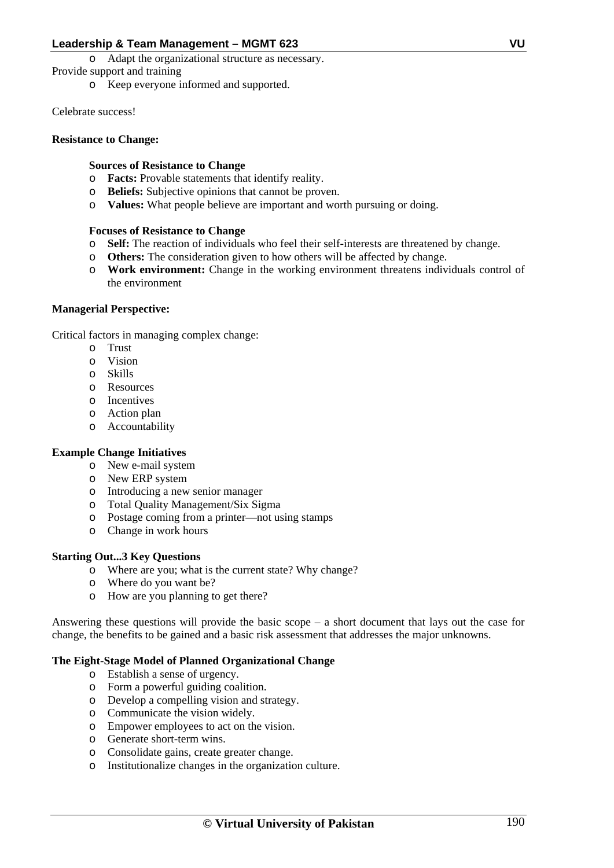o Adapt the organizational structure as necessary.

Provide support and training

o Keep everyone informed and supported.

Celebrate success!

## **Resistance to Change:**

# **Sources of Resistance to Change**

- o **Facts:** Provable statements that identify reality.
- o **Beliefs:** Subjective opinions that cannot be proven.
- o **Values:** What people believe are important and worth pursuing or doing.

## **Focuses of Resistance to Change**

- o **Self:** The reaction of individuals who feel their self-interests are threatened by change.
- o **Others:** The consideration given to how others will be affected by change.
- o **Work environment:** Change in the working environment threatens individuals control of the environment

## **Managerial Perspective:**

Critical factors in managing complex change:

- o Trust
- o Vision
- o Skills
- o Resources
- o Incentives
- o Action plan
- o Accountability

## **Example Change Initiatives**

- o New e-mail system
- o New ERP system
- o Introducing a new senior manager
- o Total Quality Management/Six Sigma
- o Postage coming from a printer—not using stamps
- o Change in work hours

# **Starting Out...3 Key Questions**

- o Where are you; what is the current state? Why change?
- o Where do you want be?
- o How are you planning to get there?

Answering these questions will provide the basic scope  $-$  a short document that lays out the case for change, the benefits to be gained and a basic risk assessment that addresses the major unknowns.

# **The Eight-Stage Model of Planned Organizational Change**

- o Establish a sense of urgency.
- o Form a powerful guiding coalition.
- o Develop a compelling vision and strategy.
- o Communicate the vision widely.
- o Empower employees to act on the vision.
- o Generate short-term wins.
- o Consolidate gains, create greater change.
- o Institutionalize changes in the organization culture.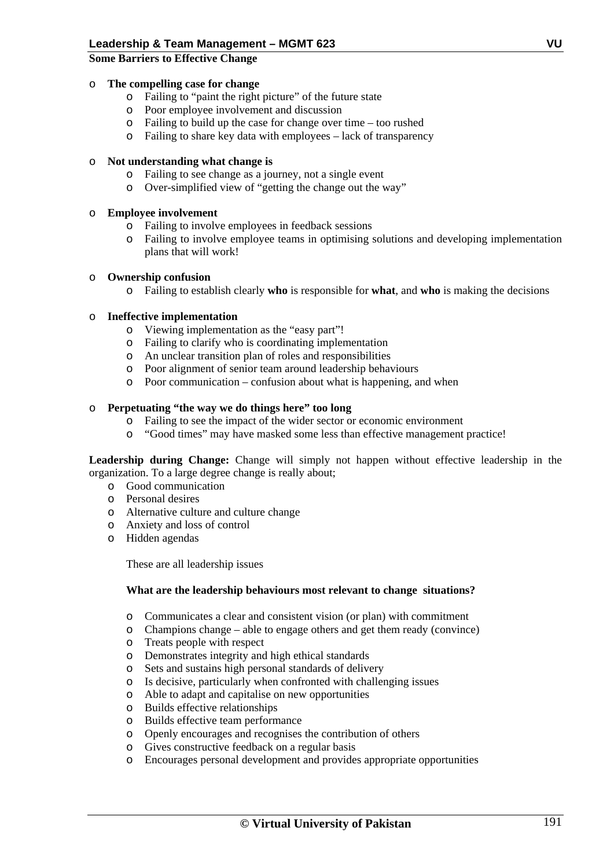## **Some Barriers to Effective Change**

## o **The compelling case for change**

- o Failing to "paint the right picture" of the future state
- o Poor employee involvement and discussion
- o Failing to build up the case for change over time too rushed
- o Failing to share key data with employees lack of transparency

## o **Not understanding what change is**

- o Failing to see change as a journey, not a single event
- o Over-simplified view of "getting the change out the way"

## o **Employee involvement**

- o Failing to involve employees in feedback sessions
- o Failing to involve employee teams in optimising solutions and developing implementation plans that will work!

## o **Ownership confusion**

o Failing to establish clearly **who** is responsible for **what**, and **who** is making the decisions

## o **Ineffective implementation**

- o Viewing implementation as the "easy part"!
- o Failing to clarify who is coordinating implementation
- o An unclear transition plan of roles and responsibilities
- o Poor alignment of senior team around leadership behaviours
- o Poor communication confusion about what is happening, and when

## o **Perpetuating "the way we do things here" too long**

- o Failing to see the impact of the wider sector or economic environment
- o "Good times" may have masked some less than effective management practice!

Leadership during Change: Change will simply not happen without effective leadership in the organization. To a large degree change is really about;

- o Good communication
- o Personal desires
- o Alternative culture and culture change
- o Anxiety and loss of control
- o Hidden agendas

These are all leadership issues

## **What are the leadership behaviours most relevant to change situations?**

- 
- o Communicates a clear and consistent vision (or plan) with commitment Champions change – able to engage others and get them ready (convince)
- o Treats people with respect
- o Demonstrates integrity and high ethical standards
- o Sets and sustains high personal standards of delivery
- o Is decisive, particularly when confronted with challenging issues
- o Able to adapt and capitalise on new opportunities
- o Builds effective relationships
- o Builds effective team performance
- o Openly encourages and recognises the contribution of others
- o Gives constructive feedback on a regular basis
- o Encourages personal development and provides appropriate opportunities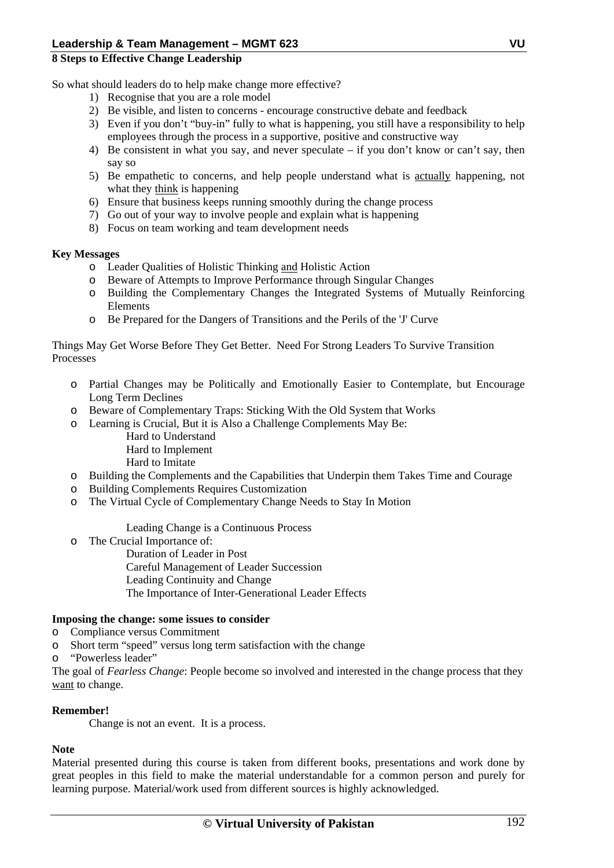## **8 Steps to Effective Change Leadership**

So what should leaders do to help make change more effective?

- 1) Recognise that you are a role model
- 2) Be visible, and listen to concerns encourage constructive debate and feedback
- 3) Even if you don't "buy-in" fully to what is happening, you still have a responsibility to help employees through the process in a supportive, positive and constructive way
- 4) Be consistent in what you say, and never speculate if you don't know or can't say, then say so
- 5) Be empathetic to concerns, and help people understand what is actually happening, not what they think is happening
- 6) Ensure that business keeps running smoothly during the change process
- 7) Go out of your way to involve people and explain what is happening
- 8) Focus on team working and team development needs

## **Key Messages**

- o Leader Qualities of Holistic Thinking and Holistic Action
- o Beware of Attempts to Improve Performance through Singular Changes
- o Building the Complementary Changes the Integrated Systems of Mutually Reinforcing Elements
- o Be Prepared for the Dangers of Transitions and the Perils of the 'J' Curve

Things May Get Worse Before They Get Better. Need For Strong Leaders To Survive Transition Processes

- o Partial Changes may be Politically and Emotionally Easier to Contemplate, but Encourage Long Term Declines
- o Beware of Complementary Traps: Sticking With the Old System that Works
- o Learning is Crucial, But it is Also a Challenge Complements May Be:
	- Hard to Understand Hard to Implement
	- Hard to Imitate
- o Building the Complements and the Capabilities that Underpin them Takes Time and Courage
- o Building Complements Requires Customization
- o The Virtual Cycle of Complementary Change Needs to Stay In Motion

Leading Change is a Continuous Process

o The Crucial Importance of:

Duration of Leader in Post Careful Management of Leader Succession Leading Continuity and Change The Importance of Inter-Generational Leader Effects

# **Imposing the change: some issues to consider**

- o Compliance versus Commitment
- o Short term "speed" versus long term satisfaction with the change
- o "Powerless leader"

The goal of *Fearless Change*: People become so involved and interested in the change process that they want to change.

# **Remember!**

Change is not an event. It is a process.

# **Note**

Material presented during this course is taken from different books, presentations and work done by great peoples in this field to make the material understandable for a common person and purely for learning purpose. Material/work used from different sources is highly acknowledged.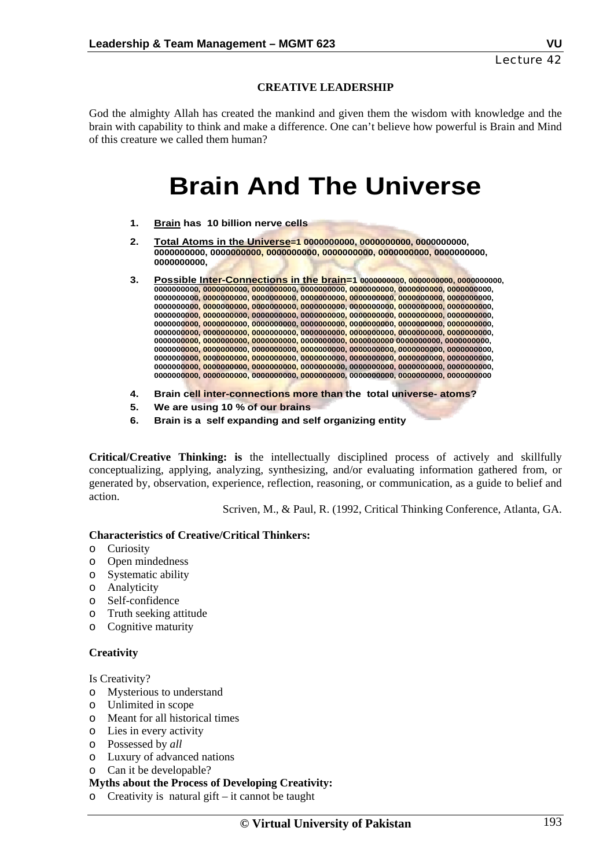# **CREATIVE LEADERSHIP**

God the almighty Allah has created the mankind and given them the wisdom with knowledge and the brain with capability to think and make a difference. One can't believe how powerful is Brain and Mind of this creature we called them human?

# **Brain And The Universe**

- **1. Brain has 10 billion nerve cells**
- **2. Total Atoms in the Universe=1 0000000000, 0000000000, 0000000000, 0000000000, 0000000000, 0000000000, 0000000000, 0000000000, 0000000000, 0000000000,**
- **3. Possible Inter-Connections in the brain=1 0000000000, 0000000000, 0000000000, 0000000000, 0000000000, 0000000000, 0000000000, 0000000000, 0000000000, 0000000000, 0000000000, 0000000000, 0000000000, 0000000000, 0000000000, 0000000000, 0000000000, 0000000000, 0000000000, 0000000000, 0000000000, 0000000000, 0000000000, 0000000000, 0000000000, 0000000000, 0000000000, 0000000000, 0000000000, 0000000000, 0000000000, 0000000000, 0000000000, 0000000000, 0000000000, 0000000000, 0000000000, 0000000000, 0000000000, 0000000000, 0000000000, 0000000000, 0000000000, 0000000000, 0000000000, 0000000000, 0000000000, 0000000000, 0000000000, 0000000000 0000000000, 0000000000, 0000000000, 0000000000, 0000000000, 0000000000, 0000000000, 0000000000, 0000000000, 0000000000, 0000000000, 0000000000, 0000000000, 0000000000, 0000000000, 0000000000, 0000000000, 0000000000, 0000000000, 0000000000, 0000000000, 0000000000, 0000000000, 0000000000, 0000000000, 0000000000, 0000000000, 0000000000, 0000000000, 0000000000**
- **4. Brain cell inter-connections more than the total universe- atoms?**
- **5. We are using 10 % of our brains**
- **6. Brain is a self expanding and self organizing entity**

**Critical/Creative Thinking: is** the intellectually disciplined process of actively and skillfully conceptualizing, applying, analyzing, synthesizing, and/or evaluating information gathered from, or generated by, observation, experience, reflection, reasoning, or communication, as a guide to belief and action.

Scriven, M., & Paul, R. (1992, Critical Thinking Conference, Atlanta, GA.

#### **Characteristics of Creative/Critical Thinkers:**

- o Curiosity
- o Open mindedness
- o Systematic ability
- o Analyticity
- o Self-confidence
- o Truth seeking attitude
- o Cognitive maturity

## **Creativity**

Is Creativity?

- o Mysterious to understand
- o Unlimited in scope
- o Meant for all historical times
- o Lies in every activity
- o Possessed by *all*
- o Luxury of advanced nations
- o Can it be developable?

## **Myths about the Process of Developing Creativity:**

o Creativity is natural gift – it cannot be taught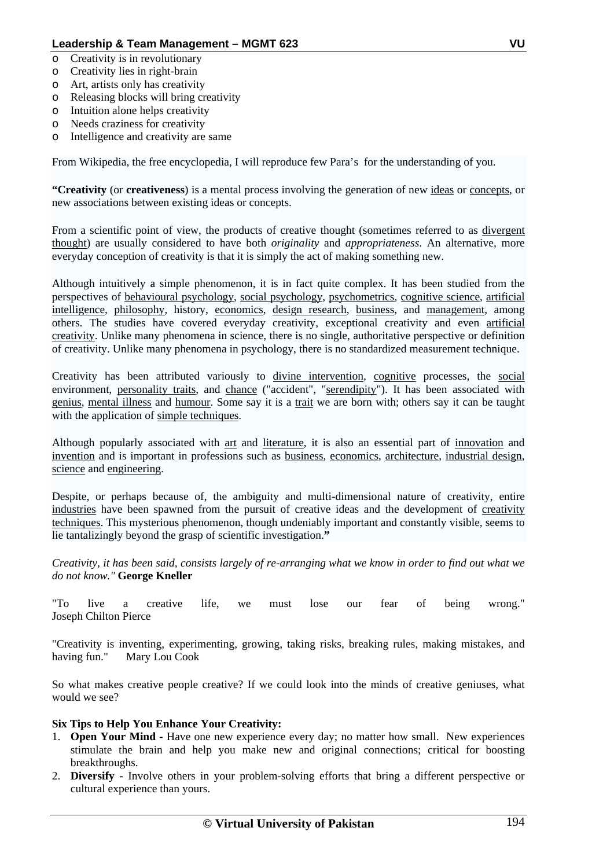- o Creativity is in revolutionary
- o Creativity lies in right-brain
- o Art, artists only has creativity
- o Releasing blocks will bring creativity
- o Intuition alone helps creativity
- o Needs craziness for creativity
- o Intelligence and creativity are same

From Wikipedia, the free encyclopedia, I will reproduce few Para's for the understanding of you.

**"Creativity** (or **creativeness**) is a mental process involving the generation of new ideas or concepts, or new associations between existing ideas or concepts.

From a scientific point of view, the products of creative thought (sometimes referred to as divergent thought) are usually considered to have both *originality* and *appropriateness*. An alternative, more everyday conception of creativity is that it is simply the act of making something new.

Although intuitively a simple phenomenon, it is in fact quite complex. It has been studied from the perspectives of behavioural psychology, social psychology, psychometrics, cognitive science, artificial intelligence, philosophy, history, economics, design research, business, and management, among others. The studies have covered everyday creativity, exceptional creativity and even artificial creativity. Unlike many phenomena in science, there is no single, authoritative perspective or definition of creativity. Unlike many phenomena in psychology, there is no standardized measurement technique.

Creativity has been attributed variously to divine intervention, cognitive processes, the social environment, personality traits, and chance ("accident", "serendipity"). It has been associated with genius, mental illness and humour. Some say it is a trait we are born with; others say it can be taught with the application of simple techniques.

Although popularly associated with art and literature, it is also an essential part of innovation and invention and is important in professions such as business, economics, architecture, industrial design, science and engineering.

Despite, or perhaps because of, the ambiguity and multi-dimensional nature of creativity, entire industries have been spawned from the pursuit of creative ideas and the development of creativity techniques. This mysterious phenomenon, though undeniably important and constantly visible, seems to lie tantalizingly beyond the grasp of scientific investigation.**"**

*Creativity, it has been said, consists largely of re-arranging what we know in order to find out what we do not know."* **George Kneller**

"To live a creative life, we must lose our fear of being wrong." Joseph Chilton Pierce

"Creativity is inventing, experimenting, growing, taking risks, breaking rules, making mistakes, and having fun." Mary Lou Cook

So what makes creative people creative? If we could look into the minds of creative geniuses, what would we see?

## **Six Tips to Help You Enhance Your Creativity:**

- 1. **Open Your Mind** Have one new experience every day; no matter how small. New experiences stimulate the brain and help you make new and original connections; critical for boosting breakthroughs.
- 2. **Diversify** Involve others in your problem-solving efforts that bring a different perspective or cultural experience than yours.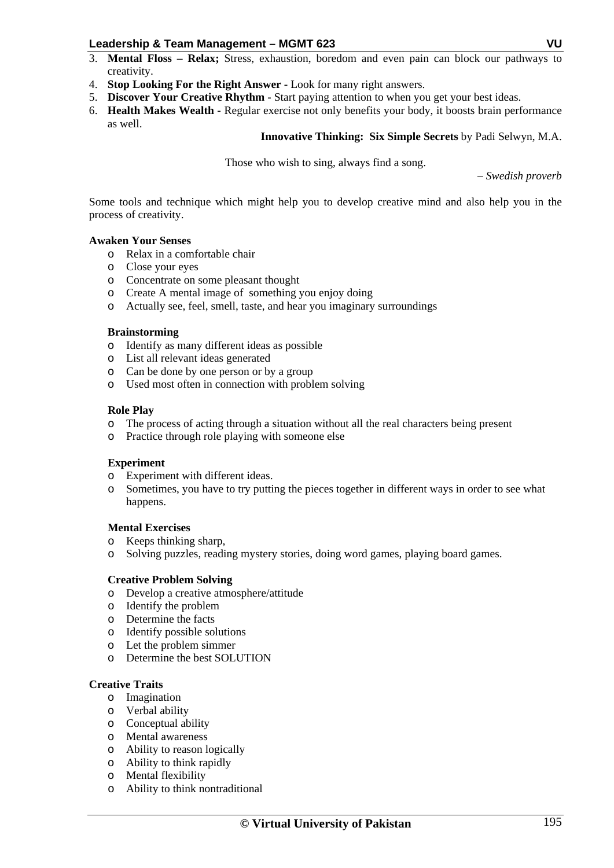- 3. **Mental Floss Relax;** Stress, exhaustion, boredom and even pain can block our pathways to creativity.
- 4. **Stop Looking For the Right Answer** Look for many right answers.
- 5. **Discover Your Creative Rhythm** Start paying attention to when you get your best ideas.
- 6. **Health Makes Wealth** Regular exercise not only benefits your body, it boosts brain performance as well.

## **Innovative Thinking: Six Simple Secrets** by Padi Selwyn, M.A.

Those who wish to sing, always find a song.

– *Swedish proverb* 

Some tools and technique which might help you to develop creative mind and also help you in the process of creativity.

#### **Awaken Your Senses**

- o Relax in a comfortable chair
- o Close your eyes
- o Concentrate on some pleasant thought
- o Create A mental image of something you enjoy doing
- o Actually see, feel, smell, taste, and hear you imaginary surroundings

#### **Brainstorming**

- o Identify as many different ideas as possible
- o List all relevant ideas generated
- o Can be done by one person or by a group
- o Used most often in connection with problem solving

#### **Role Play**

- o The process of acting through a situation without all the real characters being present
- o Practice through role playing with someone else

## **Experiment**

- o Experiment with different ideas.
- o Sometimes, you have to try putting the pieces together in different ways in order to see what happens.

#### **Mental Exercises**

- o Keeps thinking sharp,
- o Solving puzzles, reading mystery stories, doing word games, playing board games.

## **Creative Problem Solving**

- o Develop a creative atmosphere/attitude
- o Identify the problem
- o Determine the facts
- o Identify possible solutions
- o Let the problem simmer
- o Determine the best SOLUTION

## **Creative Traits**

- o Imagination
- o Verbal ability
- o Conceptual ability
- o Mental awareness
- o Ability to reason logically
- o Ability to think rapidly
- o Mental flexibility
- o Ability to think nontraditional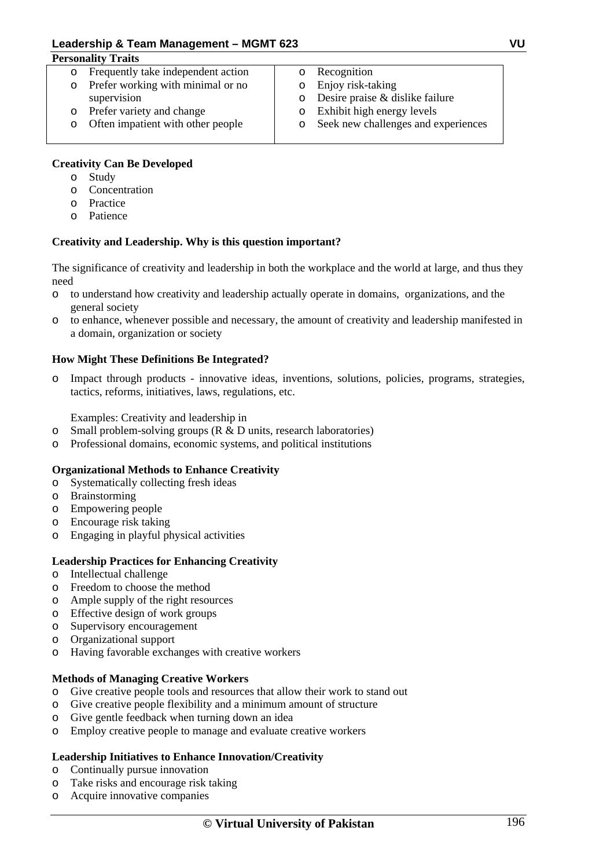| <b>Personality Traits</b> |                                    |         |                                     |
|---------------------------|------------------------------------|---------|-------------------------------------|
|                           | Frequently take independent action |         | Recognition                         |
| $\circ$                   | Prefer working with minimal or no  | $\circ$ | Enjoy risk-taking                   |
|                           | supervision                        | $\circ$ | Desire praise & dislike failure     |
| $\circ$                   | Prefer variety and change          | $\circ$ | Exhibit high energy levels          |
|                           | Often impatient with other people  | $\circ$ | Seek new challenges and experiences |
|                           |                                    |         |                                     |

# **Creativity Can Be Developed**

- o Study
- o Concentration
- o Practice
- o Patience

# **Creativity and Leadership. Why is this question important?**

The significance of creativity and leadership in both the workplace and the world at large, and thus they need

- o to understand how creativity and leadership actually operate in domains, organizations, and the general society
- o to enhance, whenever possible and necessary, the amount of creativity and leadership manifested in a domain, organization or society

# **How Might These Definitions Be Integrated?**

o Impact through products - innovative ideas, inventions, solutions, policies, programs, strategies, tactics, reforms, initiatives, laws, regulations, etc.

Examples: Creativity and leadership in

- $\circ$  Small problem-solving groups (R & D units, research laboratories)
- o Professional domains, economic systems, and political institutions

# **Organizational Methods to Enhance Creativity**

- o Systematically collecting fresh ideas
- o Brainstorming
- o Empowering people
- o Encourage risk taking
- o Engaging in playful physical activities

# **Leadership Practices for Enhancing Creativity**

- o Intellectual challenge
- o Freedom to choose the method
- o Ample supply of the right resources
- o Effective design of work groups
- o Supervisory encouragement
- o Organizational support
- o Having favorable exchanges with creative workers

# **Methods of Managing Creative Workers**

- o Give creative people tools and resources that allow their work to stand out
- o Give creative people flexibility and a minimum amount of structure
- o Give gentle feedback when turning down an idea
- o Employ creative people to manage and evaluate creative workers

# **Leadership Initiatives to Enhance Innovation/Creativity**

- o Continually pursue innovation
- o Take risks and encourage risk taking
- o Acquire innovative companies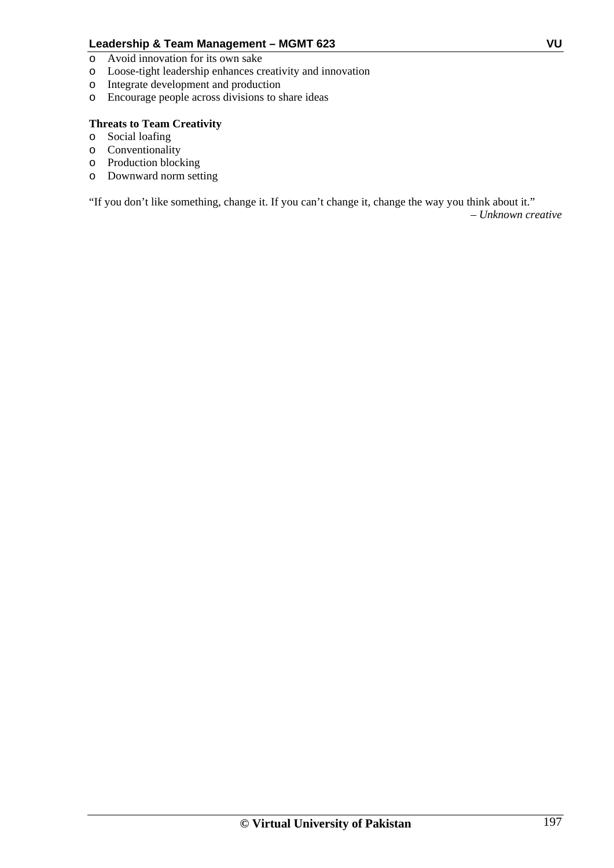- o Avoid innovation for its own sake
- o Loose-tight leadership enhances creativity and innovation
- o Integrate development and production
- o Encourage people across divisions to share ideas

# **Threats to Team Creativity**

- o Social loafing
- o Conventionality
- o Production blocking
- o Downward norm setting

"If you don't like something, change it. If you can't change it, change the way you think about it."

*– Unknown creative*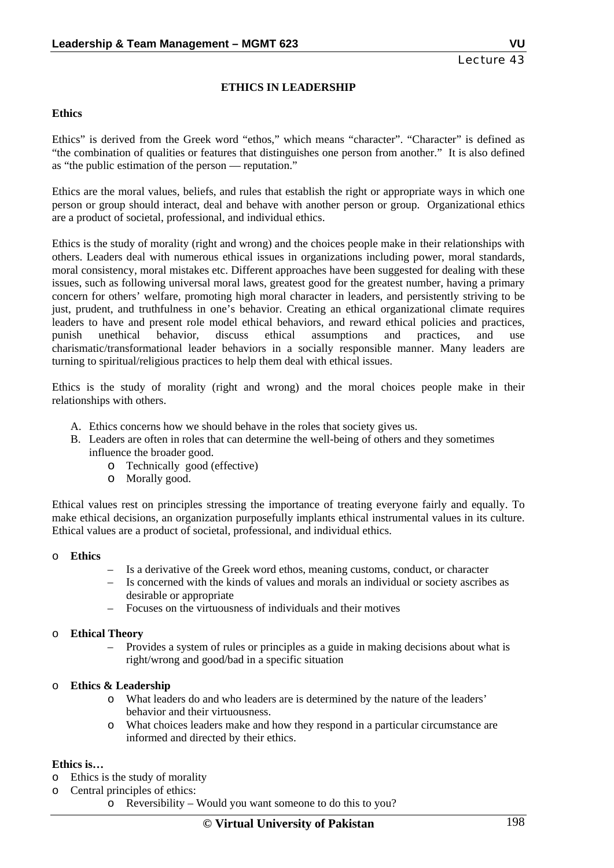# **ETHICS IN LEADERSHIP**

#### **Ethics**

Ethics" is derived from the Greek word "ethos," which means "character". "Character" is defined as "the combination of qualities or features that distinguishes one person from another." It is also defined as "the public estimation of the person — reputation."

Ethics are the moral values, beliefs, and rules that establish the right or appropriate ways in which one person or group should interact, deal and behave with another person or group. Organizational ethics are a product of societal, professional, and individual ethics.

Ethics is the study of morality (right and wrong) and the choices people make in their relationships with others. Leaders deal with numerous ethical issues in organizations including power, moral standards, moral consistency, moral mistakes etc. Different approaches have been suggested for dealing with these issues, such as following universal moral laws, greatest good for the greatest number, having a primary concern for others' welfare, promoting high moral character in leaders, and persistently striving to be just, prudent, and truthfulness in one's behavior. Creating an ethical organizational climate requires leaders to have and present role model ethical behaviors, and reward ethical policies and practices, punish unethical behavior, discuss ethical assumptions and practices, and use charismatic/transformational leader behaviors in a socially responsible manner. Many leaders are turning to spiritual/religious practices to help them deal with ethical issues.

Ethics is the study of morality (right and wrong) and the moral choices people make in their relationships with others.

- A. Ethics concerns how we should behave in the roles that society gives us.
- B. Leaders are often in roles that can determine the well-being of others and they sometimes influence the broader good.
	- o Technically good (effective)
	- o Morally good.

Ethical values rest on principles stressing the importance of treating everyone fairly and equally. To make ethical decisions, an organization purposefully implants ethical instrumental values in its culture. Ethical values are a product of societal, professional, and individual ethics.

## o **Ethics**

- Is a derivative of the Greek word ethos, meaning customs, conduct, or character
- Is concerned with the kinds of values and morals an individual or society ascribes as desirable or appropriate
- Focuses on the virtuousness of individuals and their motives

## o **Ethical Theory**

– Provides a system of rules or principles as a guide in making decisions about what is right/wrong and good/bad in a specific situation

## o **Ethics & Leadership**

- o What leaders do and who leaders are is determined by the nature of the leaders' behavior and their virtuousness.
- o What choices leaders make and how they respond in a particular circumstance are informed and directed by their ethics.

## **Ethics is…**

- o Ethics is the study of morality
- o Central principles of ethics:
	- o Reversibility Would you want someone to do this to you?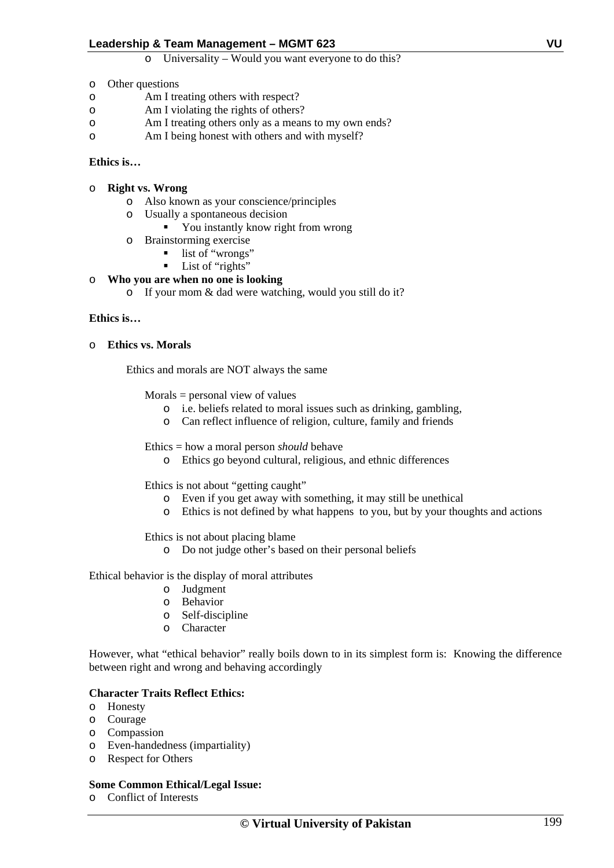o Universality – Would you want everyone to do this?

- o Other questions
- o Am I treating others with respect?
- o Am I violating the rights of others?
- o Am I treating others only as a means to my own ends?
- o Am I being honest with others and with myself?

## **Ethics is…**

- o **Right vs. Wrong** 
	- o Also known as your conscience/principles
	- o Usually a spontaneous decision
		- You instantly know right from wrong
	- o Brainstorming exercise
		- list of "wrongs"
		- $\blacksquare$  List of "rights"

# o **Who you are when no one is looking**

o If your mom & dad were watching, would you still do it?

## **Ethics is…**

## o **Ethics vs. Morals**

Ethics and morals are NOT always the same

 $Morals = personal view of values$ 

- o i.e. beliefs related to moral issues such as drinking, gambling,
- o Can reflect influence of religion, culture, family and friends

Ethics = how a moral person *should* behave

o Ethics go beyond cultural, religious, and ethnic differences

Ethics is not about "getting caught"

- o Even if you get away with something, it may still be unethical
- o Ethics is not defined by what happens to you, but by your thoughts and actions

Ethics is not about placing blame

o Do not judge other's based on their personal beliefs

Ethical behavior is the display of moral attributes

- o Judgment
- o Behavior
- o Self-discipline
- o Character

However, what "ethical behavior" really boils down to in its simplest form is: Knowing the difference between right and wrong and behaving accordingly

## **Character Traits Reflect Ethics:**

- o Honesty
- o Courage
- o Compassion
- o Even-handedness (impartiality)
- o Respect for Others

# **Some Common Ethical/Legal Issue:**

o Conflict of Interests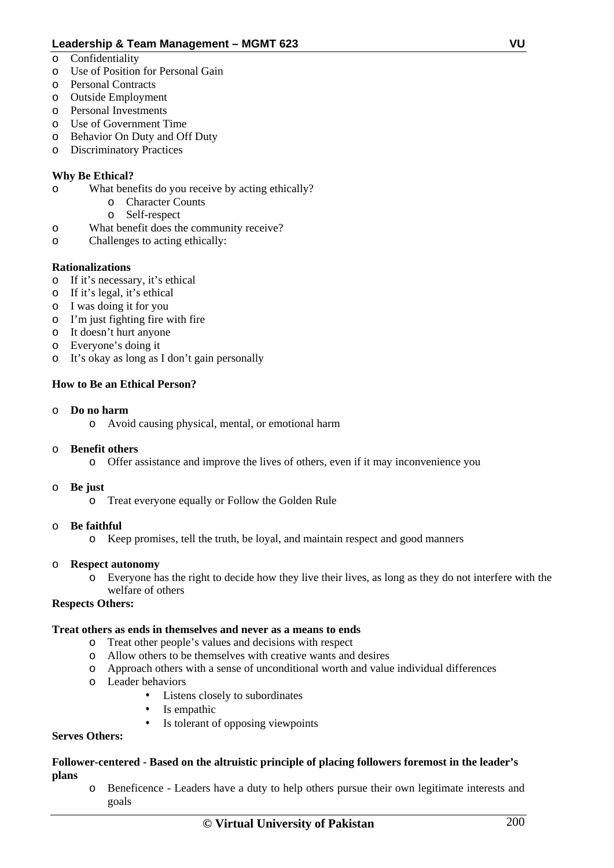- o Confidentiality
- o Use of Position for Personal Gain
- o Personal Contracts
- o Outside Employment
- o Personal Investments
- o Use of Government Time
- o Behavior On Duty and Off Duty
- o Discriminatory Practices

# **Why Be Ethical?**

- o What benefits do you receive by acting ethically?
	- o Character Counts
	- o Self-respect
- o What benefit does the community receive?
- o Challenges to acting ethically:

# **Rationalizations**

- o If it's necessary, it's ethical
- o If it's legal, it's ethical
- o I was doing it for you
- o I'm just fighting fire with fire
- o It doesn't hurt anyone
- o Everyone's doing it
- o It's okay as long as I don't gain personally

# **How to Be an Ethical Person?**

## o **Do no harm**

o Avoid causing physical, mental, or emotional harm

# o **Benefit others**

o Offer assistance and improve the lives of others, even if it may inconvenience you

## o **Be just**

o Treat everyone equally or Follow the Golden Rule

# o **Be faithful**

o Keep promises, tell the truth, be loyal, and maintain respect and good manners

## o **Respect autonomy**

o Everyone has the right to decide how they live their lives, as long as they do not interfere with the welfare of others

# **Respects Others:**

## **Treat others as ends in themselves and never as a means to ends**

- o Treat other people's values and decisions with respect
- o Allow others to be themselves with creative wants and desires
- o Approach others with a sense of unconditional worth and value individual differences
- o Leader behaviors
	- Listens closely to subordinates
	- Is empathic
	- Is tolerant of opposing viewpoints

## **Serves Others:**

## **Follower-centered - Based on the altruistic principle of placing followers foremost in the leader's plans**

o Beneficence - Leaders have a duty to help others pursue their own legitimate interests and goals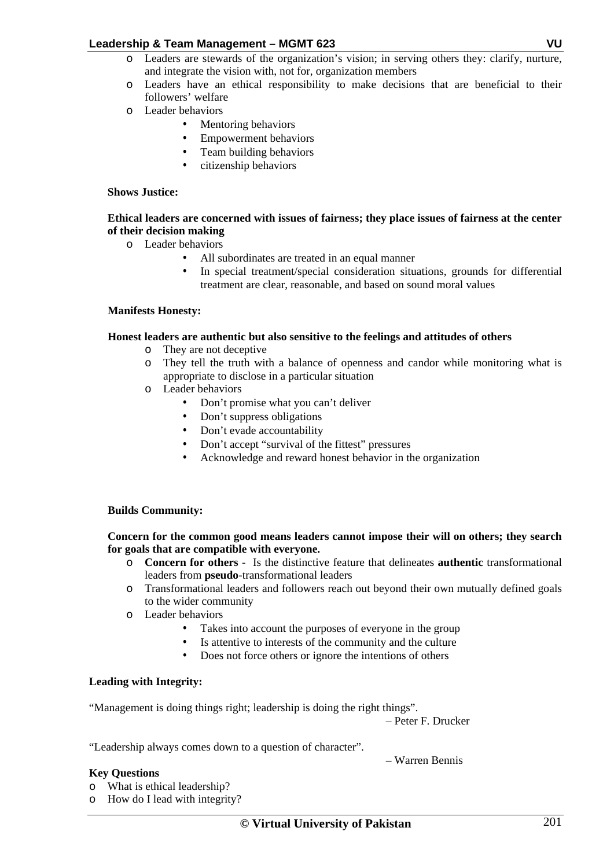- o Leaders are stewards of the organization's vision; in serving others they: clarify, nurture, and integrate the vision with, not for, organization members
- o Leaders have an ethical responsibility to make decisions that are beneficial to their followers' welfare
- o Leader behaviors
	- Mentoring behaviors
		- Empowerment behaviors
	- Team building behaviors
	- citizenship behaviors

## **Shows Justice:**

## **Ethical leaders are concerned with issues of fairness; they place issues of fairness at the center of their decision making**

- o Leader behaviors
	- All subordinates are treated in an equal manner
	- In special treatment/special consideration situations, grounds for differential treatment are clear, reasonable, and based on sound moral values

## **Manifests Honesty:**

## **Honest leaders are authentic but also sensitive to the feelings and attitudes of others**

- o They are not deceptive
- o They tell the truth with a balance of openness and candor while monitoring what is appropriate to disclose in a particular situation
- o Leader behaviors
	- Don't promise what you can't deliver
	- Don't suppress obligations
	- Don't evade accountability
	- Don't accept "survival of the fittest" pressures
	- Acknowledge and reward honest behavior in the organization

## **Builds Community:**

## **Concern for the common good means leaders cannot impose their will on others; they search for goals that are compatible with everyone.**

- o **Concern for others** Is the distinctive feature that delineates **authentic** transformational leaders from **pseudo**-transformational leaders
- o Transformational leaders and followers reach out beyond their own mutually defined goals to the wider community
- o Leader behaviors
	- Takes into account the purposes of everyone in the group
	- Is attentive to interests of the community and the culture
	- Does not force others or ignore the intentions of others

## **Leading with Integrity:**

"Management is doing things right; leadership is doing the right things".

– Peter F. Drucker

– Warren Bennis

"Leadership always comes down to a question of character".

## **Key Questions**

- o What is ethical leadership?
- o How do I lead with integrity?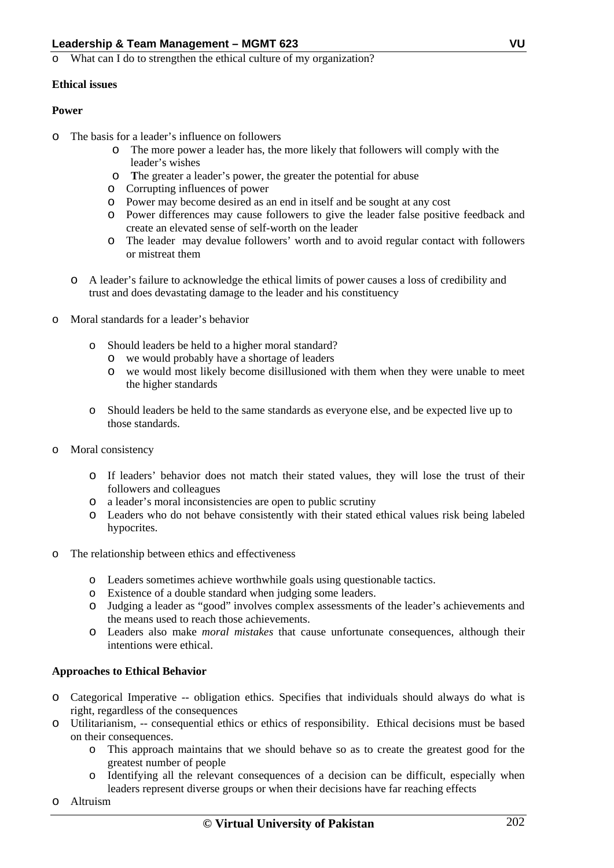o What can I do to strengthen the ethical culture of my organization?

# **Ethical issues**

# **Power**

- o The basis for a leader's influence on followers
	- o The more power a leader has, the more likely that followers will comply with the leader's wishes
	- o **T**he greater a leader's power, the greater the potential for abuse
	- o Corrupting influences of power
	- o Power may become desired as an end in itself and be sought at any cost
	- o Power differences may cause followers to give the leader false positive feedback and create an elevated sense of self-worth on the leader
	- o The leader may devalue followers' worth and to avoid regular contact with followers or mistreat them
	- o A leader's failure to acknowledge the ethical limits of power causes a loss of credibility and trust and does devastating damage to the leader and his constituency
- o Moral standards for a leader's behavior
	- o Should leaders be held to a higher moral standard?
		- o we would probably have a shortage of leaders
		- o we would most likely become disillusioned with them when they were unable to meet the higher standards
	- o Should leaders be held to the same standards as everyone else, and be expected live up to those standards.
- o Moral consistency
	- o If leaders' behavior does not match their stated values, they will lose the trust of their followers and colleagues
	- o a leader's moral inconsistencies are open to public scrutiny
	- o Leaders who do not behave consistently with their stated ethical values risk being labeled hypocrites.
- o The relationship between ethics and effectiveness
	- o Leaders sometimes achieve worthwhile goals using questionable tactics.
	- o Existence of a double standard when judging some leaders.
	- o Judging a leader as "good" involves complex assessments of the leader's achievements and the means used to reach those achievements.
	- o Leaders also make *moral mistakes* that cause unfortunate consequences, although their intentions were ethical.

# **Approaches to Ethical Behavior**

- o Categorical Imperative -- obligation ethics. Specifies that individuals should always do what is right, regardless of the consequences
- o Utilitarianism, -- consequential ethics or ethics of responsibility. Ethical decisions must be based on their consequences.
	- o This approach maintains that we should behave so as to create the greatest good for the greatest number of people
	- o Identifying all the relevant consequences of a decision can be difficult, especially when leaders represent diverse groups or when their decisions have far reaching effects
- o Altruism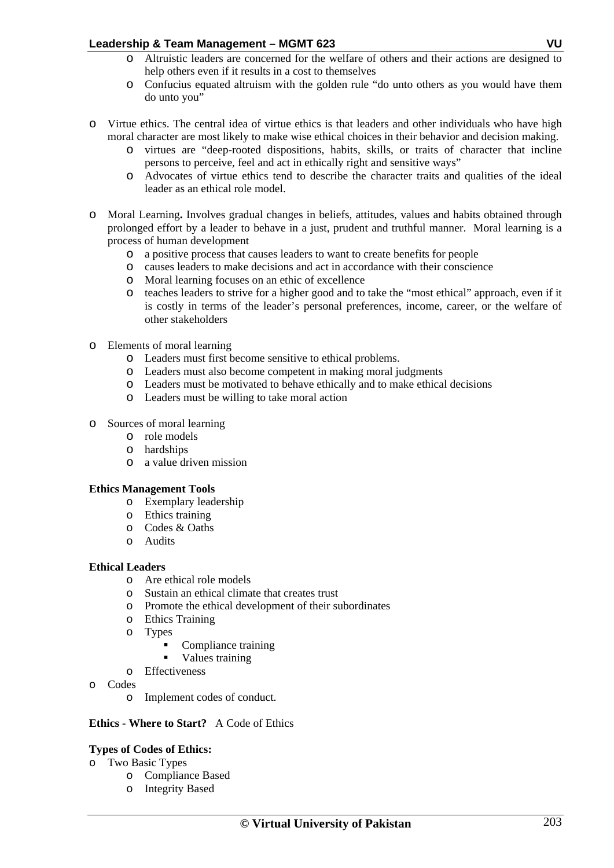- o Altruistic leaders are concerned for the welfare of others and their actions are designed to help others even if it results in a cost to themselves
- o Confucius equated altruism with the golden rule "do unto others as you would have them do unto you"
- o Virtue ethics. The central idea of virtue ethics is that leaders and other individuals who have high moral character are most likely to make wise ethical choices in their behavior and decision making.
	- o virtues are "deep-rooted dispositions, habits, skills, or traits of character that incline persons to perceive, feel and act in ethically right and sensitive ways"
	- o Advocates of virtue ethics tend to describe the character traits and qualities of the ideal leader as an ethical role model.
- o Moral Learning**.** Involves gradual changes in beliefs, attitudes, values and habits obtained through prolonged effort by a leader to behave in a just, prudent and truthful manner. Moral learning is a process of human development
	- o a positive process that causes leaders to want to create benefits for people
	- o causes leaders to make decisions and act in accordance with their conscience
	- o Moral learning focuses on an ethic of excellence
	- o teaches leaders to strive for a higher good and to take the "most ethical" approach, even if it is costly in terms of the leader's personal preferences, income, career, or the welfare of other stakeholders
- o Elements of moral learning
	- o Leaders must first become sensitive to ethical problems.
	- o Leaders must also become competent in making moral judgments
	- o Leaders must be motivated to behave ethically and to make ethical decisions
	- o Leaders must be willing to take moral action

## o Sources of moral learning

- o role models
- o hardships
- o a value driven mission

## **Ethics Management Tools**

- o Exemplary leadership
- o Ethics training
- o Codes & Oaths
- o Audits

## **Ethical Leaders**

- o Are ethical role models
- o Sustain an ethical climate that creates trust
- o Promote the ethical development of their subordinates
- o Ethics Training
- o Types
	- Compliance training
	- Values training
- o Effectiveness
- o Codes
	- o Implement codes of conduct.

## **Ethics - Where to Start?** A Code of Ethics

## **Types of Codes of Ethics:**

- o Two Basic Types
	- o Compliance Based
	- o Integrity Based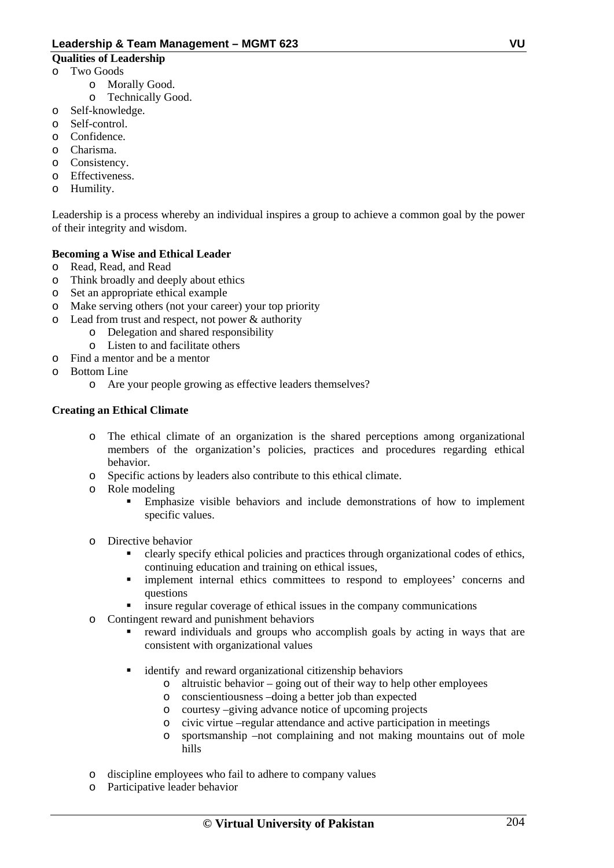## **Qualities of Leadership**

- o Two Goods
	- o Morally Good.
	- o Technically Good.
- o Self-knowledge.
- o Self-control.
- o Confidence.
- o Charisma.
- o Consistency.
- o Effectiveness.
- o Humility.

Leadership is a process whereby an individual inspires a group to achieve a common goal by the power of their integrity and wisdom.

# **Becoming a Wise and Ethical Leader**

- o Read, Read, and Read
- o Think broadly and deeply about ethics
- o Set an appropriate ethical example
- o Make serving others (not your career) your top priority
- o Lead from trust and respect, not power & authority
	- o Delegation and shared responsibility
	- o Listen to and facilitate others
- o Find a mentor and be a mentor
- o Bottom Line
	- o Are your people growing as effective leaders themselves?

## **Creating an Ethical Climate**

- o The ethical climate of an organization is the shared perceptions among organizational members of the organization's policies, practices and procedures regarding ethical behavior.
- o Specific actions by leaders also contribute to this ethical climate.
- o Role modeling
	- Emphasize visible behaviors and include demonstrations of how to implement specific values.
- o Directive behavior
	- clearly specify ethical policies and practices through organizational codes of ethics, continuing education and training on ethical issues,
	- **Internal ethics committees to respond to employees' concerns and** questions
	- insure regular coverage of ethical issues in the company communications
- o Contingent reward and punishment behaviors
	- reward individuals and groups who accomplish goals by acting in ways that are consistent with organizational values
	- identify and reward organizational citizenship behaviors
		- o altruistic behavior going out of their way to help other employees
		- o conscientiousness –doing a better job than expected
		- o courtesy –giving advance notice of upcoming projects
		- o civic virtue –regular attendance and active participation in meetings
		- o sportsmanship –not complaining and not making mountains out of mole hills
- o discipline employees who fail to adhere to company values
- o Participative leader behavior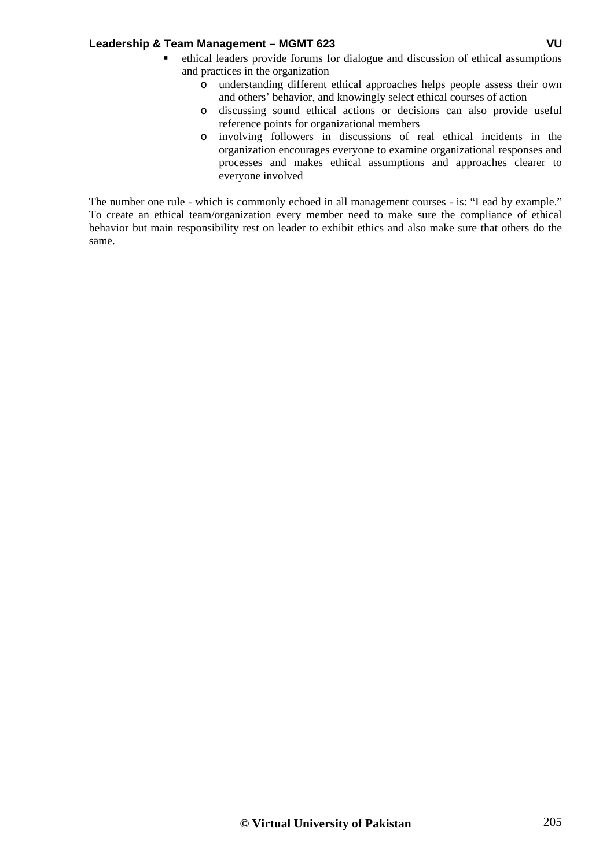- ethical leaders provide forums for dialogue and discussion of ethical assumptions and practices in the organization
	- o understanding different ethical approaches helps people assess their own and others' behavior, and knowingly select ethical courses of action
	- o discussing sound ethical actions or decisions can also provide useful reference points for organizational members
	- o involving followers in discussions of real ethical incidents in the organization encourages everyone to examine organizational responses and processes and makes ethical assumptions and approaches clearer to everyone involved

The number one rule - which is commonly echoed in all management courses - is: "Lead by example." To create an ethical team/organization every member need to make sure the compliance of ethical behavior but main responsibility rest on leader to exhibit ethics and also make sure that others do the same.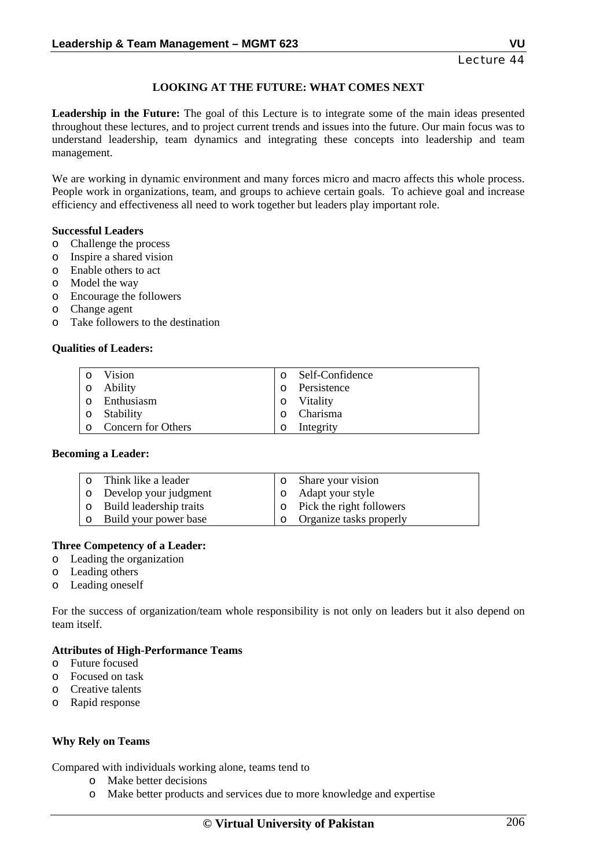# **LOOKING AT THE FUTURE: WHAT COMES NEXT**

**Leadership in the Future:** The goal of this Lecture is to integrate some of the main ideas presented throughout these lectures, and to project current trends and issues into the future. Our main focus was to understand leadership, team dynamics and integrating these concepts into leadership and team management.

We are working in dynamic environment and many forces micro and macro affects this whole process. People work in organizations, team, and groups to achieve certain goals. To achieve goal and increase efficiency and effectiveness all need to work together but leaders play important role.

## **Successful Leaders**

- o Challenge the process
- o Inspire a shared vision
- o Enable others to act
- o Model the way
- o Encourage the followers
- o Change agent
- o Take followers to the destination

#### **Qualities of Leaders:**

| $\circ$ | Vision             |                | o Self-Confidence |
|---------|--------------------|----------------|-------------------|
|         |                    |                |                   |
|         | 0 Ability          | $\circ$        | Persistence       |
| $\circ$ | Enthusiasm         | $\overline{O}$ | Vitality          |
|         | 0 Stability        | $\Omega$       | Charisma          |
| $\circ$ | Concern for Others | $\circ$        | Integrity         |

#### **Becoming a Leader:**

| o Think like a leader     | o Share your vision              |
|---------------------------|----------------------------------|
| o Develop your judgment   | o Adapt your style               |
| o Build leadership traits | $\circ$ Pick the right followers |
| o Build your power base   | o Organize tasks properly        |

## **Three Competency of a Leader:**

- o Leading the organization
- o Leading others
- o Leading oneself

For the success of organization/team whole responsibility is not only on leaders but it also depend on team itself.

## **Attributes of High-Performance Teams**

- o Future focused
- o Focused on task
- o Creative talents
- o Rapid response

## **Why Rely on Teams**

Compared with individuals working alone, teams tend to

- o Make better decisions
- o Make better products and services due to more knowledge and expertise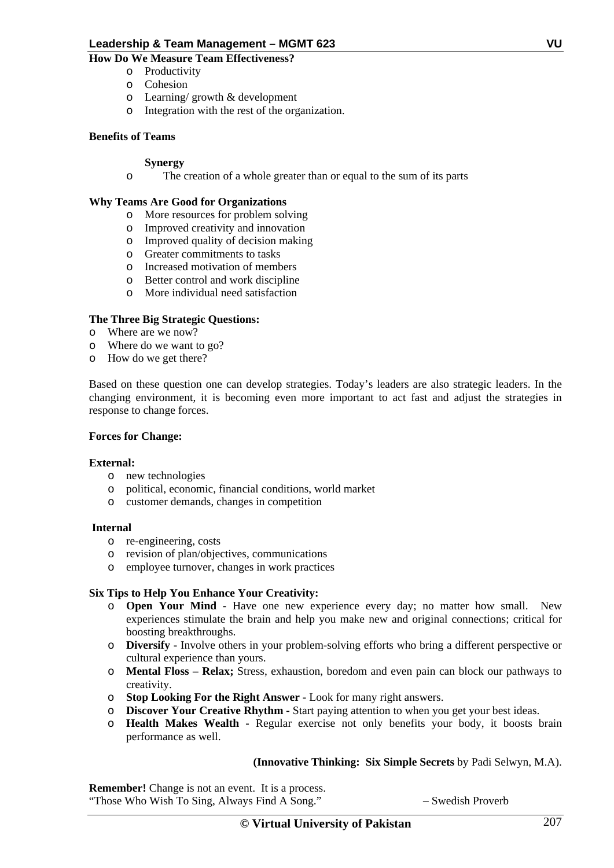# **How Do We Measure Team Effectiveness?**

- o Productivity
- o Cohesion
- o Learning/ growth & development
- o Integration with the rest of the organization.

# **Benefits of Teams**

## **Synergy**

o The creation of a whole greater than or equal to the sum of its parts

## **Why Teams Are Good for Organizations**

- o More resources for problem solving
- o Improved creativity and innovation
- o Improved quality of decision making
- o Greater commitments to tasks
- o Increased motivation of members
- o Better control and work discipline
- o More individual need satisfaction

## **The Three Big Strategic Questions:**

- o Where are we now?
- o Where do we want to go?
- o How do we get there?

Based on these question one can develop strategies. Today's leaders are also strategic leaders. In the changing environment, it is becoming even more important to act fast and adjust the strategies in response to change forces.

## **Forces for Change:**

## **External:**

- o new technologies
- o political, economic, financial conditions, world market
- o customer demands, changes in competition

## **Internal**

- o re-engineering, costs
- o revision of plan/objectives, communications
- o employee turnover, changes in work practices

# **Six Tips to Help You Enhance Your Creativity:**

- o **Open Your Mind** Have one new experience every day; no matter how small. New experiences stimulate the brain and help you make new and original connections; critical for boosting breakthroughs.
- o **Diversify** Involve others in your problem-solving efforts who bring a different perspective or cultural experience than yours.
- o **Mental Floss Relax;** Stress, exhaustion, boredom and even pain can block our pathways to creativity.
- o **Stop Looking For the Right Answer** Look for many right answers.
- o **Discover Your Creative Rhythm** Start paying attention to when you get your best ideas.
- o **Health Makes Wealth** Regular exercise not only benefits your body, it boosts brain performance as well.

# **(Innovative Thinking: Six Simple Secrets** by Padi Selwyn, M.A).

**Remember!** Change is not an event. It is a process. "Those Who Wish To Sing, Always Find A Song." – Swedish Proverb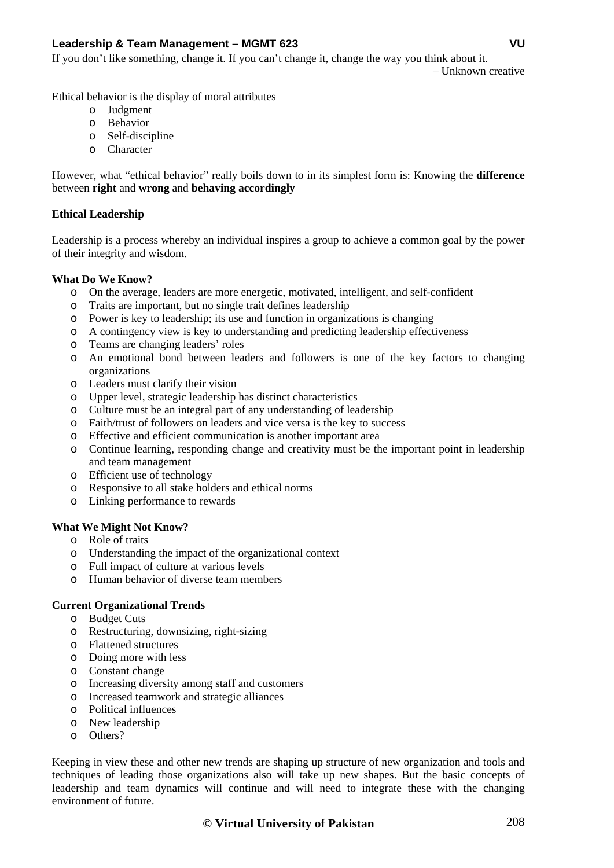If you don't like something, change it. If you can't change it, change the way you think about it.

– Unknown creative

Ethical behavior is the display of moral attributes

- o Judgment
- o Behavior
- o Self-discipline
- o Character

However, what "ethical behavior" really boils down to in its simplest form is: Knowing the **difference** between **right** and **wrong** and **behaving accordingly**

## **Ethical Leadership**

Leadership is a process whereby an individual inspires a group to achieve a common goal by the power of their integrity and wisdom.

## **What Do We Know?**

- o On the average, leaders are more energetic, motivated, intelligent, and self-confident
- o Traits are important, but no single trait defines leadership
- o Power is key to leadership; its use and function in organizations is changing
- o A contingency view is key to understanding and predicting leadership effectiveness
- o Teams are changing leaders' roles
- o An emotional bond between leaders and followers is one of the key factors to changing organizations
- o Leaders must clarify their vision
- o Upper level, strategic leadership has distinct characteristics
- o Culture must be an integral part of any understanding of leadership
- o Faith/trust of followers on leaders and vice versa is the key to success
- o Effective and efficient communication is another important area
- o Continue learning, responding change and creativity must be the important point in leadership and team management
- o Efficient use of technology
- o Responsive to all stake holders and ethical norms
- o Linking performance to rewards

# **What We Might Not Know?**

- o Role of traits
- o Understanding the impact of the organizational context
- o Full impact of culture at various levels
- o Human behavior of diverse team members

# **Current Organizational Trends**

- o Budget Cuts
- o Restructuring, downsizing, right-sizing
- o Flattened structures
- o Doing more with less
- o Constant change
- o Increasing diversity among staff and customers
- o Increased teamwork and strategic alliances
- o Political influences
- o New leadership
- o Others?

Keeping in view these and other new trends are shaping up structure of new organization and tools and techniques of leading those organizations also will take up new shapes. But the basic concepts of leadership and team dynamics will continue and will need to integrate these with the changing environment of future.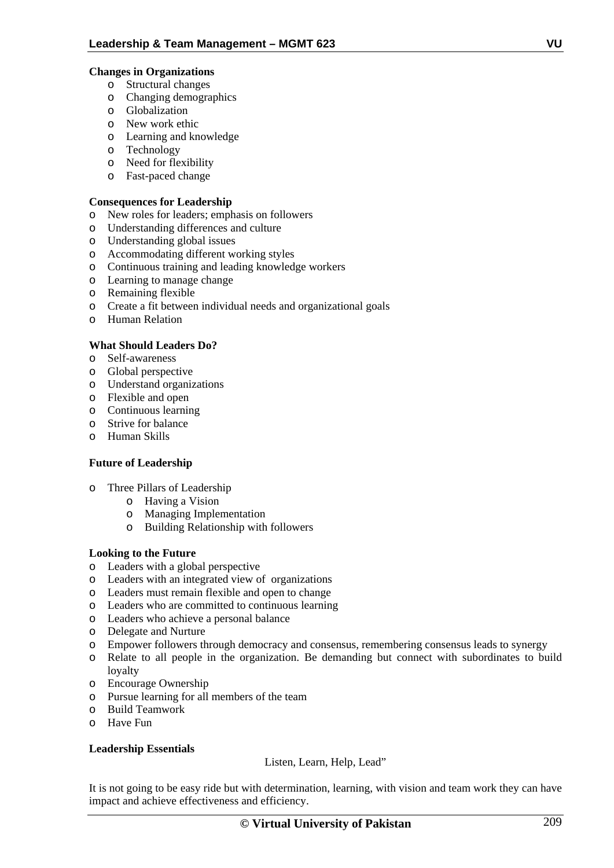# **Changes in Organizations**

- o Structural changes
- o Changing demographics
- o Globalization
- o New work ethic
- o Learning and knowledge
- o Technology
- o Need for flexibility
- o Fast-paced change

## **Consequences for Leadership**

- o New roles for leaders; emphasis on followers
- o Understanding differences and culture
- o Understanding global issues
- o Accommodating different working styles
- o Continuous training and leading knowledge workers
- o Learning to manage change
- o Remaining flexible
- o Create a fit between individual needs and organizational goals
- o Human Relation

# **What Should Leaders Do?**

- o Self-awareness
- o Global perspective
- o Understand organizations
- o Flexible and open
- o Continuous learning
- o Strive for balance
- o Human Skills

# **Future of Leadership**

- o Three Pillars of Leadership
	- o Having a Vision
	- o Managing Implementation
	- o Building Relationship with followers

# **Looking to the Future**

- o Leaders with a global perspective
- o Leaders with an integrated view of organizations
- o Leaders must remain flexible and open to change
- o Leaders who are committed to continuous learning
- o Leaders who achieve a personal balance
- o Delegate and Nurture
- o Empower followers through democracy and consensus, remembering consensus leads to synergy
- o Relate to all people in the organization. Be demanding but connect with subordinates to build loyalty
- o Encourage Ownership
- o Pursue learning for all members of the team
- o Build Teamwork
- o Have Fun

# **Leadership Essentials**

Listen, Learn, Help, Lead"

It is not going to be easy ride but with determination, learning, with vision and team work they can have impact and achieve effectiveness and efficiency.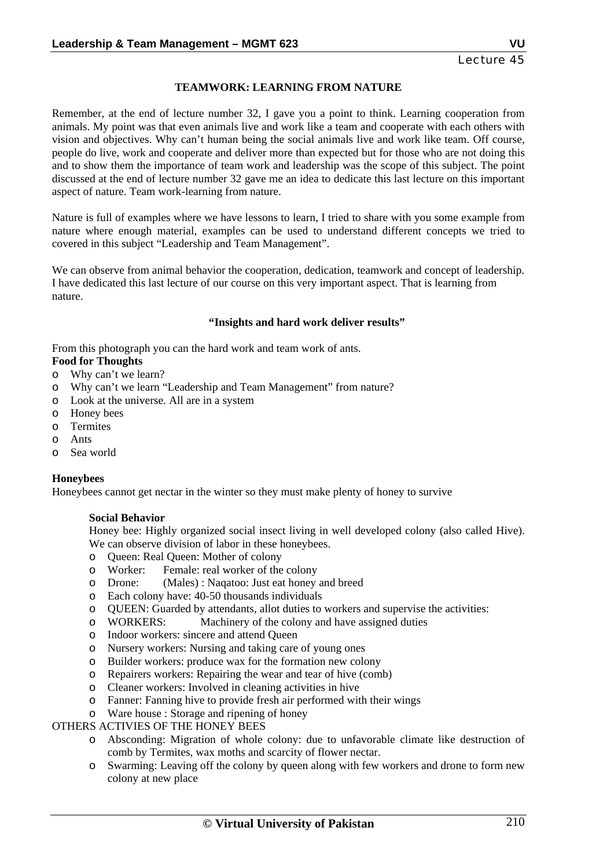## **TEAMWORK: LEARNING FROM NATURE**

Remember, at the end of lecture number 32, I gave you a point to think. Learning cooperation from animals. My point was that even animals live and work like a team and cooperate with each others with vision and objectives. Why can't human being the social animals live and work like team. Off course, people do live, work and cooperate and deliver more than expected but for those who are not doing this and to show them the importance of team work and leadership was the scope of this subject. The point discussed at the end of lecture number 32 gave me an idea to dedicate this last lecture on this important aspect of nature. Team work-learning from nature.

Nature is full of examples where we have lessons to learn, I tried to share with you some example from nature where enough material, examples can be used to understand different concepts we tried to covered in this subject "Leadership and Team Management".

We can observe from animal behavior the cooperation, dedication, teamwork and concept of leadership. I have dedicated this last lecture of our course on this very important aspect. That is learning from nature.

#### **"Insights and hard work deliver results"**

From this photograph you can the hard work and team work of ants. **Food for Thoughts** 

- o Why can't we learn?
- o Why can't we learn "Leadership and Team Management" from nature?
- o Look at the universe. All are in a system
- o Honey bees
- o Termites
- o Ants
- o Sea world

## **Honeybees**

Honeybees cannot get nectar in the winter so they must make plenty of honey to survive

## **Social Behavior**

Honey bee: Highly organized social insect living in well developed colony (also called Hive). We can observe division of labor in these honeybees.

- o Queen: Real Queen: Mother of colony
- o Worker: Female: real worker of the colony<br>
O Drone: (Males) : Nagatoo: Just eat honey
- o Drone: (Males) : Naqatoo: Just eat honey and breed
- o Each colony have: 40-50 thousands individuals
- o QUEEN: Guarded by attendants, allot duties to workers and supervise the activities:
- o WORKERS: Machinery of the colony and have assigned duties
- o Indoor workers: sincere and attend Queen
- o Nursery workers: Nursing and taking care of young ones
- o Builder workers: produce wax for the formation new colony
- o Repairers workers: Repairing the wear and tear of hive (comb)
- o Cleaner workers: Involved in cleaning activities in hive
- o Fanner: Fanning hive to provide fresh air performed with their wings
- o Ware house : Storage and ripening of honey

## OTHERS ACTIVIES OF THE HONEY BEES

- o Absconding: Migration of whole colony: due to unfavorable climate like destruction of comb by Termites, wax moths and scarcity of flower nectar.
- o Swarming: Leaving off the colony by queen along with few workers and drone to form new colony at new place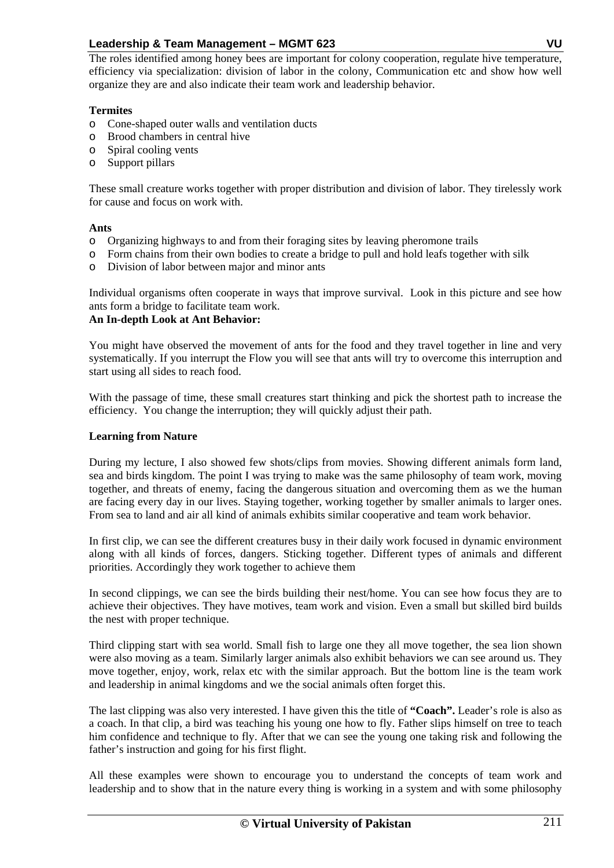The roles identified among honey bees are important for colony cooperation, regulate hive temperature, efficiency via specialization: division of labor in the colony, Communication etc and show how well organize they are and also indicate their team work and leadership behavior.

## **Termites**

- o Cone-shaped outer walls and ventilation ducts
- o Brood chambers in central hive
- o Spiral cooling vents
- o Support pillars

These small creature works together with proper distribution and division of labor. They tirelessly work for cause and focus on work with.

## **Ants**

- o Organizing highways to and from their foraging sites by leaving pheromone trails
- o Form chains from their own bodies to create a bridge to pull and hold leafs together with silk
- o Division of labor between major and minor ants

Individual organisms often cooperate in ways that improve survival. Look in this picture and see how ants form a bridge to facilitate team work.

# **An In-depth Look at Ant Behavior:**

You might have observed the movement of ants for the food and they travel together in line and very systematically. If you interrupt the Flow you will see that ants will try to overcome this interruption and start using all sides to reach food.

With the passage of time, these small creatures start thinking and pick the shortest path to increase the efficiency. You change the interruption; they will quickly adjust their path.

## **Learning from Nature**

During my lecture, I also showed few shots/clips from movies. Showing different animals form land, sea and birds kingdom. The point I was trying to make was the same philosophy of team work, moving together, and threats of enemy, facing the dangerous situation and overcoming them as we the human are facing every day in our lives. Staying together, working together by smaller animals to larger ones. From sea to land and air all kind of animals exhibits similar cooperative and team work behavior.

In first clip, we can see the different creatures busy in their daily work focused in dynamic environment along with all kinds of forces, dangers. Sticking together. Different types of animals and different priorities. Accordingly they work together to achieve them

In second clippings, we can see the birds building their nest/home. You can see how focus they are to achieve their objectives. They have motives, team work and vision. Even a small but skilled bird builds the nest with proper technique.

Third clipping start with sea world. Small fish to large one they all move together, the sea lion shown were also moving as a team. Similarly larger animals also exhibit behaviors we can see around us. They move together, enjoy, work, relax etc with the similar approach. But the bottom line is the team work and leadership in animal kingdoms and we the social animals often forget this.

The last clipping was also very interested. I have given this the title of **"Coach".** Leader's role is also as a coach. In that clip, a bird was teaching his young one how to fly. Father slips himself on tree to teach him confidence and technique to fly. After that we can see the young one taking risk and following the father's instruction and going for his first flight.

All these examples were shown to encourage you to understand the concepts of team work and leadership and to show that in the nature every thing is working in a system and with some philosophy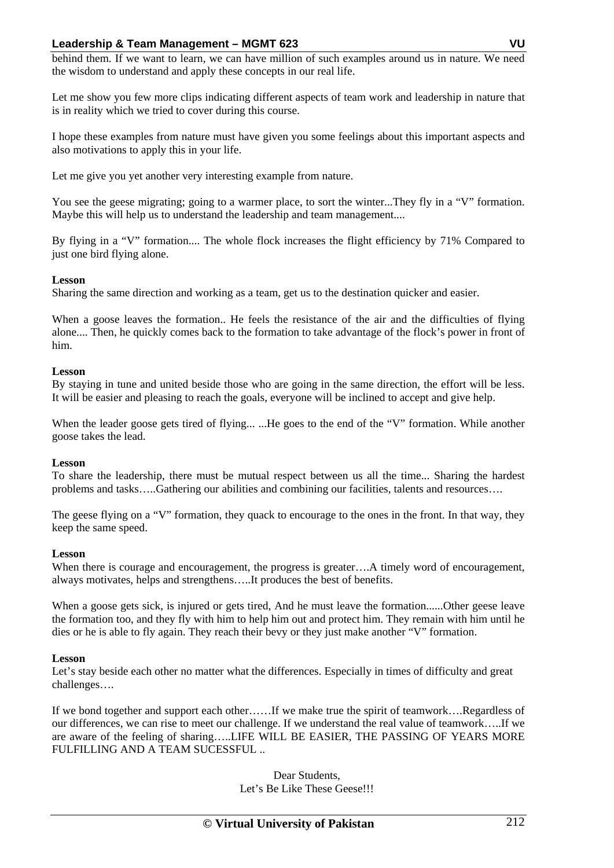behind them. If we want to learn, we can have million of such examples around us in nature. We need the wisdom to understand and apply these concepts in our real life.

Let me show you few more clips indicating different aspects of team work and leadership in nature that is in reality which we tried to cover during this course.

I hope these examples from nature must have given you some feelings about this important aspects and also motivations to apply this in your life.

Let me give you yet another very interesting example from nature.

You see the geese migrating; going to a warmer place, to sort the winter...They fly in a "V" formation. Maybe this will help us to understand the leadership and team management....

By flying in a "V" formation.... The whole flock increases the flight efficiency by 71% Compared to just one bird flying alone.

## **Lesson**

Sharing the same direction and working as a team, get us to the destination quicker and easier.

When a goose leaves the formation.. He feels the resistance of the air and the difficulties of flying alone.... Then, he quickly comes back to the formation to take advantage of the flock's power in front of him.

## **Lesson**

By staying in tune and united beside those who are going in the same direction, the effort will be less. It will be easier and pleasing to reach the goals, everyone will be inclined to accept and give help.

When the leader goose gets tired of flying... ...He goes to the end of the "V" formation. While another goose takes the lead.

## **Lesson**

To share the leadership, there must be mutual respect between us all the time... Sharing the hardest problems and tasks…..Gathering our abilities and combining our facilities, talents and resources….

The geese flying on a "V" formation, they quack to encourage to the ones in the front. In that way, they keep the same speed.

## **Lesson**

When there is courage and encouragement, the progress is greater....A timely word of encouragement, always motivates, helps and strengthens…..It produces the best of benefits.

When a goose gets sick, is injured or gets tired, And he must leave the formation......Other geese leave the formation too, and they fly with him to help him out and protect him. They remain with him until he dies or he is able to fly again. They reach their bevy or they just make another "V" formation.

# **Lesson**

Let's stay beside each other no matter what the differences. Especially in times of difficulty and great challenges….

If we bond together and support each other……If we make true the spirit of teamwork….Regardless of our differences, we can rise to meet our challenge. If we understand the real value of teamwork…..If we are aware of the feeling of sharing…..LIFE WILL BE EASIER, THE PASSING OF YEARS MORE FULFILLING AND A TEAM SUCESSFUL ..

> Dear Students, Let's Be Like These Geese!!!